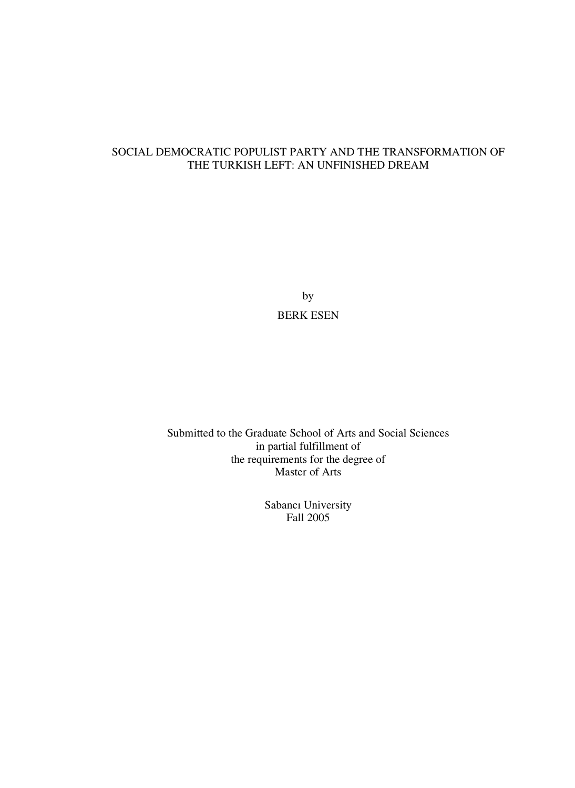### SOCIAL DEMOCRATIC POPULIST PARTY AND THE TRANSFORMATION OF THE TURKISH LEFT: AN UNFINISHED DREAM

by BERK ESEN

Submitted to the Graduate School of Arts and Social Sciences in partial fulfillment of the requirements for the degree of Master of Arts

> Sabancı University Fall 2005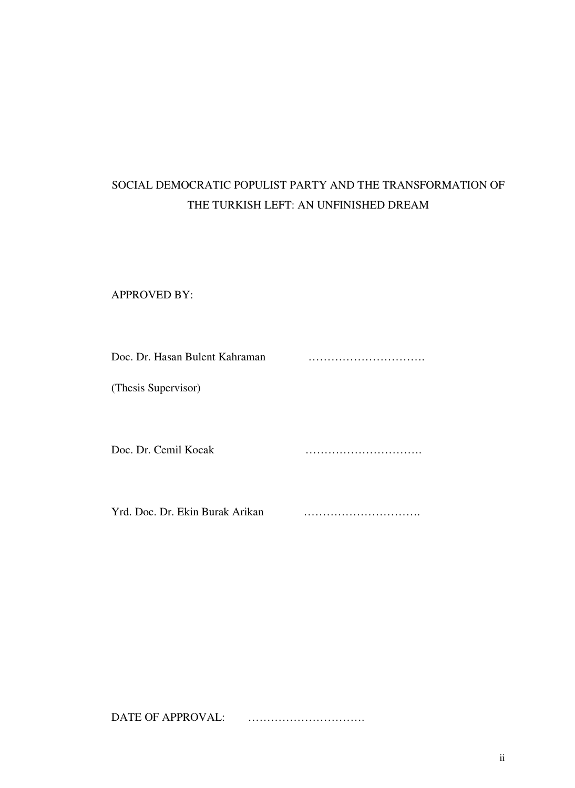# SOCIAL DEMOCRATIC POPULIST PARTY AND THE TRANSFORMATION OF THE TURKISH LEFT: AN UNFINISHED DREAM

### APPROVED BY:

| Doc. Dr. Hasan Bulent Kahraman  |  |
|---------------------------------|--|
| (Thesis Supervisor)             |  |
|                                 |  |
| Doc. Dr. Cemil Kocak            |  |
| Yrd. Doc. Dr. Ekin Burak Arikan |  |

DATE OF APPROVAL: ………………………….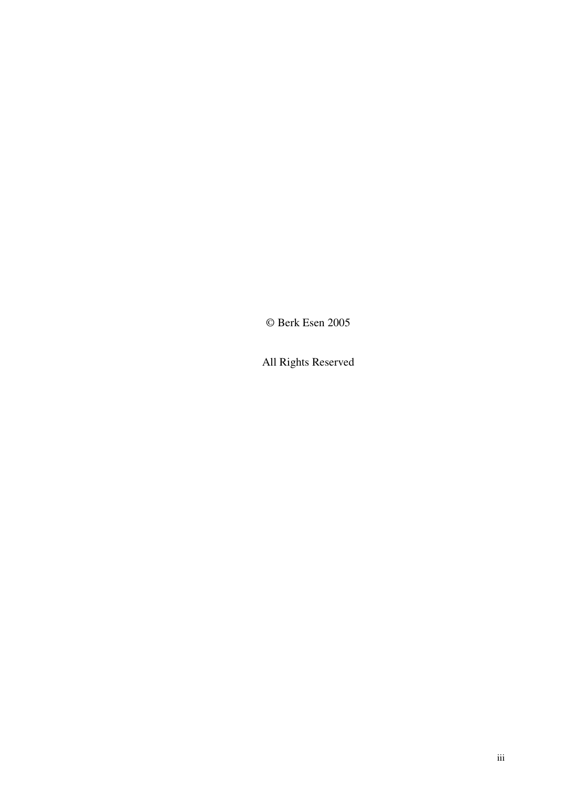© Berk Esen 2005

All Rights Reserved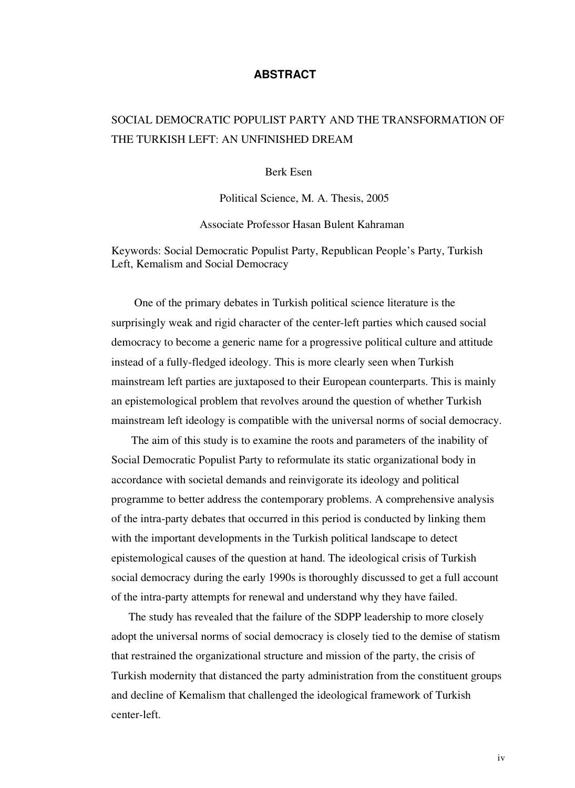### **ABSTRACT**

# SOCIAL DEMOCRATIC POPULIST PARTY AND THE TRANSFORMATION OF THE TURKISH LEFT: AN UNFINISHED DREAM

Berk Esen

Political Science, M. A. Thesis, 2005

Associate Professor Hasan Bulent Kahraman

Keywords: Social Democratic Populist Party, Republican People's Party, Turkish Left, Kemalism and Social Democracy

 One of the primary debates in Turkish political science literature is the surprisingly weak and rigid character of the center-left parties which caused social democracy to become a generic name for a progressive political culture and attitude instead of a fully-fledged ideology. This is more clearly seen when Turkish mainstream left parties are juxtaposed to their European counterparts. This is mainly an epistemological problem that revolves around the question of whether Turkish mainstream left ideology is compatible with the universal norms of social democracy.

 The aim of this study is to examine the roots and parameters of the inability of Social Democratic Populist Party to reformulate its static organizational body in accordance with societal demands and reinvigorate its ideology and political programme to better address the contemporary problems. A comprehensive analysis of the intra-party debates that occurred in this period is conducted by linking them with the important developments in the Turkish political landscape to detect epistemological causes of the question at hand. The ideological crisis of Turkish social democracy during the early 1990s is thoroughly discussed to get a full account of the intra-party attempts for renewal and understand why they have failed.

 The study has revealed that the failure of the SDPP leadership to more closely adopt the universal norms of social democracy is closely tied to the demise of statism that restrained the organizational structure and mission of the party, the crisis of Turkish modernity that distanced the party administration from the constituent groups and decline of Kemalism that challenged the ideological framework of Turkish center-left.

iv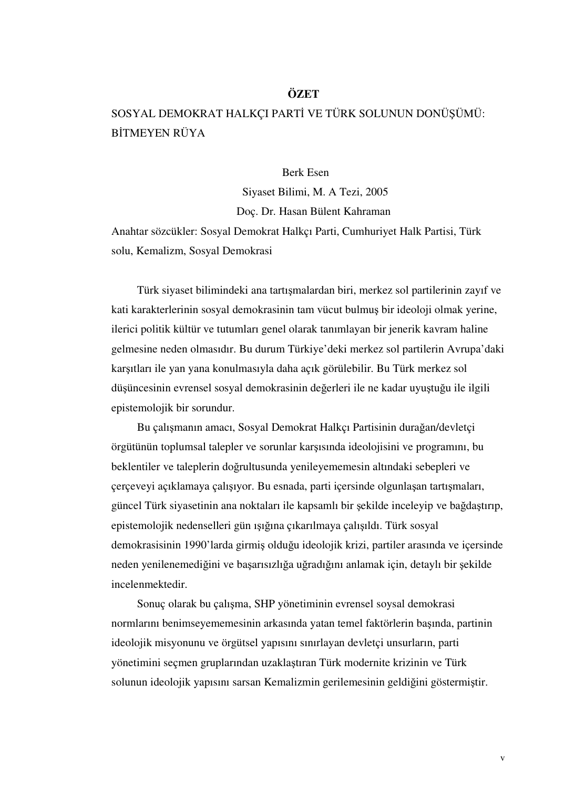### **ÖZET**

# SOSYAL DEMOKRAT HALKÇI PARTİ VE TÜRK SOLUNUN DONÜŞÜMÜ: BİTMEYEN RÜYA

### Berk Esen

 Siyaset Bilimi, M. A Tezi, 2005 Doç. Dr. Hasan Bülent Kahraman

Anahtar sözcükler: Sosyal Demokrat Halkçı Parti, Cumhuriyet Halk Partisi, Türk solu, Kemalizm, Sosyal Demokrasi

 Türk siyaset bilimindeki ana tartışmalardan biri, merkez sol partilerinin zayıf ve kati karakterlerinin sosyal demokrasinin tam vücut bulmuş bir ideoloji olmak yerine, ilerici politik kültür ve tutumları genel olarak tanımlayan bir jenerik kavram haline gelmesine neden olmasıdır. Bu durum Türkiye'deki merkez sol partilerin Avrupa'daki karşıtları ile yan yana konulmasıyla daha açık görülebilir. Bu Türk merkez sol düşüncesinin evrensel sosyal demokrasinin değerleri ile ne kadar uyuştuğu ile ilgili epistemolojik bir sorundur.

 Bu çalışmanın amacı, Sosyal Demokrat Halkçı Partisinin durağan/devletçi örgütünün toplumsal talepler ve sorunlar karşısında ideolojisini ve programını, bu beklentiler ve taleplerin doğrultusunda yenileyememesin altındaki sebepleri ve çerçeveyi açıklamaya çalışıyor. Bu esnada, parti içersinde olgunlaşan tartışmaları, güncel Türk siyasetinin ana noktaları ile kapsamlı bir şekilde inceleyip ve bağdaştırıp, epistemolojik nedenselleri gün ışığına çıkarılmaya çalışıldı. Türk sosyal demokrasisinin 1990'larda girmiş olduğu ideolojik krizi, partiler arasında ve içersinde neden yenilenemediğini ve başarısızlığa uğradığını anlamak için, detaylı bir şekilde incelenmektedir.

 Sonuç olarak bu çalışma, SHP yönetiminin evrensel soysal demokrasi normlarını benimseyememesinin arkasında yatan temel faktörlerin başında, partinin ideolojik misyonunu ve örgütsel yapısını sınırlayan devletçi unsurların, parti yönetimini seçmen gruplarından uzaklaştıran Türk modernite krizinin ve Türk solunun ideolojik yapısını sarsan Kemalizmin gerilemesinin geldiğini göstermiştir.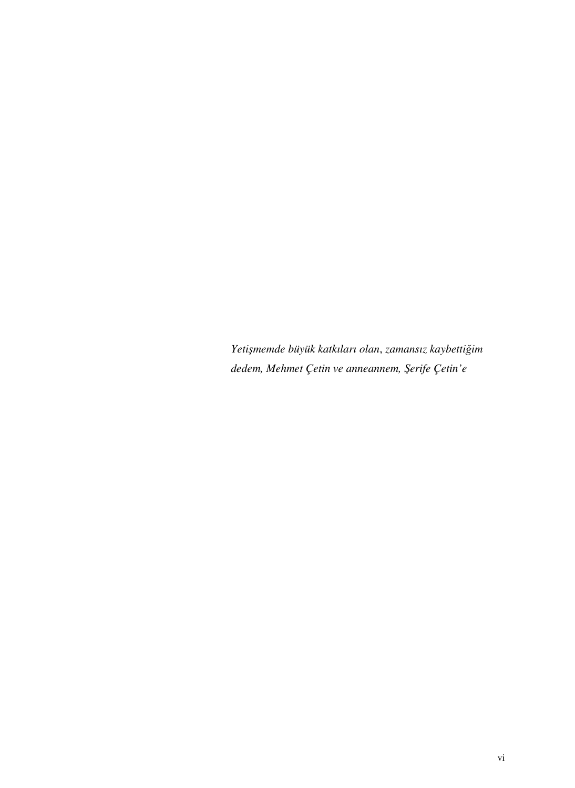*Yeti*ş*memde büyük katkıları olan*, *zamansız kaybetti*ğ*im dedem, Mehmet Çetin ve anneannem,* Ş*erife Çetin'e*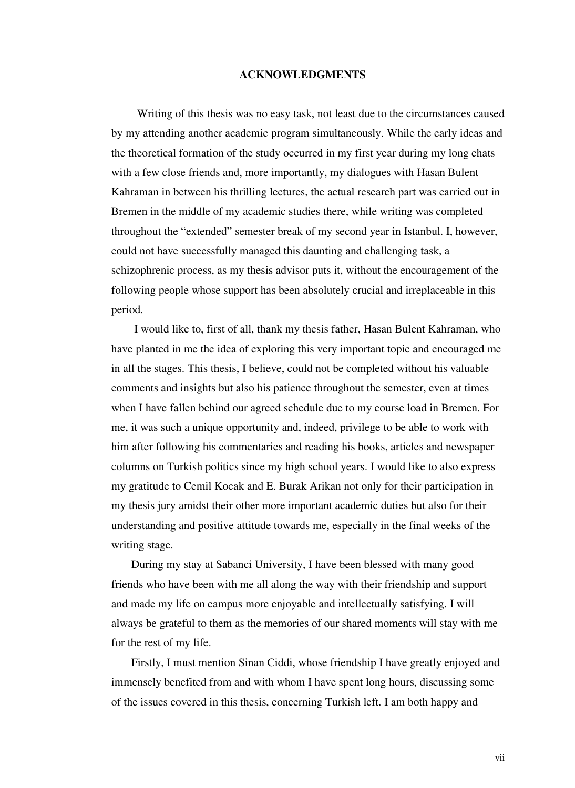#### **ACKNOWLEDGMENTS**

 Writing of this thesis was no easy task, not least due to the circumstances caused by my attending another academic program simultaneously. While the early ideas and the theoretical formation of the study occurred in my first year during my long chats with a few close friends and, more importantly, my dialogues with Hasan Bulent Kahraman in between his thrilling lectures, the actual research part was carried out in Bremen in the middle of my academic studies there, while writing was completed throughout the "extended" semester break of my second year in Istanbul. I, however, could not have successfully managed this daunting and challenging task, a schizophrenic process, as my thesis advisor puts it, without the encouragement of the following people whose support has been absolutely crucial and irreplaceable in this period.

 I would like to, first of all, thank my thesis father, Hasan Bulent Kahraman, who have planted in me the idea of exploring this very important topic and encouraged me in all the stages. This thesis, I believe, could not be completed without his valuable comments and insights but also his patience throughout the semester, even at times when I have fallen behind our agreed schedule due to my course load in Bremen. For me, it was such a unique opportunity and, indeed, privilege to be able to work with him after following his commentaries and reading his books, articles and newspaper columns on Turkish politics since my high school years. I would like to also express my gratitude to Cemil Kocak and E. Burak Arikan not only for their participation in my thesis jury amidst their other more important academic duties but also for their understanding and positive attitude towards me, especially in the final weeks of the writing stage.

 During my stay at Sabanci University, I have been blessed with many good friends who have been with me all along the way with their friendship and support and made my life on campus more enjoyable and intellectually satisfying. I will always be grateful to them as the memories of our shared moments will stay with me for the rest of my life.

 Firstly, I must mention Sinan Ciddi, whose friendship I have greatly enjoyed and immensely benefited from and with whom I have spent long hours, discussing some of the issues covered in this thesis, concerning Turkish left. I am both happy and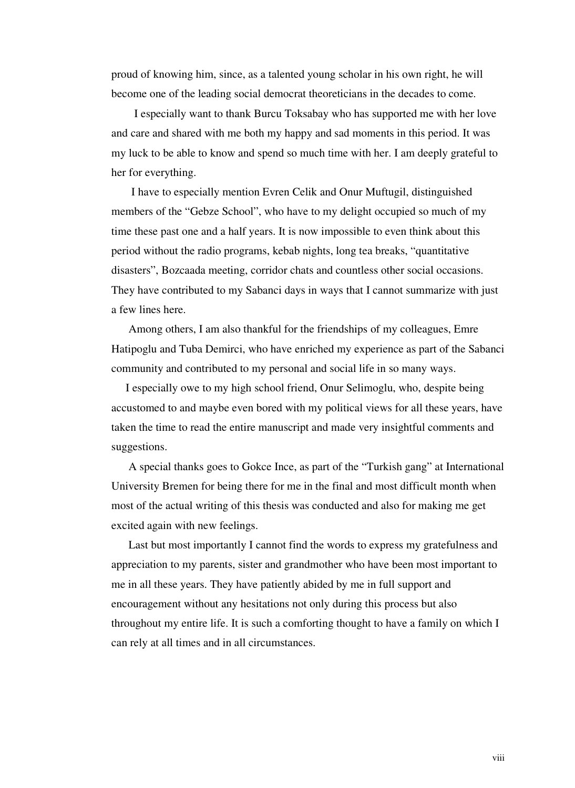proud of knowing him, since, as a talented young scholar in his own right, he will become one of the leading social democrat theoreticians in the decades to come.

 I especially want to thank Burcu Toksabay who has supported me with her love and care and shared with me both my happy and sad moments in this period. It was my luck to be able to know and spend so much time with her. I am deeply grateful to her for everything.

 I have to especially mention Evren Celik and Onur Muftugil, distinguished members of the "Gebze School", who have to my delight occupied so much of my time these past one and a half years. It is now impossible to even think about this period without the radio programs, kebab nights, long tea breaks, "quantitative disasters", Bozcaada meeting, corridor chats and countless other social occasions. They have contributed to my Sabanci days in ways that I cannot summarize with just a few lines here.

 Among others, I am also thankful for the friendships of my colleagues, Emre Hatipoglu and Tuba Demirci, who have enriched my experience as part of the Sabanci community and contributed to my personal and social life in so many ways.

 I especially owe to my high school friend, Onur Selimoglu, who, despite being accustomed to and maybe even bored with my political views for all these years, have taken the time to read the entire manuscript and made very insightful comments and suggestions.

 A special thanks goes to Gokce Ince, as part of the "Turkish gang" at International University Bremen for being there for me in the final and most difficult month when most of the actual writing of this thesis was conducted and also for making me get excited again with new feelings.

 Last but most importantly I cannot find the words to express my gratefulness and appreciation to my parents, sister and grandmother who have been most important to me in all these years. They have patiently abided by me in full support and encouragement without any hesitations not only during this process but also throughout my entire life. It is such a comforting thought to have a family on which I can rely at all times and in all circumstances.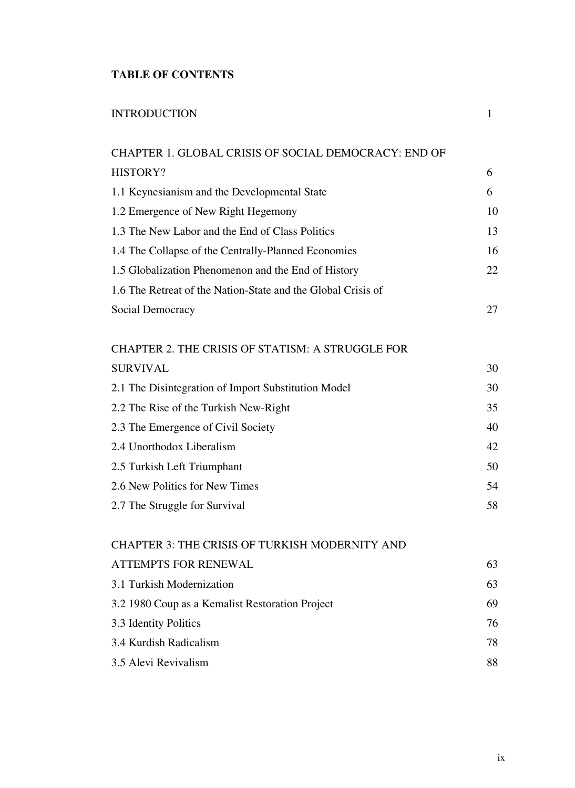## **TABLE OF CONTENTS**

| <b>INTRODUCTION</b>                                          | 1  |
|--------------------------------------------------------------|----|
| CHAPTER 1. GLOBAL CRISIS OF SOCIAL DEMOCRACY: END OF         |    |
| <b>HISTORY?</b>                                              | 6  |
| 1.1 Keynesianism and the Developmental State                 | 6  |
| 1.2 Emergence of New Right Hegemony                          | 10 |
| 1.3 The New Labor and the End of Class Politics              | 13 |
| 1.4 The Collapse of the Centrally-Planned Economies          | 16 |
| 1.5 Globalization Phenomenon and the End of History          | 22 |
| 1.6 The Retreat of the Nation-State and the Global Crisis of |    |
| Social Democracy                                             | 27 |
| CHAPTER 2. THE CRISIS OF STATISM: A STRUGGLE FOR             |    |
| <b>SURVIVAL</b>                                              | 30 |
| 2.1 The Disintegration of Import Substitution Model          | 30 |
| 2.2 The Rise of the Turkish New-Right                        | 35 |
| 2.3 The Emergence of Civil Society                           | 40 |
| 2.4 Unorthodox Liberalism                                    | 42 |
| 2.5 Turkish Left Triumphant                                  | 50 |
| 2.6 New Politics for New Times                               | 54 |
| 2.7 The Struggle for Survival                                | 58 |
| <b>CHAPTER 3: THE CRISIS OF TURKISH MODERNITY AND</b>        |    |
| <b>ATTEMPTS FOR RENEWAL</b>                                  | 63 |
| 3.1 Turkish Modernization                                    | 63 |
| 3.2 1980 Coup as a Kemalist Restoration Project              | 69 |
| 3.3 Identity Politics                                        | 76 |
| 3.4 Kurdish Radicalism                                       | 78 |
| 3.5 Alevi Revivalism                                         | 88 |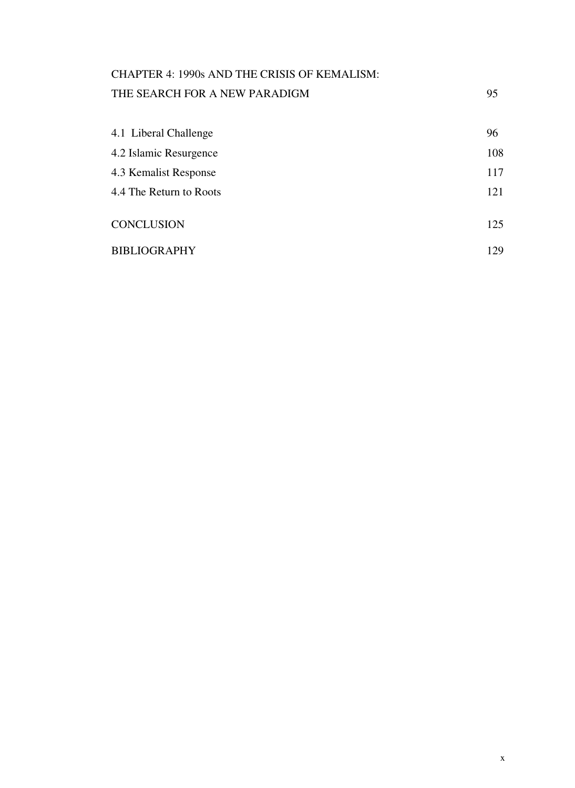# CHAPTER 4: 1990s AND THE CRISIS OF KEMALISM: THE SEARCH FOR A NEW PARADIGM 95

| 4.1 Liberal Challenge   | 96  |
|-------------------------|-----|
| 4.2 Islamic Resurgence  | 108 |
| 4.3 Kemalist Response   | 117 |
| 4.4 The Return to Roots | 121 |
|                         |     |
| CONCLUSION              | 125 |
| BIBLIOGRAPHY            | 129 |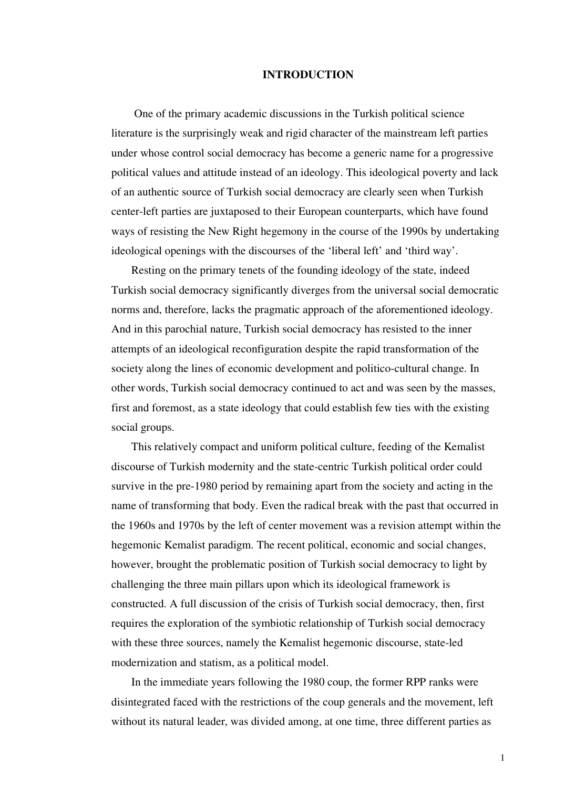#### **INTRODUCTION**

 One of the primary academic discussions in the Turkish political science literature is the surprisingly weak and rigid character of the mainstream left parties under whose control social democracy has become a generic name for a progressive political values and attitude instead of an ideology. This ideological poverty and lack of an authentic source of Turkish social democracy are clearly seen when Turkish center-left parties are juxtaposed to their European counterparts, which have found ways of resisting the New Right hegemony in the course of the 1990s by undertaking ideological openings with the discourses of the 'liberal left' and 'third way'.

 Resting on the primary tenets of the founding ideology of the state, indeed Turkish social democracy significantly diverges from the universal social democratic norms and, therefore, lacks the pragmatic approach of the aforementioned ideology. And in this parochial nature, Turkish social democracy has resisted to the inner attempts of an ideological reconfiguration despite the rapid transformation of the society along the lines of economic development and politico-cultural change. In other words, Turkish social democracy continued to act and was seen by the masses, first and foremost, as a state ideology that could establish few ties with the existing social groups.

 This relatively compact and uniform political culture, feeding of the Kemalist discourse of Turkish modernity and the state-centric Turkish political order could survive in the pre-1980 period by remaining apart from the society and acting in the name of transforming that body. Even the radical break with the past that occurred in the 1960s and 1970s by the left of center movement was a revision attempt within the hegemonic Kemalist paradigm. The recent political, economic and social changes, however, brought the problematic position of Turkish social democracy to light by challenging the three main pillars upon which its ideological framework is constructed. A full discussion of the crisis of Turkish social democracy, then, first requires the exploration of the symbiotic relationship of Turkish social democracy with these three sources, namely the Kemalist hegemonic discourse, state-led modernization and statism, as a political model.

 In the immediate years following the 1980 coup, the former RPP ranks were disintegrated faced with the restrictions of the coup generals and the movement, left without its natural leader, was divided among, at one time, three different parties as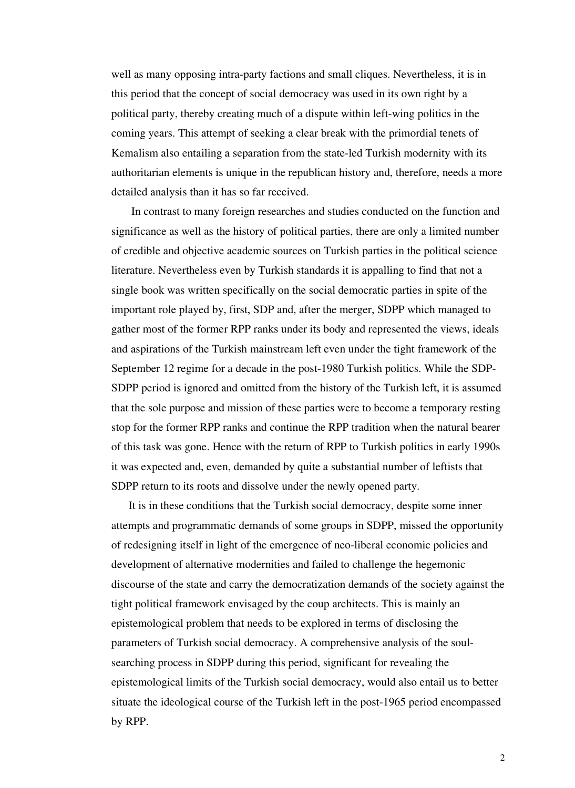well as many opposing intra-party factions and small cliques. Nevertheless, it is in this period that the concept of social democracy was used in its own right by a political party, thereby creating much of a dispute within left-wing politics in the coming years. This attempt of seeking a clear break with the primordial tenets of Kemalism also entailing a separation from the state-led Turkish modernity with its authoritarian elements is unique in the republican history and, therefore, needs a more detailed analysis than it has so far received.

 In contrast to many foreign researches and studies conducted on the function and significance as well as the history of political parties, there are only a limited number of credible and objective academic sources on Turkish parties in the political science literature. Nevertheless even by Turkish standards it is appalling to find that not a single book was written specifically on the social democratic parties in spite of the important role played by, first, SDP and, after the merger, SDPP which managed to gather most of the former RPP ranks under its body and represented the views, ideals and aspirations of the Turkish mainstream left even under the tight framework of the September 12 regime for a decade in the post-1980 Turkish politics. While the SDP-SDPP period is ignored and omitted from the history of the Turkish left, it is assumed that the sole purpose and mission of these parties were to become a temporary resting stop for the former RPP ranks and continue the RPP tradition when the natural bearer of this task was gone. Hence with the return of RPP to Turkish politics in early 1990s it was expected and, even, demanded by quite a substantial number of leftists that SDPP return to its roots and dissolve under the newly opened party.

 It is in these conditions that the Turkish social democracy, despite some inner attempts and programmatic demands of some groups in SDPP, missed the opportunity of redesigning itself in light of the emergence of neo-liberal economic policies and development of alternative modernities and failed to challenge the hegemonic discourse of the state and carry the democratization demands of the society against the tight political framework envisaged by the coup architects. This is mainly an epistemological problem that needs to be explored in terms of disclosing the parameters of Turkish social democracy. A comprehensive analysis of the soulsearching process in SDPP during this period, significant for revealing the epistemological limits of the Turkish social democracy, would also entail us to better situate the ideological course of the Turkish left in the post-1965 period encompassed by RPP.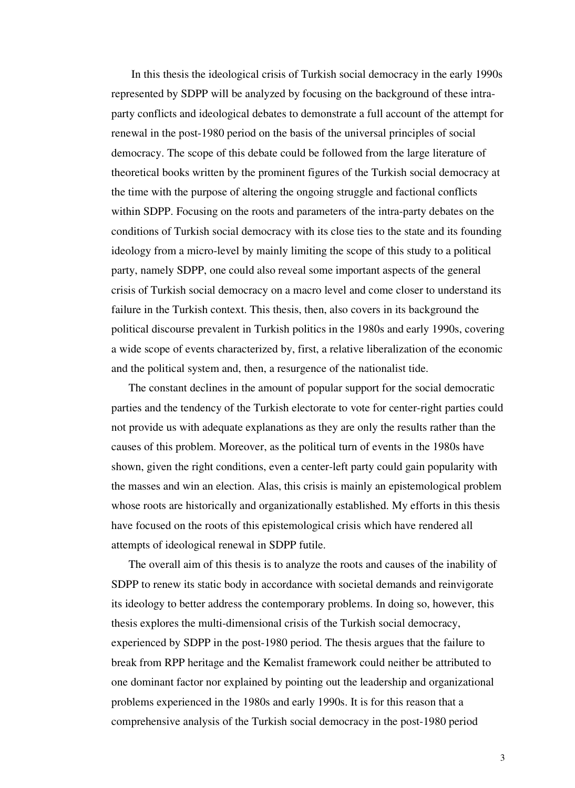In this thesis the ideological crisis of Turkish social democracy in the early 1990s represented by SDPP will be analyzed by focusing on the background of these intraparty conflicts and ideological debates to demonstrate a full account of the attempt for renewal in the post-1980 period on the basis of the universal principles of social democracy. The scope of this debate could be followed from the large literature of theoretical books written by the prominent figures of the Turkish social democracy at the time with the purpose of altering the ongoing struggle and factional conflicts within SDPP. Focusing on the roots and parameters of the intra-party debates on the conditions of Turkish social democracy with its close ties to the state and its founding ideology from a micro-level by mainly limiting the scope of this study to a political party, namely SDPP, one could also reveal some important aspects of the general crisis of Turkish social democracy on a macro level and come closer to understand its failure in the Turkish context. This thesis, then, also covers in its background the political discourse prevalent in Turkish politics in the 1980s and early 1990s, covering a wide scope of events characterized by, first, a relative liberalization of the economic and the political system and, then, a resurgence of the nationalist tide.

 The constant declines in the amount of popular support for the social democratic parties and the tendency of the Turkish electorate to vote for center-right parties could not provide us with adequate explanations as they are only the results rather than the causes of this problem. Moreover, as the political turn of events in the 1980s have shown, given the right conditions, even a center-left party could gain popularity with the masses and win an election. Alas, this crisis is mainly an epistemological problem whose roots are historically and organizationally established. My efforts in this thesis have focused on the roots of this epistemological crisis which have rendered all attempts of ideological renewal in SDPP futile.

 The overall aim of this thesis is to analyze the roots and causes of the inability of SDPP to renew its static body in accordance with societal demands and reinvigorate its ideology to better address the contemporary problems. In doing so, however, this thesis explores the multi-dimensional crisis of the Turkish social democracy, experienced by SDPP in the post-1980 period. The thesis argues that the failure to break from RPP heritage and the Kemalist framework could neither be attributed to one dominant factor nor explained by pointing out the leadership and organizational problems experienced in the 1980s and early 1990s. It is for this reason that a comprehensive analysis of the Turkish social democracy in the post-1980 period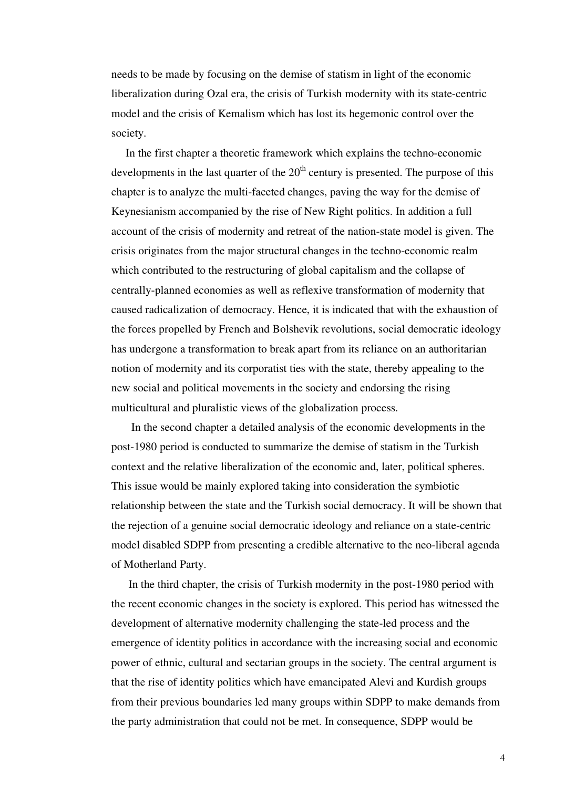needs to be made by focusing on the demise of statism in light of the economic liberalization during Ozal era, the crisis of Turkish modernity with its state-centric model and the crisis of Kemalism which has lost its hegemonic control over the society.

 In the first chapter a theoretic framework which explains the techno-economic developments in the last quarter of the  $20<sup>th</sup>$  century is presented. The purpose of this chapter is to analyze the multi-faceted changes, paving the way for the demise of Keynesianism accompanied by the rise of New Right politics. In addition a full account of the crisis of modernity and retreat of the nation-state model is given. The crisis originates from the major structural changes in the techno-economic realm which contributed to the restructuring of global capitalism and the collapse of centrally-planned economies as well as reflexive transformation of modernity that caused radicalization of democracy. Hence, it is indicated that with the exhaustion of the forces propelled by French and Bolshevik revolutions, social democratic ideology has undergone a transformation to break apart from its reliance on an authoritarian notion of modernity and its corporatist ties with the state, thereby appealing to the new social and political movements in the society and endorsing the rising multicultural and pluralistic views of the globalization process.

 In the second chapter a detailed analysis of the economic developments in the post-1980 period is conducted to summarize the demise of statism in the Turkish context and the relative liberalization of the economic and, later, political spheres. This issue would be mainly explored taking into consideration the symbiotic relationship between the state and the Turkish social democracy. It will be shown that the rejection of a genuine social democratic ideology and reliance on a state-centric model disabled SDPP from presenting a credible alternative to the neo-liberal agenda of Motherland Party.

 In the third chapter, the crisis of Turkish modernity in the post-1980 period with the recent economic changes in the society is explored. This period has witnessed the development of alternative modernity challenging the state-led process and the emergence of identity politics in accordance with the increasing social and economic power of ethnic, cultural and sectarian groups in the society. The central argument is that the rise of identity politics which have emancipated Alevi and Kurdish groups from their previous boundaries led many groups within SDPP to make demands from the party administration that could not be met. In consequence, SDPP would be

4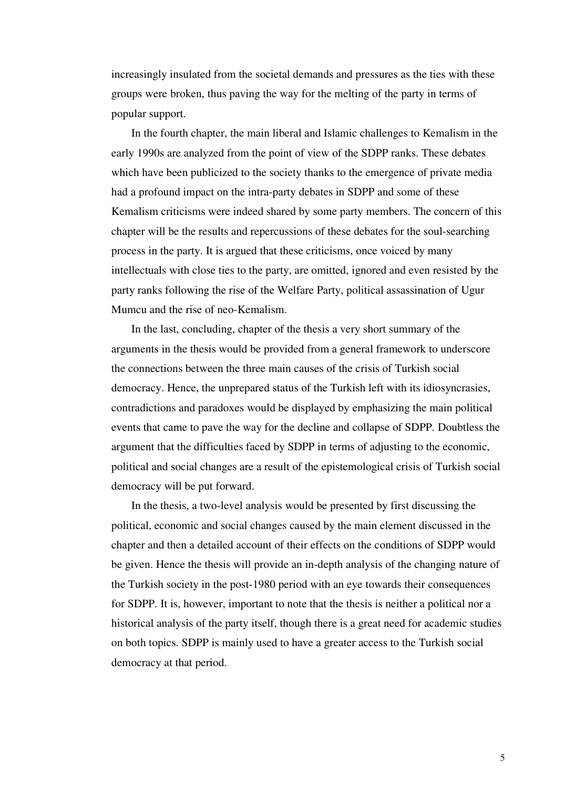increasingly insulated from the societal demands and pressures as the ties with these groups were broken, thus paving the way for the melting of the party in terms of popular support.

 In the fourth chapter, the main liberal and Islamic challenges to Kemalism in the early 1990s are analyzed from the point of view of the SDPP ranks. These debates which have been publicized to the society thanks to the emergence of private media had a profound impact on the intra-party debates in SDPP and some of these Kemalism criticisms were indeed shared by some party members. The concern of this chapter will be the results and repercussions of these debates for the soul-searching process in the party. It is argued that these criticisms, once voiced by many intellectuals with close ties to the party, are omitted, ignored and even resisted by the party ranks following the rise of the Welfare Party, political assassination of Ugur Mumcu and the rise of neo-Kemalism.

 In the last, concluding, chapter of the thesis a very short summary of the arguments in the thesis would be provided from a general framework to underscore the connections between the three main causes of the crisis of Turkish social democracy. Hence, the unprepared status of the Turkish left with its idiosyncrasies, contradictions and paradoxes would be displayed by emphasizing the main political events that came to pave the way for the decline and collapse of SDPP. Doubtless the argument that the difficulties faced by SDPP in terms of adjusting to the economic, political and social changes are a result of the epistemological crisis of Turkish social democracy will be put forward.

 In the thesis, a two-level analysis would be presented by first discussing the political, economic and social changes caused by the main element discussed in the chapter and then a detailed account of their effects on the conditions of SDPP would be given. Hence the thesis will provide an in-depth analysis of the changing nature of the Turkish society in the post-1980 period with an eye towards their consequences for SDPP. It is, however, important to note that the thesis is neither a political nor a historical analysis of the party itself, though there is a great need for academic studies on both topics. SDPP is mainly used to have a greater access to the Turkish social democracy at that period.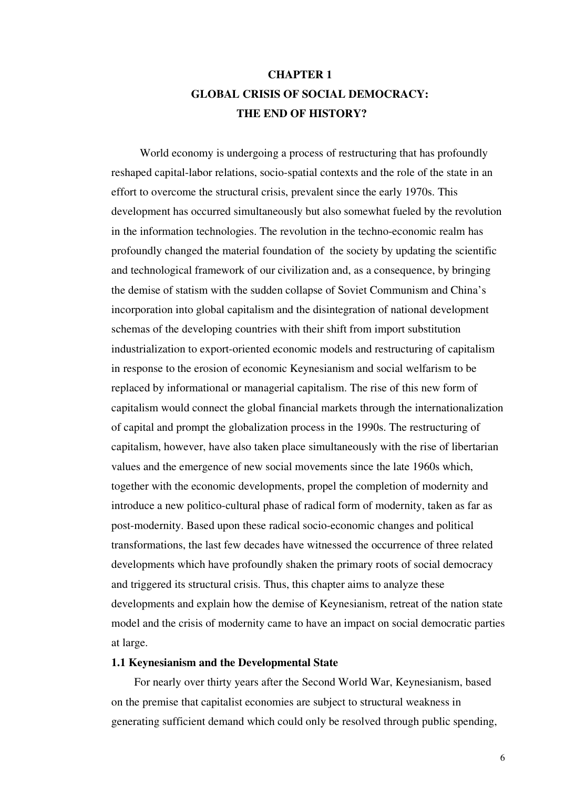# **CHAPTER 1 GLOBAL CRISIS OF SOCIAL DEMOCRACY: THE END OF HISTORY?**

 World economy is undergoing a process of restructuring that has profoundly reshaped capital-labor relations, socio-spatial contexts and the role of the state in an effort to overcome the structural crisis, prevalent since the early 1970s. This development has occurred simultaneously but also somewhat fueled by the revolution in the information technologies. The revolution in the techno-economic realm has profoundly changed the material foundation of the society by updating the scientific and technological framework of our civilization and, as a consequence, by bringing the demise of statism with the sudden collapse of Soviet Communism and China's incorporation into global capitalism and the disintegration of national development schemas of the developing countries with their shift from import substitution industrialization to export-oriented economic models and restructuring of capitalism in response to the erosion of economic Keynesianism and social welfarism to be replaced by informational or managerial capitalism. The rise of this new form of capitalism would connect the global financial markets through the internationalization of capital and prompt the globalization process in the 1990s. The restructuring of capitalism, however, have also taken place simultaneously with the rise of libertarian values and the emergence of new social movements since the late 1960s which, together with the economic developments, propel the completion of modernity and introduce a new politico-cultural phase of radical form of modernity, taken as far as post-modernity. Based upon these radical socio-economic changes and political transformations, the last few decades have witnessed the occurrence of three related developments which have profoundly shaken the primary roots of social democracy and triggered its structural crisis. Thus, this chapter aims to analyze these developments and explain how the demise of Keynesianism, retreat of the nation state model and the crisis of modernity came to have an impact on social democratic parties at large.

### **1.1 Keynesianism and the Developmental State**

 For nearly over thirty years after the Second World War, Keynesianism, based on the premise that capitalist economies are subject to structural weakness in generating sufficient demand which could only be resolved through public spending,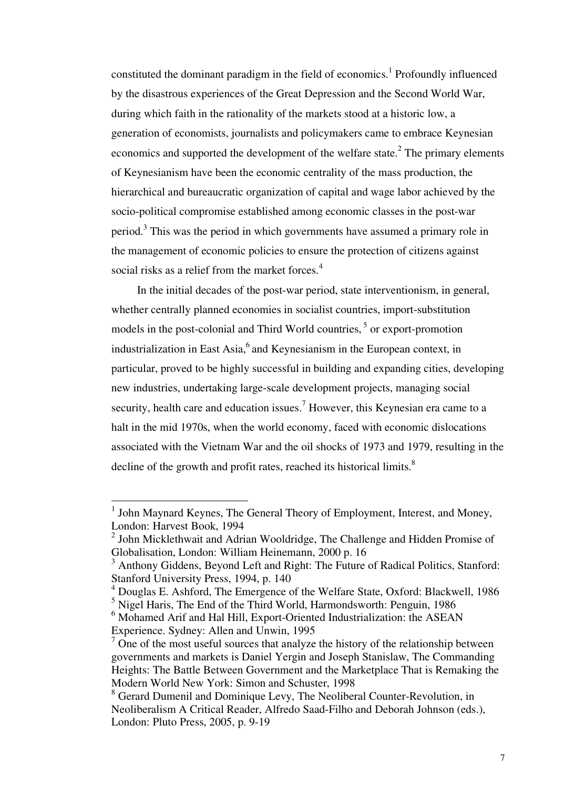constituted the dominant paradigm in the field of economics.<sup>1</sup> Profoundly influenced by the disastrous experiences of the Great Depression and the Second World War, during which faith in the rationality of the markets stood at a historic low, a generation of economists, journalists and policymakers came to embrace Keynesian economics and supported the development of the welfare state.<sup>2</sup> The primary elements of Keynesianism have been the economic centrality of the mass production, the hierarchical and bureaucratic organization of capital and wage labor achieved by the socio-political compromise established among economic classes in the post-war period.<sup>3</sup> This was the period in which governments have assumed a primary role in the management of economic policies to ensure the protection of citizens against social risks as a relief from the market forces.<sup>4</sup>

 In the initial decades of the post-war period, state interventionism, in general, whether centrally planned economies in socialist countries, import-substitution models in the post-colonial and Third World countries,<sup>5</sup> or export-promotion industrialization in East Asia, $6$  and Keynesianism in the European context, in particular, proved to be highly successful in building and expanding cities, developing new industries, undertaking large-scale development projects, managing social security, health care and education issues.<sup>7</sup> However, this Keynesian era came to a halt in the mid 1970s, when the world economy, faced with economic dislocations associated with the Vietnam War and the oil shocks of 1973 and 1979, resulting in the decline of the growth and profit rates, reached its historical limits.<sup>8</sup>

<sup>&</sup>lt;sup>1</sup> John Maynard Keynes, The General Theory of Employment, Interest, and Money, London: Harvest Book, 1994

 $2$  John Micklethwait and Adrian Wooldridge, The Challenge and Hidden Promise of Globalisation, London: William Heinemann, 2000 p. 16

<sup>&</sup>lt;sup>3</sup> Anthony Giddens, Beyond Left and Right: The Future of Radical Politics, Stanford: Stanford University Press, 1994, p. 140

<sup>4</sup> Douglas E. Ashford, The Emergence of the Welfare State, Oxford: Blackwell, 1986 <sup>5</sup> Nigel Haris, The End of the Third World, Harmondsworth: Penguin, 1986

<sup>&</sup>lt;sup>6</sup> Mohamed Arif and Hal Hill, Export-Oriented Industrialization: the ASEAN

Experience. Sydney: Allen and Unwin, 1995

 $\overline{7}$  One of the most useful sources that analyze the history of the relationship between governments and markets is Daniel Yergin and Joseph Stanislaw, The Commanding Heights: The Battle Between Government and the Marketplace That is Remaking the Modern World New York: Simon and Schuster, 1998

<sup>&</sup>lt;sup>8</sup> Gerard Dumenil and Dominique Levy, The Neoliberal Counter-Revolution, in Neoliberalism A Critical Reader, Alfredo Saad-Filho and Deborah Johnson (eds.), London: Pluto Press, 2005, p. 9-19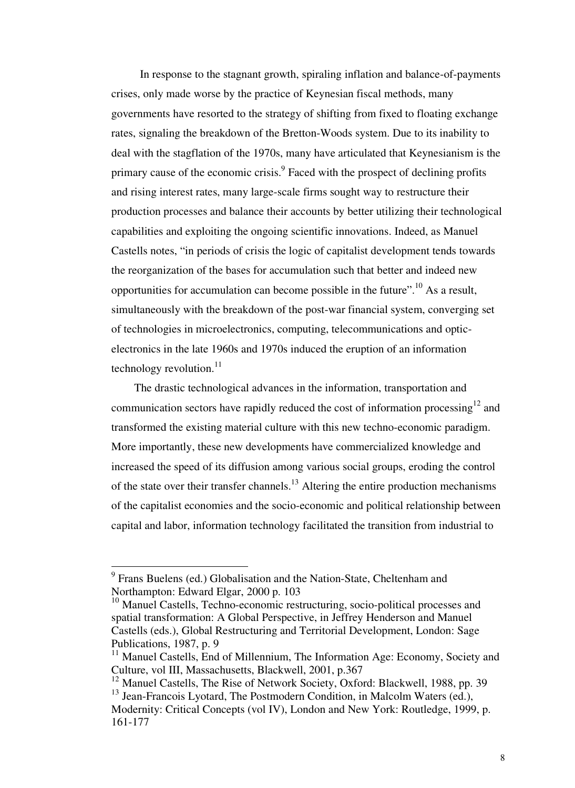In response to the stagnant growth, spiraling inflation and balance-of-payments crises, only made worse by the practice of Keynesian fiscal methods, many governments have resorted to the strategy of shifting from fixed to floating exchange rates, signaling the breakdown of the Bretton-Woods system. Due to its inability to deal with the stagflation of the 1970s, many have articulated that Keynesianism is the primary cause of the economic crisis.<sup>9</sup> Faced with the prospect of declining profits and rising interest rates, many large-scale firms sought way to restructure their production processes and balance their accounts by better utilizing their technological capabilities and exploiting the ongoing scientific innovations. Indeed, as Manuel Castells notes, "in periods of crisis the logic of capitalist development tends towards the reorganization of the bases for accumulation such that better and indeed new opportunities for accumulation can become possible in the future".<sup>10</sup> As a result, simultaneously with the breakdown of the post-war financial system, converging set of technologies in microelectronics, computing, telecommunications and opticelectronics in the late 1960s and 1970s induced the eruption of an information technology revolution. $11$ 

 The drastic technological advances in the information, transportation and communication sectors have rapidly reduced the cost of information processing<sup>12</sup> and transformed the existing material culture with this new techno-economic paradigm. More importantly, these new developments have commercialized knowledge and increased the speed of its diffusion among various social groups, eroding the control of the state over their transfer channels.<sup>13</sup> Altering the entire production mechanisms of the capitalist economies and the socio-economic and political relationship between capital and labor, information technology facilitated the transition from industrial to

<sup>&</sup>lt;sup>9</sup> Frans Buelens (ed.) Globalisation and the Nation-State, Cheltenham and Northampton: Edward Elgar, 2000 p. 103

<sup>&</sup>lt;sup>10</sup> Manuel Castells, Techno-economic restructuring, socio-political processes and spatial transformation: A Global Perspective, in Jeffrey Henderson and Manuel Castells (eds.), Global Restructuring and Territorial Development, London: Sage Publications, 1987, p. 9

<sup>&</sup>lt;sup>11</sup> Manuel Castells, End of Millennium, The Information Age: Economy, Society and Culture, vol III, Massachusetts, Blackwell, 2001, p.367

<sup>&</sup>lt;sup>12</sup> Manuel Castells, The Rise of Network Society, Oxford: Blackwell, 1988, pp. 39 <sup>13</sup> Jean-Francois Lyotard, The Postmodern Condition, in Malcolm Waters (ed.),

Modernity: Critical Concepts (vol IV), London and New York: Routledge, 1999, p. 161-177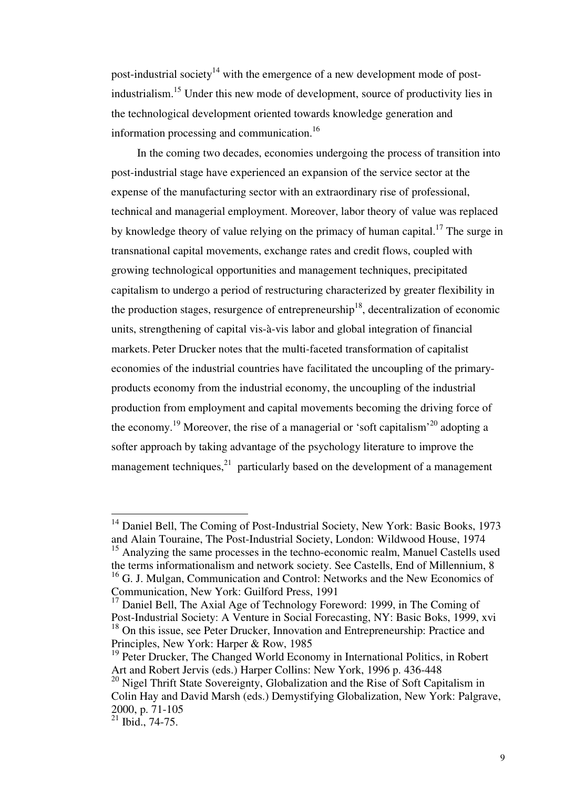post-industrial society<sup>14</sup> with the emergence of a new development mode of postindustrialism.<sup>15</sup> Under this new mode of development, source of productivity lies in the technological development oriented towards knowledge generation and information processing and communication.<sup>16</sup>

 In the coming two decades, economies undergoing the process of transition into post-industrial stage have experienced an expansion of the service sector at the expense of the manufacturing sector with an extraordinary rise of professional, technical and managerial employment. Moreover, labor theory of value was replaced by knowledge theory of value relying on the primacy of human capital.<sup>17</sup> The surge in transnational capital movements, exchange rates and credit flows, coupled with growing technological opportunities and management techniques, precipitated capitalism to undergo a period of restructuring characterized by greater flexibility in the production stages, resurgence of entrepreneurship<sup>18</sup>, decentralization of economic units, strengthening of capital vis-à-vis labor and global integration of financial markets. Peter Drucker notes that the multi-faceted transformation of capitalist economies of the industrial countries have facilitated the uncoupling of the primaryproducts economy from the industrial economy, the uncoupling of the industrial production from employment and capital movements becoming the driving force of the economy.<sup>19</sup> Moreover, the rise of a managerial or 'soft capitalism'<sup>20</sup> adopting a softer approach by taking advantage of the psychology literature to improve the management techniques, $^{21}$  particularly based on the development of a management

<sup>&</sup>lt;sup>14</sup> Daniel Bell, The Coming of Post-Industrial Society, New York: Basic Books, 1973 and Alain Touraine, The Post-Industrial Society, London: Wildwood House, 1974

<sup>&</sup>lt;sup>15</sup> Analyzing the same processes in the techno-economic realm, Manuel Castells used the terms informationalism and network society. See Castells, End of Millennium, 8 <sup>16</sup> G. J. Mulgan, Communication and Control: Networks and the New Economics of Communication, New York: Guilford Press, 1991

<sup>&</sup>lt;sup>17</sup> Daniel Bell, The Axial Age of Technology Foreword: 1999, in The Coming of Post-Industrial Society: A Venture in Social Forecasting, NY: Basic Boks, 1999, xvi <sup>18</sup> On this issue, see Peter Drucker, Innovation and Entrepreneurship: Practice and Principles, New York: Harper & Row, 1985

<sup>&</sup>lt;sup>19</sup> Peter Drucker, The Changed World Economy in International Politics, in Robert Art and Robert Jervis (eds.) Harper Collins: New York, 1996 p. 436-448

<sup>&</sup>lt;sup>20</sup> Nigel Thrift State Sovereignty, Globalization and the Rise of Soft Capitalism in Colin Hay and David Marsh (eds.) Demystifying Globalization, New York: Palgrave, 2000, p. 71-105

 $^{21}$  Ibid., 74-75.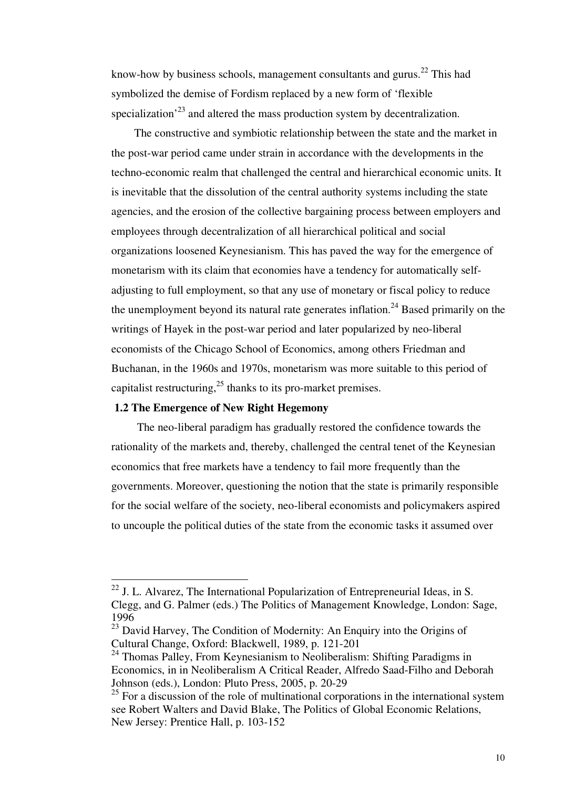know-how by business schools, management consultants and gurus.<sup>22</sup> This had symbolized the demise of Fordism replaced by a new form of 'flexible specialization<sup> $23$ </sup> and altered the mass production system by decentralization.

 The constructive and symbiotic relationship between the state and the market in the post-war period came under strain in accordance with the developments in the techno-economic realm that challenged the central and hierarchical economic units. It is inevitable that the dissolution of the central authority systems including the state agencies, and the erosion of the collective bargaining process between employers and employees through decentralization of all hierarchical political and social organizations loosened Keynesianism. This has paved the way for the emergence of monetarism with its claim that economies have a tendency for automatically selfadjusting to full employment, so that any use of monetary or fiscal policy to reduce the unemployment beyond its natural rate generates inflation.<sup>24</sup> Based primarily on the writings of Hayek in the post-war period and later popularized by neo-liberal economists of the Chicago School of Economics, among others Friedman and Buchanan, in the 1960s and 1970s, monetarism was more suitable to this period of capitalist restructuring, $^{25}$  thanks to its pro-market premises.

### **1.2 The Emergence of New Right Hegemony**

-

 The neo-liberal paradigm has gradually restored the confidence towards the rationality of the markets and, thereby, challenged the central tenet of the Keynesian economics that free markets have a tendency to fail more frequently than the governments. Moreover, questioning the notion that the state is primarily responsible for the social welfare of the society, neo-liberal economists and policymakers aspired to uncouple the political duties of the state from the economic tasks it assumed over

 $^{22}$  J. L. Alvarez, The International Popularization of Entrepreneurial Ideas, in S. Clegg, and G. Palmer (eds.) The Politics of Management Knowledge, London: Sage, 1996

<sup>&</sup>lt;sup>23</sup> David Harvey, The Condition of Modernity: An Enquiry into the Origins of Cultural Change, Oxford: Blackwell, 1989, p. 121-201

<sup>&</sup>lt;sup>24</sup> Thomas Palley, From Keynesianism to Neoliberalism: Shifting Paradigms in Economics, in in Neoliberalism A Critical Reader, Alfredo Saad-Filho and Deborah Johnson (eds.), London: Pluto Press, 2005, p. 20-29

 $25$  For a discussion of the role of multinational corporations in the international system see Robert Walters and David Blake, The Politics of Global Economic Relations, New Jersey: Prentice Hall, p. 103-152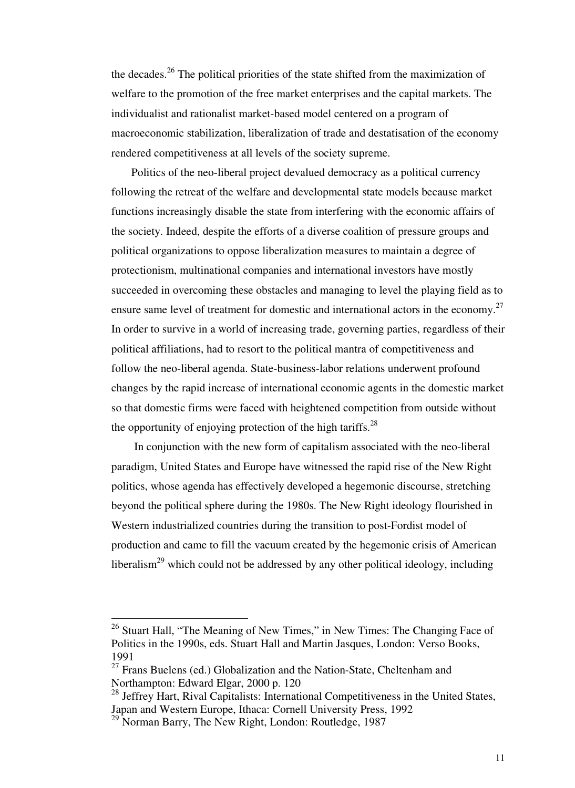the decades.<sup>26</sup> The political priorities of the state shifted from the maximization of welfare to the promotion of the free market enterprises and the capital markets. The individualist and rationalist market-based model centered on a program of macroeconomic stabilization, liberalization of trade and destatisation of the economy rendered competitiveness at all levels of the society supreme.

 Politics of the neo-liberal project devalued democracy as a political currency following the retreat of the welfare and developmental state models because market functions increasingly disable the state from interfering with the economic affairs of the society. Indeed, despite the efforts of a diverse coalition of pressure groups and political organizations to oppose liberalization measures to maintain a degree of protectionism, multinational companies and international investors have mostly succeeded in overcoming these obstacles and managing to level the playing field as to ensure same level of treatment for domestic and international actors in the economy.<sup>27</sup> In order to survive in a world of increasing trade, governing parties, regardless of their political affiliations, had to resort to the political mantra of competitiveness and follow the neo-liberal agenda. State-business-labor relations underwent profound changes by the rapid increase of international economic agents in the domestic market so that domestic firms were faced with heightened competition from outside without the opportunity of enjoying protection of the high tariffs.<sup>28</sup>

 In conjunction with the new form of capitalism associated with the neo-liberal paradigm, United States and Europe have witnessed the rapid rise of the New Right politics, whose agenda has effectively developed a hegemonic discourse, stretching beyond the political sphere during the 1980s. The New Right ideology flourished in Western industrialized countries during the transition to post-Fordist model of production and came to fill the vacuum created by the hegemonic crisis of American liberalism<sup>29</sup> which could not be addressed by any other political ideology, including

 $26$  Stuart Hall, "The Meaning of New Times," in New Times: The Changing Face of Politics in the 1990s, eds. Stuart Hall and Martin Jasques, London: Verso Books, 1991

 $27$  Frans Buelens (ed.) Globalization and the Nation-State, Cheltenham and Northampton: Edward Elgar, 2000 p. 120

<sup>&</sup>lt;sup>28</sup> Jeffrey Hart, Rival Capitalists: International Competitiveness in the United States, Japan and Western Europe, Ithaca: Cornell University Press, 1992

 $^{29}$  Norman Barry, The New Right, London: Routledge, 1987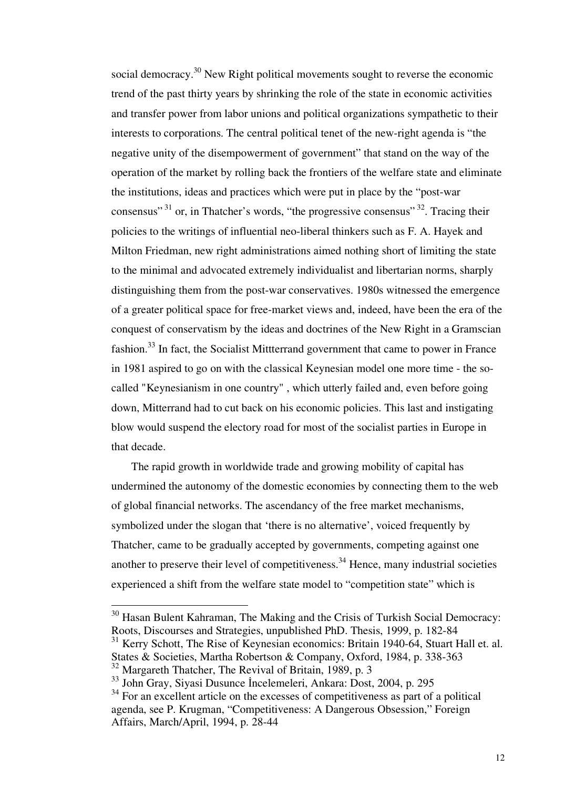social democracy.<sup>30</sup> New Right political movements sought to reverse the economic trend of the past thirty years by shrinking the role of the state in economic activities and transfer power from labor unions and political organizations sympathetic to their interests to corporations. The central political tenet of the new-right agenda is "the negative unity of the disempowerment of government" that stand on the way of the operation of the market by rolling back the frontiers of the welfare state and eliminate the institutions, ideas and practices which were put in place by the "post-war consensus"<sup>31</sup> or, in Thatcher's words, "the progressive consensus"<sup>32</sup>. Tracing their policies to the writings of influential neo-liberal thinkers such as F. A. Hayek and Milton Friedman, new right administrations aimed nothing short of limiting the state to the minimal and advocated extremely individualist and libertarian norms, sharply distinguishing them from the post-war conservatives. 1980s witnessed the emergence of a greater political space for free-market views and, indeed, have been the era of the conquest of conservatism by the ideas and doctrines of the New Right in a Gramscian fashion.<sup>33</sup> In fact, the Socialist Mittterrand government that came to power in France in 1981 aspired to go on with the classical Keynesian model one more time - the socalled "Keynesianism in one country" , which utterly failed and, even before going down, Mitterrand had to cut back on his economic policies. This last and instigating blow would suspend the electory road for most of the socialist parties in Europe in that decade.

 The rapid growth in worldwide trade and growing mobility of capital has undermined the autonomy of the domestic economies by connecting them to the web of global financial networks. The ascendancy of the free market mechanisms, symbolized under the slogan that 'there is no alternative', voiced frequently by Thatcher, came to be gradually accepted by governments, competing against one another to preserve their level of competitiveness.<sup>34</sup> Hence, many industrial societies experienced a shift from the welfare state model to "competition state" which is

 $30$  Hasan Bulent Kahraman, The Making and the Crisis of Turkish Social Democracy: Roots, Discourses and Strategies, unpublished PhD. Thesis, 1999, p. 182-84

 $31$  Kerry Schott, The Rise of Keynesian economics: Britain 1940-64, Stuart Hall et. al. States & Societies, Martha Robertson & Company, Oxford, 1984, p. 338-363

<sup>32</sup> Margareth Thatcher, The Revival of Britain, 1989, p. 3

<sup>33</sup> John Gray, Siyasi Dusunce İncelemeleri, Ankara: Dost, 2004, p. 295

<sup>&</sup>lt;sup>34</sup> For an excellent article on the excesses of competitiveness as part of a political agenda, see P. Krugman, "Competitiveness: A Dangerous Obsession," Foreign Affairs, March/April, 1994, p. 28-44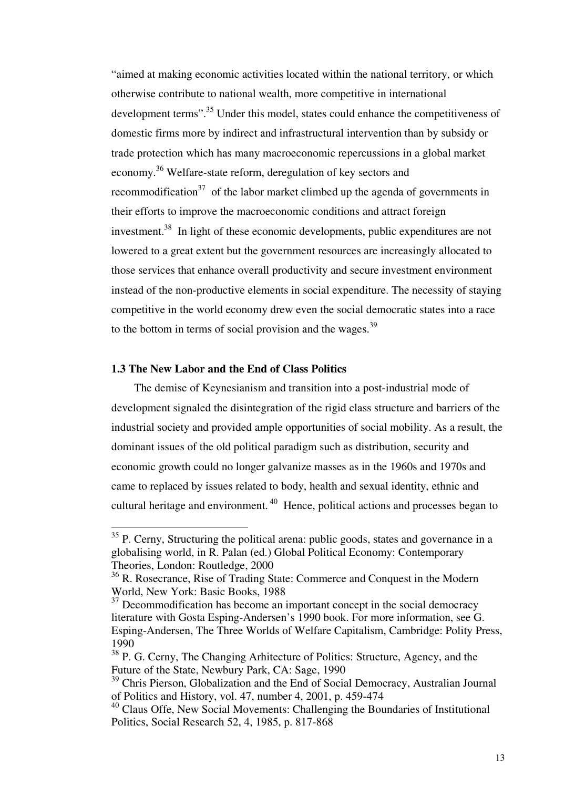"aimed at making economic activities located within the national territory, or which otherwise contribute to national wealth, more competitive in international development terms".<sup>35</sup> Under this model, states could enhance the competitiveness of domestic firms more by indirect and infrastructural intervention than by subsidy or trade protection which has many macroeconomic repercussions in a global market economy.<sup>36</sup> Welfare-state reform, deregulation of key sectors and recommodification $37$  of the labor market climbed up the agenda of governments in their efforts to improve the macroeconomic conditions and attract foreign investment.<sup>38</sup> In light of these economic developments, public expenditures are not lowered to a great extent but the government resources are increasingly allocated to those services that enhance overall productivity and secure investment environment instead of the non-productive elements in social expenditure. The necessity of staying competitive in the world economy drew even the social democratic states into a race to the bottom in terms of social provision and the wages. $39$ 

### **1.3 The New Labor and the End of Class Politics**

-

 The demise of Keynesianism and transition into a post-industrial mode of development signaled the disintegration of the rigid class structure and barriers of the industrial society and provided ample opportunities of social mobility. As a result, the dominant issues of the old political paradigm such as distribution, security and economic growth could no longer galvanize masses as in the 1960s and 1970s and came to replaced by issues related to body, health and sexual identity, ethnic and cultural heritage and environment.<sup>40</sup> Hence, political actions and processes began to

 $35$  P. Cerny, Structuring the political arena: public goods, states and governance in a globalising world, in R. Palan (ed.) Global Political Economy: Contemporary Theories, London: Routledge, 2000

<sup>&</sup>lt;sup>36</sup> R. Rosecrance, Rise of Trading State: Commerce and Conquest in the Modern World, New York: Basic Books, 1988

 $37$  Decommodification has become an important concept in the social democracy literature with Gosta Esping-Andersen's 1990 book. For more information, see G. Esping-Andersen, The Three Worlds of Welfare Capitalism, Cambridge: Polity Press, 1990

<sup>&</sup>lt;sup>38</sup> P. G. Cerny, The Changing Arhitecture of Politics: Structure, Agency, and the Future of the State, Newbury Park, CA: Sage, 1990

<sup>&</sup>lt;sup>39</sup> Chris Pierson, Globalization and the End of Social Democracy, Australian Journal of Politics and History, vol. 47, number 4, 2001, p. 459-474

<sup>&</sup>lt;sup>40</sup> Claus Offe, New Social Movements: Challenging the Boundaries of Institutional Politics, Social Research 52, 4, 1985, p. 817-868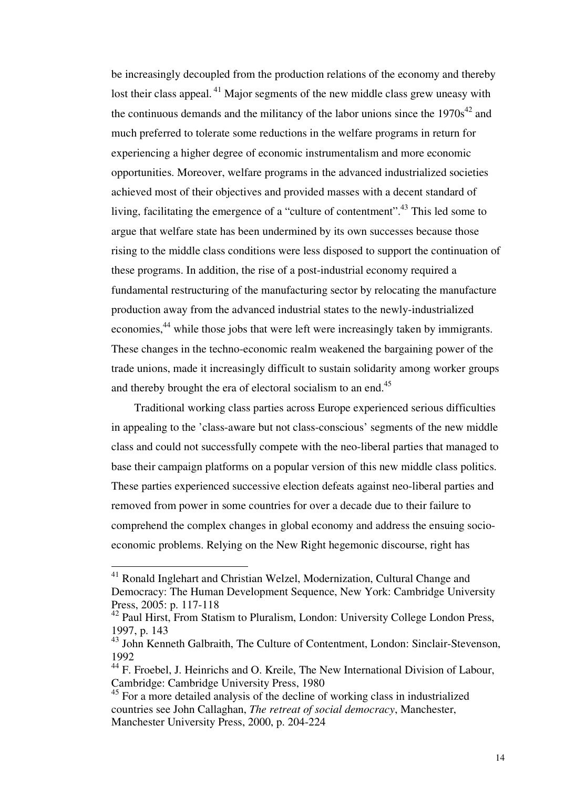be increasingly decoupled from the production relations of the economy and thereby lost their class appeal.<sup>41</sup> Major segments of the new middle class grew uneasy with the continuous demands and the militancy of the labor unions since the  $1970s^{42}$  and much preferred to tolerate some reductions in the welfare programs in return for experiencing a higher degree of economic instrumentalism and more economic opportunities. Moreover, welfare programs in the advanced industrialized societies achieved most of their objectives and provided masses with a decent standard of living, facilitating the emergence of a "culture of contentment".<sup>43</sup> This led some to argue that welfare state has been undermined by its own successes because those rising to the middle class conditions were less disposed to support the continuation of these programs. In addition, the rise of a post-industrial economy required a fundamental restructuring of the manufacturing sector by relocating the manufacture production away from the advanced industrial states to the newly-industrialized economies,<sup>44</sup> while those jobs that were left were increasingly taken by immigrants. These changes in the techno-economic realm weakened the bargaining power of the trade unions, made it increasingly difficult to sustain solidarity among worker groups and thereby brought the era of electoral socialism to an end. $45$ 

 Traditional working class parties across Europe experienced serious difficulties in appealing to the 'class-aware but not class-conscious' segments of the new middle class and could not successfully compete with the neo-liberal parties that managed to base their campaign platforms on a popular version of this new middle class politics. These parties experienced successive election defeats against neo-liberal parties and removed from power in some countries for over a decade due to their failure to comprehend the complex changes in global economy and address the ensuing socioeconomic problems. Relying on the New Right hegemonic discourse, right has

<sup>&</sup>lt;sup>41</sup> Ronald Inglehart and Christian Welzel, Modernization, Cultural Change and Democracy: The Human Development Sequence, New York: Cambridge University Press, 2005: p. 117-118

<sup>&</sup>lt;sup>42</sup> Paul Hirst, From Statism to Pluralism, London: University College London Press, 1997, p. 143

 $^{43}$  John Kenneth Galbraith, The Culture of Contentment, London: Sinclair-Stevenson, 1992

<sup>&</sup>lt;sup>44</sup> F. Froebel, J. Heinrichs and O. Kreile, The New International Division of Labour, Cambridge: Cambridge University Press, 1980

<sup>&</sup>lt;sup>45</sup> For a more detailed analysis of the decline of working class in industrialized countries see John Callaghan, *The retreat of social democracy*, Manchester, Manchester University Press, 2000, p. 204-224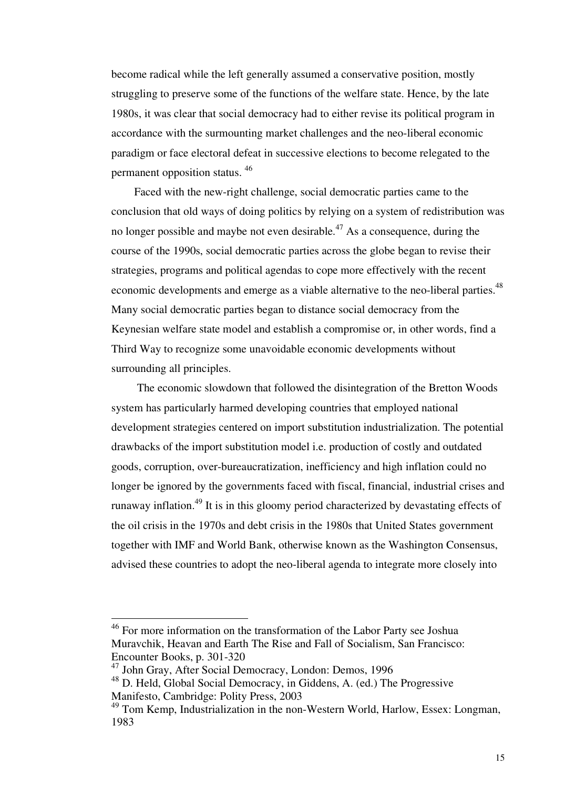become radical while the left generally assumed a conservative position, mostly struggling to preserve some of the functions of the welfare state. Hence, by the late 1980s, it was clear that social democracy had to either revise its political program in accordance with the surmounting market challenges and the neo-liberal economic paradigm or face electoral defeat in successive elections to become relegated to the permanent opposition status. <sup>46</sup>

 Faced with the new-right challenge, social democratic parties came to the conclusion that old ways of doing politics by relying on a system of redistribution was no longer possible and maybe not even desirable.<sup> $47$ </sup> As a consequence, during the course of the 1990s, social democratic parties across the globe began to revise their strategies, programs and political agendas to cope more effectively with the recent economic developments and emerge as a viable alternative to the neo-liberal parties.<sup>48</sup> Many social democratic parties began to distance social democracy from the Keynesian welfare state model and establish a compromise or, in other words, find a Third Way to recognize some unavoidable economic developments without surrounding all principles.

 The economic slowdown that followed the disintegration of the Bretton Woods system has particularly harmed developing countries that employed national development strategies centered on import substitution industrialization. The potential drawbacks of the import substitution model i.e. production of costly and outdated goods, corruption, over-bureaucratization, inefficiency and high inflation could no longer be ignored by the governments faced with fiscal, financial, industrial crises and runaway inflation.<sup>49</sup> It is in this gloomy period characterized by devastating effects of the oil crisis in the 1970s and debt crisis in the 1980s that United States government together with IMF and World Bank, otherwise known as the Washington Consensus, advised these countries to adopt the neo-liberal agenda to integrate more closely into

<sup>&</sup>lt;sup>46</sup> For more information on the transformation of the Labor Party see Joshua Muravchik, Heavan and Earth The Rise and Fall of Socialism, San Francisco: Encounter Books, p. 301-320

<sup>47</sup> John Gray, After Social Democracy, London: Demos, 1996

<sup>48</sup> D. Held, Global Social Democracy, in Giddens, A. (ed.) The Progressive Manifesto, Cambridge: Polity Press, 2003

<sup>49</sup> Tom Kemp, Industrialization in the non-Western World, Harlow, Essex: Longman, 1983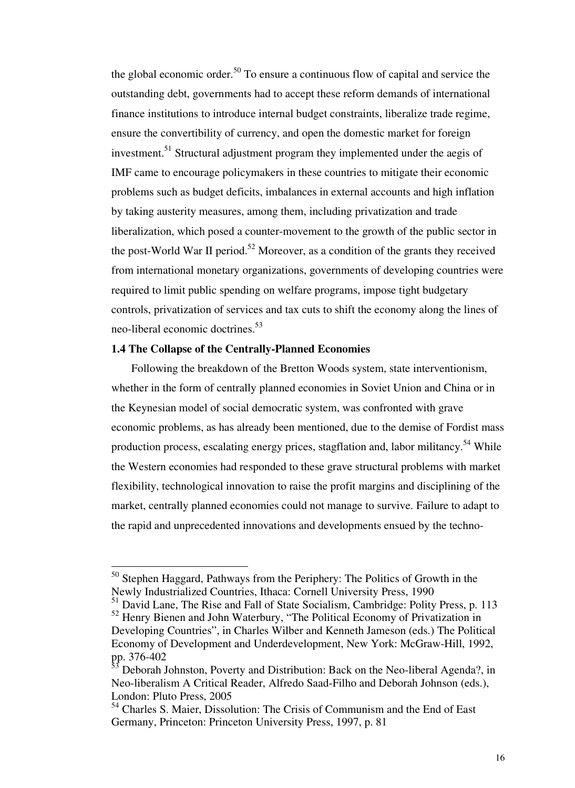the global economic order.<sup>50</sup> To ensure a continuous flow of capital and service the outstanding debt, governments had to accept these reform demands of international finance institutions to introduce internal budget constraints, liberalize trade regime, ensure the convertibility of currency, and open the domestic market for foreign investment.<sup>51</sup> Structural adjustment program they implemented under the aegis of IMF came to encourage policymakers in these countries to mitigate their economic problems such as budget deficits, imbalances in external accounts and high inflation by taking austerity measures, among them, including privatization and trade liberalization, which posed a counter-movement to the growth of the public sector in the post-World War II period.<sup>52</sup> Moreover, as a condition of the grants they received from international monetary organizations, governments of developing countries were required to limit public spending on welfare programs, impose tight budgetary controls, privatization of services and tax cuts to shift the economy along the lines of neo-liberal economic doctrines.<sup>53</sup>

#### **1.4 The Collapse of the Centrally-Planned Economies**

-

 Following the breakdown of the Bretton Woods system, state interventionism, whether in the form of centrally planned economies in Soviet Union and China or in the Keynesian model of social democratic system, was confronted with grave economic problems, as has already been mentioned, due to the demise of Fordist mass production process, escalating energy prices, stagflation and, labor militancy.<sup>54</sup> While the Western economies had responded to these grave structural problems with market flexibility, technological innovation to raise the profit margins and disciplining of the market, centrally planned economies could not manage to survive. Failure to adapt to the rapid and unprecedented innovations and developments ensued by the techno-

<sup>50</sup> Stephen Haggard, Pathways from the Periphery: The Politics of Growth in the Newly Industrialized Countries, Ithaca: Cornell University Press, 1990

<sup>&</sup>lt;sup>51</sup> David Lane, The Rise and Fall of State Socialism, Cambridge: Polity Press, p. 113 <sup>52</sup> Henry Bienen and John Waterbury, "The Political Economy of Privatization in Developing Countries", in Charles Wilber and Kenneth Jameson (eds.) The Political Economy of Development and Underdevelopment, New York: McGraw-Hill, 1992, pp. 376-402

<sup>53</sup> Deborah Johnston, Poverty and Distribution: Back on the Neo-liberal Agenda?, in Neo-liberalism A Critical Reader, Alfredo Saad-Filho and Deborah Johnson (eds.), London: Pluto Press, 2005

<sup>54</sup> Charles S. Maier, Dissolution: The Crisis of Communism and the End of East Germany, Princeton: Princeton University Press, 1997, p. 81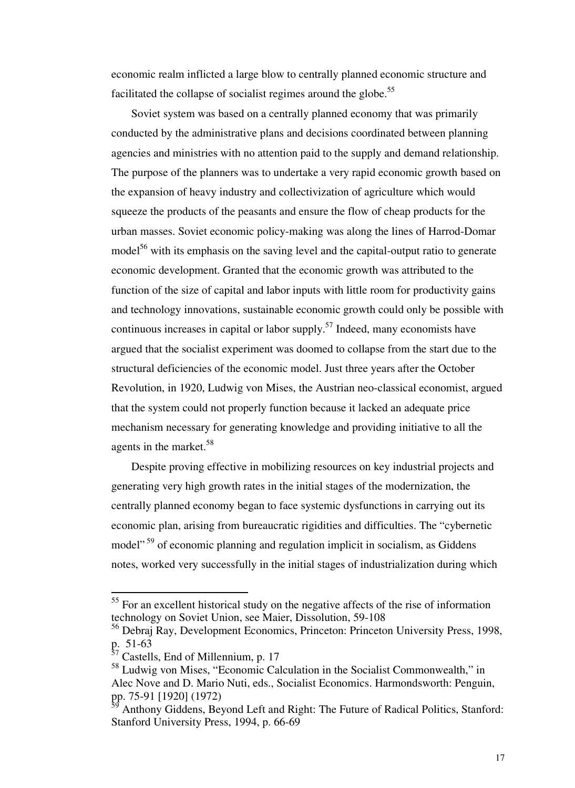economic realm inflicted a large blow to centrally planned economic structure and facilitated the collapse of socialist regimes around the globe.<sup>55</sup>

 Soviet system was based on a centrally planned economy that was primarily conducted by the administrative plans and decisions coordinated between planning agencies and ministries with no attention paid to the supply and demand relationship. The purpose of the planners was to undertake a very rapid economic growth based on the expansion of heavy industry and collectivization of agriculture which would squeeze the products of the peasants and ensure the flow of cheap products for the urban masses. Soviet economic policy-making was along the lines of Harrod-Domar model $10<sup>56</sup>$  with its emphasis on the saving level and the capital-output ratio to generate economic development. Granted that the economic growth was attributed to the function of the size of capital and labor inputs with little room for productivity gains and technology innovations, sustainable economic growth could only be possible with continuous increases in capital or labor supply.<sup>57</sup> Indeed, many economists have argued that the socialist experiment was doomed to collapse from the start due to the structural deficiencies of the economic model. Just three years after the October Revolution, in 1920, Ludwig von Mises, the Austrian neo-classical economist, argued that the system could not properly function because it lacked an adequate price mechanism necessary for generating knowledge and providing initiative to all the agents in the market.<sup>58</sup>

 Despite proving effective in mobilizing resources on key industrial projects and generating very high growth rates in the initial stages of the modernization, the centrally planned economy began to face systemic dysfunctions in carrying out its economic plan, arising from bureaucratic rigidities and difficulties. The "cybernetic model"<sup>59</sup> of economic planning and regulation implicit in socialism, as Giddens notes, worked very successfully in the initial stages of industrialization during which

 $55$  For an excellent historical study on the negative affects of the rise of information technology on Soviet Union, see Maier, Dissolution, 59-108

<sup>&</sup>lt;sup>56</sup> Debraj Ray, Development Economics, Princeton: Princeton University Press, 1998, p. 51-63

<sup>&</sup>lt;sup>37</sup> Castells, End of Millennium, p. 17

<sup>58</sup> Ludwig von Mises, "Economic Calculation in the Socialist Commonwealth," in Alec Nove and D. Mario Nuti, eds., Socialist Economics. Harmondsworth: Penguin, pp. 75-91 [1920] (1972)

Anthony Giddens, Beyond Left and Right: The Future of Radical Politics, Stanford: Stanford University Press, 1994, p. 66-69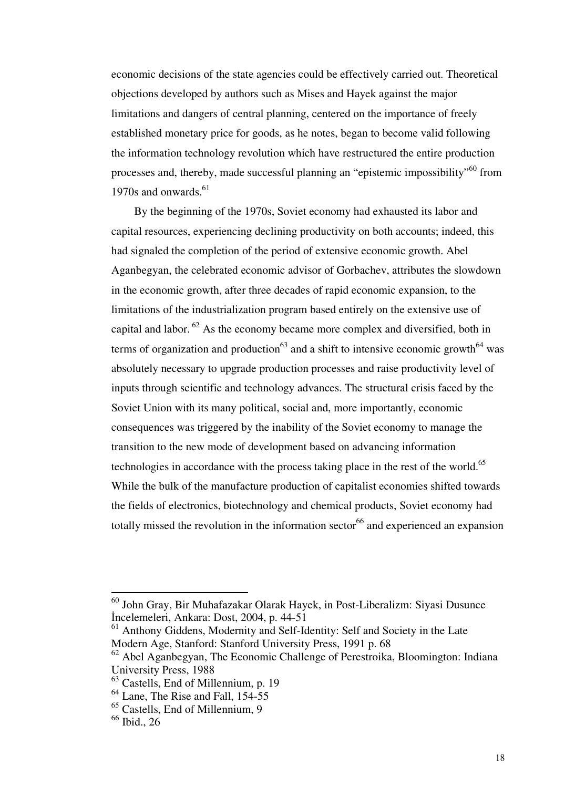economic decisions of the state agencies could be effectively carried out. Theoretical objections developed by authors such as Mises and Hayek against the major limitations and dangers of central planning, centered on the importance of freely established monetary price for goods, as he notes, began to become valid following the information technology revolution which have restructured the entire production processes and, thereby, made successful planning an "epistemic impossibility"<sup>60</sup> from 1970s and onwards.<sup>61</sup>

 By the beginning of the 1970s, Soviet economy had exhausted its labor and capital resources, experiencing declining productivity on both accounts; indeed, this had signaled the completion of the period of extensive economic growth. Abel Aganbegyan, the celebrated economic advisor of Gorbachev, attributes the slowdown in the economic growth, after three decades of rapid economic expansion, to the limitations of the industrialization program based entirely on the extensive use of capital and labor. $62$  As the economy became more complex and diversified, both in terms of organization and production<sup>63</sup> and a shift to intensive economic growth<sup>64</sup> was absolutely necessary to upgrade production processes and raise productivity level of inputs through scientific and technology advances. The structural crisis faced by the Soviet Union with its many political, social and, more importantly, economic consequences was triggered by the inability of the Soviet economy to manage the transition to the new mode of development based on advancing information technologies in accordance with the process taking place in the rest of the world.<sup>65</sup> While the bulk of the manufacture production of capitalist economies shifted towards the fields of electronics, biotechnology and chemical products, Soviet economy had totally missed the revolution in the information sector<sup>66</sup> and experienced an expansion

<sup>60</sup> John Gray, Bir Muhafazakar Olarak Hayek, in Post-Liberalizm: Siyasi Dusunce İncelemeleri, Ankara: Dost, 2004, p. 44-51

 $61$  Anthony Giddens, Modernity and Self-Identity: Self and Society in the Late Modern Age, Stanford: Stanford University Press, 1991 p. 68

<sup>&</sup>lt;sup>62</sup> Abel Aganbegyan, The Economic Challenge of Perestroika, Bloomington: Indiana University Press, 1988

<sup>63</sup> Castells, End of Millennium, p. 19

 $64$  Lane, The Rise and Fall, 154-55

<sup>65</sup> Castells, End of Millennium, 9

<sup>66</sup> Ibid., 26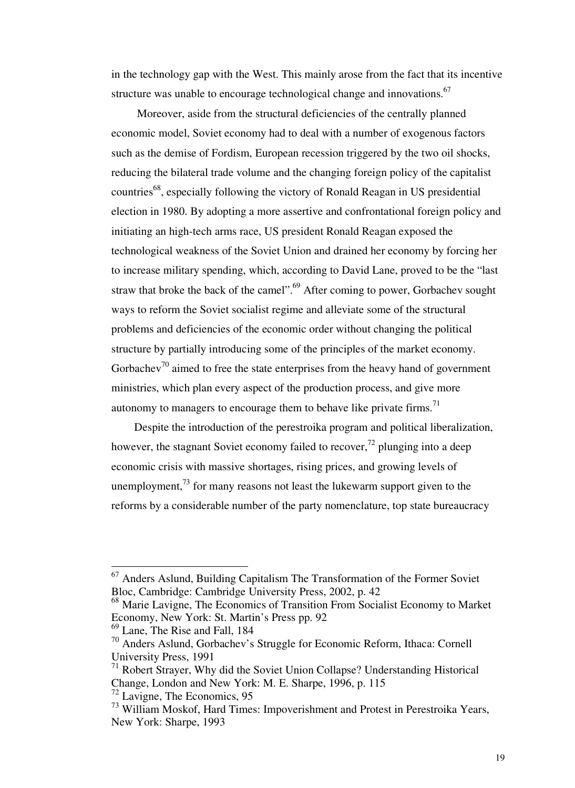in the technology gap with the West. This mainly arose from the fact that its incentive structure was unable to encourage technological change and innovations.<sup>67</sup>

 Moreover, aside from the structural deficiencies of the centrally planned economic model, Soviet economy had to deal with a number of exogenous factors such as the demise of Fordism, European recession triggered by the two oil shocks, reducing the bilateral trade volume and the changing foreign policy of the capitalist countries<sup>68</sup>, especially following the victory of Ronald Reagan in US presidential election in 1980. By adopting a more assertive and confrontational foreign policy and initiating an high-tech arms race, US president Ronald Reagan exposed the technological weakness of the Soviet Union and drained her economy by forcing her to increase military spending, which, according to David Lane, proved to be the "last straw that broke the back of the camel".<sup>69</sup> After coming to power, Gorbachev sought ways to reform the Soviet socialist regime and alleviate some of the structural problems and deficiencies of the economic order without changing the political structure by partially introducing some of the principles of the market economy. Gorbachev<sup>70</sup> aimed to free the state enterprises from the heavy hand of government ministries, which plan every aspect of the production process, and give more autonomy to managers to encourage them to behave like private firms.<sup>71</sup>

 Despite the introduction of the perestroika program and political liberalization, however, the stagnant Soviet economy failed to recover,<sup>72</sup> plunging into a deep economic crisis with massive shortages, rising prices, and growing levels of unemployment,  $^{73}$  for many reasons not least the lukewarm support given to the reforms by a considerable number of the party nomenclature, top state bureaucracy

<sup>68</sup> Marie Lavigne, The Economics of Transition From Socialist Economy to Market Economy, New York: St. Martin's Press pp. 92

<sup>69</sup> Lane, The Rise and Fall, 184

<sup>67</sup> Anders Aslund, Building Capitalism The Transformation of the Former Soviet Bloc, Cambridge: Cambridge University Press, 2002, p. 42

<sup>70</sup> Anders Aslund, Gorbachev's Struggle for Economic Reform, Ithaca: Cornell University Press, 1991

<sup>71</sup> Robert Strayer, Why did the Soviet Union Collapse? Understanding Historical Change, London and New York: M. E. Sharpe, 1996, p. 115

 $72$  Lavigne, The Economics, 95

<sup>73</sup> William Moskof, Hard Times: Impoverishment and Protest in Perestroika Years, New York: Sharpe, 1993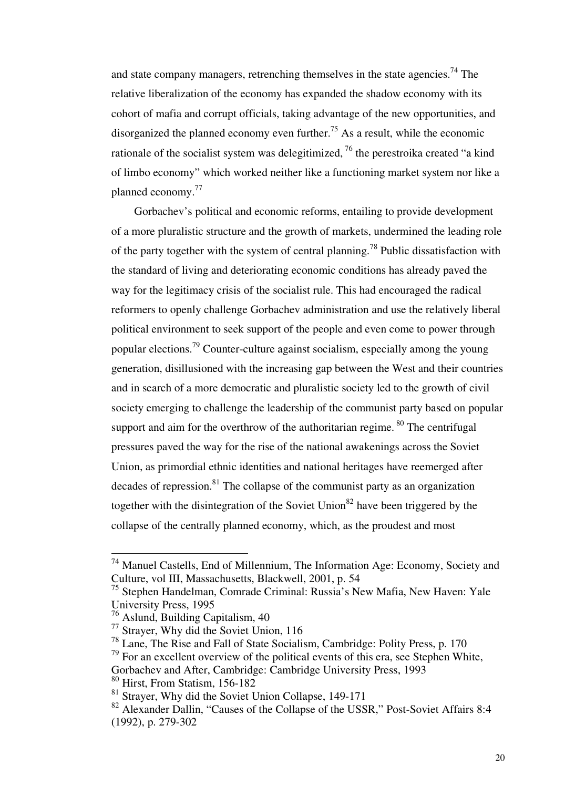and state company managers, retrenching themselves in the state agencies.<sup>74</sup> The relative liberalization of the economy has expanded the shadow economy with its cohort of mafia and corrupt officials, taking advantage of the new opportunities, and disorganized the planned economy even further.<sup>75</sup> As a result, while the economic rationale of the socialist system was delegitimized.<sup>76</sup> the perestroika created "a kind" of limbo economy" which worked neither like a functioning market system nor like a planned economy.<sup>77</sup>

 Gorbachev's political and economic reforms, entailing to provide development of a more pluralistic structure and the growth of markets, undermined the leading role of the party together with the system of central planning.<sup>78</sup> Public dissatisfaction with the standard of living and deteriorating economic conditions has already paved the way for the legitimacy crisis of the socialist rule. This had encouraged the radical reformers to openly challenge Gorbachev administration and use the relatively liberal political environment to seek support of the people and even come to power through popular elections.<sup>79</sup> Counter-culture against socialism, especially among the young generation, disillusioned with the increasing gap between the West and their countries and in search of a more democratic and pluralistic society led to the growth of civil society emerging to challenge the leadership of the communist party based on popular support and aim for the overthrow of the authoritarian regime.<sup>80</sup> The centrifugal pressures paved the way for the rise of the national awakenings across the Soviet Union, as primordial ethnic identities and national heritages have reemerged after decades of repression.<sup>81</sup> The collapse of the communist party as an organization together with the disintegration of the Soviet Union<sup>82</sup> have been triggered by the collapse of the centrally planned economy, which, as the proudest and most

 $74$  Manuel Castells, End of Millennium, The Information Age: Economy, Society and Culture, vol III, Massachusetts, Blackwell, 2001, p. 54

<sup>75</sup> Stephen Handelman, Comrade Criminal: Russia's New Mafia, New Haven: Yale University Press, 1995

<sup>76</sup> Aslund, Building Capitalism, 40

<sup>77</sup> Strayer, Why did the Soviet Union, 116

<sup>78</sup> Lane, The Rise and Fall of State Socialism, Cambridge: Polity Press, p. 170

 $79$  For an excellent overview of the political events of this era, see Stephen White,

Gorbachev and After, Cambridge: Cambridge University Press, 1993 <sup>80</sup> Hirst, From Statism, 156-182

 $81$  Strayer, Why did the Soviet Union Collapse, 149-171

<sup>&</sup>lt;sup>82</sup> Alexander Dallin, "Causes of the Collapse of the USSR," Post-Soviet Affairs 8:4 (1992), p. 279-302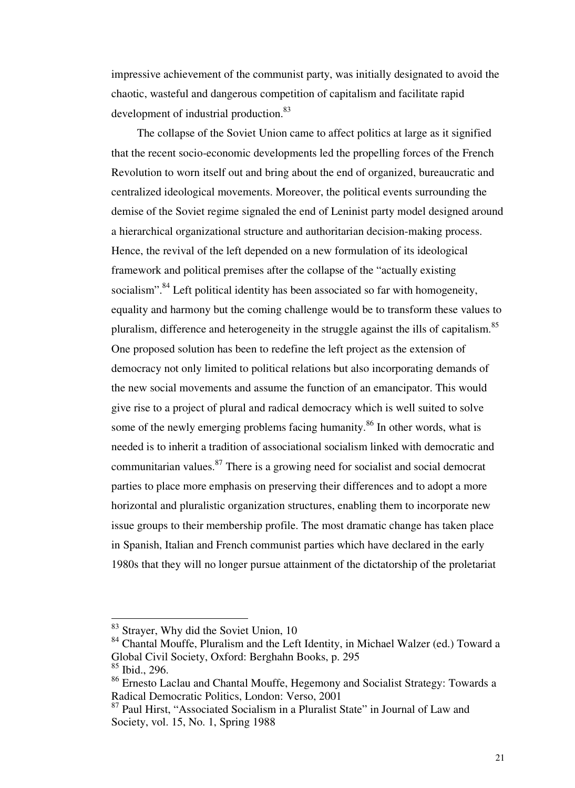impressive achievement of the communist party, was initially designated to avoid the chaotic, wasteful and dangerous competition of capitalism and facilitate rapid development of industrial production.<sup>83</sup>

 The collapse of the Soviet Union came to affect politics at large as it signified that the recent socio-economic developments led the propelling forces of the French Revolution to worn itself out and bring about the end of organized, bureaucratic and centralized ideological movements. Moreover, the political events surrounding the demise of the Soviet regime signaled the end of Leninist party model designed around a hierarchical organizational structure and authoritarian decision-making process. Hence, the revival of the left depended on a new formulation of its ideological framework and political premises after the collapse of the "actually existing socialism".<sup>84</sup> Left political identity has been associated so far with homogeneity, equality and harmony but the coming challenge would be to transform these values to pluralism, difference and heterogeneity in the struggle against the ills of capitalism.<sup>85</sup> One proposed solution has been to redefine the left project as the extension of democracy not only limited to political relations but also incorporating demands of the new social movements and assume the function of an emancipator. This would give rise to a project of plural and radical democracy which is well suited to solve some of the newly emerging problems facing humanity.<sup>86</sup> In other words, what is needed is to inherit a tradition of associational socialism linked with democratic and communitarian values.<sup>87</sup> There is a growing need for socialist and social democrat parties to place more emphasis on preserving their differences and to adopt a more horizontal and pluralistic organization structures, enabling them to incorporate new issue groups to their membership profile. The most dramatic change has taken place in Spanish, Italian and French communist parties which have declared in the early 1980s that they will no longer pursue attainment of the dictatorship of the proletariat

<sup>&</sup>lt;sup>83</sup> Strayer, Why did the Soviet Union, 10

<sup>84</sup> Chantal Mouffe, Pluralism and the Left Identity, in Michael Walzer (ed.) Toward a Global Civil Society, Oxford: Berghahn Books, p. 295

<sup>85</sup> Ibid., 296.

<sup>86</sup> Ernesto Laclau and Chantal Mouffe, Hegemony and Socialist Strategy: Towards a Radical Democratic Politics, London: Verso, 2001

<sup>&</sup>lt;sup>87</sup> Paul Hirst, "Associated Socialism in a Pluralist State" in Journal of Law and Society, vol. 15, No. 1, Spring 1988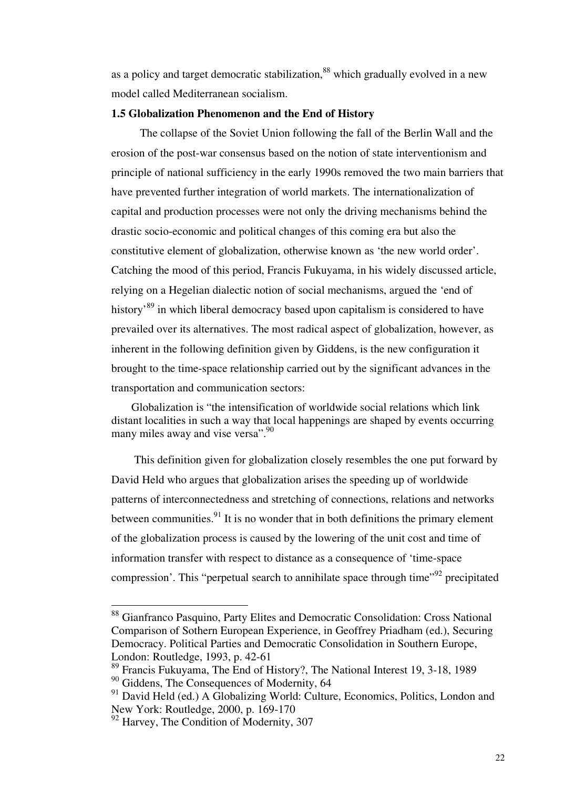as a policy and target democratic stabilization,<sup>88</sup> which gradually evolved in a new model called Mediterranean socialism.

#### **1.5 Globalization Phenomenon and the End of History**

 The collapse of the Soviet Union following the fall of the Berlin Wall and the erosion of the post-war consensus based on the notion of state interventionism and principle of national sufficiency in the early 1990s removed the two main barriers that have prevented further integration of world markets. The internationalization of capital and production processes were not only the driving mechanisms behind the drastic socio-economic and political changes of this coming era but also the constitutive element of globalization, otherwise known as 'the new world order'. Catching the mood of this period, Francis Fukuyama, in his widely discussed article, relying on a Hegelian dialectic notion of social mechanisms, argued the 'end of history<sup>89</sup> in which liberal democracy based upon capitalism is considered to have prevailed over its alternatives. The most radical aspect of globalization, however, as inherent in the following definition given by Giddens, is the new configuration it brought to the time-space relationship carried out by the significant advances in the transportation and communication sectors:

 Globalization is "the intensification of worldwide social relations which link distant localities in such a way that local happenings are shaped by events occurring many miles away and vise versa".<sup>90</sup>

 This definition given for globalization closely resembles the one put forward by David Held who argues that globalization arises the speeding up of worldwide patterns of interconnectedness and stretching of connections, relations and networks between communities. $91$  It is no wonder that in both definitions the primary element of the globalization process is caused by the lowering of the unit cost and time of information transfer with respect to distance as a consequence of 'time-space compression'. This "perpetual search to annihilate space through time"<sup>92</sup> precipitated

<sup>88</sup> Gianfranco Pasquino, Party Elites and Democratic Consolidation: Cross National Comparison of Sothern European Experience, in Geoffrey Priadham (ed.), Securing Democracy. Political Parties and Democratic Consolidation in Southern Europe, London: Routledge, 1993, p. 42-61

<sup>89</sup> Francis Fukuyama, The End of History?, The National Interest 19, 3-18, 1989 <sup>90</sup> Giddens, The Consequences of Modernity, 64

<sup>&</sup>lt;sup>91</sup> David Held (ed.) A Globalizing World: Culture, Economics, Politics, London and New York: Routledge, 2000, p. 169-170

<sup>&</sup>lt;sup>92</sup> Harvey, The Condition of Modernity, 307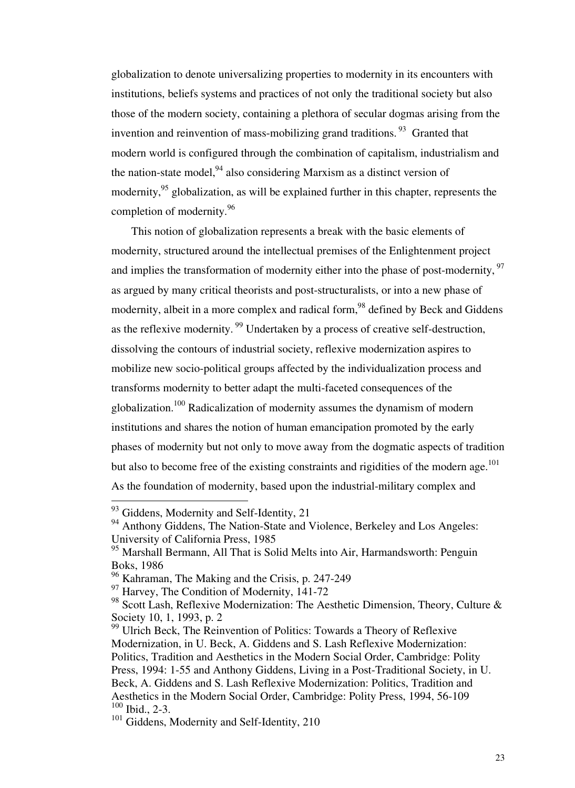globalization to denote universalizing properties to modernity in its encounters with institutions, beliefs systems and practices of not only the traditional society but also those of the modern society, containing a plethora of secular dogmas arising from the invention and reinvention of mass-mobilizing grand traditions.  $93$  Granted that modern world is configured through the combination of capitalism, industrialism and the nation-state model, $94$  also considering Marxism as a distinct version of modernity,<sup>95</sup> globalization, as will be explained further in this chapter, represents the completion of modernity.<sup>96</sup>

 This notion of globalization represents a break with the basic elements of modernity, structured around the intellectual premises of the Enlightenment project and implies the transformation of modernity either into the phase of post-modernity, <sup>97</sup> as argued by many critical theorists and post-structuralists, or into a new phase of modernity, albeit in a more complex and radical form,<sup>98</sup> defined by Beck and Giddens as the reflexive modernity.<sup>99</sup> Undertaken by a process of creative self-destruction, dissolving the contours of industrial society, reflexive modernization aspires to mobilize new socio-political groups affected by the individualization process and transforms modernity to better adapt the multi-faceted consequences of the globalization.<sup>100</sup> Radicalization of modernity assumes the dynamism of modern institutions and shares the notion of human emancipation promoted by the early phases of modernity but not only to move away from the dogmatic aspects of tradition but also to become free of the existing constraints and rigidities of the modern age.<sup>101</sup> As the foundation of modernity, based upon the industrial-military complex and

 $93$  Giddens, Modernity and Self-Identity, 21

<sup>&</sup>lt;sup>94</sup> Anthony Giddens, The Nation-State and Violence, Berkeley and Los Angeles: University of California Press, 1985

<sup>&</sup>lt;sup>95</sup> Marshall Bermann, All That is Solid Melts into Air, Harmandsworth: Penguin Boks, 1986

<sup>96</sup> Kahraman, The Making and the Crisis, p. 247-249

<sup>&</sup>lt;sup>97</sup> Harvey, The Condition of Modernity, 141-72

<sup>&</sup>lt;sup>98</sup> Scott Lash, Reflexive Modernization: The Aesthetic Dimension, Theory, Culture & Society 10, 1, 1993, p. 2

<sup>&</sup>lt;sup>99</sup> Ulrich Beck, The Reinvention of Politics: Towards a Theory of Reflexive Modernization, in U. Beck, A. Giddens and S. Lash Reflexive Modernization: Politics, Tradition and Aesthetics in the Modern Social Order, Cambridge: Polity Press, 1994: 1-55 and Anthony Giddens, Living in a Post-Traditional Society, in U. Beck, A. Giddens and S. Lash Reflexive Modernization: Politics, Tradition and Aesthetics in the Modern Social Order, Cambridge: Polity Press, 1994, 56-109 <sup>100</sup> Ibid., 2-3.

<sup>&</sup>lt;sup>101</sup> Giddens, Modernity and Self-Identity, 210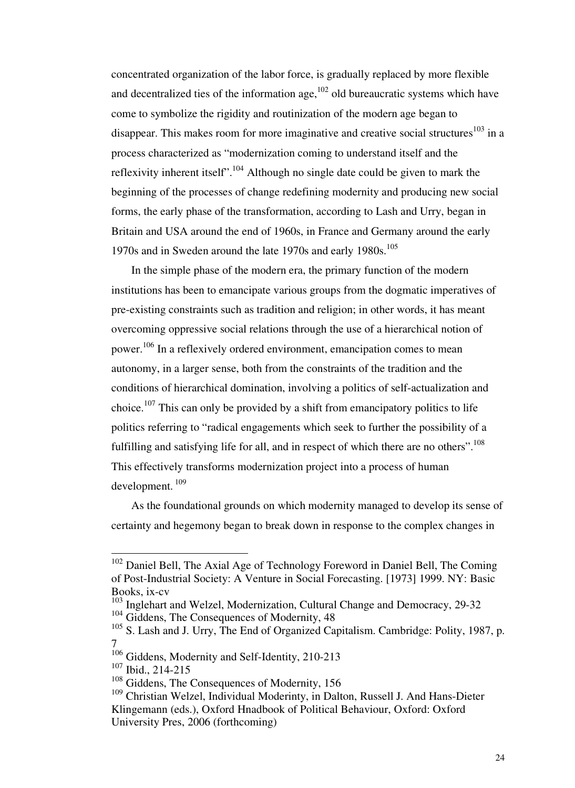concentrated organization of the labor force, is gradually replaced by more flexible and decentralized ties of the information age,  $^{102}$  old bureaucratic systems which have come to symbolize the rigidity and routinization of the modern age began to disappear. This makes room for more imaginative and creative social structures<sup>103</sup> in a process characterized as "modernization coming to understand itself and the reflexivity inherent itself".<sup>104</sup> Although no single date could be given to mark the beginning of the processes of change redefining modernity and producing new social forms, the early phase of the transformation, according to Lash and Urry, began in Britain and USA around the end of 1960s, in France and Germany around the early 1970s and in Sweden around the late 1970s and early 1980s.<sup>105</sup>

 In the simple phase of the modern era, the primary function of the modern institutions has been to emancipate various groups from the dogmatic imperatives of pre-existing constraints such as tradition and religion; in other words, it has meant overcoming oppressive social relations through the use of a hierarchical notion of power.<sup>106</sup> In a reflexively ordered environment, emancipation comes to mean autonomy, in a larger sense, both from the constraints of the tradition and the conditions of hierarchical domination, involving a politics of self-actualization and choice.<sup>107</sup> This can only be provided by a shift from emancipatory politics to life politics referring to "radical engagements which seek to further the possibility of a fulfilling and satisfying life for all, and in respect of which there are no others".<sup>108</sup> This effectively transforms modernization project into a process of human development.<sup>109</sup>

 As the foundational grounds on which modernity managed to develop its sense of certainty and hegemony began to break down in response to the complex changes in

 $102$  Daniel Bell, The Axial Age of Technology Foreword in Daniel Bell, The Coming of Post-Industrial Society: A Venture in Social Forecasting. [1973] 1999. NY: Basic Books, ix-cv

<sup>&</sup>lt;sup>103</sup> Inglehart and Welzel, Modernization, Cultural Change and Democracy, 29-32 <sup>104</sup> Giddens. The Consequences of Modernity, 48

<sup>&</sup>lt;sup>105</sup> S. Lash and J. Urry, The End of Organized Capitalism. Cambridge: Polity, 1987, p. 7

<sup>&</sup>lt;sup>106</sup> Giddens, Modernity and Self-Identity, 210-213

<sup>107</sup> Ibid., 214-215

 $108$  Giddens, The Consequences of Modernity, 156

<sup>&</sup>lt;sup>109</sup> Christian Welzel, Individual Moderinty, in Dalton, Russell J. And Hans-Dieter Klingemann (eds.), Oxford Hnadbook of Political Behaviour, Oxford: Oxford University Pres, 2006 (forthcoming)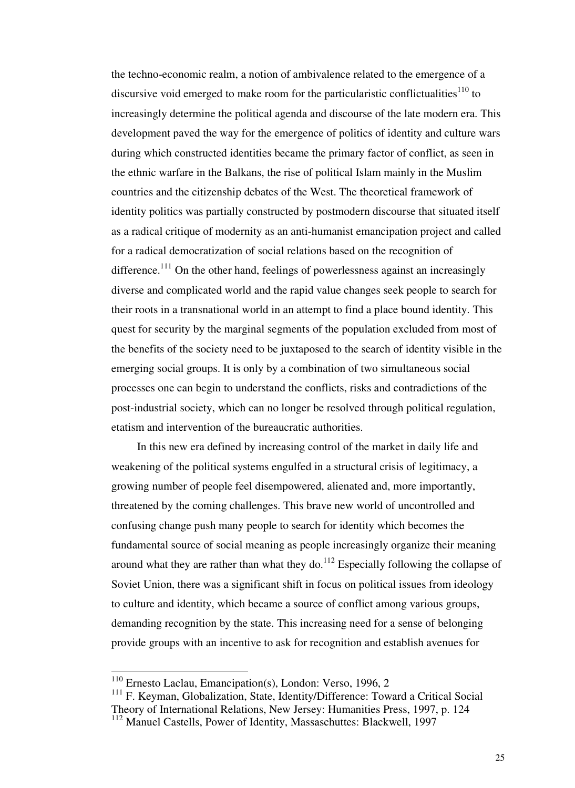the techno-economic realm, a notion of ambivalence related to the emergence of a discursive void emerged to make room for the particularistic conflictualities<sup>110</sup> to increasingly determine the political agenda and discourse of the late modern era. This development paved the way for the emergence of politics of identity and culture wars during which constructed identities became the primary factor of conflict, as seen in the ethnic warfare in the Balkans, the rise of political Islam mainly in the Muslim countries and the citizenship debates of the West. The theoretical framework of identity politics was partially constructed by postmodern discourse that situated itself as a radical critique of modernity as an anti-humanist emancipation project and called for a radical democratization of social relations based on the recognition of difference.<sup>111</sup> On the other hand, feelings of powerlessness against an increasingly diverse and complicated world and the rapid value changes seek people to search for their roots in a transnational world in an attempt to find a place bound identity. This quest for security by the marginal segments of the population excluded from most of the benefits of the society need to be juxtaposed to the search of identity visible in the emerging social groups. It is only by a combination of two simultaneous social processes one can begin to understand the conflicts, risks and contradictions of the post-industrial society, which can no longer be resolved through political regulation, etatism and intervention of the bureaucratic authorities.

 In this new era defined by increasing control of the market in daily life and weakening of the political systems engulfed in a structural crisis of legitimacy, a growing number of people feel disempowered, alienated and, more importantly, threatened by the coming challenges. This brave new world of uncontrolled and confusing change push many people to search for identity which becomes the fundamental source of social meaning as people increasingly organize their meaning around what they are rather than what they do.<sup>112</sup> Especially following the collapse of Soviet Union, there was a significant shift in focus on political issues from ideology to culture and identity, which became a source of conflict among various groups, demanding recognition by the state. This increasing need for a sense of belonging provide groups with an incentive to ask for recognition and establish avenues for

<sup>110</sup> Ernesto Laclau, Emancipation(s), London: Verso, 1996, 2

<sup>&</sup>lt;sup>111</sup> F. Keyman, Globalization, State, Identity/Difference: Toward a Critical Social Theory of International Relations, New Jersey: Humanities Press, 1997, p. 124

<sup>112</sup> Manuel Castells, Power of Identity, Massaschuttes: Blackwell, 1997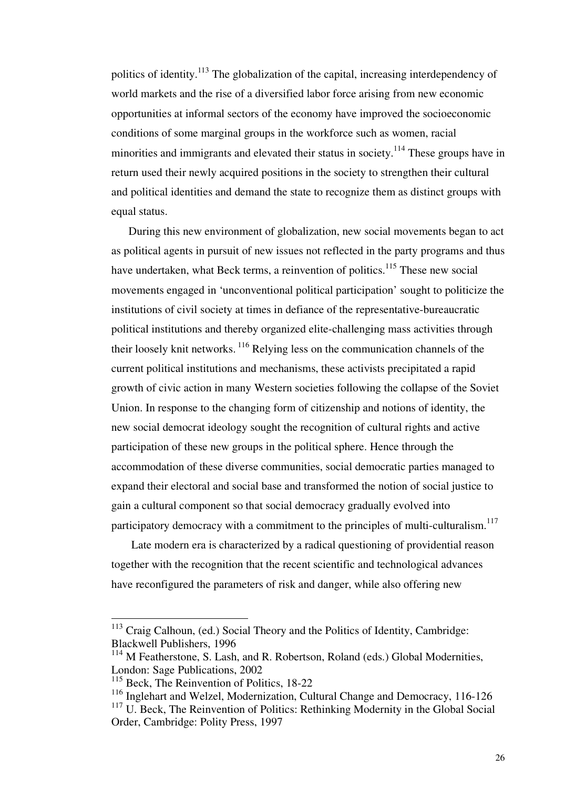politics of identity.<sup>113</sup> The globalization of the capital, increasing interdependency of world markets and the rise of a diversified labor force arising from new economic opportunities at informal sectors of the economy have improved the socioeconomic conditions of some marginal groups in the workforce such as women, racial minorities and immigrants and elevated their status in society.<sup>114</sup> These groups have in return used their newly acquired positions in the society to strengthen their cultural and political identities and demand the state to recognize them as distinct groups with equal status.

 During this new environment of globalization, new social movements began to act as political agents in pursuit of new issues not reflected in the party programs and thus have undertaken, what Beck terms, a reinvention of politics.<sup>115</sup> These new social movements engaged in 'unconventional political participation' sought to politicize the institutions of civil society at times in defiance of the representative-bureaucratic political institutions and thereby organized elite-challenging mass activities through their loosely knit networks.<sup>116</sup> Relying less on the communication channels of the current political institutions and mechanisms, these activists precipitated a rapid growth of civic action in many Western societies following the collapse of the Soviet Union. In response to the changing form of citizenship and notions of identity, the new social democrat ideology sought the recognition of cultural rights and active participation of these new groups in the political sphere. Hence through the accommodation of these diverse communities, social democratic parties managed to expand their electoral and social base and transformed the notion of social justice to gain a cultural component so that social democracy gradually evolved into participatory democracy with a commitment to the principles of multi-culturalism.<sup>117</sup>

 Late modern era is characterized by a radical questioning of providential reason together with the recognition that the recent scientific and technological advances have reconfigured the parameters of risk and danger, while also offering new

<sup>&</sup>lt;sup>113</sup> Craig Calhoun, (ed.) Social Theory and the Politics of Identity, Cambridge: Blackwell Publishers, 1996

<sup>&</sup>lt;sup>114</sup> M Featherstone, S. Lash, and R. Robertson, Roland (eds.) Global Modernities, London: Sage Publications, 2002

<sup>&</sup>lt;sup>115</sup> Beck, The Reinvention of Politics, 18-22

<sup>116</sup> Inglehart and Welzel, Modernization, Cultural Change and Democracy, 116-126

<sup>&</sup>lt;sup>117</sup> U. Beck, The Reinvention of Politics: Rethinking Modernity in the Global Social Order, Cambridge: Polity Press, 1997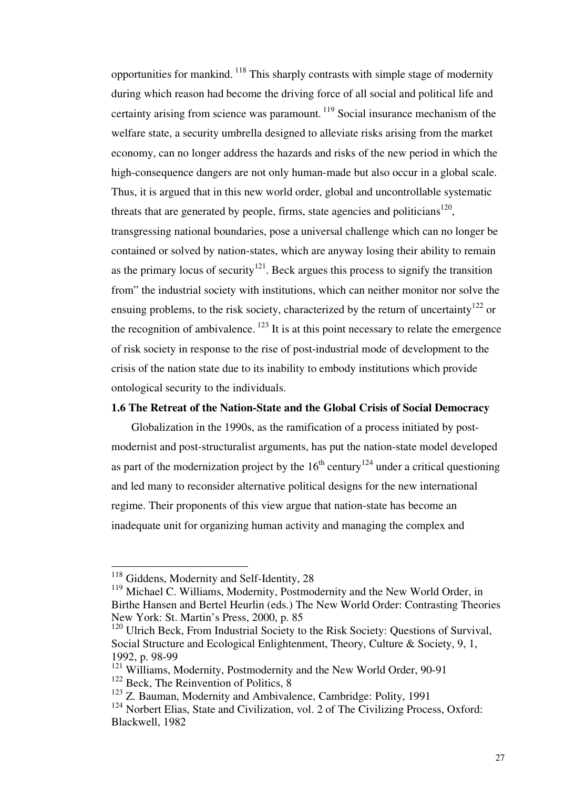opportunities for mankind.<sup>118</sup> This sharply contrasts with simple stage of modernity during which reason had become the driving force of all social and political life and certainty arising from science was paramount.<sup>119</sup> Social insurance mechanism of the welfare state, a security umbrella designed to alleviate risks arising from the market economy, can no longer address the hazards and risks of the new period in which the high-consequence dangers are not only human-made but also occur in a global scale. Thus, it is argued that in this new world order, global and uncontrollable systematic threats that are generated by people, firms, state agencies and politicians<sup>120</sup>, transgressing national boundaries, pose a universal challenge which can no longer be contained or solved by nation-states, which are anyway losing their ability to remain as the primary locus of security<sup>121</sup>. Beck argues this process to signify the transition from" the industrial society with institutions, which can neither monitor nor solve the ensuing problems, to the risk society, characterized by the return of uncertainty<sup>122</sup> or the recognition of ambivalence.<sup>123</sup> It is at this point necessary to relate the emergence of risk society in response to the rise of post-industrial mode of development to the crisis of the nation state due to its inability to embody institutions which provide ontological security to the individuals.

## **1.6 The Retreat of the Nation-State and the Global Crisis of Social Democracy**

 Globalization in the 1990s, as the ramification of a process initiated by postmodernist and post-structuralist arguments, has put the nation-state model developed as part of the modernization project by the  $16<sup>th</sup>$  century<sup>124</sup> under a critical questioning and led many to reconsider alternative political designs for the new international regime. Their proponents of this view argue that nation-state has become an inadequate unit for organizing human activity and managing the complex and

<sup>&</sup>lt;sup>118</sup> Giddens, Modernity and Self-Identity, 28

<sup>&</sup>lt;sup>119</sup> Michael C. Williams, Modernity, Postmodernity and the New World Order, in Birthe Hansen and Bertel Heurlin (eds.) The New World Order: Contrasting Theories New York: St. Martin's Press, 2000, p. 85

<sup>&</sup>lt;sup>120</sup> Ulrich Beck, From Industrial Society to the Risk Society: Questions of Survival, Social Structure and Ecological Enlightenment, Theory, Culture & Society, 9, 1, 1992, p. 98-99

<sup>&</sup>lt;sup>121</sup> Williams, Modernity, Postmodernity and the New World Order, 90-91  $122$  Beck, The Reinvention of Politics, 8

 $123$  Z. Bauman, Modernity and Ambivalence, Cambridge: Polity, 1991

<sup>&</sup>lt;sup>124</sup> Norbert Elias, State and Civilization, vol. 2 of The Civilizing Process, Oxford: Blackwell, 1982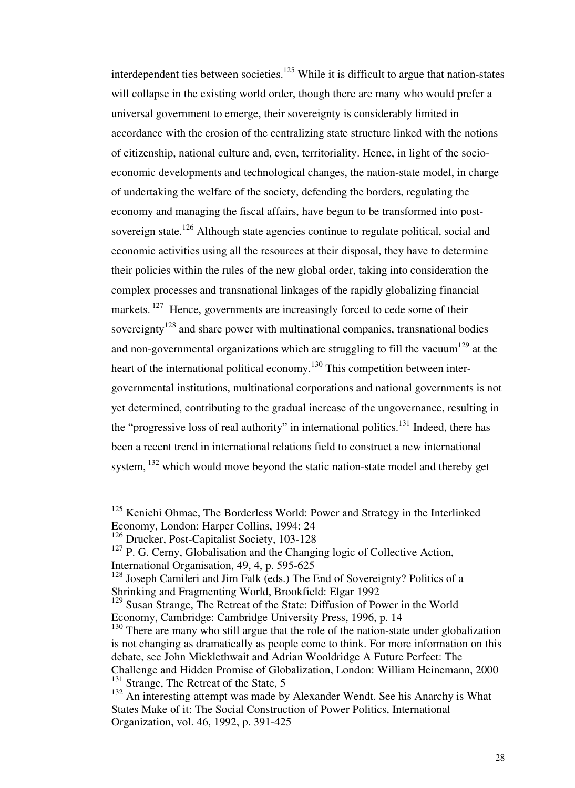interdependent ties between societies.<sup>125</sup> While it is difficult to argue that nation-states will collapse in the existing world order, though there are many who would prefer a universal government to emerge, their sovereignty is considerably limited in accordance with the erosion of the centralizing state structure linked with the notions of citizenship, national culture and, even, territoriality. Hence, in light of the socioeconomic developments and technological changes, the nation-state model, in charge of undertaking the welfare of the society, defending the borders, regulating the economy and managing the fiscal affairs, have begun to be transformed into postsovereign state.<sup>126</sup> Although state agencies continue to regulate political, social and economic activities using all the resources at their disposal, they have to determine their policies within the rules of the new global order, taking into consideration the complex processes and transnational linkages of the rapidly globalizing financial markets.<sup>127</sup> Hence, governments are increasingly forced to cede some of their sovereignty<sup>128</sup> and share power with multinational companies, transnational bodies and non-governmental organizations which are struggling to fill the vacuum<sup>129</sup> at the heart of the international political economy.<sup>130</sup> This competition between intergovernmental institutions, multinational corporations and national governments is not yet determined, contributing to the gradual increase of the ungovernance, resulting in the "progressive loss of real authority" in international politics.<sup>131</sup> Indeed, there has been a recent trend in international relations field to construct a new international system.<sup>132</sup> which would move beyond the static nation-state model and thereby get

<sup>&</sup>lt;sup>125</sup> Kenichi Ohmae, The Borderless World: Power and Strategy in the Interlinked Economy, London: Harper Collins, 1994: 24

<sup>126</sup> Drucker, Post-Capitalist Society, 103-128

 $127$  P. G. Cerny, Globalisation and the Changing logic of Collective Action, International Organisation, 49, 4, p. 595-625

<sup>&</sup>lt;sup>128</sup> Joseph Camileri and Jim Falk (eds.) The End of Sovereignty? Politics of a Shrinking and Fragmenting World, Brookfield: Elgar 1992

<sup>&</sup>lt;sup>129</sup> Susan Strange, The Retreat of the State: Diffusion of Power in the World Economy, Cambridge: Cambridge University Press, 1996, p. 14

<sup>&</sup>lt;sup>130</sup> There are many who still argue that the role of the nation-state under globalization is not changing as dramatically as people come to think. For more information on this debate, see John Micklethwait and Adrian Wooldridge A Future Perfect: The Challenge and Hidden Promise of Globalization, London: William Heinemann, 2000 <sup>131</sup> Strange, The Retreat of the State, 5

<sup>&</sup>lt;sup>132</sup> An interesting attempt was made by Alexander Wendt. See his Anarchy is What States Make of it: The Social Construction of Power Politics, International Organization, vol. 46, 1992, p. 391-425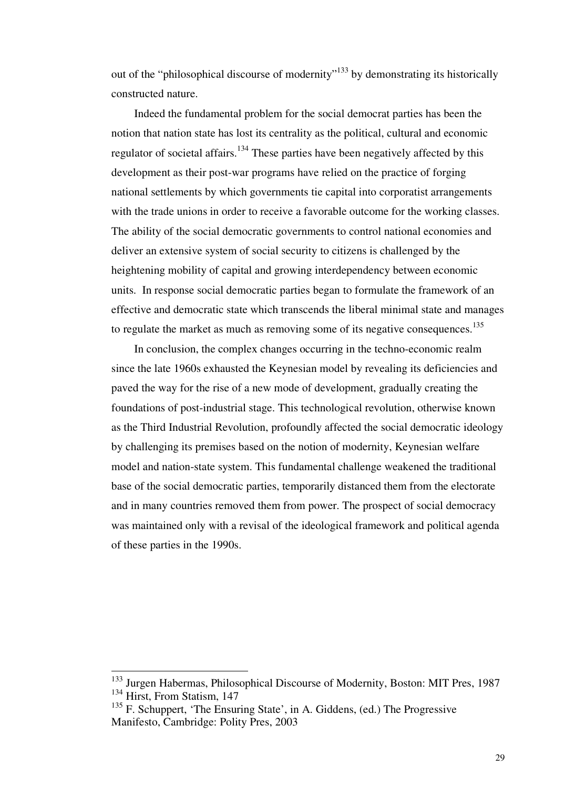out of the "philosophical discourse of modernity"<sup>133</sup> by demonstrating its historically constructed nature.

 Indeed the fundamental problem for the social democrat parties has been the notion that nation state has lost its centrality as the political, cultural and economic regulator of societal affairs.<sup>134</sup> These parties have been negatively affected by this development as their post-war programs have relied on the practice of forging national settlements by which governments tie capital into corporatist arrangements with the trade unions in order to receive a favorable outcome for the working classes. The ability of the social democratic governments to control national economies and deliver an extensive system of social security to citizens is challenged by the heightening mobility of capital and growing interdependency between economic units. In response social democratic parties began to formulate the framework of an effective and democratic state which transcends the liberal minimal state and manages to regulate the market as much as removing some of its negative consequences.<sup>135</sup>

 In conclusion, the complex changes occurring in the techno-economic realm since the late 1960s exhausted the Keynesian model by revealing its deficiencies and paved the way for the rise of a new mode of development, gradually creating the foundations of post-industrial stage. This technological revolution, otherwise known as the Third Industrial Revolution, profoundly affected the social democratic ideology by challenging its premises based on the notion of modernity, Keynesian welfare model and nation-state system. This fundamental challenge weakened the traditional base of the social democratic parties, temporarily distanced them from the electorate and in many countries removed them from power. The prospect of social democracy was maintained only with a revisal of the ideological framework and political agenda of these parties in the 1990s.

<sup>&</sup>lt;sup>133</sup> Jurgen Habermas, Philosophical Discourse of Modernity, Boston: MIT Pres, 1987  $134$  Hirst, From Statism, 147

 $135$  F. Schuppert, 'The Ensuring State', in A. Giddens, (ed.) The Progressive Manifesto, Cambridge: Polity Pres, 2003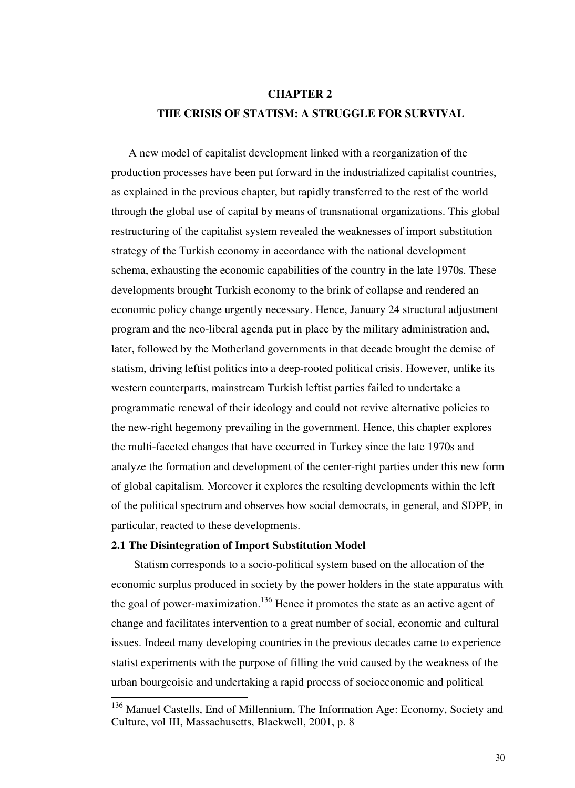# **CHAPTER 2 THE CRISIS OF STATISM: A STRUGGLE FOR SURVIVAL**

 A new model of capitalist development linked with a reorganization of the production processes have been put forward in the industrialized capitalist countries, as explained in the previous chapter, but rapidly transferred to the rest of the world through the global use of capital by means of transnational organizations. This global restructuring of the capitalist system revealed the weaknesses of import substitution strategy of the Turkish economy in accordance with the national development schema, exhausting the economic capabilities of the country in the late 1970s. These developments brought Turkish economy to the brink of collapse and rendered an economic policy change urgently necessary. Hence, January 24 structural adjustment program and the neo-liberal agenda put in place by the military administration and, later, followed by the Motherland governments in that decade brought the demise of statism, driving leftist politics into a deep-rooted political crisis. However, unlike its western counterparts, mainstream Turkish leftist parties failed to undertake a programmatic renewal of their ideology and could not revive alternative policies to the new-right hegemony prevailing in the government. Hence, this chapter explores the multi-faceted changes that have occurred in Turkey since the late 1970s and analyze the formation and development of the center-right parties under this new form of global capitalism. Moreover it explores the resulting developments within the left of the political spectrum and observes how social democrats, in general, and SDPP, in particular, reacted to these developments.

#### **2.1 The Disintegration of Import Substitution Model**

-

 Statism corresponds to a socio-political system based on the allocation of the economic surplus produced in society by the power holders in the state apparatus with the goal of power-maximization.<sup>136</sup> Hence it promotes the state as an active agent of change and facilitates intervention to a great number of social, economic and cultural issues. Indeed many developing countries in the previous decades came to experience statist experiments with the purpose of filling the void caused by the weakness of the urban bourgeoisie and undertaking a rapid process of socioeconomic and political

<sup>&</sup>lt;sup>136</sup> Manuel Castells, End of Millennium, The Information Age: Economy, Society and Culture, vol III, Massachusetts, Blackwell, 2001, p. 8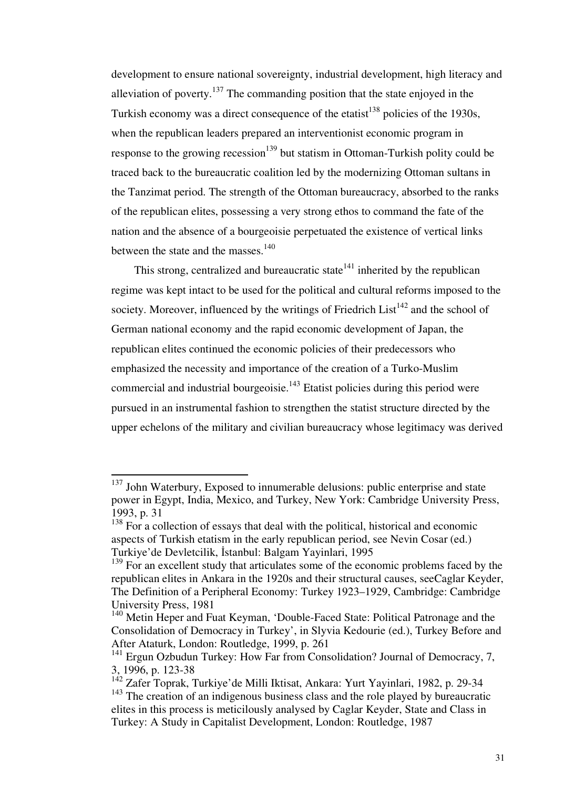development to ensure national sovereignty, industrial development, high literacy and alleviation of poverty.<sup>137</sup> The commanding position that the state enjoyed in the Turkish economy was a direct consequence of the etatist<sup>138</sup> policies of the 1930s, when the republican leaders prepared an interventionist economic program in response to the growing recession<sup>139</sup> but statism in Ottoman-Turkish polity could be traced back to the bureaucratic coalition led by the modernizing Ottoman sultans in the Tanzimat period. The strength of the Ottoman bureaucracy, absorbed to the ranks of the republican elites, possessing a very strong ethos to command the fate of the nation and the absence of a bourgeoisie perpetuated the existence of vertical links between the state and the masses. $140$ 

This strong, centralized and bureaucratic state<sup> $141$ </sup> inherited by the republican regime was kept intact to be used for the political and cultural reforms imposed to the society. Moreover, influenced by the writings of Friedrich List<sup>142</sup> and the school of German national economy and the rapid economic development of Japan, the republican elites continued the economic policies of their predecessors who emphasized the necessity and importance of the creation of a Turko-Muslim commercial and industrial bourgeoisie.<sup>143</sup> Etatist policies during this period were pursued in an instrumental fashion to strengthen the statist structure directed by the upper echelons of the military and civilian bureaucracy whose legitimacy was derived

 $137$  John Waterbury, Exposed to innumerable delusions: public enterprise and state power in Egypt, India, Mexico, and Turkey, New York: Cambridge University Press, 1993, p. 31

 $138$  For a collection of essays that deal with the political, historical and economic aspects of Turkish etatism in the early republican period, see Nevin Cosar (ed.) Turkiye'de Devletcilik, İstanbul: Balgam Yayinlari, 1995

 $139$  For an excellent study that articulates some of the economic problems faced by the republican elites in Ankara in the 1920s and their structural causes, seeCaglar Keyder, The Definition of a Peripheral Economy: Turkey 1923–1929, Cambridge: Cambridge University Press, 1981

<sup>&</sup>lt;sup>140</sup> Metin Heper and Fuat Keyman, 'Double-Faced State: Political Patronage and the Consolidation of Democracy in Turkey', in Slyvia Kedourie (ed.), Turkey Before and After Ataturk, London: Routledge, 1999, p. 261

<sup>&</sup>lt;sup>141</sup> Ergun Ozbudun Turkey: How Far from Consolidation? Journal of Democracy, 7, 3, 1996, p. 123-38

<sup>&</sup>lt;sup>142</sup> Zafer Toprak, Turkiye'de Milli Iktisat, Ankara: Yurt Yayinlari, 1982, p. 29-34 <sup>143</sup> The creation of an indigenous business class and the role played by bureaucratic elites in this process is meticilously analysed by Caglar Keyder, State and Class in Turkey: A Study in Capitalist Development, London: Routledge, 1987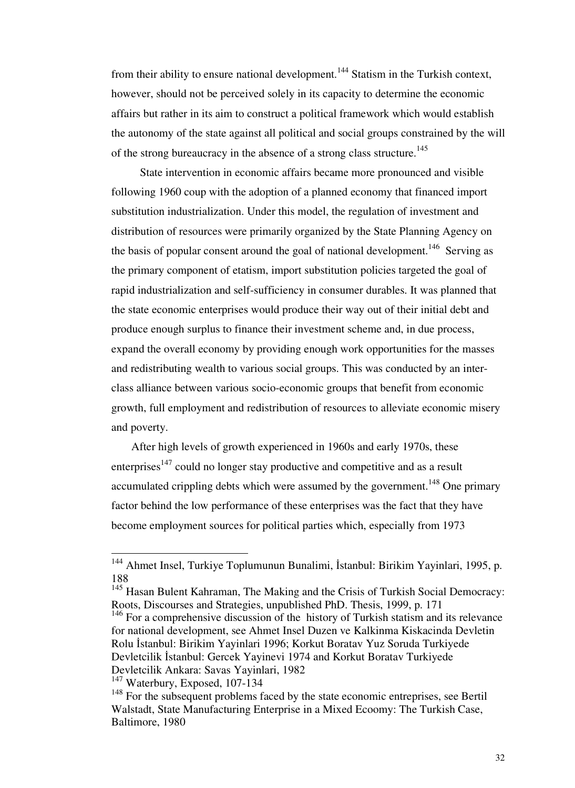from their ability to ensure national development.<sup>144</sup> Statism in the Turkish context, however, should not be perceived solely in its capacity to determine the economic affairs but rather in its aim to construct a political framework which would establish the autonomy of the state against all political and social groups constrained by the will of the strong bureaucracy in the absence of a strong class structure.<sup>145</sup>

 State intervention in economic affairs became more pronounced and visible following 1960 coup with the adoption of a planned economy that financed import substitution industrialization. Under this model, the regulation of investment and distribution of resources were primarily organized by the State Planning Agency on the basis of popular consent around the goal of national development.<sup>146</sup> Serving as the primary component of etatism, import substitution policies targeted the goal of rapid industrialization and self-sufficiency in consumer durables. It was planned that the state economic enterprises would produce their way out of their initial debt and produce enough surplus to finance their investment scheme and, in due process, expand the overall economy by providing enough work opportunities for the masses and redistributing wealth to various social groups. This was conducted by an interclass alliance between various socio-economic groups that benefit from economic growth, full employment and redistribution of resources to alleviate economic misery and poverty.

 After high levels of growth experienced in 1960s and early 1970s, these enterprises<sup>147</sup> could no longer stay productive and competitive and as a result accumulated crippling debts which were assumed by the government.<sup>148</sup> One primary factor behind the low performance of these enterprises was the fact that they have become employment sources for political parties which, especially from 1973

<sup>&</sup>lt;sup>144</sup> Ahmet Insel, Turkiye Toplumunun Bunalimi, İstanbul: Birikim Yayinlari, 1995, p. 188

<sup>&</sup>lt;sup>145</sup> Hasan Bulent Kahraman, The Making and the Crisis of Turkish Social Democracy: Roots, Discourses and Strategies, unpublished PhD. Thesis, 1999, p. 171

 $146$  For a comprehensive discussion of the history of Turkish statism and its relevance for national development, see Ahmet Insel Duzen ve Kalkinma Kiskacinda Devletin Rolu İstanbul: Birikim Yayinlari 1996; Korkut Boratav Yuz Soruda Turkiyede Devletcilik İstanbul: Gercek Yayinevi 1974 and Korkut Boratav Turkiyede Devletcilik Ankara: Savas Yayinlari, 1982

<sup>&</sup>lt;sup>147</sup> Waterbury, Exposed, 107-134

<sup>&</sup>lt;sup>148</sup> For the subsequent problems faced by the state economic entreprises, see Bertil Walstadt, State Manufacturing Enterprise in a Mixed Ecoomy: The Turkish Case, Baltimore, 1980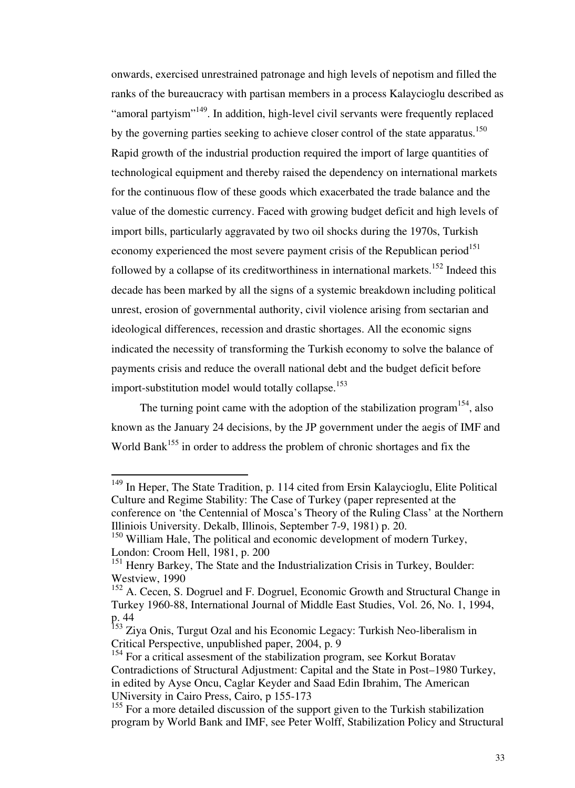onwards, exercised unrestrained patronage and high levels of nepotism and filled the ranks of the bureaucracy with partisan members in a process Kalaycioglu described as "amoral partyism"<sup>149</sup>. In addition, high-level civil servants were frequently replaced by the governing parties seeking to achieve closer control of the state apparatus.<sup>150</sup> Rapid growth of the industrial production required the import of large quantities of technological equipment and thereby raised the dependency on international markets for the continuous flow of these goods which exacerbated the trade balance and the value of the domestic currency. Faced with growing budget deficit and high levels of import bills, particularly aggravated by two oil shocks during the 1970s, Turkish economy experienced the most severe payment crisis of the Republican period $151$ followed by a collapse of its creditworthiness in international markets.<sup>152</sup> Indeed this decade has been marked by all the signs of a systemic breakdown including political unrest, erosion of governmental authority, civil violence arising from sectarian and ideological differences, recession and drastic shortages. All the economic signs indicated the necessity of transforming the Turkish economy to solve the balance of payments crisis and reduce the overall national debt and the budget deficit before import-substitution model would totally collapse.<sup>153</sup>

The turning point came with the adoption of the stabilization program<sup>154</sup>, also known as the January 24 decisions, by the JP government under the aegis of IMF and World Bank<sup>155</sup> in order to address the problem of chronic shortages and fix the

<sup>&</sup>lt;sup>149</sup> In Heper, The State Tradition, p. 114 cited from Ersin Kalaycioglu, Elite Political Culture and Regime Stability: The Case of Turkey (paper represented at the conference on 'the Centennial of Mosca's Theory of the Ruling Class' at the Northern Illiniois University. Dekalb, Illinois, September 7-9, 1981) p. 20.

<sup>&</sup>lt;sup>150</sup> William Hale, The political and economic development of modern Turkey, London: Croom Hell, 1981, p. 200

<sup>&</sup>lt;sup>151</sup> Henry Barkey, The State and the Industrialization Crisis in Turkey, Boulder: Westview, 1990

<sup>&</sup>lt;sup>152</sup> A. Cecen, S. Dogruel and F. Dogruel, Economic Growth and Structural Change in Turkey 1960-88, International Journal of Middle East Studies, Vol. 26, No. 1, 1994, p. 44

<sup>&</sup>lt;sup>153</sup> Ziya Onis, Turgut Ozal and his Economic Legacy: Turkish Neo-liberalism in Critical Perspective, unpublished paper, 2004, p. 9

<sup>&</sup>lt;sup>154</sup> For a critical assesment of the stabilization program, see Korkut Boratav Contradictions of Structural Adjustment: Capital and the State in Post–1980 Turkey, in edited by Ayse Oncu, Caglar Keyder and Saad Edin Ibrahim, The American UNiversity in Cairo Press, Cairo, p 155-173

<sup>&</sup>lt;sup>155</sup> For a more detailed discussion of the support given to the Turkish stabilization program by World Bank and IMF, see Peter Wolff, Stabilization Policy and Structural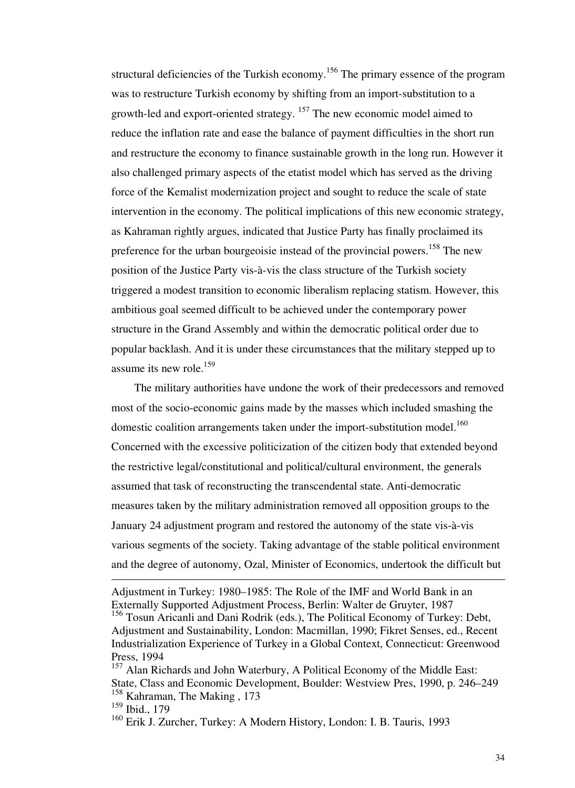structural deficiencies of the Turkish economy.<sup>156</sup> The primary essence of the program was to restructure Turkish economy by shifting from an import-substitution to a growth-led and export-oriented strategy. <sup>157</sup> The new economic model aimed to reduce the inflation rate and ease the balance of payment difficulties in the short run and restructure the economy to finance sustainable growth in the long run. However it also challenged primary aspects of the etatist model which has served as the driving force of the Kemalist modernization project and sought to reduce the scale of state intervention in the economy. The political implications of this new economic strategy, as Kahraman rightly argues, indicated that Justice Party has finally proclaimed its preference for the urban bourgeoisie instead of the provincial powers.<sup>158</sup> The new position of the Justice Party vis-à-vis the class structure of the Turkish society triggered a modest transition to economic liberalism replacing statism. However, this ambitious goal seemed difficult to be achieved under the contemporary power structure in the Grand Assembly and within the democratic political order due to popular backlash. And it is under these circumstances that the military stepped up to assume its new role. $159$ 

 The military authorities have undone the work of their predecessors and removed most of the socio-economic gains made by the masses which included smashing the domestic coalition arrangements taken under the import-substitution model.<sup>160</sup> Concerned with the excessive politicization of the citizen body that extended beyond the restrictive legal/constitutional and political/cultural environment, the generals assumed that task of reconstructing the transcendental state. Anti-democratic measures taken by the military administration removed all opposition groups to the January 24 adjustment program and restored the autonomy of the state vis-à-vis various segments of the society. Taking advantage of the stable political environment and the degree of autonomy, Ozal, Minister of Economics, undertook the difficult but

Adjustment in Turkey: 1980–1985: The Role of the IMF and World Bank in an Externally Supported Adjustment Process, Berlin: Walter de Gruyter, 1987

<sup>&</sup>lt;sup>156</sup> Tosun Aricanli and Dani Rodrik (eds.), The Political Economy of Turkey: Debt, Adjustment and Sustainability, London: Macmillan, 1990; Fikret Senses, ed., Recent Industrialization Experience of Turkey in a Global Context, Connecticut: Greenwood Press, 1994

<sup>&</sup>lt;sup>157</sup> Alan Richards and John Waterbury, A Political Economy of the Middle East: State, Class and Economic Development, Boulder: Westview Pres, 1990, p. 246–249 <sup>158</sup> Kahraman, The Making, 173

<sup>159</sup> Ibid., 179

<sup>160</sup> Erik J. Zurcher, Turkey: A Modern History, London: I. B. Tauris, 1993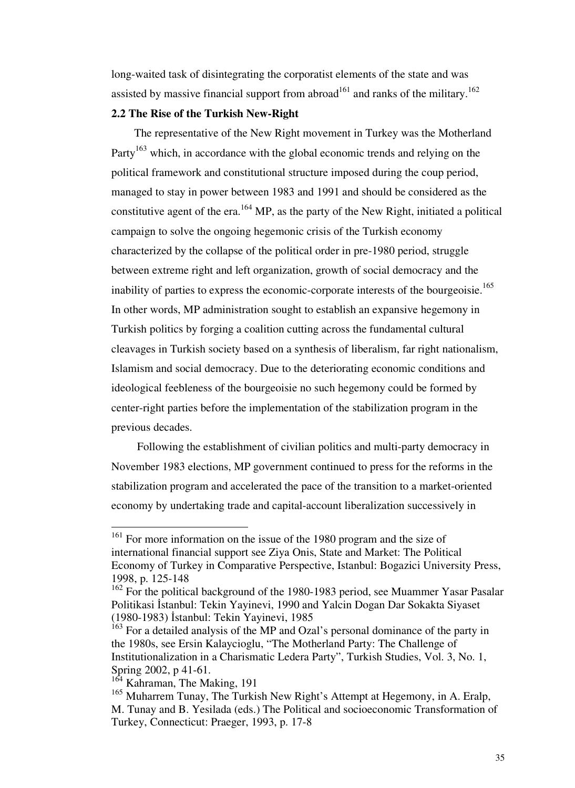long-waited task of disintegrating the corporatist elements of the state and was assisted by massive financial support from abroad<sup>161</sup> and ranks of the military.<sup>162</sup>

## **2.2 The Rise of the Turkish New-Right**

The representative of the New Right movement in Turkey was the Motherland Party<sup>163</sup> which, in accordance with the global economic trends and relying on the political framework and constitutional structure imposed during the coup period, managed to stay in power between 1983 and 1991 and should be considered as the constitutive agent of the era.<sup>164</sup> MP, as the party of the New Right, initiated a political campaign to solve the ongoing hegemonic crisis of the Turkish economy characterized by the collapse of the political order in pre-1980 period, struggle between extreme right and left organization, growth of social democracy and the inability of parties to express the economic-corporate interests of the bourgeoisie.<sup>165</sup> In other words, MP administration sought to establish an expansive hegemony in Turkish politics by forging a coalition cutting across the fundamental cultural cleavages in Turkish society based on a synthesis of liberalism, far right nationalism, Islamism and social democracy. Due to the deteriorating economic conditions and ideological feebleness of the bourgeoisie no such hegemony could be formed by center-right parties before the implementation of the stabilization program in the previous decades.

 Following the establishment of civilian politics and multi-party democracy in November 1983 elections, MP government continued to press for the reforms in the stabilization program and accelerated the pace of the transition to a market-oriented economy by undertaking trade and capital-account liberalization successively in

<sup>&</sup>lt;sup>161</sup> For more information on the issue of the 1980 program and the size of international financial support see Ziya Onis, State and Market: The Political Economy of Turkey in Comparative Perspective, Istanbul: Bogazici University Press, 1998, p. 125-148

<sup>&</sup>lt;sup>162</sup> For the political background of the 1980-1983 period, see Muammer Yasar Pasalar Politikasi İstanbul: Tekin Yayinevi, 1990 and Yalcin Dogan Dar Sokakta Siyaset (1980-1983) İstanbul: Tekin Yayinevi, 1985

<sup>&</sup>lt;sup>163</sup> For a detailed analysis of the MP and Ozal's personal dominance of the party in the 1980s, see Ersin Kalaycioglu, "The Motherland Party: The Challenge of Institutionalization in a Charismatic Ledera Party", Turkish Studies, Vol. 3, No. 1, Spring 2002, p 41-61.

<sup>&</sup>lt;sup>164</sup> Kahraman, The Making, 191

<sup>&</sup>lt;sup>165</sup> Muharrem Tunay, The Turkish New Right's Attempt at Hegemony, in A. Eralp, M. Tunay and B. Yesilada (eds.) The Political and socioeconomic Transformation of Turkey, Connecticut: Praeger, 1993, p. 17-8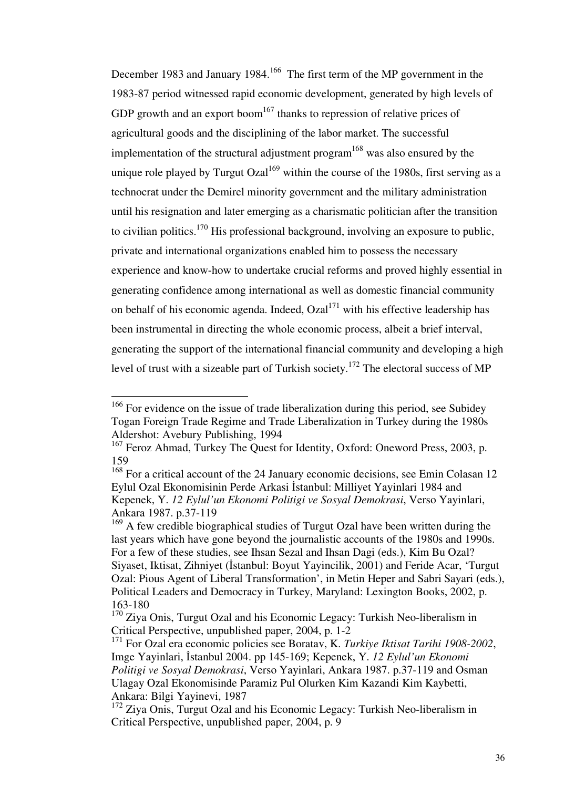December 1983 and January 1984.<sup>166</sup> The first term of the MP government in the 1983-87 period witnessed rapid economic development, generated by high levels of GDP growth and an export boom<sup>167</sup> thanks to repression of relative prices of agricultural goods and the disciplining of the labor market. The successful implementation of the structural adjustment program<sup>168</sup> was also ensured by the unique role played by Turgut Ozal<sup>169</sup> within the course of the 1980s, first serving as a technocrat under the Demirel minority government and the military administration until his resignation and later emerging as a charismatic politician after the transition to civilian politics.<sup>170</sup> His professional background, involving an exposure to public, private and international organizations enabled him to possess the necessary experience and know-how to undertake crucial reforms and proved highly essential in generating confidence among international as well as domestic financial community on behalf of his economic agenda. Indeed,  $Ozal<sup>171</sup>$  with his effective leadership has been instrumental in directing the whole economic process, albeit a brief interval, generating the support of the international financial community and developing a high level of trust with a sizeable part of Turkish society.<sup>172</sup> The electoral success of MP

 $166$  For evidence on the issue of trade liberalization during this period, see Subidey Togan Foreign Trade Regime and Trade Liberalization in Turkey during the 1980s Aldershot: Avebury Publishing, 1994

<sup>&</sup>lt;sup>167</sup> Feroz Ahmad, Turkey The Quest for Identity, Oxford: Oneword Press, 2003, p. 159

<sup>&</sup>lt;sup>168</sup> For a critical account of the 24 January economic decisions, see Emin Colasan 12 Eylul Ozal Ekonomisinin Perde Arkasi İstanbul: Milliyet Yayinlari 1984 and Kepenek, Y. *12 Eylul'un Ekonomi Politigi ve Sosyal Demokrasi*, Verso Yayinlari, Ankara 1987. p.37-119

<sup>&</sup>lt;sup>169</sup> A few credible biographical studies of Turgut Ozal have been written during the last years which have gone beyond the journalistic accounts of the 1980s and 1990s. For a few of these studies, see Ihsan Sezal and Ihsan Dagi (eds.), Kim Bu Ozal? Siyaset, Iktisat, Zihniyet (İstanbul: Boyut Yayincilik, 2001) and Feride Acar, 'Turgut Ozal: Pious Agent of Liberal Transformation', in Metin Heper and Sabri Sayari (eds.), Political Leaders and Democracy in Turkey, Maryland: Lexington Books, 2002, p. 163-180

<sup>&</sup>lt;sup>170</sup> Ziya Onis, Turgut Ozal and his Economic Legacy: Turkish Neo-liberalism in Critical Perspective, unpublished paper, 2004, p. 1-2

<sup>171</sup> For Ozal era economic policies see Boratav, K. *Turkiye Iktisat Tarihi 1908-2002*, Imge Yayinlari, İstanbul 2004. pp 145-169; Kepenek, Y. *12 Eylul'un Ekonomi Politigi ve Sosyal Demokrasi*, Verso Yayinlari, Ankara 1987. p.37-119 and Osman Ulagay Ozal Ekonomisinde Paramiz Pul Olurken Kim Kazandi Kim Kaybetti, Ankara: Bilgi Yayinevi, 1987

<sup>&</sup>lt;sup>172</sup> Ziya Onis, Turgut Ozal and his Economic Legacy: Turkish Neo-liberalism in Critical Perspective, unpublished paper, 2004, p. 9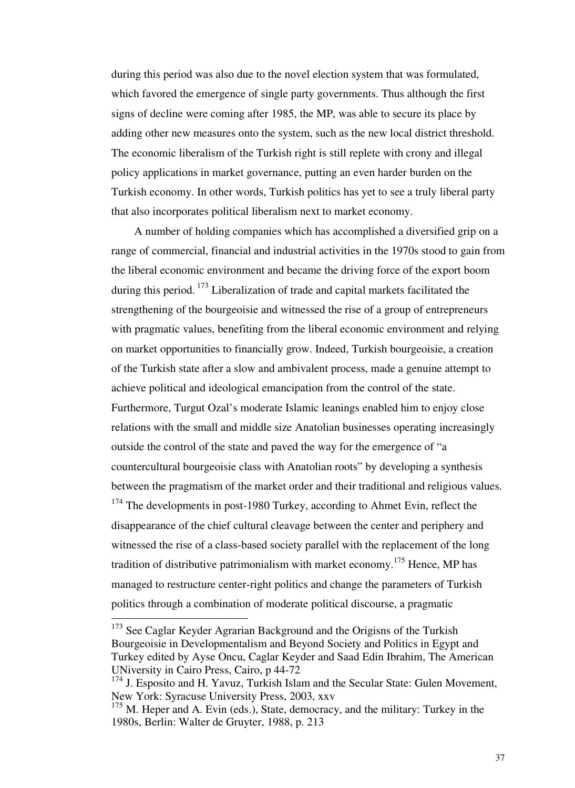during this period was also due to the novel election system that was formulated, which favored the emergence of single party governments. Thus although the first signs of decline were coming after 1985, the MP, was able to secure its place by adding other new measures onto the system, such as the new local district threshold. The economic liberalism of the Turkish right is still replete with crony and illegal policy applications in market governance, putting an even harder burden on the Turkish economy. In other words, Turkish politics has yet to see a truly liberal party that also incorporates political liberalism next to market economy.

 A number of holding companies which has accomplished a diversified grip on a range of commercial, financial and industrial activities in the 1970s stood to gain from the liberal economic environment and became the driving force of the export boom during this period.<sup>173</sup> Liberalization of trade and capital markets facilitated the strengthening of the bourgeoisie and witnessed the rise of a group of entrepreneurs with pragmatic values, benefiting from the liberal economic environment and relying on market opportunities to financially grow. Indeed, Turkish bourgeoisie, a creation of the Turkish state after a slow and ambivalent process, made a genuine attempt to achieve political and ideological emancipation from the control of the state. Furthermore, Turgut Ozal's moderate Islamic leanings enabled him to enjoy close relations with the small and middle size Anatolian businesses operating increasingly outside the control of the state and paved the way for the emergence of "a countercultural bourgeoisie class with Anatolian roots" by developing a synthesis between the pragmatism of the market order and their traditional and religious values.  $174$  The developments in post-1980 Turkey, according to Ahmet Evin, reflect the disappearance of the chief cultural cleavage between the center and periphery and witnessed the rise of a class-based society parallel with the replacement of the long tradition of distributive patrimonialism with market economy.<sup>175</sup> Hence, MP has managed to restructure center-right politics and change the parameters of Turkish politics through a combination of moderate political discourse, a pragmatic

 $173$  See Caglar Keyder Agrarian Background and the Origisns of the Turkish Bourgeoisie in Developmentalism and Beyond Society and Politics in Egypt and Turkey edited by Ayse Oncu, Caglar Keyder and Saad Edin Ibrahim, The American UNiversity in Cairo Press, Cairo, p 44-72

 $174$  J. Esposito and H. Yavuz, Turkish Islam and the Secular State: Gulen Movement, New York: Syracuse University Press, 2003, xxv

 $175$  M. Heper and A. Evin (eds.), State, democracy, and the military: Turkey in the 1980s, Berlin: Walter de Gruyter, 1988, p. 213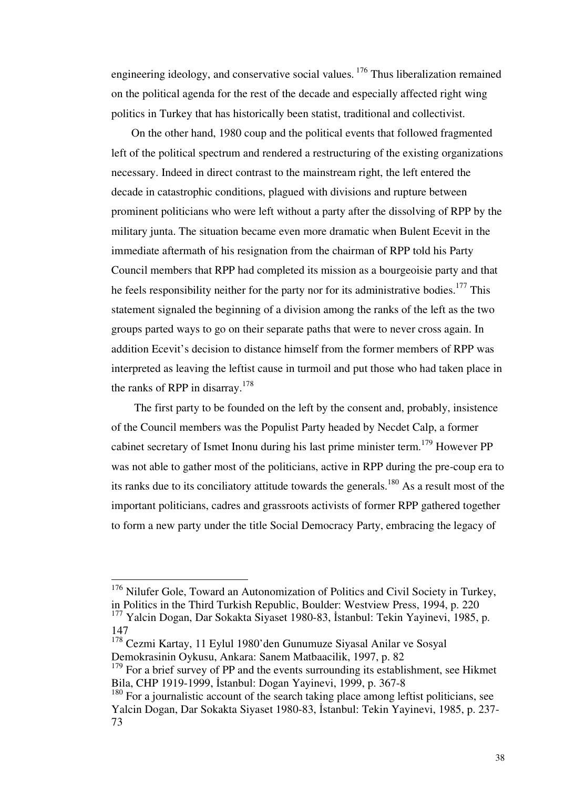engineering ideology, and conservative social values.<sup>176</sup> Thus liberalization remained on the political agenda for the rest of the decade and especially affected right wing politics in Turkey that has historically been statist, traditional and collectivist.

 On the other hand, 1980 coup and the political events that followed fragmented left of the political spectrum and rendered a restructuring of the existing organizations necessary. Indeed in direct contrast to the mainstream right, the left entered the decade in catastrophic conditions, plagued with divisions and rupture between prominent politicians who were left without a party after the dissolving of RPP by the military junta. The situation became even more dramatic when Bulent Ecevit in the immediate aftermath of his resignation from the chairman of RPP told his Party Council members that RPP had completed its mission as a bourgeoisie party and that he feels responsibility neither for the party nor for its administrative bodies.<sup>177</sup> This statement signaled the beginning of a division among the ranks of the left as the two groups parted ways to go on their separate paths that were to never cross again. In addition Ecevit's decision to distance himself from the former members of RPP was interpreted as leaving the leftist cause in turmoil and put those who had taken place in the ranks of RPP in disarray.<sup>178</sup>

 The first party to be founded on the left by the consent and, probably, insistence of the Council members was the Populist Party headed by Necdet Calp, a former cabinet secretary of Ismet Inonu during his last prime minister term.<sup>179</sup> However PP was not able to gather most of the politicians, active in RPP during the pre-coup era to its ranks due to its conciliatory attitude towards the generals.<sup>180</sup> As a result most of the important politicians, cadres and grassroots activists of former RPP gathered together to form a new party under the title Social Democracy Party, embracing the legacy of

 $176$  Nilufer Gole, Toward an Autonomization of Politics and Civil Society in Turkey, in Politics in the Third Turkish Republic, Boulder: Westview Press, 1994, p. 220

<sup>&</sup>lt;sup>177</sup> Yalcin Dogan, Dar Sokakta Siyaset 1980-83, İstanbul: Tekin Yayinevi, 1985, p. 147

<sup>178</sup> Cezmi Kartay, 11 Eylul 1980'den Gunumuze Siyasal Anilar ve Sosyal Demokrasinin Oykusu, Ankara: Sanem Matbaacilik, 1997, p. 82

 $179$  For a brief survey of PP and the events surrounding its establishment, see Hikmet Bila, CHP 1919-1999, İstanbul: Dogan Yayinevi, 1999, p. 367-8

 $180$  For a journalistic account of the search taking place among leftist politicians, see Yalcin Dogan, Dar Sokakta Siyaset 1980-83, İstanbul: Tekin Yayinevi, 1985, p. 237- 73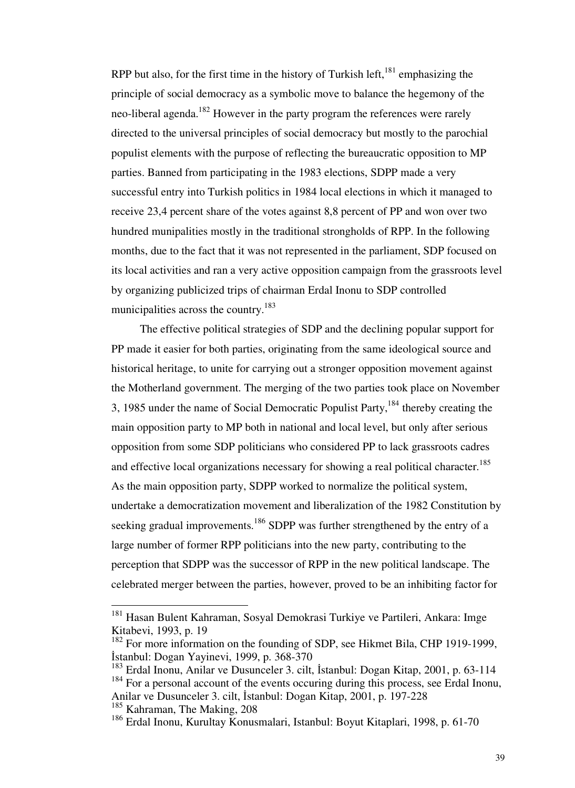RPP but also, for the first time in the history of Turkish left,  $181$  emphasizing the principle of social democracy as a symbolic move to balance the hegemony of the neo-liberal agenda.<sup>182</sup> However in the party program the references were rarely directed to the universal principles of social democracy but mostly to the parochial populist elements with the purpose of reflecting the bureaucratic opposition to MP parties. Banned from participating in the 1983 elections, SDPP made a very successful entry into Turkish politics in 1984 local elections in which it managed to receive 23,4 percent share of the votes against 8,8 percent of PP and won over two hundred munipalities mostly in the traditional strongholds of RPP. In the following months, due to the fact that it was not represented in the parliament, SDP focused on its local activities and ran a very active opposition campaign from the grassroots level by organizing publicized trips of chairman Erdal Inonu to SDP controlled municipalities across the country.<sup>183</sup>

 The effective political strategies of SDP and the declining popular support for PP made it easier for both parties, originating from the same ideological source and historical heritage, to unite for carrying out a stronger opposition movement against the Motherland government. The merging of the two parties took place on November 3, 1985 under the name of Social Democratic Populist Party,<sup>184</sup> thereby creating the main opposition party to MP both in national and local level, but only after serious opposition from some SDP politicians who considered PP to lack grassroots cadres and effective local organizations necessary for showing a real political character.<sup>185</sup> As the main opposition party, SDPP worked to normalize the political system, undertake a democratization movement and liberalization of the 1982 Constitution by seeking gradual improvements.<sup>186</sup> SDPP was further strengthened by the entry of a large number of former RPP politicians into the new party, contributing to the perception that SDPP was the successor of RPP in the new political landscape. The celebrated merger between the parties, however, proved to be an inhibiting factor for

<sup>&</sup>lt;sup>181</sup> Hasan Bulent Kahraman, Sosyal Demokrasi Turkiye ve Partileri, Ankara: Imge Kitabevi, 1993, p. 19

<sup>&</sup>lt;sup>182</sup> For more information on the founding of SDP, see Hikmet Bila, CHP 1919-1999, İstanbul: Dogan Yayinevi, 1999, p. 368-370

<sup>183</sup> Erdal Inonu, Anilar ve Dusunceler 3. cilt, İstanbul: Dogan Kitap, 2001, p. 63-114  $184$  For a personal account of the events occuring during this process, see Erdal Inonu,

Anilar ve Dusunceler 3. cilt, İstanbul: Dogan Kitap, 2001, p. 197-228

<sup>&</sup>lt;sup>185</sup> Kahraman, The Making, 208

<sup>186</sup> Erdal Inonu, Kurultay Konusmalari, Istanbul: Boyut Kitaplari, 1998, p. 61-70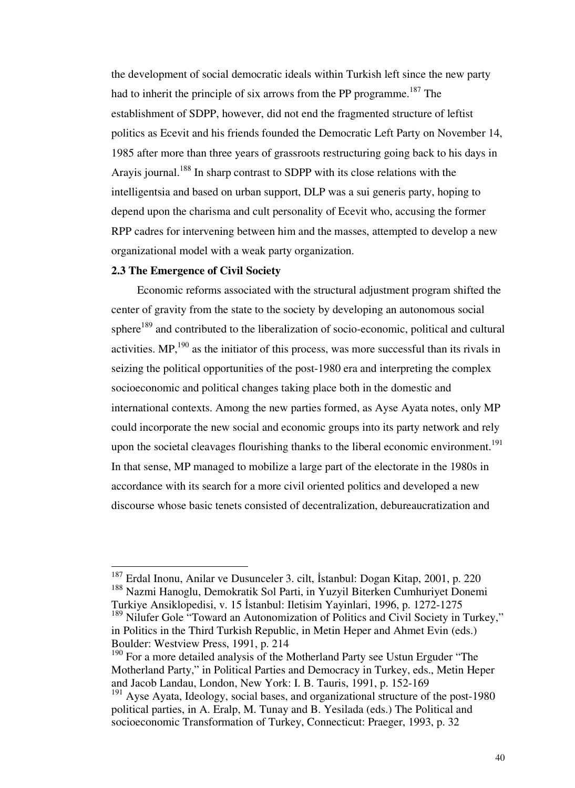the development of social democratic ideals within Turkish left since the new party had to inherit the principle of six arrows from the PP programme.<sup>187</sup> The establishment of SDPP, however, did not end the fragmented structure of leftist politics as Ecevit and his friends founded the Democratic Left Party on November 14, 1985 after more than three years of grassroots restructuring going back to his days in Arayis journal.<sup>188</sup> In sharp contrast to SDPP with its close relations with the intelligentsia and based on urban support, DLP was a sui generis party, hoping to depend upon the charisma and cult personality of Ecevit who, accusing the former RPP cadres for intervening between him and the masses, attempted to develop a new organizational model with a weak party organization.

#### **2.3 The Emergence of Civil Society**

-

 Economic reforms associated with the structural adjustment program shifted the center of gravity from the state to the society by developing an autonomous social sphere<sup>189</sup> and contributed to the liberalization of socio-economic, political and cultural activities.  $MP<sub>1</sub><sup>190</sup>$  as the initiator of this process, was more successful than its rivals in seizing the political opportunities of the post-1980 era and interpreting the complex socioeconomic and political changes taking place both in the domestic and international contexts. Among the new parties formed, as Ayse Ayata notes, only MP could incorporate the new social and economic groups into its party network and rely upon the societal cleavages flourishing thanks to the liberal economic environment.<sup>191</sup> In that sense, MP managed to mobilize a large part of the electorate in the 1980s in accordance with its search for a more civil oriented politics and developed a new discourse whose basic tenets consisted of decentralization, debureaucratization and

<sup>187</sup> Erdal Inonu, Anilar ve Dusunceler 3. cilt, İstanbul: Dogan Kitap, 2001, p. 220 <sup>188</sup> Nazmi Hanoglu, Demokratik Sol Parti, in Yuzyil Biterken Cumhuriyet Donemi Turkiye Ansiklopedisi, v. 15 İstanbul: Iletisim Yayinlari, 1996, p. 1272-1275

<sup>&</sup>lt;sup>189</sup> Nilufer Gole "Toward an Autonomization of Politics and Civil Society in Turkey," in Politics in the Third Turkish Republic, in Metin Heper and Ahmet Evin (eds.) Boulder: Westview Press, 1991, p. 214

<sup>&</sup>lt;sup>190</sup> For a more detailed analysis of the Motherland Party see Ustun Erguder "The Motherland Party," in Political Parties and Democracy in Turkey, eds., Metin Heper and Jacob Landau, London, New York: I. B. Tauris, 1991, p. 152-169

<sup>&</sup>lt;sup>191</sup> Ayse Ayata, Ideology, social bases, and organizational structure of the post-1980 political parties, in A. Eralp, M. Tunay and B. Yesilada (eds.) The Political and socioeconomic Transformation of Turkey, Connecticut: Praeger, 1993, p. 32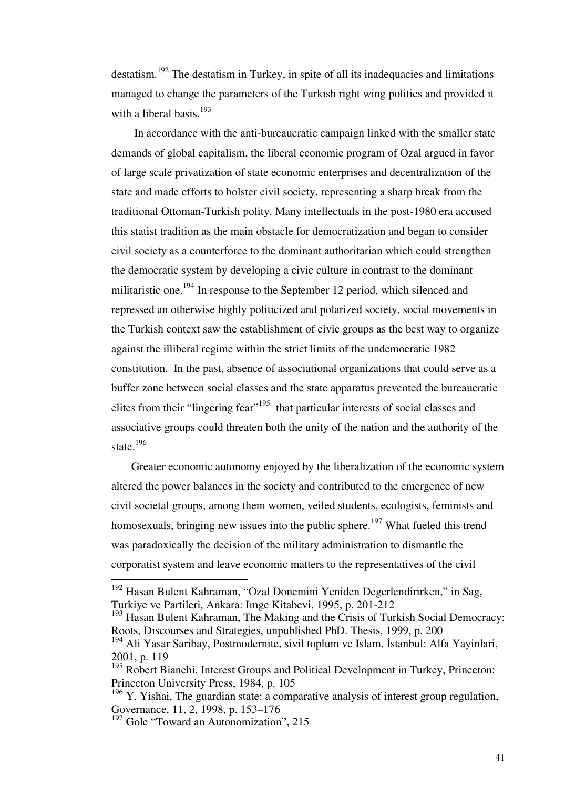destatism.<sup>192</sup> The destatism in Turkey, in spite of all its inadequacies and limitations managed to change the parameters of the Turkish right wing politics and provided it with a liberal basis.<sup>193</sup>

 In accordance with the anti-bureaucratic campaign linked with the smaller state demands of global capitalism, the liberal economic program of Ozal argued in favor of large scale privatization of state economic enterprises and decentralization of the state and made efforts to bolster civil society, representing a sharp break from the traditional Ottoman-Turkish polity. Many intellectuals in the post-1980 era accused this statist tradition as the main obstacle for democratization and began to consider civil society as a counterforce to the dominant authoritarian which could strengthen the democratic system by developing a civic culture in contrast to the dominant militaristic one.<sup>194</sup> In response to the September 12 period, which silenced and repressed an otherwise highly politicized and polarized society, social movements in the Turkish context saw the establishment of civic groups as the best way to organize against the illiberal regime within the strict limits of the undemocratic 1982 constitution. In the past, absence of associational organizations that could serve as a buffer zone between social classes and the state apparatus prevented the bureaucratic elites from their "lingering fear"<sup>195</sup> that particular interests of social classes and associative groups could threaten both the unity of the nation and the authority of the state. $^{196}$ 

 Greater economic autonomy enjoyed by the liberalization of the economic system altered the power balances in the society and contributed to the emergence of new civil societal groups, among them women, veiled students, ecologists, feminists and homosexuals, bringing new issues into the public sphere.<sup>197</sup> What fueled this trend was paradoxically the decision of the military administration to dismantle the corporatist system and leave economic matters to the representatives of the civil

 $192$  Hasan Bulent Kahraman, "Ozal Donemini Yeniden Degerlendirirken," in Sag, Turkiye ve Partileri, Ankara: Imge Kitabevi, 1995, p. 201-212

<sup>&</sup>lt;sup>193</sup> Hasan Bulent Kahraman, The Making and the Crisis of Turkish Social Democracy: Roots, Discourses and Strategies, unpublished PhD. Thesis, 1999, p. 200

<sup>194</sup> Ali Yasar Saribay, Postmodernite, sivil toplum ve Islam, İstanbul: Alfa Yayinlari, 2001, p. 119

<sup>&</sup>lt;sup>195</sup> Robert Bianchi, Interest Groups and Political Development in Turkey, Princeton: Princeton University Press, 1984, p. 105

 $196$  Y. Yishai, The guardian state: a comparative analysis of interest group regulation, Governance, 11, 2, 1998, p. 153–176

<sup>&</sup>lt;sup>197</sup> Gole "Toward an Autonomization", 215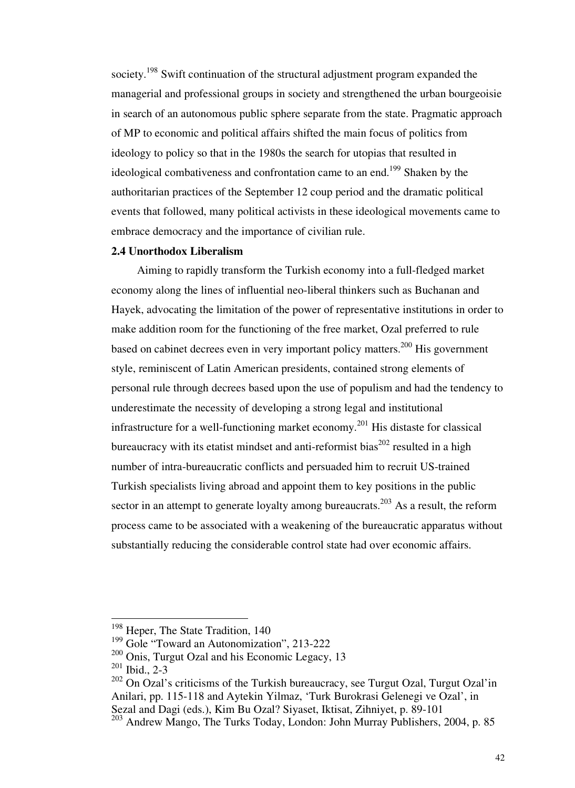society.<sup>198</sup> Swift continuation of the structural adjustment program expanded the managerial and professional groups in society and strengthened the urban bourgeoisie in search of an autonomous public sphere separate from the state. Pragmatic approach of MP to economic and political affairs shifted the main focus of politics from ideology to policy so that in the 1980s the search for utopias that resulted in ideological combativeness and confrontation came to an end.<sup>199</sup> Shaken by the authoritarian practices of the September 12 coup period and the dramatic political events that followed, many political activists in these ideological movements came to embrace democracy and the importance of civilian rule.

## **2.4 Unorthodox Liberalism**

 Aiming to rapidly transform the Turkish economy into a full-fledged market economy along the lines of influential neo-liberal thinkers such as Buchanan and Hayek, advocating the limitation of the power of representative institutions in order to make addition room for the functioning of the free market, Ozal preferred to rule based on cabinet decrees even in very important policy matters.<sup>200</sup> His government style, reminiscent of Latin American presidents, contained strong elements of personal rule through decrees based upon the use of populism and had the tendency to underestimate the necessity of developing a strong legal and institutional infrastructure for a well-functioning market economy.<sup>201</sup> His distaste for classical bureaucracy with its etatist mindset and anti-reformist bias<sup>202</sup> resulted in a high number of intra-bureaucratic conflicts and persuaded him to recruit US-trained Turkish specialists living abroad and appoint them to key positions in the public sector in an attempt to generate loyalty among bureaucrats.<sup>203</sup> As a result, the reform process came to be associated with a weakening of the bureaucratic apparatus without substantially reducing the considerable control state had over economic affairs.

<sup>&</sup>lt;sup>198</sup> Heper, The State Tradition, 140

<sup>&</sup>lt;sup>199</sup> Gole "Toward an Autonomization", 213-222

<sup>&</sup>lt;sup>200</sup> Onis. Turgut Ozal and his Economic Legacy, 13

 $201$  Ibid., 2-3

<sup>&</sup>lt;sup>202</sup> On Ozal's criticisms of the Turkish bureaucracy, see Turgut Ozal, Turgut Ozal'in Anilari, pp. 115-118 and Aytekin Yilmaz, 'Turk Burokrasi Gelenegi ve Ozal', in Sezal and Dagi (eds.), Kim Bu Ozal? Siyaset, Iktisat, Zihniyet, p. 89-101

<sup>203</sup> Andrew Mango, The Turks Today, London: John Murray Publishers, 2004, p. 85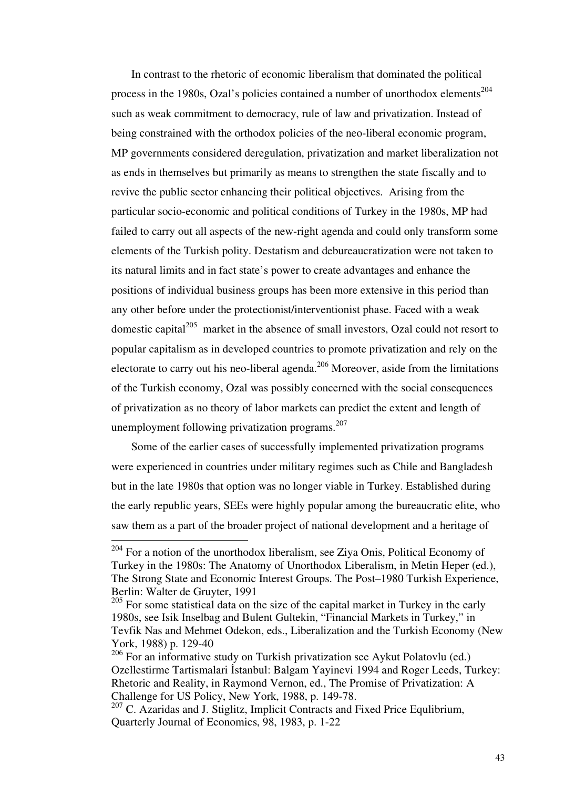In contrast to the rhetoric of economic liberalism that dominated the political process in the 1980s, Ozal's policies contained a number of unorthodox elements<sup>204</sup> such as weak commitment to democracy, rule of law and privatization. Instead of being constrained with the orthodox policies of the neo-liberal economic program, MP governments considered deregulation, privatization and market liberalization not as ends in themselves but primarily as means to strengthen the state fiscally and to revive the public sector enhancing their political objectives. Arising from the particular socio-economic and political conditions of Turkey in the 1980s, MP had failed to carry out all aspects of the new-right agenda and could only transform some elements of the Turkish polity. Destatism and debureaucratization were not taken to its natural limits and in fact state's power to create advantages and enhance the positions of individual business groups has been more extensive in this period than any other before under the protectionist/interventionist phase. Faced with a weak domestic capital $1^{205}$  market in the absence of small investors, Ozal could not resort to popular capitalism as in developed countries to promote privatization and rely on the electorate to carry out his neo-liberal agenda. $206$  Moreover, aside from the limitations of the Turkish economy, Ozal was possibly concerned with the social consequences of privatization as no theory of labor markets can predict the extent and length of unemployment following privatization programs.<sup>207</sup>

 Some of the earlier cases of successfully implemented privatization programs were experienced in countries under military regimes such as Chile and Bangladesh but in the late 1980s that option was no longer viable in Turkey. Established during the early republic years, SEEs were highly popular among the bureaucratic elite, who saw them as a part of the broader project of national development and a heritage of

 $204$  For a notion of the unorthodox liberalism, see Ziya Onis, Political Economy of Turkey in the 1980s: The Anatomy of Unorthodox Liberalism, in Metin Heper (ed.), The Strong State and Economic Interest Groups. The Post–1980 Turkish Experience, Berlin: Walter de Gruyter, 1991

<sup>&</sup>lt;sup>205</sup> For some statistical data on the size of the capital market in Turkey in the early 1980s, see Isik Inselbag and Bulent Gultekin, "Financial Markets in Turkey," in Tevfik Nas and Mehmet Odekon, eds., Liberalization and the Turkish Economy (New York, 1988) p. 129-40

 $206$  For an informative study on Turkish privatization see Aykut Polatovlu (ed.) Ozellestirme Tartismalari İstanbul: Balgam Yayinevi 1994 and Roger Leeds, Turkey: Rhetoric and Reality, in Raymond Vernon, ed., The Promise of Privatization: A Challenge for US Policy, New York, 1988, p. 149-78.

<sup>&</sup>lt;sup>207</sup> C. Azaridas and J. Stiglitz, Implicit Contracts and Fixed Price Equlibrium, Quarterly Journal of Economics, 98, 1983, p. 1-22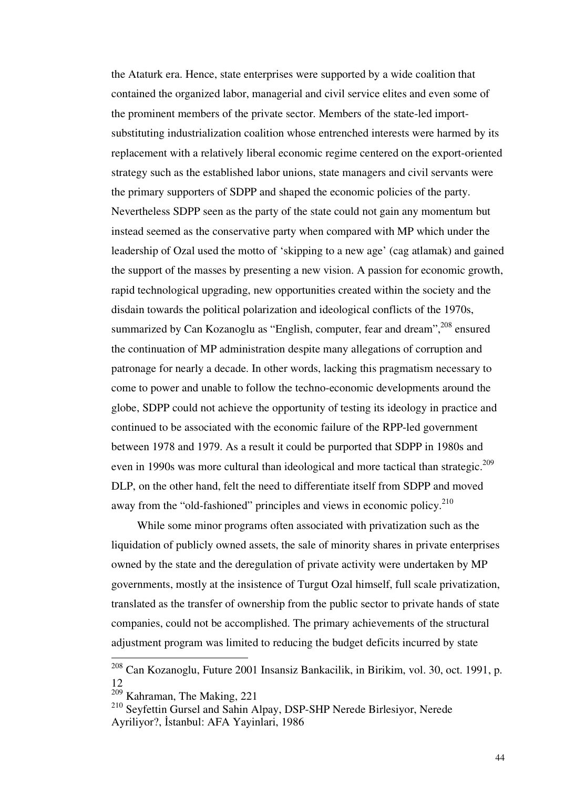the Ataturk era. Hence, state enterprises were supported by a wide coalition that contained the organized labor, managerial and civil service elites and even some of the prominent members of the private sector. Members of the state-led importsubstituting industrialization coalition whose entrenched interests were harmed by its replacement with a relatively liberal economic regime centered on the export-oriented strategy such as the established labor unions, state managers and civil servants were the primary supporters of SDPP and shaped the economic policies of the party. Nevertheless SDPP seen as the party of the state could not gain any momentum but instead seemed as the conservative party when compared with MP which under the leadership of Ozal used the motto of 'skipping to a new age' (cag atlamak) and gained the support of the masses by presenting a new vision. A passion for economic growth, rapid technological upgrading, new opportunities created within the society and the disdain towards the political polarization and ideological conflicts of the 1970s, summarized by Can Kozanoglu as "English, computer, fear and dream",<sup>208</sup> ensured the continuation of MP administration despite many allegations of corruption and patronage for nearly a decade. In other words, lacking this pragmatism necessary to come to power and unable to follow the techno-economic developments around the globe, SDPP could not achieve the opportunity of testing its ideology in practice and continued to be associated with the economic failure of the RPP-led government between 1978 and 1979. As a result it could be purported that SDPP in 1980s and even in 1990s was more cultural than ideological and more tactical than strategic.<sup>209</sup> DLP, on the other hand, felt the need to differentiate itself from SDPP and moved away from the "old-fashioned" principles and views in economic policy.<sup>210</sup>

 While some minor programs often associated with privatization such as the liquidation of publicly owned assets, the sale of minority shares in private enterprises owned by the state and the deregulation of private activity were undertaken by MP governments, mostly at the insistence of Turgut Ozal himself, full scale privatization, translated as the transfer of ownership from the public sector to private hands of state companies, could not be accomplished. The primary achievements of the structural adjustment program was limited to reducing the budget deficits incurred by state

<sup>208</sup> Can Kozanoglu, Future 2001 Insansiz Bankacilik, in Birikim, vol. 30, oct. 1991, p. 12

 $\frac{209}{209}$  Kahraman, The Making, 221

<sup>210</sup> Seyfettin Gursel and Sahin Alpay, DSP-SHP Nerede Birlesiyor, Nerede Ayriliyor?, İstanbul: AFA Yayinlari, 1986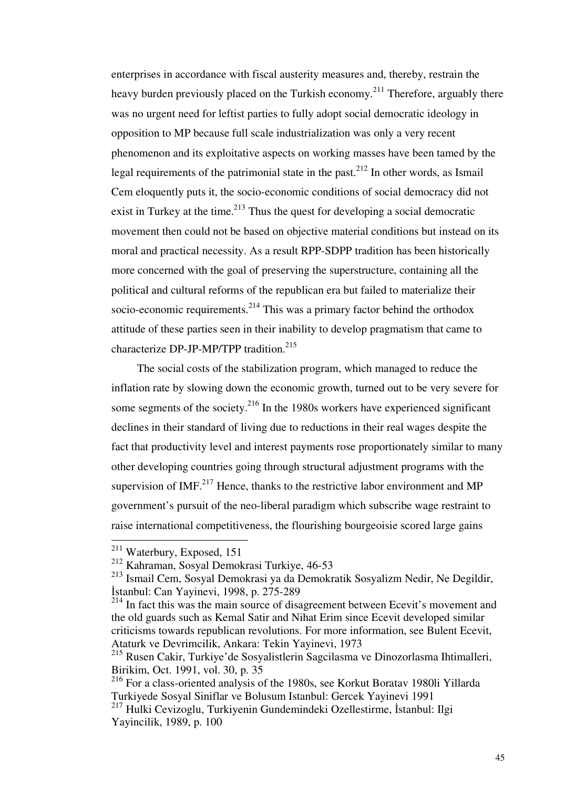enterprises in accordance with fiscal austerity measures and, thereby, restrain the heavy burden previously placed on the Turkish economy.<sup>211</sup> Therefore, arguably there was no urgent need for leftist parties to fully adopt social democratic ideology in opposition to MP because full scale industrialization was only a very recent phenomenon and its exploitative aspects on working masses have been tamed by the legal requirements of the patrimonial state in the past.<sup>212</sup> In other words, as Ismail Cem eloquently puts it, the socio-economic conditions of social democracy did not exist in Turkey at the time.<sup>213</sup> Thus the quest for developing a social democratic movement then could not be based on objective material conditions but instead on its moral and practical necessity. As a result RPP-SDPP tradition has been historically more concerned with the goal of preserving the superstructure, containing all the political and cultural reforms of the republican era but failed to materialize their socio-economic requirements.<sup>214</sup> This was a primary factor behind the orthodox attitude of these parties seen in their inability to develop pragmatism that came to characterize DP-JP-MP/TPP tradition.<sup>215</sup>

 The social costs of the stabilization program, which managed to reduce the inflation rate by slowing down the economic growth, turned out to be very severe for some segments of the society. $216$  In the 1980s workers have experienced significant declines in their standard of living due to reductions in their real wages despite the fact that productivity level and interest payments rose proportionately similar to many other developing countries going through structural adjustment programs with the supervision of IMF. $^{217}$  Hence, thanks to the restrictive labor environment and MP government's pursuit of the neo-liberal paradigm which subscribe wage restraint to raise international competitiveness, the flourishing bourgeoisie scored large gains

 $211$  Waterbury, Exposed, 151

<sup>212</sup> Kahraman, Sosyal Demokrasi Turkiye, 46-53

<sup>213</sup> Ismail Cem, Sosyal Demokrasi ya da Demokratik Sosyalizm Nedir, Ne Degildir, İstanbul: Can Yayinevi, 1998, p. 275-289

<sup>&</sup>lt;sup>214</sup> In fact this was the main source of disagreement between Ecevit's movement and the old guards such as Kemal Satir and Nihat Erim since Ecevit developed similar criticisms towards republican revolutions. For more information, see Bulent Ecevit, Ataturk ve Devrimcilik, Ankara: Tekin Yayinevi, 1973

<sup>215</sup> Rusen Cakir, Turkiye'de Sosyalistlerin Sagcilasma ve Dinozorlasma Ihtimalleri, Birikim, Oct. 1991, vol. 30, p. 35

<sup>216</sup> For a class-oriented analysis of the 1980s, see Korkut Boratav 1980li Yillarda Turkiyede Sosyal Siniflar ve Bolusum Istanbul: Gercek Yayinevi 1991

<sup>&</sup>lt;sup>217</sup> Hulki Cevizoglu, Turkiyenin Gundemindeki Ozellestirme, İstanbul: Ilgi Yayincilik, 1989, p. 100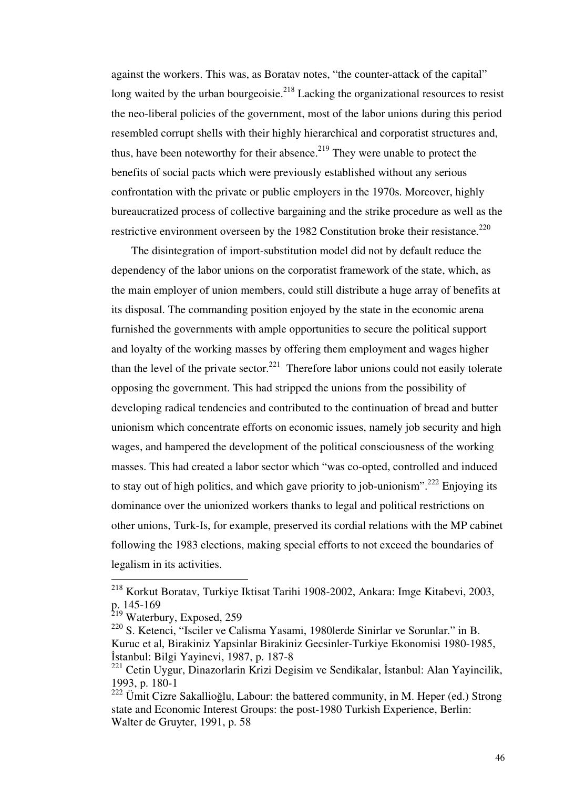against the workers. This was, as Boratav notes, "the counter-attack of the capital" long waited by the urban bourgeoisie.<sup>218</sup> Lacking the organizational resources to resist the neo-liberal policies of the government, most of the labor unions during this period resembled corrupt shells with their highly hierarchical and corporatist structures and, thus, have been noteworthy for their absence.<sup>219</sup> They were unable to protect the benefits of social pacts which were previously established without any serious confrontation with the private or public employers in the 1970s. Moreover, highly bureaucratized process of collective bargaining and the strike procedure as well as the restrictive environment overseen by the 1982 Constitution broke their resistance.<sup>220</sup>

 The disintegration of import-substitution model did not by default reduce the dependency of the labor unions on the corporatist framework of the state, which, as the main employer of union members, could still distribute a huge array of benefits at its disposal. The commanding position enjoyed by the state in the economic arena furnished the governments with ample opportunities to secure the political support and loyalty of the working masses by offering them employment and wages higher than the level of the private sector.<sup>221</sup> Therefore labor unions could not easily tolerate opposing the government. This had stripped the unions from the possibility of developing radical tendencies and contributed to the continuation of bread and butter unionism which concentrate efforts on economic issues, namely job security and high wages, and hampered the development of the political consciousness of the working masses. This had created a labor sector which "was co-opted, controlled and induced to stay out of high politics, and which gave priority to job-unionism".<sup>222</sup> Enjoying its dominance over the unionized workers thanks to legal and political restrictions on other unions, Turk-Is, for example, preserved its cordial relations with the MP cabinet following the 1983 elections, making special efforts to not exceed the boundaries of legalism in its activities.

<sup>218</sup> Korkut Boratav, Turkiye Iktisat Tarihi 1908-2002, Ankara: Imge Kitabevi, 2003, p. 145-169

<sup>&</sup>lt;sup>219</sup> Waterbury, Exposed, 259

<sup>220</sup> S. Ketenci, "Isciler ve Calisma Yasami, 1980lerde Sinirlar ve Sorunlar." in B. Kuruc et al, Birakiniz Yapsinlar Birakiniz Gecsinler-Turkiye Ekonomisi 1980-1985, İstanbul: Bilgi Yayinevi, 1987, p. 187-8

<sup>221</sup> Cetin Uygur, Dinazorlarin Krizi Degisim ve Sendikalar, İstanbul: Alan Yayincilik, 1993, p. 180-1

<sup>222</sup> Ümit Cizre Sakallioğlu, Labour: the battered community, in M. Heper (ed.) Strong state and Economic Interest Groups: the post-1980 Turkish Experience, Berlin: Walter de Gruyter, 1991, p. 58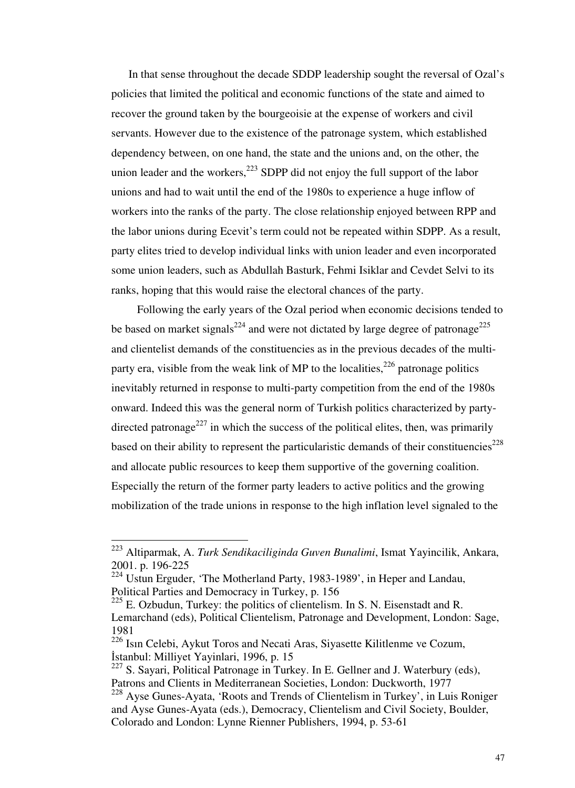In that sense throughout the decade SDDP leadership sought the reversal of Ozal's policies that limited the political and economic functions of the state and aimed to recover the ground taken by the bourgeoisie at the expense of workers and civil servants. However due to the existence of the patronage system, which established dependency between, on one hand, the state and the unions and, on the other, the union leader and the workers, $^{223}$  SDPP did not enjoy the full support of the labor unions and had to wait until the end of the 1980s to experience a huge inflow of workers into the ranks of the party. The close relationship enjoyed between RPP and the labor unions during Ecevit's term could not be repeated within SDPP. As a result, party elites tried to develop individual links with union leader and even incorporated some union leaders, such as Abdullah Basturk, Fehmi Isiklar and Cevdet Selvi to its ranks, hoping that this would raise the electoral chances of the party.

 Following the early years of the Ozal period when economic decisions tended to be based on market signals<sup>224</sup> and were not dictated by large degree of patronage<sup>225</sup> and clientelist demands of the constituencies as in the previous decades of the multiparty era, visible from the weak link of MP to the localities,  $226$  patronage politics inevitably returned in response to multi-party competition from the end of the 1980s onward. Indeed this was the general norm of Turkish politics characterized by partydirected patronage<sup>227</sup> in which the success of the political elites, then, was primarily based on their ability to represent the particularistic demands of their constituencies<sup>228</sup> and allocate public resources to keep them supportive of the governing coalition. Especially the return of the former party leaders to active politics and the growing mobilization of the trade unions in response to the high inflation level signaled to the

<sup>223</sup> Altiparmak, A. *Turk Sendikaciliginda Guven Bunalimi*, Ismat Yayincilik, Ankara, 2001. p. 196-225

 $224$  Ustun Erguder, 'The Motherland Party, 1983-1989', in Heper and Landau, Political Parties and Democracy in Turkey, p. 156

 $225$  E. Ozbudun, Turkey: the politics of clientelism. In S. N. Eisenstadt and R. Lemarchand (eds), Political Clientelism, Patronage and Development, London: Sage, 1981

<sup>226</sup> Isın Celebi, Aykut Toros and Necati Aras, Siyasette Kilitlenme ve Cozum, İstanbul: Milliyet Yayinlari, 1996, p. 15

<sup>&</sup>lt;sup>227</sup> S. Sayari, Political Patronage in Turkey. In E. Gellner and J. Waterbury (eds), Patrons and Clients in Mediterranean Societies, London: Duckworth, 1977

 $228$  Ayse Gunes-Ayata, 'Roots and Trends of Clientelism in Turkey', in Luis Roniger and Ayse Gunes-Ayata (eds.), Democracy, Clientelism and Civil Society, Boulder, Colorado and London: Lynne Rienner Publishers, 1994, p. 53-61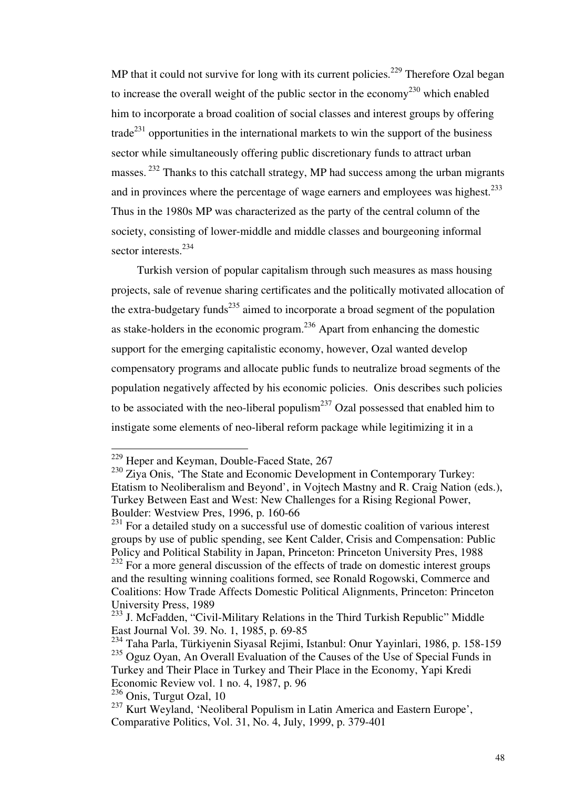MP that it could not survive for long with its current policies.<sup>229</sup> Therefore Ozal began to increase the overall weight of the public sector in the economy<sup>230</sup> which enabled him to incorporate a broad coalition of social classes and interest groups by offering trade<sup>231</sup> opportunities in the international markets to win the support of the business sector while simultaneously offering public discretionary funds to attract urban masses.<sup>232</sup> Thanks to this catchall strategy, MP had success among the urban migrants and in provinces where the percentage of wage earners and employees was highest.<sup>233</sup> Thus in the 1980s MP was characterized as the party of the central column of the society, consisting of lower-middle and middle classes and bourgeoning informal sector interests.<sup>234</sup>

 Turkish version of popular capitalism through such measures as mass housing projects, sale of revenue sharing certificates and the politically motivated allocation of the extra-budgetary funds<sup>235</sup> aimed to incorporate a broad segment of the population as stake-holders in the economic program.<sup>236</sup> Apart from enhancing the domestic support for the emerging capitalistic economy, however, Ozal wanted develop compensatory programs and allocate public funds to neutralize broad segments of the population negatively affected by his economic policies. Onis describes such policies to be associated with the neo-liberal populism<sup>237</sup> Ozal possessed that enabled him to instigate some elements of neo-liberal reform package while legitimizing it in a

<sup>&</sup>lt;sup>229</sup> Heper and Keyman, Double-Faced State, 267

<sup>&</sup>lt;sup>230</sup> Ziya Onis, 'The State and Economic Development in Contemporary Turkey: Etatism to Neoliberalism and Beyond', in Vojtech Mastny and R. Craig Nation (eds.), Turkey Between East and West: New Challenges for a Rising Regional Power, Boulder: Westview Pres, 1996, p. 160-66

 $231$  For a detailed study on a successful use of domestic coalition of various interest groups by use of public spending, see Kent Calder, Crisis and Compensation: Public Policy and Political Stability in Japan, Princeton: Princeton University Pres, 1988

<sup>&</sup>lt;sup>232</sup> For a more general discussion of the effects of trade on domestic interest groups and the resulting winning coalitions formed, see Ronald Rogowski, Commerce and Coalitions: How Trade Affects Domestic Political Alignments, Princeton: Princeton University Press, 1989

<sup>&</sup>lt;sup>233</sup> J. McFadden, "Civil-Military Relations in the Third Turkish Republic" Middle East Journal Vol. 39. No. 1, 1985, p. 69-85

<sup>234</sup> Taha Parla, Türkiyenin Siyasal Rejimi, Istanbul: Onur Yayinlari, 1986, p. 158-159  $^{235}$  Oguz Oyan, An Overall Evaluation of the Causes of the Use of Special Funds in Turkey and Their Place in Turkey and Their Place in the Economy, Yapi Kredi Economic Review vol. 1 no. 4, 1987, p. 96

 $236$  Onis, Turgut Ozal, 10

<sup>&</sup>lt;sup>237</sup> Kurt Weyland, 'Neoliberal Populism in Latin America and Eastern Europe', Comparative Politics, Vol. 31, No. 4, July, 1999, p. 379-401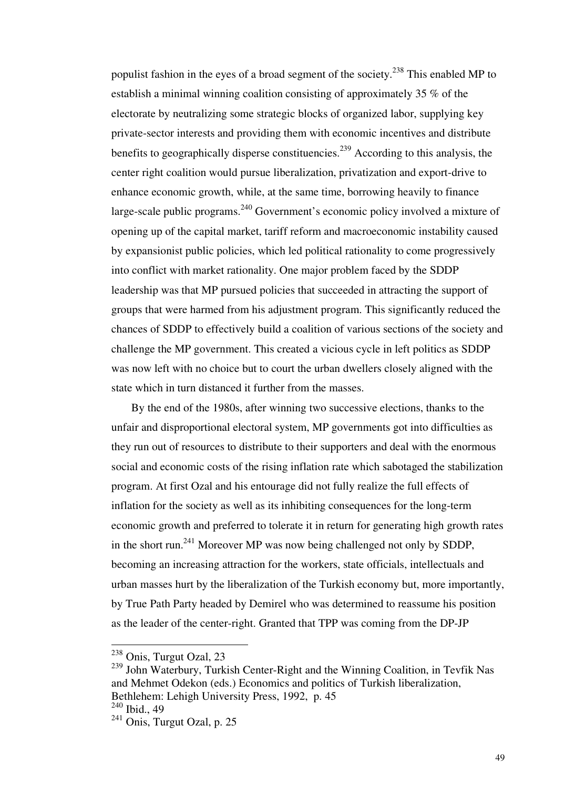populist fashion in the eyes of a broad segment of the society.<sup>238</sup> This enabled MP to establish a minimal winning coalition consisting of approximately 35 % of the electorate by neutralizing some strategic blocks of organized labor, supplying key private-sector interests and providing them with economic incentives and distribute benefits to geographically disperse constituencies.<sup>239</sup> According to this analysis, the center right coalition would pursue liberalization, privatization and export-drive to enhance economic growth, while, at the same time, borrowing heavily to finance large-scale public programs.<sup>240</sup> Government's economic policy involved a mixture of opening up of the capital market, tariff reform and macroeconomic instability caused by expansionist public policies, which led political rationality to come progressively into conflict with market rationality. One major problem faced by the SDDP leadership was that MP pursued policies that succeeded in attracting the support of groups that were harmed from his adjustment program. This significantly reduced the chances of SDDP to effectively build a coalition of various sections of the society and challenge the MP government. This created a vicious cycle in left politics as SDDP was now left with no choice but to court the urban dwellers closely aligned with the state which in turn distanced it further from the masses.

 By the end of the 1980s, after winning two successive elections, thanks to the unfair and disproportional electoral system, MP governments got into difficulties as they run out of resources to distribute to their supporters and deal with the enormous social and economic costs of the rising inflation rate which sabotaged the stabilization program. At first Ozal and his entourage did not fully realize the full effects of inflation for the society as well as its inhibiting consequences for the long-term economic growth and preferred to tolerate it in return for generating high growth rates in the short run.<sup>241</sup> Moreover MP was now being challenged not only by SDDP, becoming an increasing attraction for the workers, state officials, intellectuals and urban masses hurt by the liberalization of the Turkish economy but, more importantly, by True Path Party headed by Demirel who was determined to reassume his position as the leader of the center-right. Granted that TPP was coming from the DP-JP

<sup>&</sup>lt;sup>238</sup> Onis, Turgut Ozal, 23

<sup>239</sup> John Waterbury, Turkish Center-Right and the Winning Coalition, in Tevfik Nas and Mehmet Odekon (eds.) Economics and politics of Turkish liberalization, Bethlehem: Lehigh University Press, 1992, p. 45 <sup>240</sup> Ibid., 49

 $241$  Onis, Turgut Ozal, p. 25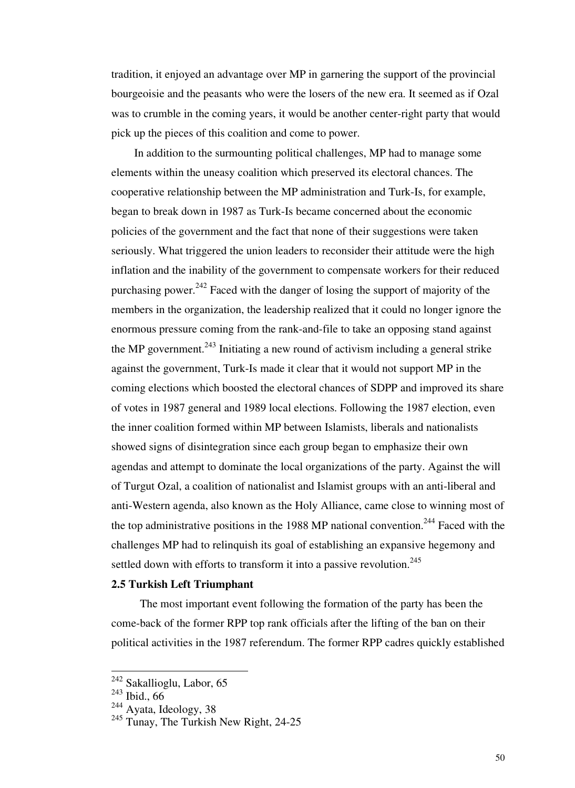tradition, it enjoyed an advantage over MP in garnering the support of the provincial bourgeoisie and the peasants who were the losers of the new era. It seemed as if Ozal was to crumble in the coming years, it would be another center-right party that would pick up the pieces of this coalition and come to power.

 In addition to the surmounting political challenges, MP had to manage some elements within the uneasy coalition which preserved its electoral chances. The cooperative relationship between the MP administration and Turk-Is, for example, began to break down in 1987 as Turk-Is became concerned about the economic policies of the government and the fact that none of their suggestions were taken seriously. What triggered the union leaders to reconsider their attitude were the high inflation and the inability of the government to compensate workers for their reduced purchasing power. $^{242}$  Faced with the danger of losing the support of majority of the members in the organization, the leadership realized that it could no longer ignore the enormous pressure coming from the rank-and-file to take an opposing stand against the MP government.<sup>243</sup> Initiating a new round of activism including a general strike against the government, Turk-Is made it clear that it would not support MP in the coming elections which boosted the electoral chances of SDPP and improved its share of votes in 1987 general and 1989 local elections. Following the 1987 election, even the inner coalition formed within MP between Islamists, liberals and nationalists showed signs of disintegration since each group began to emphasize their own agendas and attempt to dominate the local organizations of the party. Against the will of Turgut Ozal, a coalition of nationalist and Islamist groups with an anti-liberal and anti-Western agenda, also known as the Holy Alliance, came close to winning most of the top administrative positions in the 1988 MP national convention.<sup>244</sup> Faced with the challenges MP had to relinquish its goal of establishing an expansive hegemony and settled down with efforts to transform it into a passive revolution. $245$ 

#### **2.5 Turkish Left Triumphant**

 The most important event following the formation of the party has been the come-back of the former RPP top rank officials after the lifting of the ban on their political activities in the 1987 referendum. The former RPP cadres quickly established

<sup>&</sup>lt;sup>242</sup> Sakallioglu, Labor, 65

 $243$  Ibid., 66

<sup>&</sup>lt;sup>244</sup> Ayata, Ideology, 38

<sup>&</sup>lt;sup>245</sup> Tunay, The Turkish New Right, 24-25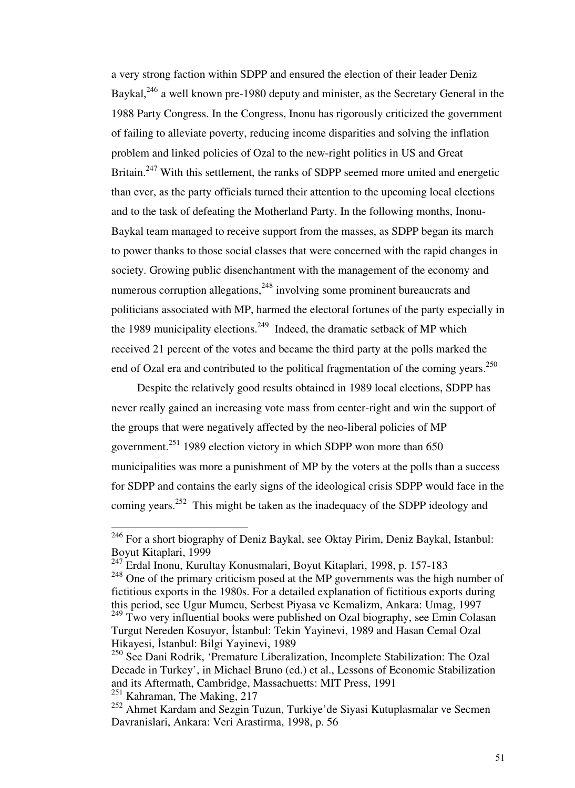a very strong faction within SDPP and ensured the election of their leader Deniz Baykal,<sup>246</sup> a well known pre-1980 deputy and minister, as the Secretary General in the 1988 Party Congress. In the Congress, Inonu has rigorously criticized the government of failing to alleviate poverty, reducing income disparities and solving the inflation problem and linked policies of Ozal to the new-right politics in US and Great Britain.<sup>247</sup> With this settlement, the ranks of SDPP seemed more united and energetic than ever, as the party officials turned their attention to the upcoming local elections and to the task of defeating the Motherland Party. In the following months, Inonu-Baykal team managed to receive support from the masses, as SDPP began its march to power thanks to those social classes that were concerned with the rapid changes in society. Growing public disenchantment with the management of the economy and numerous corruption allegations, $248$  involving some prominent bureaucrats and politicians associated with MP, harmed the electoral fortunes of the party especially in the 1989 municipality elections.<sup>249</sup> Indeed, the dramatic setback of MP which received 21 percent of the votes and became the third party at the polls marked the end of Ozal era and contributed to the political fragmentation of the coming years.<sup>250</sup>

 Despite the relatively good results obtained in 1989 local elections, SDPP has never really gained an increasing vote mass from center-right and win the support of the groups that were negatively affected by the neo-liberal policies of MP government.<sup>251</sup> 1989 election victory in which SDPP won more than 650 municipalities was more a punishment of MP by the voters at the polls than a success for SDPP and contains the early signs of the ideological crisis SDPP would face in the coming years.<sup>252</sup> This might be taken as the inadequacy of the SDPP ideology and

 $246$  For a short biography of Deniz Baykal, see Oktay Pirim, Deniz Baykal, Istanbul: Boyut Kitaplari, 1999

 $\frac{247}{247}$  Erdal Inonu, Kurultay Konusmalari, Boyut Kitaplari, 1998, p. 157-183

<sup>&</sup>lt;sup>248</sup> One of the primary criticism posed at the MP governments was the high number of fictitious exports in the 1980s. For a detailed explanation of fictitious exports during this period, see Ugur Mumcu, Serbest Piyasa ve Kemalizm, Ankara: Umag, 1997

 $249$  Two very influential books were published on Ozal biography, see Emin Colasan Turgut Nereden Kosuyor, İstanbul: Tekin Yayinevi, 1989 and Hasan Cemal Ozal Hikayesi, İstanbul: Bilgi Yayinevi, 1989

<sup>&</sup>lt;sup>250</sup> See Dani Rodrik, 'Premature Liberalization, Incomplete Stabilization: The Ozal Decade in Turkey', in Michael Bruno (ed.) et al., Lessons of Economic Stabilization and its Aftermath, Cambridge, Massachuetts: MIT Press, 1991

 $^{251}$  Kahraman, The Making, 217

<sup>252</sup> Ahmet Kardam and Sezgin Tuzun, Turkiye'de Siyasi Kutuplasmalar ve Secmen Davranislari, Ankara: Veri Arastirma, 1998, p. 56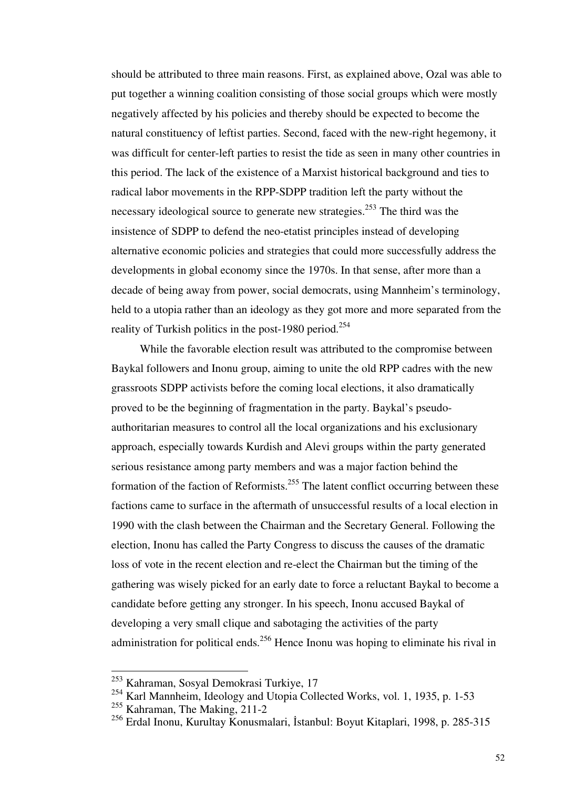should be attributed to three main reasons. First, as explained above, Ozal was able to put together a winning coalition consisting of those social groups which were mostly negatively affected by his policies and thereby should be expected to become the natural constituency of leftist parties. Second, faced with the new-right hegemony, it was difficult for center-left parties to resist the tide as seen in many other countries in this period. The lack of the existence of a Marxist historical background and ties to radical labor movements in the RPP-SDPP tradition left the party without the necessary ideological source to generate new strategies.<sup>253</sup> The third was the insistence of SDPP to defend the neo-etatist principles instead of developing alternative economic policies and strategies that could more successfully address the developments in global economy since the 1970s. In that sense, after more than a decade of being away from power, social democrats, using Mannheim's terminology, held to a utopia rather than an ideology as they got more and more separated from the reality of Turkish politics in the post-1980 period.<sup>254</sup>

 While the favorable election result was attributed to the compromise between Baykal followers and Inonu group, aiming to unite the old RPP cadres with the new grassroots SDPP activists before the coming local elections, it also dramatically proved to be the beginning of fragmentation in the party. Baykal's pseudoauthoritarian measures to control all the local organizations and his exclusionary approach, especially towards Kurdish and Alevi groups within the party generated serious resistance among party members and was a major faction behind the formation of the faction of Reformists.<sup>255</sup> The latent conflict occurring between these factions came to surface in the aftermath of unsuccessful results of a local election in 1990 with the clash between the Chairman and the Secretary General. Following the election, Inonu has called the Party Congress to discuss the causes of the dramatic loss of vote in the recent election and re-elect the Chairman but the timing of the gathering was wisely picked for an early date to force a reluctant Baykal to become a candidate before getting any stronger. In his speech, Inonu accused Baykal of developing a very small clique and sabotaging the activities of the party administration for political ends.<sup>256</sup> Hence Inonu was hoping to eliminate his rival in

<sup>&</sup>lt;sup>253</sup> Kahraman, Sosyal Demokrasi Turkiye, 17

<sup>&</sup>lt;sup>254</sup> Karl Mannheim, Ideology and Utopia Collected Works, vol. 1, 1935, p. 1-53

<sup>255</sup> Kahraman, The Making, 211-2

<sup>256</sup> Erdal Inonu, Kurultay Konusmalari, İstanbul: Boyut Kitaplari, 1998, p. 285-315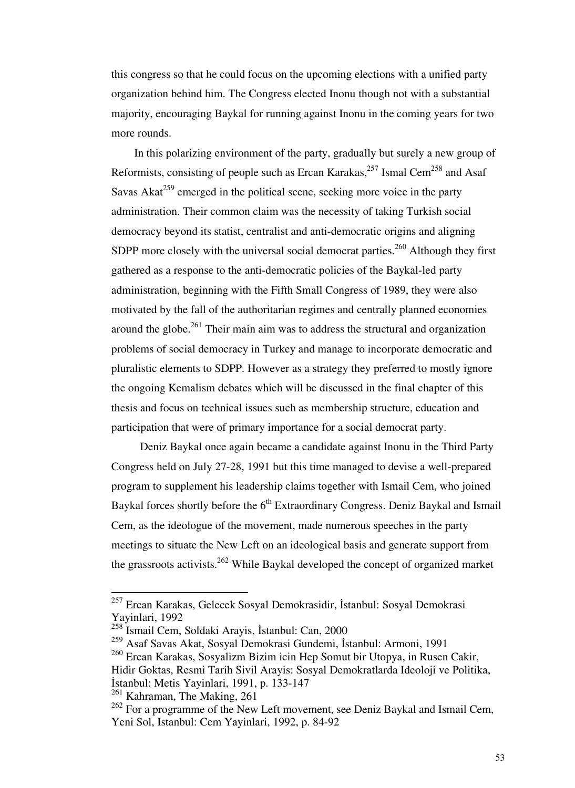this congress so that he could focus on the upcoming elections with a unified party organization behind him. The Congress elected Inonu though not with a substantial majority, encouraging Baykal for running against Inonu in the coming years for two more rounds.

 In this polarizing environment of the party, gradually but surely a new group of Reformists, consisting of people such as Ercan Karakas,<sup>257</sup> Ismal Cem<sup>258</sup> and Asaf Savas Akat<sup>259</sup> emerged in the political scene, seeking more voice in the party administration. Their common claim was the necessity of taking Turkish social democracy beyond its statist, centralist and anti-democratic origins and aligning SDPP more closely with the universal social democrat parties.<sup>260</sup> Although they first gathered as a response to the anti-democratic policies of the Baykal-led party administration, beginning with the Fifth Small Congress of 1989, they were also motivated by the fall of the authoritarian regimes and centrally planned economies around the globe.<sup>261</sup> Their main aim was to address the structural and organization problems of social democracy in Turkey and manage to incorporate democratic and pluralistic elements to SDPP. However as a strategy they preferred to mostly ignore the ongoing Kemalism debates which will be discussed in the final chapter of this thesis and focus on technical issues such as membership structure, education and participation that were of primary importance for a social democrat party.

 Deniz Baykal once again became a candidate against Inonu in the Third Party Congress held on July 27-28, 1991 but this time managed to devise a well-prepared program to supplement his leadership claims together with Ismail Cem, who joined Baykal forces shortly before the 6<sup>th</sup> Extraordinary Congress. Deniz Baykal and Ismail Cem, as the ideologue of the movement, made numerous speeches in the party meetings to situate the New Left on an ideological basis and generate support from the grassroots activists.<sup>262</sup> While Baykal developed the concept of organized market

<sup>&</sup>lt;sup>257</sup> Ercan Karakas, Gelecek Sosyal Demokrasidir, İstanbul: Sosyal Demokrasi Yayinlari, 1992

<sup>258</sup> Ismail Cem, Soldaki Arayis, İstanbul: Can, 2000

<sup>259</sup> Asaf Savas Akat, Sosyal Demokrasi Gundemi, İstanbul: Armoni, 1991

<sup>260</sup> Ercan Karakas, Sosyalizm Bizim icin Hep Somut bir Utopya, in Rusen Cakir,

Hidir Goktas, Resmi Tarih Sivil Arayis: Sosyal Demokratlarda Ideoloji ve Politika, İstanbul: Metis Yayinlari, 1991, p. 133-147

<sup>&</sup>lt;sup>261</sup> Kahraman, The Making, 261

<sup>&</sup>lt;sup>262</sup> For a programme of the New Left movement, see Deniz Baykal and Ismail Cem, Yeni Sol, Istanbul: Cem Yayinlari, 1992, p. 84-92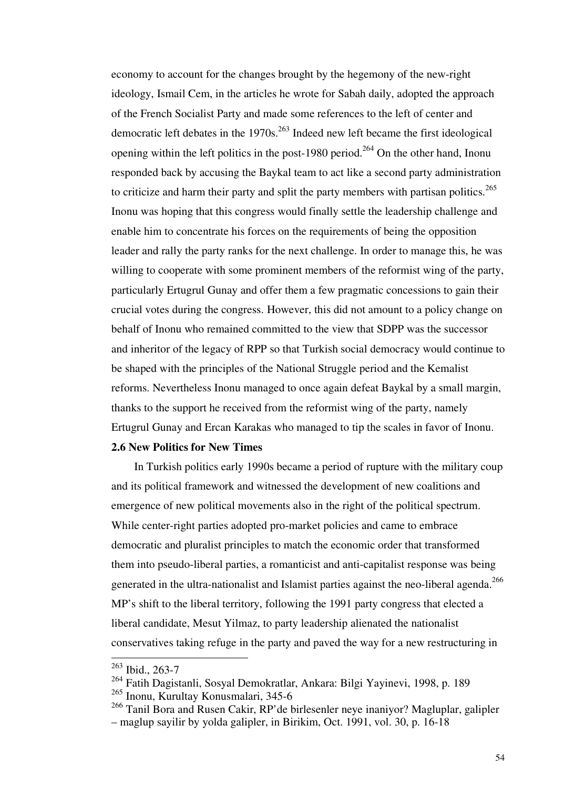economy to account for the changes brought by the hegemony of the new-right ideology, Ismail Cem, in the articles he wrote for Sabah daily, adopted the approach of the French Socialist Party and made some references to the left of center and democratic left debates in the  $1970s$ <sup>263</sup> Indeed new left became the first ideological opening within the left politics in the post-1980 period.<sup>264</sup> On the other hand, Inonu responded back by accusing the Baykal team to act like a second party administration to criticize and harm their party and split the party members with partisan politics.<sup>265</sup> Inonu was hoping that this congress would finally settle the leadership challenge and enable him to concentrate his forces on the requirements of being the opposition leader and rally the party ranks for the next challenge. In order to manage this, he was willing to cooperate with some prominent members of the reformist wing of the party, particularly Ertugrul Gunay and offer them a few pragmatic concessions to gain their crucial votes during the congress. However, this did not amount to a policy change on behalf of Inonu who remained committed to the view that SDPP was the successor and inheritor of the legacy of RPP so that Turkish social democracy would continue to be shaped with the principles of the National Struggle period and the Kemalist reforms. Nevertheless Inonu managed to once again defeat Baykal by a small margin, thanks to the support he received from the reformist wing of the party, namely Ertugrul Gunay and Ercan Karakas who managed to tip the scales in favor of Inonu.

## **2.6 New Politics for New Times**

 In Turkish politics early 1990s became a period of rupture with the military coup and its political framework and witnessed the development of new coalitions and emergence of new political movements also in the right of the political spectrum. While center-right parties adopted pro-market policies and came to embrace democratic and pluralist principles to match the economic order that transformed them into pseudo-liberal parties, a romanticist and anti-capitalist response was being generated in the ultra-nationalist and Islamist parties against the neo-liberal agenda.<sup>266</sup> MP's shift to the liberal territory, following the 1991 party congress that elected a liberal candidate, Mesut Yilmaz, to party leadership alienated the nationalist conservatives taking refuge in the party and paved the way for a new restructuring in

<sup>263</sup> Ibid., 263-7

<sup>264</sup> Fatih Dagistanli, Sosyal Demokratlar, Ankara: Bilgi Yayinevi, 1998, p. 189

<sup>265</sup> Inonu, Kurultay Konusmalari, 345-6

<sup>266</sup> Tanil Bora and Rusen Cakir, RP'de birlesenler neye inaniyor? Magluplar, galipler – maglup sayilir by yolda galipler, in Birikim, Oct. 1991, vol. 30, p. 16-18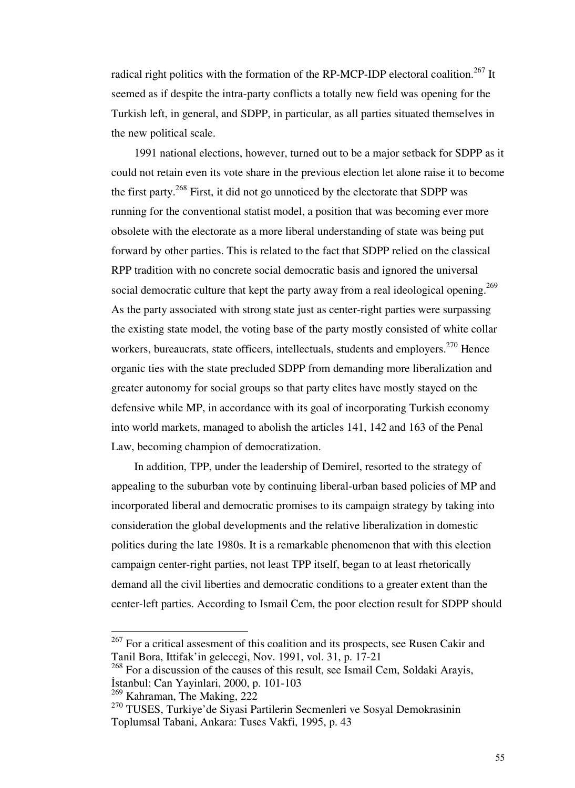radical right politics with the formation of the RP-MCP-IDP electoral coalition.<sup>267</sup> It seemed as if despite the intra-party conflicts a totally new field was opening for the Turkish left, in general, and SDPP, in particular, as all parties situated themselves in the new political scale.

 1991 national elections, however, turned out to be a major setback for SDPP as it could not retain even its vote share in the previous election let alone raise it to become the first party.<sup>268</sup> First, it did not go unnoticed by the electorate that SDPP was running for the conventional statist model, a position that was becoming ever more obsolete with the electorate as a more liberal understanding of state was being put forward by other parties. This is related to the fact that SDPP relied on the classical RPP tradition with no concrete social democratic basis and ignored the universal social democratic culture that kept the party away from a real ideological opening.<sup>269</sup> As the party associated with strong state just as center-right parties were surpassing the existing state model, the voting base of the party mostly consisted of white collar workers, bureaucrats, state officers, intellectuals, students and employers.<sup>270</sup> Hence organic ties with the state precluded SDPP from demanding more liberalization and greater autonomy for social groups so that party elites have mostly stayed on the defensive while MP, in accordance with its goal of incorporating Turkish economy into world markets, managed to abolish the articles 141, 142 and 163 of the Penal Law, becoming champion of democratization.

 In addition, TPP, under the leadership of Demirel, resorted to the strategy of appealing to the suburban vote by continuing liberal-urban based policies of MP and incorporated liberal and democratic promises to its campaign strategy by taking into consideration the global developments and the relative liberalization in domestic politics during the late 1980s. It is a remarkable phenomenon that with this election campaign center-right parties, not least TPP itself, began to at least rhetorically demand all the civil liberties and democratic conditions to a greater extent than the center-left parties. According to Ismail Cem, the poor election result for SDPP should

 $267$  For a critical assesment of this coalition and its prospects, see Rusen Cakir and Tanil Bora, Ittifak'in gelecegi, Nov. 1991, vol. 31, p. 17-21

<sup>&</sup>lt;sup>268</sup> For a discussion of the causes of this result, see Ismail Cem, Soldaki Arayis, İstanbul: Can Yayinlari, 2000, p. 101-103

 $269$  Kahraman, The Making, 222

<sup>&</sup>lt;sup>270</sup> TUSES, Turkiye'de Siyasi Partilerin Secmenleri ve Sosyal Demokrasinin Toplumsal Tabani, Ankara: Tuses Vakfi, 1995, p. 43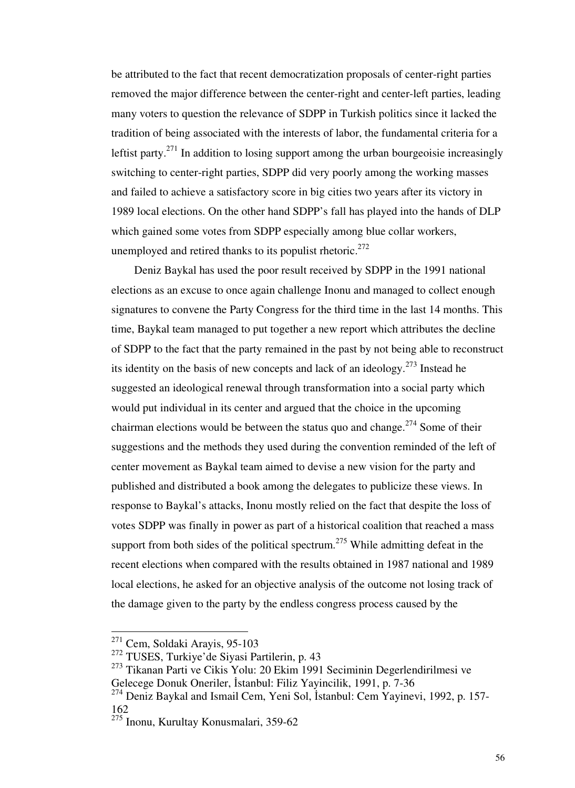be attributed to the fact that recent democratization proposals of center-right parties removed the major difference between the center-right and center-left parties, leading many voters to question the relevance of SDPP in Turkish politics since it lacked the tradition of being associated with the interests of labor, the fundamental criteria for a leftist party.<sup>271</sup> In addition to losing support among the urban bourgeoisie increasingly switching to center-right parties, SDPP did very poorly among the working masses and failed to achieve a satisfactory score in big cities two years after its victory in 1989 local elections. On the other hand SDPP's fall has played into the hands of DLP which gained some votes from SDPP especially among blue collar workers, unemployed and retired thanks to its populist rhetoric.<sup>272</sup>

 Deniz Baykal has used the poor result received by SDPP in the 1991 national elections as an excuse to once again challenge Inonu and managed to collect enough signatures to convene the Party Congress for the third time in the last 14 months. This time, Baykal team managed to put together a new report which attributes the decline of SDPP to the fact that the party remained in the past by not being able to reconstruct its identity on the basis of new concepts and lack of an ideology.<sup>273</sup> Instead he suggested an ideological renewal through transformation into a social party which would put individual in its center and argued that the choice in the upcoming chairman elections would be between the status quo and change.<sup>274</sup> Some of their suggestions and the methods they used during the convention reminded of the left of center movement as Baykal team aimed to devise a new vision for the party and published and distributed a book among the delegates to publicize these views. In response to Baykal's attacks, Inonu mostly relied on the fact that despite the loss of votes SDPP was finally in power as part of a historical coalition that reached a mass support from both sides of the political spectrum.<sup>275</sup> While admitting defeat in the recent elections when compared with the results obtained in 1987 national and 1989 local elections, he asked for an objective analysis of the outcome not losing track of the damage given to the party by the endless congress process caused by the

<sup>&</sup>lt;sup>271</sup> Cem, Soldaki Arayis, 95-103

<sup>272</sup> TUSES, Turkiye'de Siyasi Partilerin, p. 43

<sup>273</sup> Tikanan Parti ve Cikis Yolu: 20 Ekim 1991 Seciminin Degerlendirilmesi ve Gelecege Donuk Oneriler, İstanbul: Filiz Yayincilik, 1991, p. 7-36

<sup>&</sup>lt;sup>274</sup> Deniz Baykal and Ismail Cem, Yeni Sol, İstanbul: Cem Yayinevi, 1992, p. 157-162

<sup>275</sup> Inonu, Kurultay Konusmalari, 359-62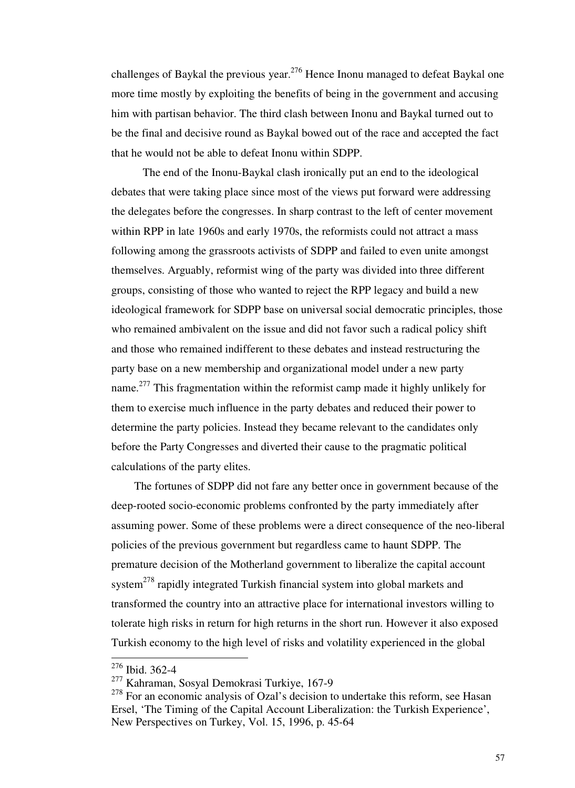challenges of Baykal the previous year.<sup>276</sup> Hence Inonu managed to defeat Baykal one more time mostly by exploiting the benefits of being in the government and accusing him with partisan behavior. The third clash between Inonu and Baykal turned out to be the final and decisive round as Baykal bowed out of the race and accepted the fact that he would not be able to defeat Inonu within SDPP.

 The end of the Inonu-Baykal clash ironically put an end to the ideological debates that were taking place since most of the views put forward were addressing the delegates before the congresses. In sharp contrast to the left of center movement within RPP in late 1960s and early 1970s, the reformists could not attract a mass following among the grassroots activists of SDPP and failed to even unite amongst themselves. Arguably, reformist wing of the party was divided into three different groups, consisting of those who wanted to reject the RPP legacy and build a new ideological framework for SDPP base on universal social democratic principles, those who remained ambivalent on the issue and did not favor such a radical policy shift and those who remained indifferent to these debates and instead restructuring the party base on a new membership and organizational model under a new party name.<sup>277</sup> This fragmentation within the reformist camp made it highly unlikely for them to exercise much influence in the party debates and reduced their power to determine the party policies. Instead they became relevant to the candidates only before the Party Congresses and diverted their cause to the pragmatic political calculations of the party elites.

 The fortunes of SDPP did not fare any better once in government because of the deep-rooted socio-economic problems confronted by the party immediately after assuming power. Some of these problems were a direct consequence of the neo-liberal policies of the previous government but regardless came to haunt SDPP. The premature decision of the Motherland government to liberalize the capital account system<sup>278</sup> rapidly integrated Turkish financial system into global markets and transformed the country into an attractive place for international investors willing to tolerate high risks in return for high returns in the short run. However it also exposed Turkish economy to the high level of risks and volatility experienced in the global

<sup>276</sup> Ibid. 362-4

<sup>277</sup> Kahraman, Sosyal Demokrasi Turkiye, 167-9

 $278$  For an economic analysis of Ozal's decision to undertake this reform, see Hasan Ersel, 'The Timing of the Capital Account Liberalization: the Turkish Experience', New Perspectives on Turkey, Vol. 15, 1996, p. 45-64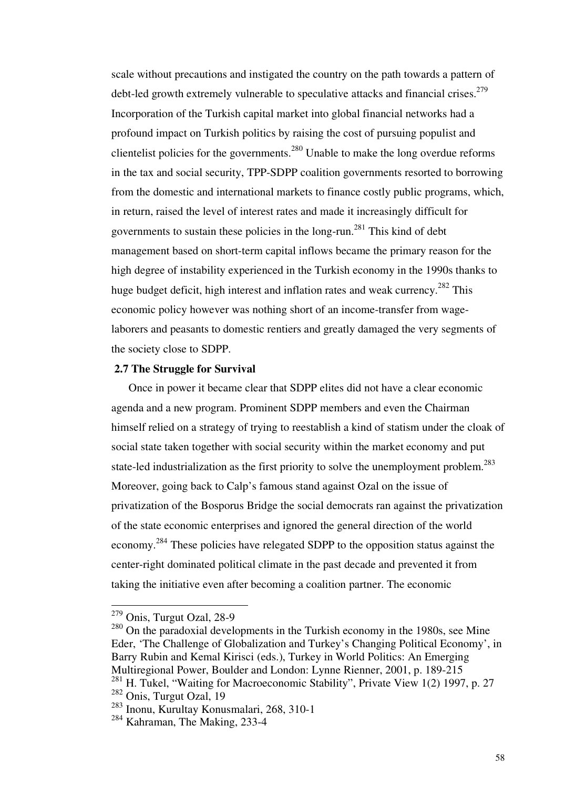scale without precautions and instigated the country on the path towards a pattern of debt-led growth extremely vulnerable to speculative attacks and financial crises.<sup>279</sup> Incorporation of the Turkish capital market into global financial networks had a profound impact on Turkish politics by raising the cost of pursuing populist and clientelist policies for the governments.<sup>280</sup> Unable to make the long overdue reforms in the tax and social security, TPP-SDPP coalition governments resorted to borrowing from the domestic and international markets to finance costly public programs, which, in return, raised the level of interest rates and made it increasingly difficult for governments to sustain these policies in the long-run.<sup>281</sup> This kind of debt management based on short-term capital inflows became the primary reason for the high degree of instability experienced in the Turkish economy in the 1990s thanks to huge budget deficit, high interest and inflation rates and weak currency.<sup>282</sup> This economic policy however was nothing short of an income-transfer from wagelaborers and peasants to domestic rentiers and greatly damaged the very segments of the society close to SDPP.

#### **2.7 The Struggle for Survival**

 Once in power it became clear that SDPP elites did not have a clear economic agenda and a new program. Prominent SDPP members and even the Chairman himself relied on a strategy of trying to reestablish a kind of statism under the cloak of social state taken together with social security within the market economy and put state-led industrialization as the first priority to solve the unemployment problem.<sup>283</sup> Moreover, going back to Calp's famous stand against Ozal on the issue of privatization of the Bosporus Bridge the social democrats ran against the privatization of the state economic enterprises and ignored the general direction of the world economy.<sup>284</sup> These policies have relegated SDPP to the opposition status against the center-right dominated political climate in the past decade and prevented it from taking the initiative even after becoming a coalition partner. The economic

<sup>&</sup>lt;sup>279</sup> Onis, Turgut Ozal, 28-9

<sup>&</sup>lt;sup>280</sup> On the paradoxial developments in the Turkish economy in the 1980s, see Mine Eder, 'The Challenge of Globalization and Turkey's Changing Political Economy', in Barry Rubin and Kemal Kirisci (eds.), Turkey in World Politics: An Emerging Multiregional Power, Boulder and London: Lynne Rienner, 2001, p. 189-215

<sup>&</sup>lt;sup>281</sup> H. Tukel, "Waiting for Macroeconomic Stability", Private View 1(2) 1997, p. 27 <sup>282</sup> Onis, Turgut Ozal, 19

<sup>283</sup> Inonu, Kurultay Konusmalari, 268, 310-1

<sup>284</sup> Kahraman, The Making, 233-4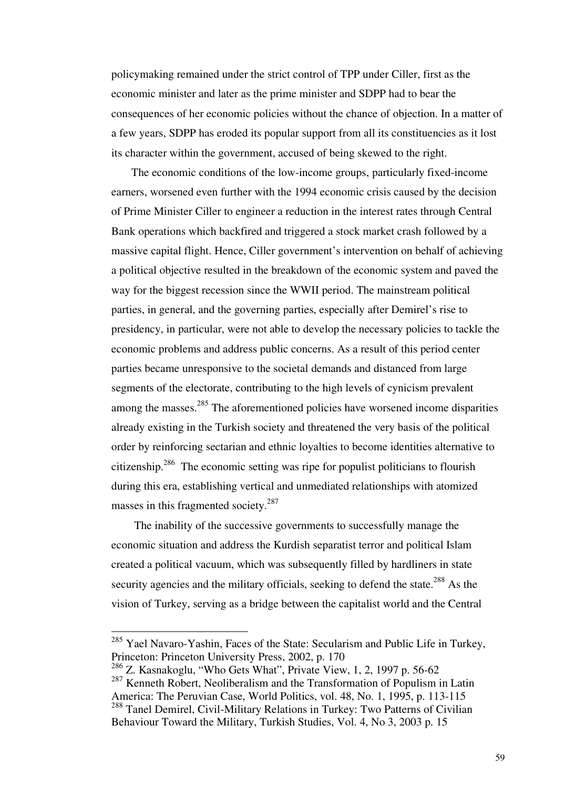policymaking remained under the strict control of TPP under Ciller, first as the economic minister and later as the prime minister and SDPP had to bear the consequences of her economic policies without the chance of objection. In a matter of a few years, SDPP has eroded its popular support from all its constituencies as it lost its character within the government, accused of being skewed to the right.

 The economic conditions of the low-income groups, particularly fixed-income earners, worsened even further with the 1994 economic crisis caused by the decision of Prime Minister Ciller to engineer a reduction in the interest rates through Central Bank operations which backfired and triggered a stock market crash followed by a massive capital flight. Hence, Ciller government's intervention on behalf of achieving a political objective resulted in the breakdown of the economic system and paved the way for the biggest recession since the WWII period. The mainstream political parties, in general, and the governing parties, especially after Demirel's rise to presidency, in particular, were not able to develop the necessary policies to tackle the economic problems and address public concerns. As a result of this period center parties became unresponsive to the societal demands and distanced from large segments of the electorate, contributing to the high levels of cynicism prevalent among the masses.<sup>285</sup> The aforementioned policies have worsened income disparities already existing in the Turkish society and threatened the very basis of the political order by reinforcing sectarian and ethnic loyalties to become identities alternative to citizenship.<sup>286</sup> The economic setting was ripe for populist politicians to flourish during this era, establishing vertical and unmediated relationships with atomized masses in this fragmented society. $287$ 

 The inability of the successive governments to successfully manage the economic situation and address the Kurdish separatist terror and political Islam created a political vacuum, which was subsequently filled by hardliners in state security agencies and the military officials, seeking to defend the state.<sup>288</sup> As the vision of Turkey, serving as a bridge between the capitalist world and the Central

 $285$  Yael Navaro-Yashin, Faces of the State: Secularism and Public Life in Turkey, Princeton: Princeton University Press, 2002, p. 170

<sup>286</sup> Z. Kasnakoglu, "Who Gets What", Private View, 1, 2, 1997 p. 56-62

<sup>&</sup>lt;sup>287</sup> Kenneth Robert, Neoliberalism and the Transformation of Populism in Latin America: The Peruvian Case, World Politics, vol. 48, No. 1, 1995, p. 113-115 <sup>288</sup> Tanel Demirel, Civil-Military Relations in Turkey: Two Patterns of Civilian Behaviour Toward the Military, Turkish Studies, Vol. 4, No 3, 2003 p. 15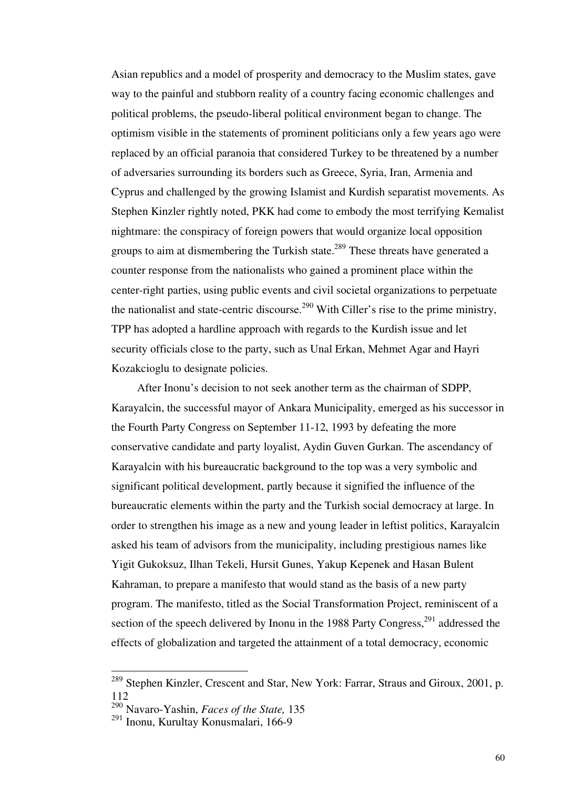Asian republics and a model of prosperity and democracy to the Muslim states, gave way to the painful and stubborn reality of a country facing economic challenges and political problems, the pseudo-liberal political environment began to change. The optimism visible in the statements of prominent politicians only a few years ago were replaced by an official paranoia that considered Turkey to be threatened by a number of adversaries surrounding its borders such as Greece, Syria, Iran, Armenia and Cyprus and challenged by the growing Islamist and Kurdish separatist movements. As Stephen Kinzler rightly noted, PKK had come to embody the most terrifying Kemalist nightmare: the conspiracy of foreign powers that would organize local opposition groups to aim at dismembering the Turkish state.<sup>289</sup> These threats have generated a counter response from the nationalists who gained a prominent place within the center-right parties, using public events and civil societal organizations to perpetuate the nationalist and state-centric discourse.<sup>290</sup> With Ciller's rise to the prime ministry, TPP has adopted a hardline approach with regards to the Kurdish issue and let security officials close to the party, such as Unal Erkan, Mehmet Agar and Hayri Kozakcioglu to designate policies.

 After Inonu's decision to not seek another term as the chairman of SDPP, Karayalcin, the successful mayor of Ankara Municipality, emerged as his successor in the Fourth Party Congress on September 11-12, 1993 by defeating the more conservative candidate and party loyalist, Aydin Guven Gurkan. The ascendancy of Karayalcin with his bureaucratic background to the top was a very symbolic and significant political development, partly because it signified the influence of the bureaucratic elements within the party and the Turkish social democracy at large. In order to strengthen his image as a new and young leader in leftist politics, Karayalcin asked his team of advisors from the municipality, including prestigious names like Yigit Gukoksuz, Ilhan Tekeli, Hursit Gunes, Yakup Kepenek and Hasan Bulent Kahraman, to prepare a manifesto that would stand as the basis of a new party program. The manifesto, titled as the Social Transformation Project, reminiscent of a section of the speech delivered by Inonu in the 1988 Party Congress,<sup>291</sup> addressed the effects of globalization and targeted the attainment of a total democracy, economic

<sup>&</sup>lt;sup>289</sup> Stephen Kinzler, Crescent and Star, New York: Farrar, Straus and Giroux, 2001, p. 112

<sup>290</sup> Navaro-Yashin, *Faces of the State,* 135

<sup>291</sup> Inonu, Kurultay Konusmalari, 166-9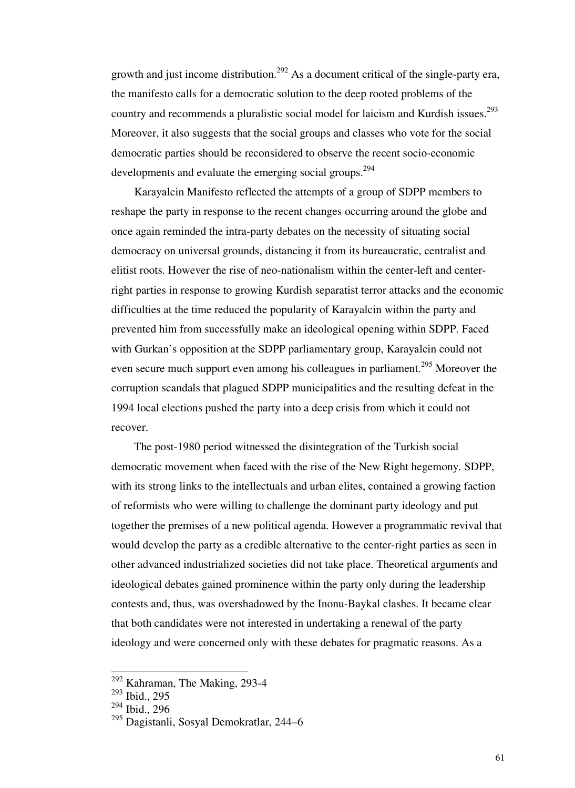growth and just income distribution.<sup>292</sup> As a document critical of the single-party era, the manifesto calls for a democratic solution to the deep rooted problems of the country and recommends a pluralistic social model for laicism and Kurdish issues.<sup>293</sup> Moreover, it also suggests that the social groups and classes who vote for the social democratic parties should be reconsidered to observe the recent socio-economic developments and evaluate the emerging social groups.<sup>294</sup>

 Karayalcin Manifesto reflected the attempts of a group of SDPP members to reshape the party in response to the recent changes occurring around the globe and once again reminded the intra-party debates on the necessity of situating social democracy on universal grounds, distancing it from its bureaucratic, centralist and elitist roots. However the rise of neo-nationalism within the center-left and centerright parties in response to growing Kurdish separatist terror attacks and the economic difficulties at the time reduced the popularity of Karayalcin within the party and prevented him from successfully make an ideological opening within SDPP. Faced with Gurkan's opposition at the SDPP parliamentary group, Karayalcin could not even secure much support even among his colleagues in parliament.<sup>295</sup> Moreover the corruption scandals that plagued SDPP municipalities and the resulting defeat in the 1994 local elections pushed the party into a deep crisis from which it could not recover.

 The post-1980 period witnessed the disintegration of the Turkish social democratic movement when faced with the rise of the New Right hegemony. SDPP, with its strong links to the intellectuals and urban elites, contained a growing faction of reformists who were willing to challenge the dominant party ideology and put together the premises of a new political agenda. However a programmatic revival that would develop the party as a credible alternative to the center-right parties as seen in other advanced industrialized societies did not take place. Theoretical arguments and ideological debates gained prominence within the party only during the leadership contests and, thus, was overshadowed by the Inonu-Baykal clashes. It became clear that both candidates were not interested in undertaking a renewal of the party ideology and were concerned only with these debates for pragmatic reasons. As a

 $292$  Kahraman, The Making, 293-4

<sup>293</sup> Ibid., 295

<sup>294</sup> Ibid., 296

<sup>295</sup> Dagistanli, Sosyal Demokratlar, 244–6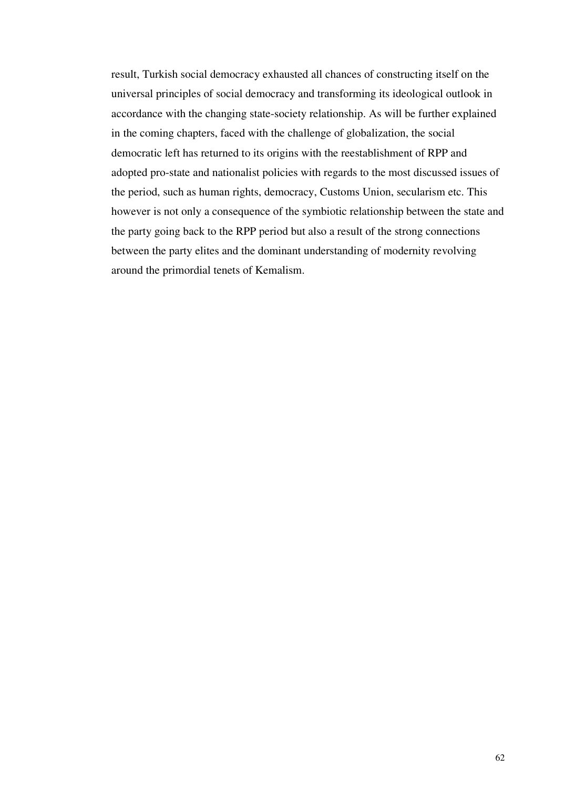result, Turkish social democracy exhausted all chances of constructing itself on the universal principles of social democracy and transforming its ideological outlook in accordance with the changing state-society relationship. As will be further explained in the coming chapters, faced with the challenge of globalization, the social democratic left has returned to its origins with the reestablishment of RPP and adopted pro-state and nationalist policies with regards to the most discussed issues of the period, such as human rights, democracy, Customs Union, secularism etc. This however is not only a consequence of the symbiotic relationship between the state and the party going back to the RPP period but also a result of the strong connections between the party elites and the dominant understanding of modernity revolving around the primordial tenets of Kemalism.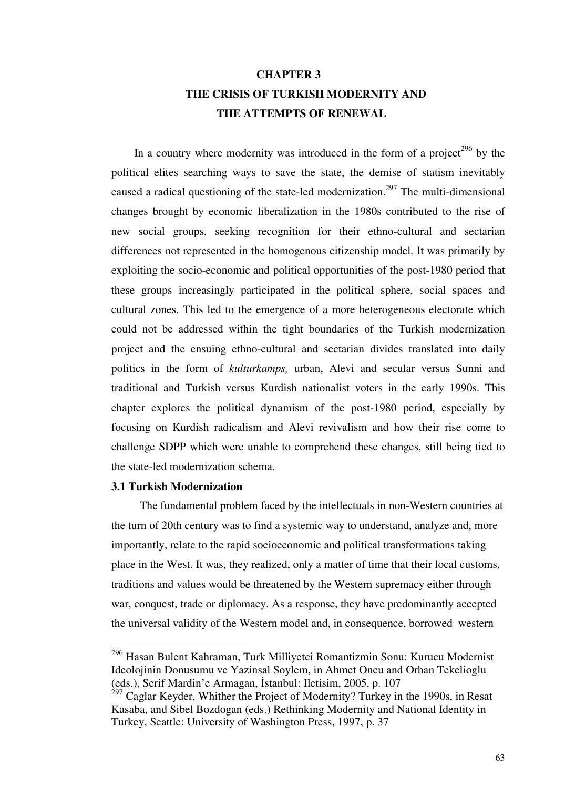# **CHAPTER 3 THE CRISIS OF TURKISH MODERNITY AND THE ATTEMPTS OF RENEWAL**

In a country where modernity was introduced in the form of a project<sup>296</sup> by the political elites searching ways to save the state, the demise of statism inevitably caused a radical questioning of the state-led modernization.<sup>297</sup> The multi-dimensional changes brought by economic liberalization in the 1980s contributed to the rise of new social groups, seeking recognition for their ethno-cultural and sectarian differences not represented in the homogenous citizenship model. It was primarily by exploiting the socio-economic and political opportunities of the post-1980 period that these groups increasingly participated in the political sphere, social spaces and cultural zones. This led to the emergence of a more heterogeneous electorate which could not be addressed within the tight boundaries of the Turkish modernization project and the ensuing ethno-cultural and sectarian divides translated into daily politics in the form of *kulturkamps,* urban, Alevi and secular versus Sunni and traditional and Turkish versus Kurdish nationalist voters in the early 1990s. This chapter explores the political dynamism of the post-1980 period, especially by focusing on Kurdish radicalism and Alevi revivalism and how their rise come to challenge SDPP which were unable to comprehend these changes, still being tied to the state-led modernization schema.

#### **3.1 Turkish Modernization**

-

 The fundamental problem faced by the intellectuals in non-Western countries at the turn of 20th century was to find a systemic way to understand, analyze and, more importantly, relate to the rapid socioeconomic and political transformations taking place in the West. It was, they realized, only a matter of time that their local customs, traditions and values would be threatened by the Western supremacy either through war, conquest, trade or diplomacy. As a response, they have predominantly accepted the universal validity of the Western model and, in consequence, borrowed western

<sup>296</sup> Hasan Bulent Kahraman, Turk Milliyetci Romantizmin Sonu: Kurucu Modernist Ideolojinin Donusumu ve Yazinsal Soylem, in Ahmet Oncu and Orhan Tekelioglu (eds.), Serif Mardin'e Armagan, İstanbul: Iletisim, 2005, p. 107

 $^{297}$  Caglar Keyder, Whither the Project of Modernity? Turkey in the 1990s, in Resat Kasaba, and Sibel Bozdogan (eds.) Rethinking Modernity and National Identity in Turkey, Seattle: University of Washington Press, 1997, p. 37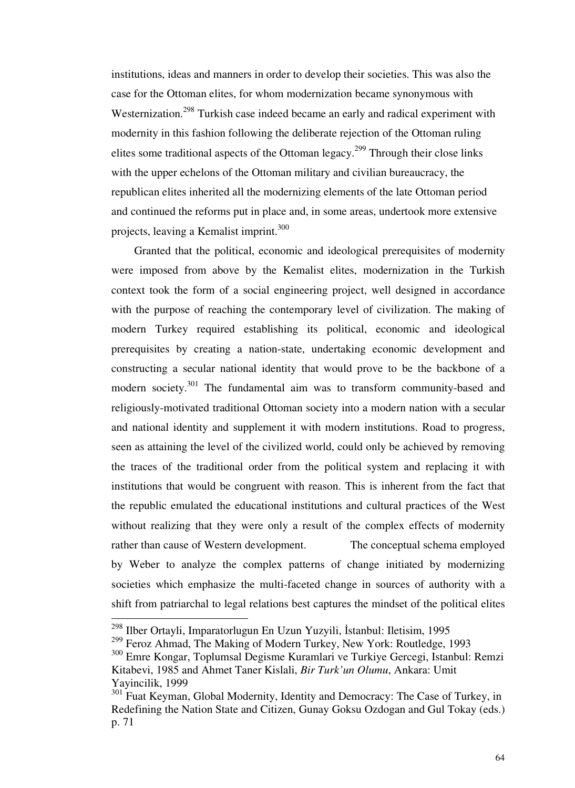institutions, ideas and manners in order to develop their societies. This was also the case for the Ottoman elites, for whom modernization became synonymous with Westernization.<sup>298</sup> Turkish case indeed became an early and radical experiment with modernity in this fashion following the deliberate rejection of the Ottoman ruling elites some traditional aspects of the Ottoman legacy.<sup>299</sup> Through their close links with the upper echelons of the Ottoman military and civilian bureaucracy, the republican elites inherited all the modernizing elements of the late Ottoman period and continued the reforms put in place and, in some areas, undertook more extensive projects, leaving a Kemalist imprint.<sup>300</sup>

 Granted that the political, economic and ideological prerequisites of modernity were imposed from above by the Kemalist elites, modernization in the Turkish context took the form of a social engineering project, well designed in accordance with the purpose of reaching the contemporary level of civilization. The making of modern Turkey required establishing its political, economic and ideological prerequisites by creating a nation-state, undertaking economic development and constructing a secular national identity that would prove to be the backbone of a modern society.<sup>301</sup> The fundamental aim was to transform community-based and religiously-motivated traditional Ottoman society into a modern nation with a secular and national identity and supplement it with modern institutions. Road to progress, seen as attaining the level of the civilized world, could only be achieved by removing the traces of the traditional order from the political system and replacing it with institutions that would be congruent with reason. This is inherent from the fact that the republic emulated the educational institutions and cultural practices of the West without realizing that they were only a result of the complex effects of modernity rather than cause of Western development. The conceptual schema employed by Weber to analyze the complex patterns of change initiated by modernizing societies which emphasize the multi-faceted change in sources of authority with a shift from patriarchal to legal relations best captures the mindset of the political elites

<sup>&</sup>lt;sup>298</sup> Ilber Ortayli, Imparatorlugun En Uzun Yuzyili, İstanbul: Iletisim, 1995

<sup>&</sup>lt;sup>299</sup> Feroz Ahmad, The Making of Modern Turkey, New York: Routledge, 1993

<sup>300</sup> Emre Kongar, Toplumsal Degisme Kuramlari ve Turkiye Gercegi, Istanbul: Remzi Kitabevi, 1985 and Ahmet Taner Kislali, *Bir Turk'un Olumu*, Ankara: Umit Yayincilik, 1999

<sup>&</sup>lt;sup>301</sup> Fuat Keyman, Global Modernity, Identity and Democracy: The Case of Turkey, in Redefining the Nation State and Citizen, Gunay Goksu Ozdogan and Gul Tokay (eds.) p. 71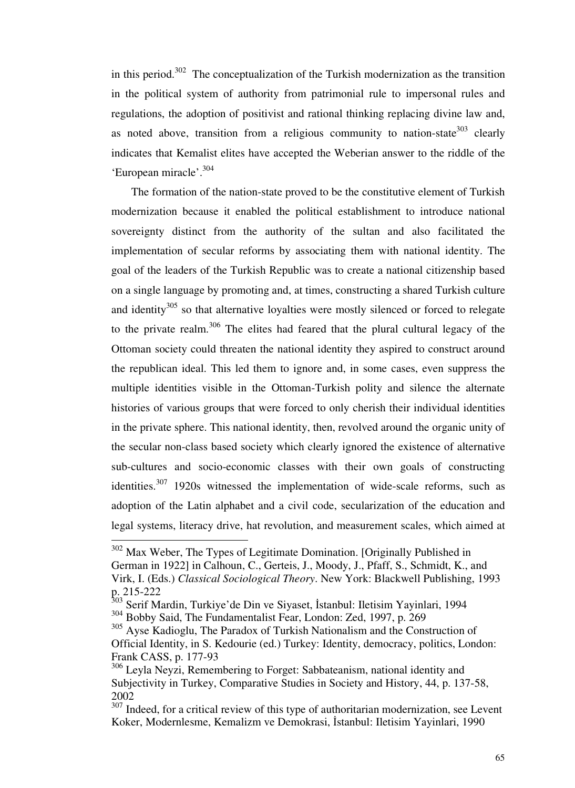in this period.<sup>302</sup> The conceptualization of the Turkish modernization as the transition in the political system of authority from patrimonial rule to impersonal rules and regulations, the adoption of positivist and rational thinking replacing divine law and, as noted above, transition from a religious community to nation-state<sup>303</sup> clearly indicates that Kemalist elites have accepted the Weberian answer to the riddle of the 'European miracle'.<sup>304</sup>

 The formation of the nation-state proved to be the constitutive element of Turkish modernization because it enabled the political establishment to introduce national sovereignty distinct from the authority of the sultan and also facilitated the implementation of secular reforms by associating them with national identity. The goal of the leaders of the Turkish Republic was to create a national citizenship based on a single language by promoting and, at times, constructing a shared Turkish culture and identity<sup>305</sup> so that alternative loyalties were mostly silenced or forced to relegate to the private realm.<sup>306</sup> The elites had feared that the plural cultural legacy of the Ottoman society could threaten the national identity they aspired to construct around the republican ideal. This led them to ignore and, in some cases, even suppress the multiple identities visible in the Ottoman-Turkish polity and silence the alternate histories of various groups that were forced to only cherish their individual identities in the private sphere. This national identity, then, revolved around the organic unity of the secular non-class based society which clearly ignored the existence of alternative sub-cultures and socio-economic classes with their own goals of constructing identities. $307$  1920s witnessed the implementation of wide-scale reforms, such as adoption of the Latin alphabet and a civil code, secularization of the education and legal systems, literacy drive, hat revolution, and measurement scales, which aimed at

 $302$  Max Weber, The Types of Legitimate Domination. [Originally Published in German in 1922] in Calhoun, C., Gerteis, J., Moody, J., Pfaff, S., Schmidt, K., and Virk, I. (Eds.) *Classical Sociological Theory*. New York: Blackwell Publishing, 1993 p. 215-222

<sup>303</sup> Serif Mardin, Turkiye'de Din ve Siyaset, İstanbul: Iletisim Yayinlari, 1994 <sup>304</sup> Bobby Said, The Fundamentalist Fear, London: Zed, 1997, p. 269

<sup>&</sup>lt;sup>305</sup> Ayse Kadioglu, The Paradox of Turkish Nationalism and the Construction of Official Identity, in S. Kedourie (ed.) Turkey: Identity, democracy, politics, London: Frank CASS, p. 177-93

<sup>&</sup>lt;sup>306</sup> Leyla Neyzi, Remembering to Forget: Sabbateanism, national identity and Subjectivity in Turkey, Comparative Studies in Society and History, 44, p. 137-58, 2002

 $307$  Indeed, for a critical review of this type of authoritarian modernization, see Levent Koker, Modernlesme, Kemalizm ve Demokrasi, İstanbul: Iletisim Yayinlari, 1990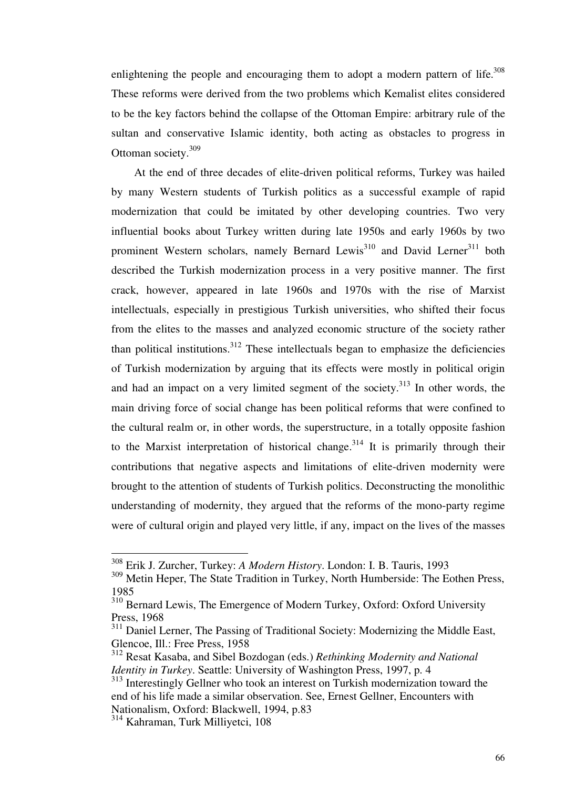enlightening the people and encouraging them to adopt a modern pattern of life.<sup>308</sup> These reforms were derived from the two problems which Kemalist elites considered to be the key factors behind the collapse of the Ottoman Empire: arbitrary rule of the sultan and conservative Islamic identity, both acting as obstacles to progress in Ottoman society.<sup>309</sup>

 At the end of three decades of elite-driven political reforms, Turkey was hailed by many Western students of Turkish politics as a successful example of rapid modernization that could be imitated by other developing countries. Two very influential books about Turkey written during late 1950s and early 1960s by two prominent Western scholars, namely Bernard Lewis<sup>310</sup> and David Lerner<sup>311</sup> both described the Turkish modernization process in a very positive manner. The first crack, however, appeared in late 1960s and 1970s with the rise of Marxist intellectuals, especially in prestigious Turkish universities, who shifted their focus from the elites to the masses and analyzed economic structure of the society rather than political institutions.<sup>312</sup> These intellectuals began to emphasize the deficiencies of Turkish modernization by arguing that its effects were mostly in political origin and had an impact on a very limited segment of the society. $313$  In other words, the main driving force of social change has been political reforms that were confined to the cultural realm or, in other words, the superstructure, in a totally opposite fashion to the Marxist interpretation of historical change.<sup>314</sup> It is primarily through their contributions that negative aspects and limitations of elite-driven modernity were brought to the attention of students of Turkish politics. Deconstructing the monolithic understanding of modernity, they argued that the reforms of the mono-party regime were of cultural origin and played very little, if any, impact on the lives of the masses

<sup>308</sup> Erik J. Zurcher, Turkey: *A Modern History*. London: I. B. Tauris, 1993

<sup>309</sup> Metin Heper, The State Tradition in Turkey, North Humberside: The Eothen Press, 1985

<sup>&</sup>lt;sup>310</sup> Bernard Lewis, The Emergence of Modern Turkey, Oxford: Oxford University Press, 1968

<sup>&</sup>lt;sup>311</sup> Daniel Lerner, The Passing of Traditional Society: Modernizing the Middle East, Glencoe, Ill.: Free Press, 1958

<sup>312</sup> Resat Kasaba, and Sibel Bozdogan (eds.) *Rethinking Modernity and National Identity in Turkey*. Seattle: University of Washington Press, 1997, p. 4

<sup>&</sup>lt;sup>313</sup> Interestingly Gellner who took an interest on Turkish modernization toward the end of his life made a similar observation. See, Ernest Gellner, Encounters with Nationalism, Oxford: Blackwell, 1994, p.83

<sup>&</sup>lt;sup>314</sup> Kahraman, Turk Milliyetci, 108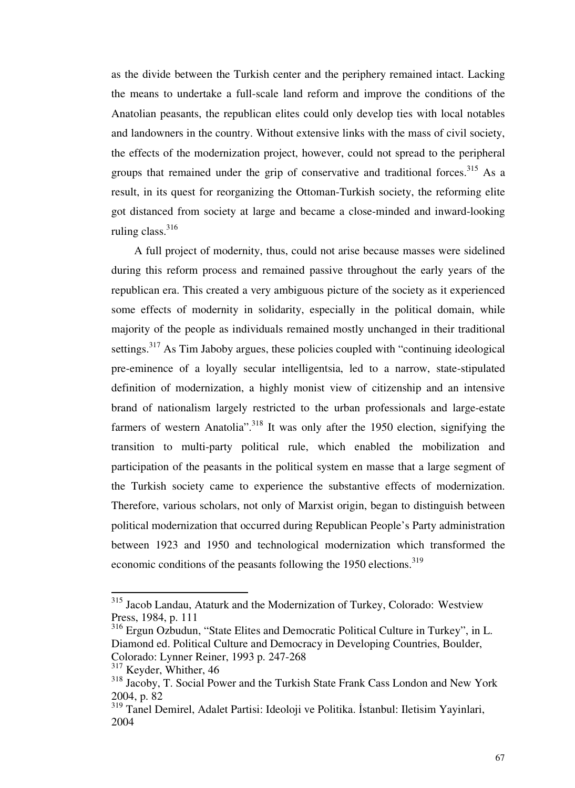as the divide between the Turkish center and the periphery remained intact. Lacking the means to undertake a full-scale land reform and improve the conditions of the Anatolian peasants, the republican elites could only develop ties with local notables and landowners in the country. Without extensive links with the mass of civil society, the effects of the modernization project, however, could not spread to the peripheral groups that remained under the grip of conservative and traditional forces.<sup>315</sup> As a result, in its quest for reorganizing the Ottoman-Turkish society, the reforming elite got distanced from society at large and became a close-minded and inward-looking ruling class.<sup>316</sup>

 A full project of modernity, thus, could not arise because masses were sidelined during this reform process and remained passive throughout the early years of the republican era. This created a very ambiguous picture of the society as it experienced some effects of modernity in solidarity, especially in the political domain, while majority of the people as individuals remained mostly unchanged in their traditional settings.<sup>317</sup> As Tim Jaboby argues, these policies coupled with "continuing ideological pre-eminence of a loyally secular intelligentsia, led to a narrow, state-stipulated definition of modernization, a highly monist view of citizenship and an intensive brand of nationalism largely restricted to the urban professionals and large-estate farmers of western Anatolia".<sup>318</sup> It was only after the 1950 election, signifying the transition to multi-party political rule, which enabled the mobilization and participation of the peasants in the political system en masse that a large segment of the Turkish society came to experience the substantive effects of modernization. Therefore, various scholars, not only of Marxist origin, began to distinguish between political modernization that occurred during Republican People's Party administration between 1923 and 1950 and technological modernization which transformed the economic conditions of the peasants following the 1950 elections.<sup>319</sup>

<sup>&</sup>lt;sup>315</sup> Jacob Landau, Ataturk and the Modernization of Turkey, Colorado: Westview Press, 1984, p. 111

<sup>316</sup> Ergun Ozbudun, "State Elites and Democratic Political Culture in Turkey", in L. Diamond ed. Political Culture and Democracy in Developing Countries, Boulder, Colorado: Lynner Reiner, 1993 p. 247-268

 $317$  Keyder, Whither, 46

<sup>&</sup>lt;sup>318</sup> Jacoby, T. Social Power and the Turkish State Frank Cass London and New York 2004, p. 82

<sup>319</sup> Tanel Demirel, Adalet Partisi: Ideoloji ve Politika. İstanbul: Iletisim Yayinlari, 2004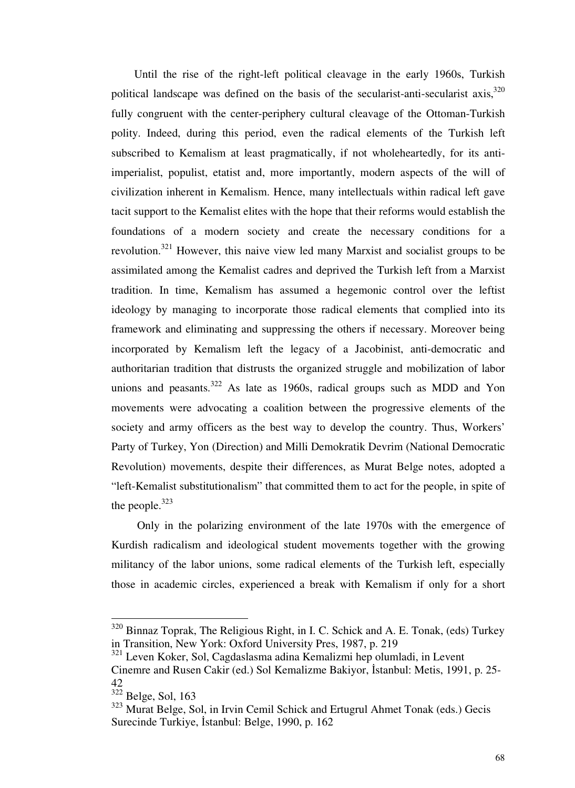Until the rise of the right-left political cleavage in the early 1960s, Turkish political landscape was defined on the basis of the secularist-anti-secularist axis,  $320$ fully congruent with the center-periphery cultural cleavage of the Ottoman-Turkish polity. Indeed, during this period, even the radical elements of the Turkish left subscribed to Kemalism at least pragmatically, if not wholeheartedly, for its antiimperialist, populist, etatist and, more importantly, modern aspects of the will of civilization inherent in Kemalism. Hence, many intellectuals within radical left gave tacit support to the Kemalist elites with the hope that their reforms would establish the foundations of a modern society and create the necessary conditions for a revolution.<sup>321</sup> However, this naive view led many Marxist and socialist groups to be assimilated among the Kemalist cadres and deprived the Turkish left from a Marxist tradition. In time, Kemalism has assumed a hegemonic control over the leftist ideology by managing to incorporate those radical elements that complied into its framework and eliminating and suppressing the others if necessary. Moreover being incorporated by Kemalism left the legacy of a Jacobinist, anti-democratic and authoritarian tradition that distrusts the organized struggle and mobilization of labor unions and peasants. $322$  As late as 1960s, radical groups such as MDD and Yon movements were advocating a coalition between the progressive elements of the society and army officers as the best way to develop the country. Thus, Workers' Party of Turkey, Yon (Direction) and Milli Demokratik Devrim (National Democratic Revolution) movements, despite their differences, as Murat Belge notes, adopted a "left-Kemalist substitutionalism" that committed them to act for the people, in spite of the people. $323$ 

 Only in the polarizing environment of the late 1970s with the emergence of Kurdish radicalism and ideological student movements together with the growing militancy of the labor unions, some radical elements of the Turkish left, especially those in academic circles, experienced a break with Kemalism if only for a short

 $320$  Binnaz Toprak, The Religious Right, in I. C. Schick and A. E. Tonak, (eds) Turkey in Transition, New York: Oxford University Pres, 1987, p. 219

<sup>321</sup> Leven Koker, Sol, Cagdaslasma adina Kemalizmi hep olumladi, in Levent

Cinemre and Rusen Cakir (ed.) Sol Kemalizme Bakiyor, İstanbul: Metis, 1991, p. 25- 42

 $322$  Belge, Sol, 163

<sup>323</sup> Murat Belge, Sol, in Irvin Cemil Schick and Ertugrul Ahmet Tonak (eds.) Gecis Surecinde Turkiye, İstanbul: Belge, 1990, p. 162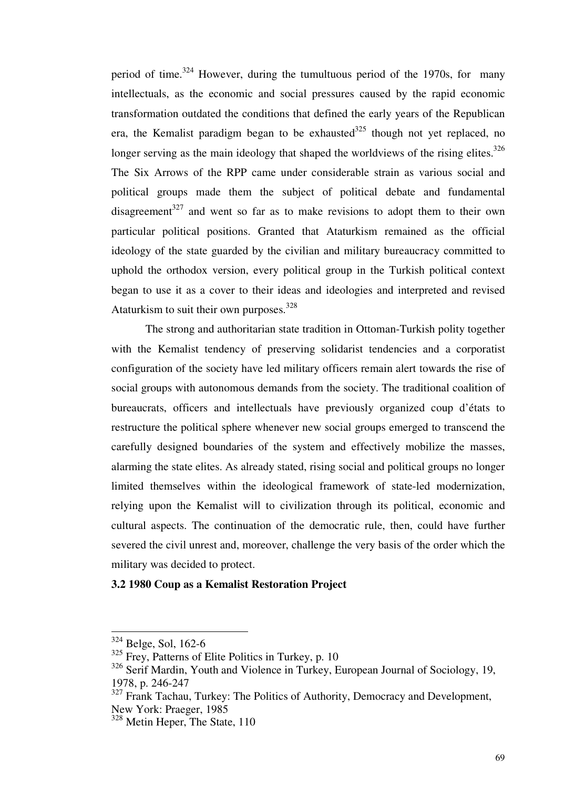period of time.<sup>324</sup> However, during the tumultuous period of the 1970s, for many intellectuals, as the economic and social pressures caused by the rapid economic transformation outdated the conditions that defined the early years of the Republican era, the Kemalist paradigm began to be exhausted  $325$  though not yet replaced, no longer serving as the main ideology that shaped the worldviews of the rising elites. $326$ The Six Arrows of the RPP came under considerable strain as various social and political groups made them the subject of political debate and fundamental disagreement<sup>327</sup> and went so far as to make revisions to adopt them to their own particular political positions. Granted that Ataturkism remained as the official ideology of the state guarded by the civilian and military bureaucracy committed to uphold the orthodox version, every political group in the Turkish political context began to use it as a cover to their ideas and ideologies and interpreted and revised Ataturkism to suit their own purposes.<sup>328</sup>

 The strong and authoritarian state tradition in Ottoman-Turkish polity together with the Kemalist tendency of preserving solidarist tendencies and a corporatist configuration of the society have led military officers remain alert towards the rise of social groups with autonomous demands from the society. The traditional coalition of bureaucrats, officers and intellectuals have previously organized coup d'états to restructure the political sphere whenever new social groups emerged to transcend the carefully designed boundaries of the system and effectively mobilize the masses, alarming the state elites. As already stated, rising social and political groups no longer limited themselves within the ideological framework of state-led modernization, relying upon the Kemalist will to civilization through its political, economic and cultural aspects. The continuation of the democratic rule, then, could have further severed the civil unrest and, moreover, challenge the very basis of the order which the military was decided to protect.

## **3.2 1980 Coup as a Kemalist Restoration Project**

<sup>&</sup>lt;sup>324</sup> Belge, Sol, 162-6

 $325$  Frey. Patterns of Elite Politics in Turkey, p. 10

<sup>&</sup>lt;sup>326</sup> Serif Mardin, Youth and Violence in Turkey, European Journal of Sociology, 19, 1978, p. 246-247

 $327$  Frank Tachau, Turkey: The Politics of Authority, Democracy and Development, New York: Praeger, 1985

<sup>&</sup>lt;sup>328</sup> Metin Heper, The State, 110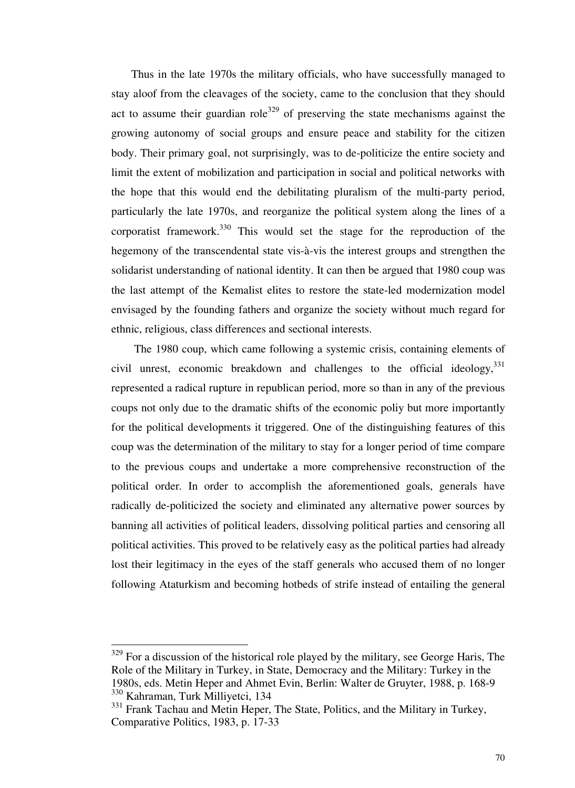Thus in the late 1970s the military officials, who have successfully managed to stay aloof from the cleavages of the society, came to the conclusion that they should act to assume their guardian role<sup>329</sup> of preserving the state mechanisms against the growing autonomy of social groups and ensure peace and stability for the citizen body. Their primary goal, not surprisingly, was to de-politicize the entire society and limit the extent of mobilization and participation in social and political networks with the hope that this would end the debilitating pluralism of the multi-party period, particularly the late 1970s, and reorganize the political system along the lines of a corporatist framework.<sup>330</sup> This would set the stage for the reproduction of the hegemony of the transcendental state vis-à-vis the interest groups and strengthen the solidarist understanding of national identity. It can then be argued that 1980 coup was the last attempt of the Kemalist elites to restore the state-led modernization model envisaged by the founding fathers and organize the society without much regard for ethnic, religious, class differences and sectional interests.

 The 1980 coup, which came following a systemic crisis, containing elements of civil unrest, economic breakdown and challenges to the official ideology, 331 represented a radical rupture in republican period, more so than in any of the previous coups not only due to the dramatic shifts of the economic poliy but more importantly for the political developments it triggered. One of the distinguishing features of this coup was the determination of the military to stay for a longer period of time compare to the previous coups and undertake a more comprehensive reconstruction of the political order. In order to accomplish the aforementioned goals, generals have radically de-politicized the society and eliminated any alternative power sources by banning all activities of political leaders, dissolving political parties and censoring all political activities. This proved to be relatively easy as the political parties had already lost their legitimacy in the eyes of the staff generals who accused them of no longer following Ataturkism and becoming hotbeds of strife instead of entailing the general

 $329$  For a discussion of the historical role played by the military, see George Haris, The Role of the Military in Turkey, in State, Democracy and the Military: Turkey in the 1980s, eds. Metin Heper and Ahmet Evin, Berlin: Walter de Gruyter, 1988, p. 168-9 <sup>330</sup> Kahraman, Turk Milliyetci, 134

<sup>&</sup>lt;sup>331</sup> Frank Tachau and Metin Heper, The State, Politics, and the Military in Turkey, Comparative Politics, 1983, p. 17-33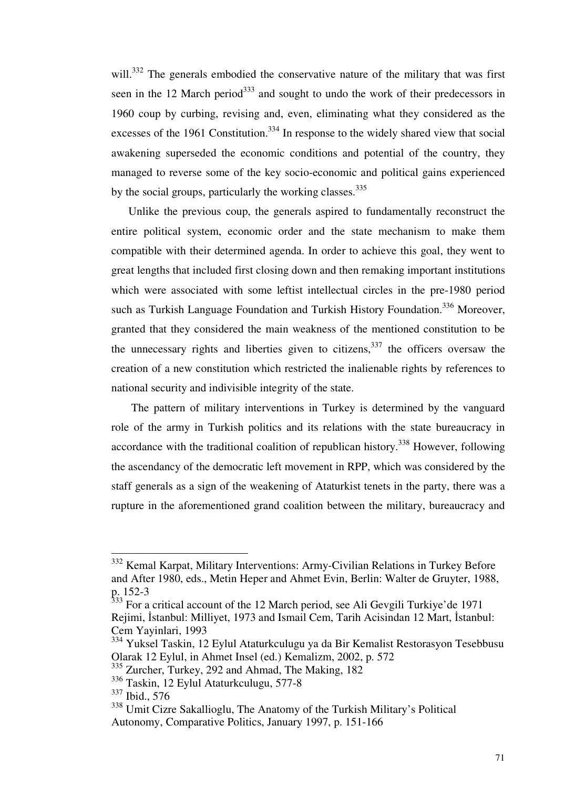will.<sup>332</sup> The generals embodied the conservative nature of the military that was first seen in the 12 March period<sup>333</sup> and sought to undo the work of their predecessors in 1960 coup by curbing, revising and, even, eliminating what they considered as the excesses of the 1961 Constitution.<sup>334</sup> In response to the widely shared view that social awakening superseded the economic conditions and potential of the country, they managed to reverse some of the key socio-economic and political gains experienced by the social groups, particularly the working classes. $335$ 

 Unlike the previous coup, the generals aspired to fundamentally reconstruct the entire political system, economic order and the state mechanism to make them compatible with their determined agenda. In order to achieve this goal, they went to great lengths that included first closing down and then remaking important institutions which were associated with some leftist intellectual circles in the pre-1980 period such as Turkish Language Foundation and Turkish History Foundation.<sup>336</sup> Moreover, granted that they considered the main weakness of the mentioned constitution to be the unnecessary rights and liberties given to citizens,  $337$  the officers oversaw the creation of a new constitution which restricted the inalienable rights by references to national security and indivisible integrity of the state.

 The pattern of military interventions in Turkey is determined by the vanguard role of the army in Turkish politics and its relations with the state bureaucracy in accordance with the traditional coalition of republican history.<sup>338</sup> However, following the ascendancy of the democratic left movement in RPP, which was considered by the staff generals as a sign of the weakening of Ataturkist tenets in the party, there was a rupture in the aforementioned grand coalition between the military, bureaucracy and

<sup>&</sup>lt;sup>332</sup> Kemal Karpat, Military Interventions: Army-Civilian Relations in Turkey Before and After 1980, eds., Metin Heper and Ahmet Evin, Berlin: Walter de Gruyter, 1988, p. 152-3

 $333$  For a critical account of the 12 March period, see Ali Gevgili Turkiye'de 1971 Rejimi, İstanbul: Milliyet, 1973 and Ismail Cem, Tarih Acisindan 12 Mart, İstanbul: Cem Yayinlari, 1993

<sup>334</sup> Yuksel Taskin, 12 Eylul Ataturkculugu ya da Bir Kemalist Restorasyon Tesebbusu Olarak 12 Eylul, in Ahmet Insel (ed.) Kemalizm, 2002, p. 572

<sup>335</sup> Zurcher, Turkey, 292 and Ahmad, The Making, 182

<sup>336</sup> Taskin, 12 Eylul Ataturkculugu, 577-8

<sup>337</sup> Ibid., 576

<sup>&</sup>lt;sup>338</sup> Umit Cizre Sakallioglu, The Anatomy of the Turkish Military's Political Autonomy, Comparative Politics, January 1997, p. 151-166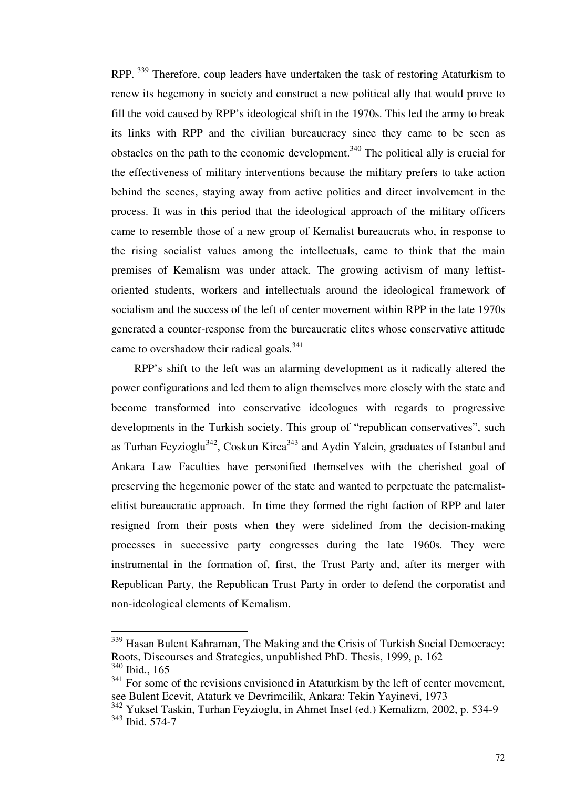RPP.<sup>339</sup> Therefore, coup leaders have undertaken the task of restoring Ataturkism to renew its hegemony in society and construct a new political ally that would prove to fill the void caused by RPP's ideological shift in the 1970s. This led the army to break its links with RPP and the civilian bureaucracy since they came to be seen as obstacles on the path to the economic development.<sup>340</sup> The political ally is crucial for the effectiveness of military interventions because the military prefers to take action behind the scenes, staying away from active politics and direct involvement in the process. It was in this period that the ideological approach of the military officers came to resemble those of a new group of Kemalist bureaucrats who, in response to the rising socialist values among the intellectuals, came to think that the main premises of Kemalism was under attack. The growing activism of many leftistoriented students, workers and intellectuals around the ideological framework of socialism and the success of the left of center movement within RPP in the late 1970s generated a counter-response from the bureaucratic elites whose conservative attitude came to overshadow their radical goals. $341$ 

 RPP's shift to the left was an alarming development as it radically altered the power configurations and led them to align themselves more closely with the state and become transformed into conservative ideologues with regards to progressive developments in the Turkish society. This group of "republican conservatives", such as Turhan Feyzioglu<sup>342</sup>, Coskun Kirca<sup>343</sup> and Aydin Yalcin, graduates of Istanbul and Ankara Law Faculties have personified themselves with the cherished goal of preserving the hegemonic power of the state and wanted to perpetuate the paternalistelitist bureaucratic approach. In time they formed the right faction of RPP and later resigned from their posts when they were sidelined from the decision-making processes in successive party congresses during the late 1960s. They were instrumental in the formation of, first, the Trust Party and, after its merger with Republican Party, the Republican Trust Party in order to defend the corporatist and non-ideological elements of Kemalism.

<sup>&</sup>lt;sup>339</sup> Hasan Bulent Kahraman, The Making and the Crisis of Turkish Social Democracy: Roots, Discourses and Strategies, unpublished PhD. Thesis, 1999, p. 162 <sup>340</sup> Ibid., 165

 $341$  For some of the revisions envisioned in Ataturkism by the left of center movement, see Bulent Ecevit, Ataturk ve Devrimcilik, Ankara: Tekin Yayinevi, 1973

<sup>342</sup> Yuksel Taskin, Turhan Feyzioglu, in Ahmet Insel (ed.) Kemalizm, 2002, p. 534-9

<sup>343</sup> Ibid. 574-7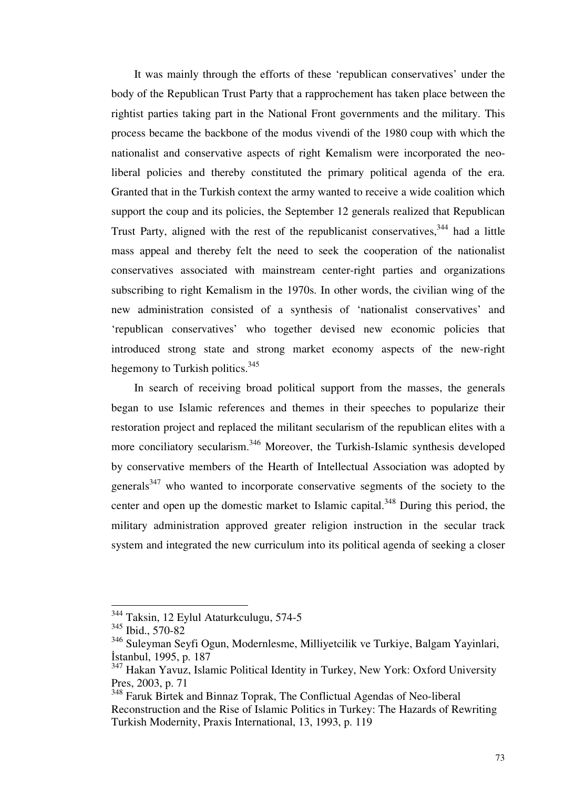It was mainly through the efforts of these 'republican conservatives' under the body of the Republican Trust Party that a rapprochement has taken place between the rightist parties taking part in the National Front governments and the military. This process became the backbone of the modus vivendi of the 1980 coup with which the nationalist and conservative aspects of right Kemalism were incorporated the neoliberal policies and thereby constituted the primary political agenda of the era. Granted that in the Turkish context the army wanted to receive a wide coalition which support the coup and its policies, the September 12 generals realized that Republican Trust Party, aligned with the rest of the republicanist conservatives,  $344$  had a little mass appeal and thereby felt the need to seek the cooperation of the nationalist conservatives associated with mainstream center-right parties and organizations subscribing to right Kemalism in the 1970s. In other words, the civilian wing of the new administration consisted of a synthesis of 'nationalist conservatives' and 'republican conservatives' who together devised new economic policies that introduced strong state and strong market economy aspects of the new-right hegemony to Turkish politics.<sup>345</sup>

 In search of receiving broad political support from the masses, the generals began to use Islamic references and themes in their speeches to popularize their restoration project and replaced the militant secularism of the republican elites with a more conciliatory secularism.<sup>346</sup> Moreover, the Turkish-Islamic synthesis developed by conservative members of the Hearth of Intellectual Association was adopted by generals $347$  who wanted to incorporate conservative segments of the society to the center and open up the domestic market to Islamic capital.<sup>348</sup> During this period, the military administration approved greater religion instruction in the secular track system and integrated the new curriculum into its political agenda of seeking a closer

<sup>&</sup>lt;sup>344</sup> Taksin, 12 Eylul Ataturkculugu, 574-5

<sup>345</sup> Ibid., 570-82

<sup>346</sup> Suleyman Seyfi Ogun, Modernlesme, Milliyetcilik ve Turkiye, Balgam Yayinlari, İstanbul, 1995, p. 187

<sup>&</sup>lt;sup>347</sup> Hakan Yavuz, Islamic Political Identity in Turkey, New York: Oxford University Pres, 2003, p. 71

<sup>348</sup> Faruk Birtek and Binnaz Toprak, The Conflictual Agendas of Neo-liberal Reconstruction and the Rise of Islamic Politics in Turkey: The Hazards of Rewriting Turkish Modernity, Praxis International, 13, 1993, p. 119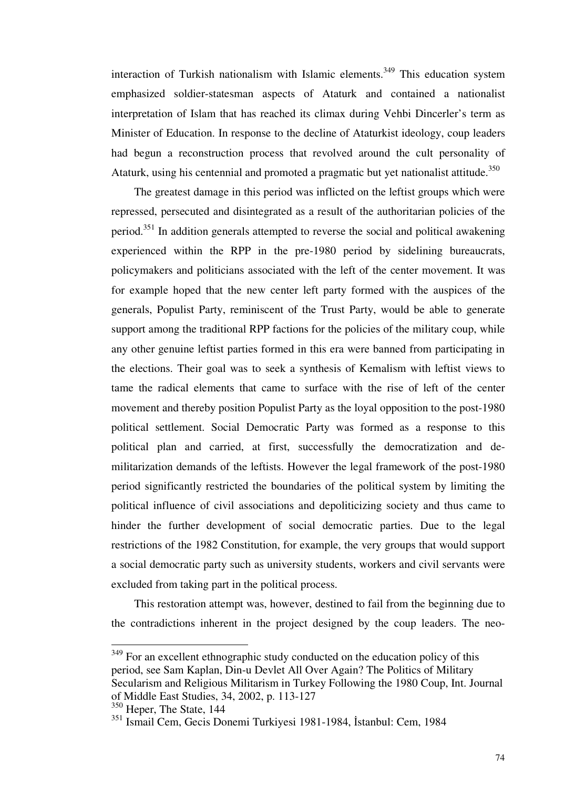interaction of Turkish nationalism with Islamic elements.<sup>349</sup> This education system emphasized soldier-statesman aspects of Ataturk and contained a nationalist interpretation of Islam that has reached its climax during Vehbi Dincerler's term as Minister of Education. In response to the decline of Ataturkist ideology, coup leaders had begun a reconstruction process that revolved around the cult personality of Ataturk, using his centennial and promoted a pragmatic but yet nationalist attitude.<sup>350</sup>

 The greatest damage in this period was inflicted on the leftist groups which were repressed, persecuted and disintegrated as a result of the authoritarian policies of the period.<sup>351</sup> In addition generals attempted to reverse the social and political awakening experienced within the RPP in the pre-1980 period by sidelining bureaucrats, policymakers and politicians associated with the left of the center movement. It was for example hoped that the new center left party formed with the auspices of the generals, Populist Party, reminiscent of the Trust Party, would be able to generate support among the traditional RPP factions for the policies of the military coup, while any other genuine leftist parties formed in this era were banned from participating in the elections. Their goal was to seek a synthesis of Kemalism with leftist views to tame the radical elements that came to surface with the rise of left of the center movement and thereby position Populist Party as the loyal opposition to the post-1980 political settlement. Social Democratic Party was formed as a response to this political plan and carried, at first, successfully the democratization and demilitarization demands of the leftists. However the legal framework of the post-1980 period significantly restricted the boundaries of the political system by limiting the political influence of civil associations and depoliticizing society and thus came to hinder the further development of social democratic parties. Due to the legal restrictions of the 1982 Constitution, for example, the very groups that would support a social democratic party such as university students, workers and civil servants were excluded from taking part in the political process.

 This restoration attempt was, however, destined to fail from the beginning due to the contradictions inherent in the project designed by the coup leaders. The neo-

 $349$  For an excellent ethnographic study conducted on the education policy of this period, see Sam Kaplan, Din-u Devlet All Over Again? The Politics of Military Secularism and Religious Militarism in Turkey Following the 1980 Coup, Int. Journal of Middle East Studies, 34, 2002, p. 113-127

<sup>&</sup>lt;sup>350</sup> Heper, The State, 144

<sup>351</sup> Ismail Cem, Gecis Donemi Turkiyesi 1981-1984, İstanbul: Cem, 1984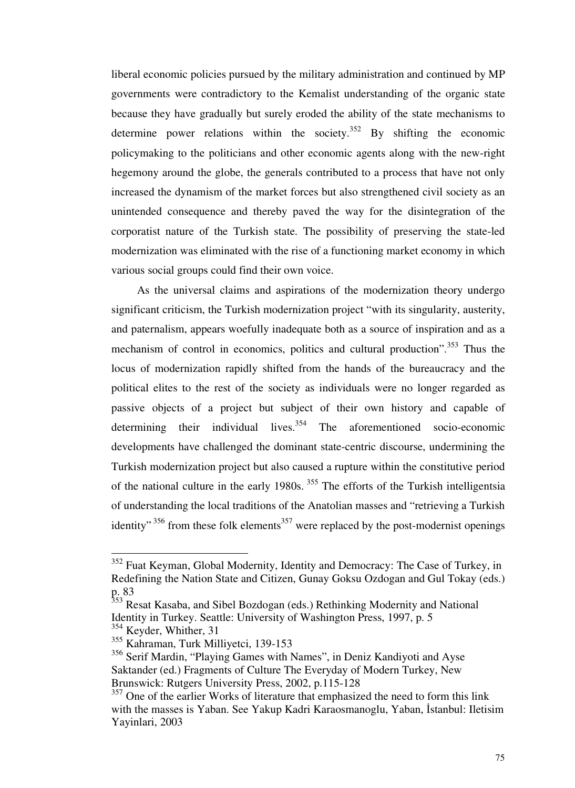liberal economic policies pursued by the military administration and continued by MP governments were contradictory to the Kemalist understanding of the organic state because they have gradually but surely eroded the ability of the state mechanisms to determine power relations within the society.<sup>352</sup> By shifting the economic policymaking to the politicians and other economic agents along with the new-right hegemony around the globe, the generals contributed to a process that have not only increased the dynamism of the market forces but also strengthened civil society as an unintended consequence and thereby paved the way for the disintegration of the corporatist nature of the Turkish state. The possibility of preserving the state-led modernization was eliminated with the rise of a functioning market economy in which various social groups could find their own voice.

 As the universal claims and aspirations of the modernization theory undergo significant criticism, the Turkish modernization project "with its singularity, austerity, and paternalism, appears woefully inadequate both as a source of inspiration and as a mechanism of control in economics, politics and cultural production".<sup>353</sup> Thus the locus of modernization rapidly shifted from the hands of the bureaucracy and the political elites to the rest of the society as individuals were no longer regarded as passive objects of a project but subject of their own history and capable of determining their individual lives.<sup>354</sup> The aforementioned socio-economic developments have challenged the dominant state-centric discourse, undermining the Turkish modernization project but also caused a rupture within the constitutive period of the national culture in the early 1980s.<sup>355</sup> The efforts of the Turkish intelligentsia of understanding the local traditions of the Anatolian masses and "retrieving a Turkish identity"<sup>356</sup> from these folk elements<sup>357</sup> were replaced by the post-modernist openings

<sup>&</sup>lt;sup>352</sup> Fuat Keyman, Global Modernity, Identity and Democracy: The Case of Turkey, in Redefining the Nation State and Citizen, Gunay Goksu Ozdogan and Gul Tokay (eds.) p. 83

<sup>&</sup>lt;sup>353</sup> Resat Kasaba, and Sibel Bozdogan (eds.) Rethinking Modernity and National Identity in Turkey. Seattle: University of Washington Press, 1997, p. 5

 $354$  Keyder, Whither, 31

<sup>355</sup> Kahraman, Turk Milliyetci, 139-153

<sup>356</sup> Serif Mardin, "Playing Games with Names", in Deniz Kandiyoti and Ayse Saktander (ed.) Fragments of Culture The Everyday of Modern Turkey, New Brunswick: Rutgers University Press, 2002, p.115-128

<sup>&</sup>lt;sup>357</sup> One of the earlier Works of literature that emphasized the need to form this link with the masses is Yaban. See Yakup Kadri Karaosmanoglu, Yaban, İstanbul: Iletisim Yayinlari, 2003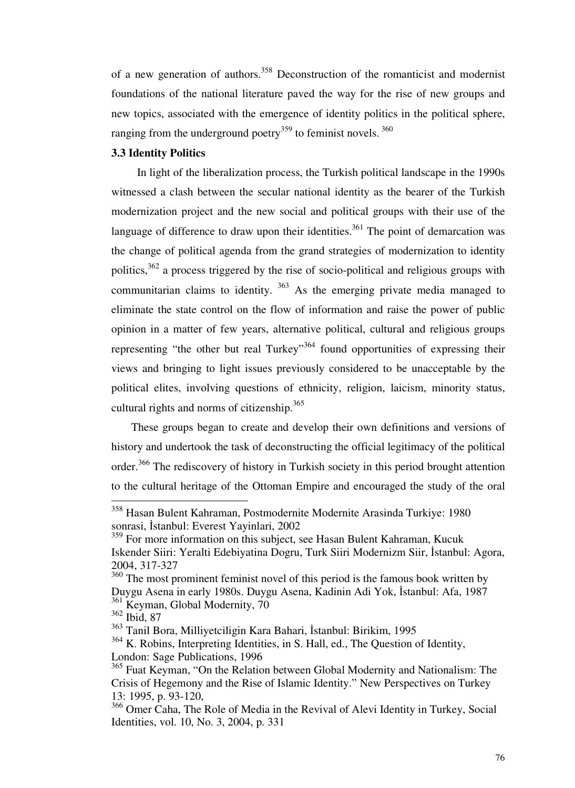of a new generation of authors.<sup>358</sup> Deconstruction of the romanticist and modernist foundations of the national literature paved the way for the rise of new groups and new topics, associated with the emergence of identity politics in the political sphere, ranging from the underground poetry<sup>359</sup> to feminist novels.<sup>360</sup>

## **3.3 Identity Politics**

 In light of the liberalization process, the Turkish political landscape in the 1990s witnessed a clash between the secular national identity as the bearer of the Turkish modernization project and the new social and political groups with their use of the language of difference to draw upon their identities.<sup>361</sup> The point of demarcation was the change of political agenda from the grand strategies of modernization to identity politics,  $362$  a process triggered by the rise of socio-political and religious groups with communitarian claims to identity.  $363$  As the emerging private media managed to eliminate the state control on the flow of information and raise the power of public opinion in a matter of few years, alternative political, cultural and religious groups representing "the other but real Turkey"<sup>364</sup> found opportunities of expressing their views and bringing to light issues previously considered to be unacceptable by the political elites, involving questions of ethnicity, religion, laicism, minority status, cultural rights and norms of citizenship. $365$ 

 These groups began to create and develop their own definitions and versions of history and undertook the task of deconstructing the official legitimacy of the political order.<sup>366</sup> The rediscovery of history in Turkish society in this period brought attention to the cultural heritage of the Ottoman Empire and encouraged the study of the oral

<sup>358</sup> Hasan Bulent Kahraman, Postmodernite Modernite Arasinda Turkiye: 1980 sonrasi, İstanbul: Everest Yayinlari, 2002

<sup>&</sup>lt;sup>359</sup> For more information on this subject, see Hasan Bulent Kahraman, Kucuk Iskender Siiri: Yeralti Edebiyatina Dogru, Turk Siiri Modernizm Siir, İstanbul: Agora, 2004, 317-327

<sup>&</sup>lt;sup>360</sup> The most prominent feminist novel of this period is the famous book written by Duygu Asena in early 1980s. Duygu Asena, Kadinin Adi Yok, İstanbul: Afa, 1987 <sup>361</sup> Keyman, Global Modernity, 70

<sup>362</sup> Ibid, 87

<sup>363</sup> Tanil Bora, Milliyetciligin Kara Bahari, İstanbul: Birikim, 1995

<sup>364</sup> K. Robins, Interpreting Identities, in S. Hall, ed., The Question of Identity, London: Sage Publications, 1996

<sup>&</sup>lt;sup>365</sup> Fuat Keyman, "On the Relation between Global Modernity and Nationalism: The Crisis of Hegemony and the Rise of Islamic Identity." New Perspectives on Turkey 13: 1995, p. 93-120,

<sup>366</sup> Omer Caha, The Role of Media in the Revival of Alevi Identity in Turkey, Social Identities, vol. 10, No. 3, 2004, p. 331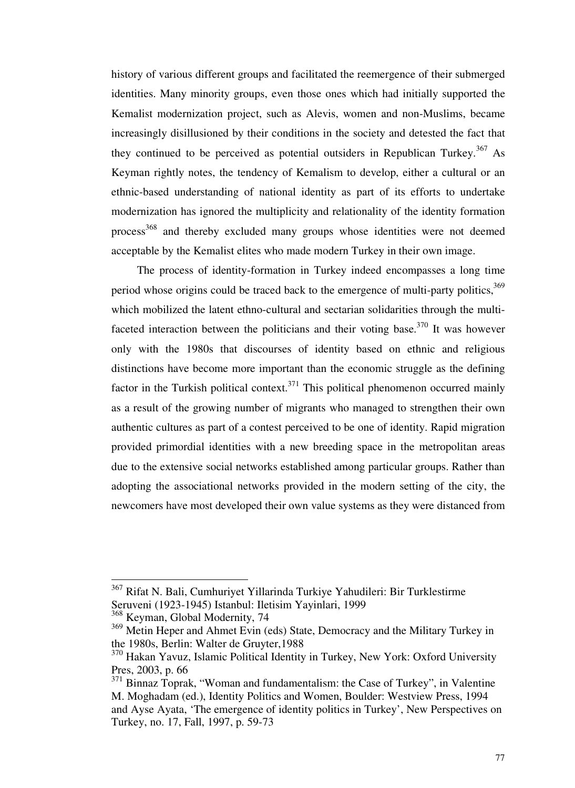history of various different groups and facilitated the reemergence of their submerged identities. Many minority groups, even those ones which had initially supported the Kemalist modernization project, such as Alevis, women and non-Muslims, became increasingly disillusioned by their conditions in the society and detested the fact that they continued to be perceived as potential outsiders in Republican Turkey.<sup>367</sup> As Keyman rightly notes, the tendency of Kemalism to develop, either a cultural or an ethnic-based understanding of national identity as part of its efforts to undertake modernization has ignored the multiplicity and relationality of the identity formation process<sup>368</sup> and thereby excluded many groups whose identities were not deemed acceptable by the Kemalist elites who made modern Turkey in their own image.

 The process of identity-formation in Turkey indeed encompasses a long time period whose origins could be traced back to the emergence of multi-party politics,<sup>369</sup> which mobilized the latent ethno-cultural and sectarian solidarities through the multifaceted interaction between the politicians and their voting base.<sup>370</sup> It was however only with the 1980s that discourses of identity based on ethnic and religious distinctions have become more important than the economic struggle as the defining factor in the Turkish political context.<sup>371</sup> This political phenomenon occurred mainly as a result of the growing number of migrants who managed to strengthen their own authentic cultures as part of a contest perceived to be one of identity. Rapid migration provided primordial identities with a new breeding space in the metropolitan areas due to the extensive social networks established among particular groups. Rather than adopting the associational networks provided in the modern setting of the city, the newcomers have most developed their own value systems as they were distanced from

<sup>&</sup>lt;sup>367</sup> Rifat N. Bali, Cumhuriyet Yillarinda Turkiye Yahudileri: Bir Turklestirme Seruveni (1923-1945) Istanbul: Iletisim Yayinlari, 1999

<sup>368</sup> Keyman, Global Modernity, 74

<sup>&</sup>lt;sup>369</sup> Metin Heper and Ahmet Evin (eds) State, Democracy and the Military Turkey in the 1980s, Berlin: Walter de Gruyter,1988

<sup>370</sup> Hakan Yavuz, Islamic Political Identity in Turkey, New York: Oxford University Pres, 2003, p. 66

<sup>&</sup>lt;sup>371</sup> Binnaz Toprak, "Woman and fundamentalism: the Case of Turkey", in Valentine M. Moghadam (ed.), Identity Politics and Women, Boulder: Westview Press, 1994 and Ayse Ayata, 'The emergence of identity politics in Turkey', New Perspectives on Turkey, no. 17, Fall, 1997, p. 59-73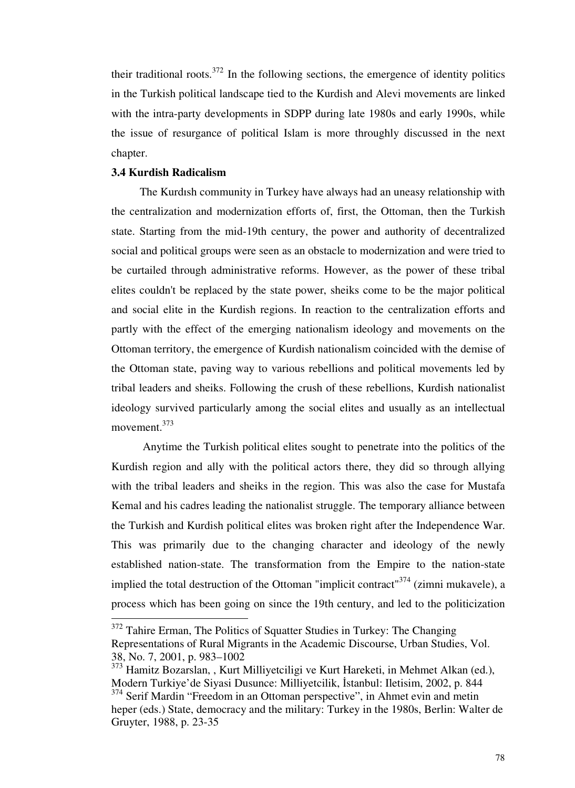their traditional roots.<sup>372</sup> In the following sections, the emergence of identity politics in the Turkish political landscape tied to the Kurdish and Alevi movements are linked with the intra-party developments in SDPP during late 1980s and early 1990s, while the issue of resurgance of political Islam is more throughly discussed in the next chapter.

#### **3.4 Kurdish Radicalism**

-

 The Kurdısh community in Turkey have always had an uneasy relationship with the centralization and modernization efforts of, first, the Ottoman, then the Turkish state. Starting from the mid-19th century, the power and authority of decentralized social and political groups were seen as an obstacle to modernization and were tried to be curtailed through administrative reforms. However, as the power of these tribal elites couldn't be replaced by the state power, sheiks come to be the major political and social elite in the Kurdish regions. In reaction to the centralization efforts and partly with the effect of the emerging nationalism ideology and movements on the Ottoman territory, the emergence of Kurdish nationalism coincided with the demise of the Ottoman state, paving way to various rebellions and political movements led by tribal leaders and sheiks. Following the crush of these rebellions, Kurdish nationalist ideology survived particularly among the social elites and usually as an intellectual movement.<sup>373</sup>

 Anytime the Turkish political elites sought to penetrate into the politics of the Kurdish region and ally with the political actors there, they did so through allying with the tribal leaders and sheiks in the region. This was also the case for Mustafa Kemal and his cadres leading the nationalist struggle. The temporary alliance between the Turkish and Kurdish political elites was broken right after the Independence War. This was primarily due to the changing character and ideology of the newly established nation-state. The transformation from the Empire to the nation-state implied the total destruction of the Ottoman "implicit contract"<sup>374</sup> (zimni mukavele), a process which has been going on since the 19th century, and led to the politicization

 $372$  Tahire Erman, The Politics of Squatter Studies in Turkey: The Changing Representations of Rural Migrants in the Academic Discourse, Urban Studies, Vol. 38, No. 7, 2001, p. 983–1002

<sup>373</sup> Hamitz Bozarslan, , Kurt Milliyetciligi ve Kurt Hareketi, in Mehmet Alkan (ed.), Modern Turkiye'de Siyasi Dusunce: Milliyetcilik, İstanbul: Iletisim, 2002, p. 844 <sup>374</sup> Serif Mardin "Freedom in an Ottoman perspective", in Ahmet evin and metin heper (eds.) State, democracy and the military: Turkey in the 1980s, Berlin: Walter de Gruyter, 1988, p. 23-35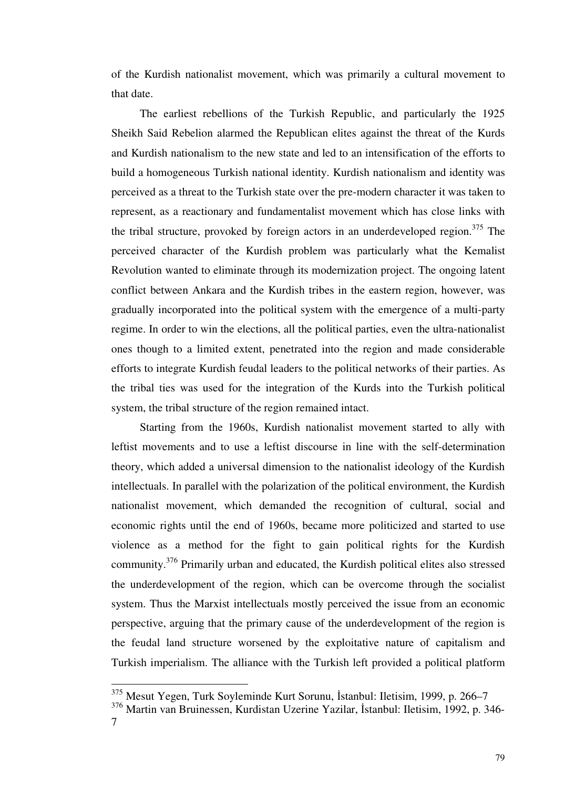of the Kurdish nationalist movement, which was primarily a cultural movement to that date.

 The earliest rebellions of the Turkish Republic, and particularly the 1925 Sheikh Said Rebelion alarmed the Republican elites against the threat of the Kurds and Kurdish nationalism to the new state and led to an intensification of the efforts to build a homogeneous Turkish national identity. Kurdish nationalism and identity was perceived as a threat to the Turkish state over the pre-modern character it was taken to represent, as a reactionary and fundamentalist movement which has close links with the tribal structure, provoked by foreign actors in an underdeveloped region.<sup>375</sup> The perceived character of the Kurdish problem was particularly what the Kemalist Revolution wanted to eliminate through its modernization project. The ongoing latent conflict between Ankara and the Kurdish tribes in the eastern region, however, was gradually incorporated into the political system with the emergence of a multi-party regime. In order to win the elections, all the political parties, even the ultra-nationalist ones though to a limited extent, penetrated into the region and made considerable efforts to integrate Kurdish feudal leaders to the political networks of their parties. As the tribal ties was used for the integration of the Kurds into the Turkish political system, the tribal structure of the region remained intact.

 Starting from the 1960s, Kurdish nationalist movement started to ally with leftist movements and to use a leftist discourse in line with the self-determination theory, which added a universal dimension to the nationalist ideology of the Kurdish intellectuals. In parallel with the polarization of the political environment, the Kurdish nationalist movement, which demanded the recognition of cultural, social and economic rights until the end of 1960s, became more politicized and started to use violence as a method for the fight to gain political rights for the Kurdish community.<sup>376</sup> Primarily urban and educated, the Kurdish political elites also stressed the underdevelopment of the region, which can be overcome through the socialist system. Thus the Marxist intellectuals mostly perceived the issue from an economic perspective, arguing that the primary cause of the underdevelopment of the region is the feudal land structure worsened by the exploitative nature of capitalism and Turkish imperialism. The alliance with the Turkish left provided a political platform

 $\frac{375}{100}$  Mesut Yegen, Turk Soyleminde Kurt Sorunu, İstanbul: Iletisim, 1999, p. 266–7

<sup>376</sup> Martin van Bruinessen, Kurdistan Uzerine Yazilar, İstanbul: Iletisim, 1992, p. 346-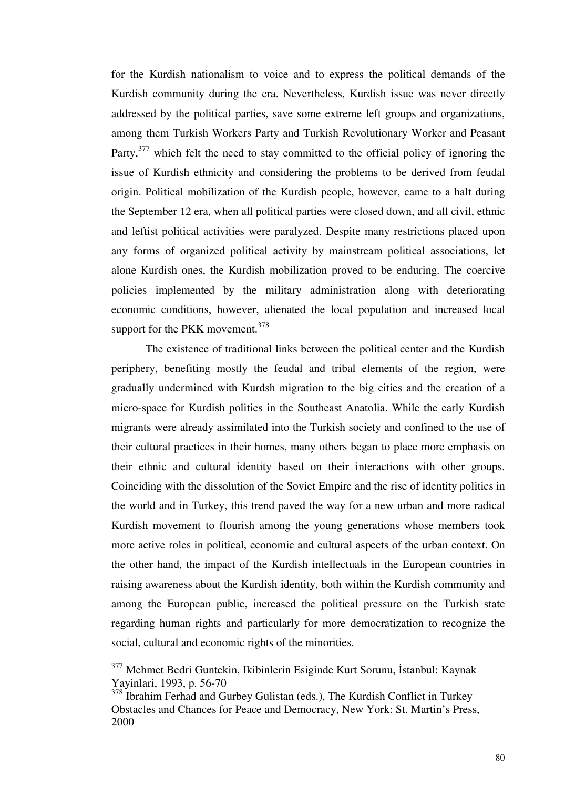for the Kurdish nationalism to voice and to express the political demands of the Kurdish community during the era. Nevertheless, Kurdish issue was never directly addressed by the political parties, save some extreme left groups and organizations, among them Turkish Workers Party and Turkish Revolutionary Worker and Peasant Party,<sup>377</sup> which felt the need to stay committed to the official policy of ignoring the issue of Kurdish ethnicity and considering the problems to be derived from feudal origin. Political mobilization of the Kurdish people, however, came to a halt during the September 12 era, when all political parties were closed down, and all civil, ethnic and leftist political activities were paralyzed. Despite many restrictions placed upon any forms of organized political activity by mainstream political associations, let alone Kurdish ones, the Kurdish mobilization proved to be enduring. The coercive policies implemented by the military administration along with deteriorating economic conditions, however, alienated the local population and increased local support for the PKK movement. $378$ 

 The existence of traditional links between the political center and the Kurdish periphery, benefiting mostly the feudal and tribal elements of the region, were gradually undermined with Kurdsh migration to the big cities and the creation of a micro-space for Kurdish politics in the Southeast Anatolia. While the early Kurdish migrants were already assimilated into the Turkish society and confined to the use of their cultural practices in their homes, many others began to place more emphasis on their ethnic and cultural identity based on their interactions with other groups. Coinciding with the dissolution of the Soviet Empire and the rise of identity politics in the world and in Turkey, this trend paved the way for a new urban and more radical Kurdish movement to flourish among the young generations whose members took more active roles in political, economic and cultural aspects of the urban context. On the other hand, the impact of the Kurdish intellectuals in the European countries in raising awareness about the Kurdish identity, both within the Kurdish community and among the European public, increased the political pressure on the Turkish state regarding human rights and particularly for more democratization to recognize the social, cultural and economic rights of the minorities.

<sup>&</sup>lt;sup>377</sup> Mehmet Bedri Guntekin, Ikibinlerin Esiginde Kurt Sorunu, İstanbul: Kaynak Yayinlari, 1993, p. 56-70

<sup>&</sup>lt;sup>378</sup> Ibrahim Ferhad and Gurbey Gulistan (eds.), The Kurdish Conflict in Turkey Obstacles and Chances for Peace and Democracy, New York: St. Martin's Press, 2000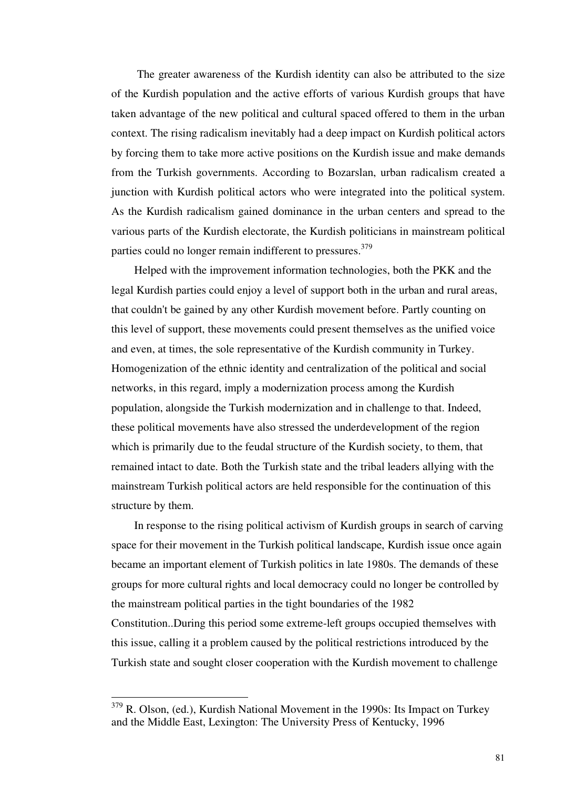The greater awareness of the Kurdish identity can also be attributed to the size of the Kurdish population and the active efforts of various Kurdish groups that have taken advantage of the new political and cultural spaced offered to them in the urban context. The rising radicalism inevitably had a deep impact on Kurdish political actors by forcing them to take more active positions on the Kurdish issue and make demands from the Turkish governments. According to Bozarslan, urban radicalism created a junction with Kurdish political actors who were integrated into the political system. As the Kurdish radicalism gained dominance in the urban centers and spread to the various parts of the Kurdish electorate, the Kurdish politicians in mainstream political parties could no longer remain indifferent to pressures.<sup>379</sup>

 Helped with the improvement information technologies, both the PKK and the legal Kurdish parties could enjoy a level of support both in the urban and rural areas, that couldn't be gained by any other Kurdish movement before. Partly counting on this level of support, these movements could present themselves as the unified voice and even, at times, the sole representative of the Kurdish community in Turkey. Homogenization of the ethnic identity and centralization of the political and social networks, in this regard, imply a modernization process among the Kurdish population, alongside the Turkish modernization and in challenge to that. Indeed, these political movements have also stressed the underdevelopment of the region which is primarily due to the feudal structure of the Kurdish society, to them, that remained intact to date. Both the Turkish state and the tribal leaders allying with the mainstream Turkish political actors are held responsible for the continuation of this structure by them.

 In response to the rising political activism of Kurdish groups in search of carving space for their movement in the Turkish political landscape, Kurdish issue once again became an important element of Turkish politics in late 1980s. The demands of these groups for more cultural rights and local democracy could no longer be controlled by the mainstream political parties in the tight boundaries of the 1982 Constitution..During this period some extreme-left groups occupied themselves with this issue, calling it a problem caused by the political restrictions introduced by the Turkish state and sought closer cooperation with the Kurdish movement to challenge

<sup>&</sup>lt;sup>379</sup> R. Olson, (ed.), Kurdish National Movement in the 1990s: Its Impact on Turkey and the Middle East, Lexington: The University Press of Kentucky, 1996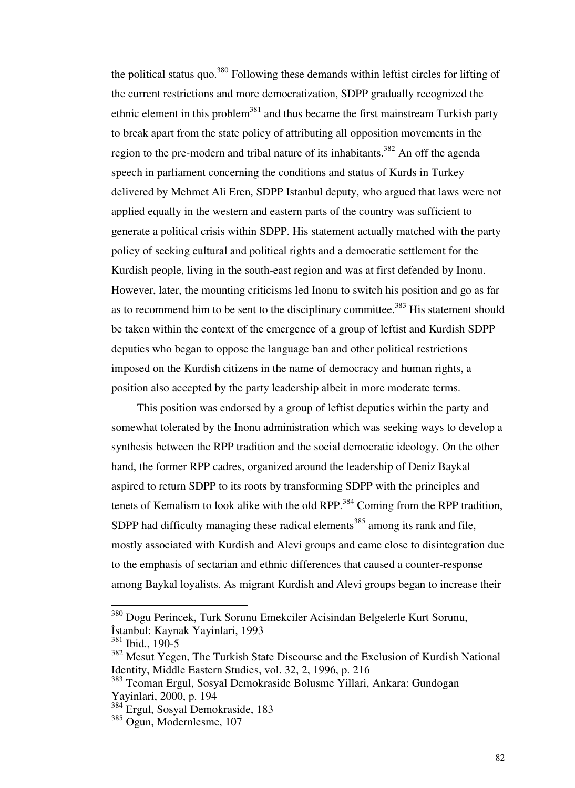the political status quo.<sup>380</sup> Following these demands within leftist circles for lifting of the current restrictions and more democratization, SDPP gradually recognized the ethnic element in this problem<sup>381</sup> and thus became the first mainstream Turkish party to break apart from the state policy of attributing all opposition movements in the region to the pre-modern and tribal nature of its inhabitants.<sup>382</sup> An off the agenda speech in parliament concerning the conditions and status of Kurds in Turkey delivered by Mehmet Ali Eren, SDPP Istanbul deputy, who argued that laws were not applied equally in the western and eastern parts of the country was sufficient to generate a political crisis within SDPP. His statement actually matched with the party policy of seeking cultural and political rights and a democratic settlement for the Kurdish people, living in the south-east region and was at first defended by Inonu. However, later, the mounting criticisms led Inonu to switch his position and go as far as to recommend him to be sent to the disciplinary committee.<sup>383</sup> His statement should be taken within the context of the emergence of a group of leftist and Kurdish SDPP deputies who began to oppose the language ban and other political restrictions imposed on the Kurdish citizens in the name of democracy and human rights, a position also accepted by the party leadership albeit in more moderate terms.

 This position was endorsed by a group of leftist deputies within the party and somewhat tolerated by the Inonu administration which was seeking ways to develop a synthesis between the RPP tradition and the social democratic ideology. On the other hand, the former RPP cadres, organized around the leadership of Deniz Baykal aspired to return SDPP to its roots by transforming SDPP with the principles and tenets of Kemalism to look alike with the old RPP.<sup>384</sup> Coming from the RPP tradition, SDPP had difficulty managing these radical elements<sup>385</sup> among its rank and file, mostly associated with Kurdish and Alevi groups and came close to disintegration due to the emphasis of sectarian and ethnic differences that caused a counter-response among Baykal loyalists. As migrant Kurdish and Alevi groups began to increase their

<sup>&</sup>lt;sup>380</sup> Dogu Perincek, Turk Sorunu Emekciler Acisindan Belgelerle Kurt Sorunu, İstanbul: Kaynak Yayinlari, 1993

<sup>381</sup> Ibid., 190-5

<sup>382</sup> Mesut Yegen, The Turkish State Discourse and the Exclusion of Kurdish National Identity, Middle Eastern Studies, vol. 32, 2, 1996, p. 216

<sup>383</sup> Teoman Ergul, Sosyal Demokraside Bolusme Yillari, Ankara: Gundogan Yayinlari, 2000, p. 194

<sup>384</sup> Ergul, Sosyal Demokraside, 183

<sup>385</sup> Ogun, Modernlesme, 107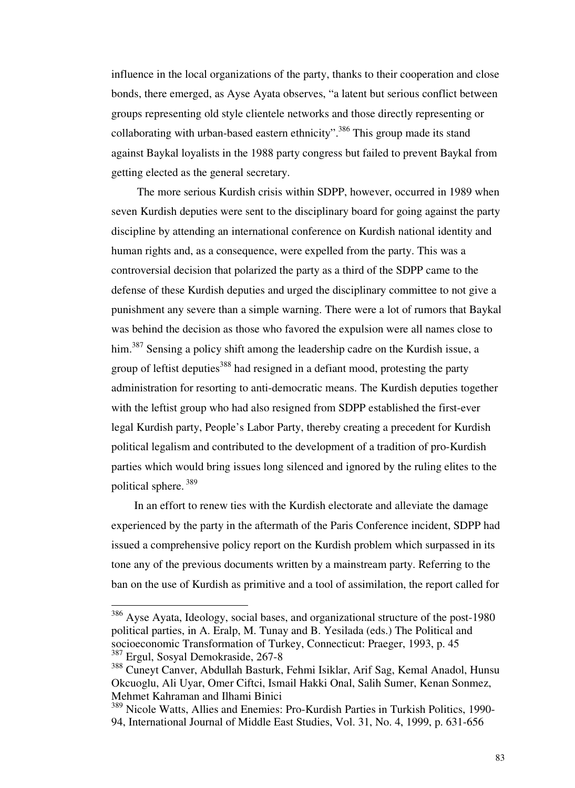influence in the local organizations of the party, thanks to their cooperation and close bonds, there emerged, as Ayse Ayata observes, "a latent but serious conflict between groups representing old style clientele networks and those directly representing or collaborating with urban-based eastern ethnicity".<sup>386</sup> This group made its stand against Baykal loyalists in the 1988 party congress but failed to prevent Baykal from getting elected as the general secretary.

 The more serious Kurdish crisis within SDPP, however, occurred in 1989 when seven Kurdish deputies were sent to the disciplinary board for going against the party discipline by attending an international conference on Kurdish national identity and human rights and, as a consequence, were expelled from the party. This was a controversial decision that polarized the party as a third of the SDPP came to the defense of these Kurdish deputies and urged the disciplinary committee to not give a punishment any severe than a simple warning. There were a lot of rumors that Baykal was behind the decision as those who favored the expulsion were all names close to him.<sup>387</sup> Sensing a policy shift among the leadership cadre on the Kurdish issue, a group of leftist deputies<sup>388</sup> had resigned in a defiant mood, protesting the party administration for resorting to anti-democratic means. The Kurdish deputies together with the leftist group who had also resigned from SDPP established the first-ever legal Kurdish party, People's Labor Party, thereby creating a precedent for Kurdish political legalism and contributed to the development of a tradition of pro-Kurdish parties which would bring issues long silenced and ignored by the ruling elites to the political sphere.<sup>389</sup>

 In an effort to renew ties with the Kurdish electorate and alleviate the damage experienced by the party in the aftermath of the Paris Conference incident, SDPP had issued a comprehensive policy report on the Kurdish problem which surpassed in its tone any of the previous documents written by a mainstream party. Referring to the ban on the use of Kurdish as primitive and a tool of assimilation, the report called for

<sup>&</sup>lt;sup>386</sup> Ayse Ayata, Ideology, social bases, and organizational structure of the post-1980 political parties, in A. Eralp, M. Tunay and B. Yesilada (eds.) The Political and socioeconomic Transformation of Turkey, Connecticut: Praeger, 1993, p. 45 <sup>387</sup> Ergul, Sosyal Demokraside, 267-8

<sup>388</sup> Cuneyt Canver, Abdullah Basturk, Fehmi Isiklar, Arif Sag, Kemal Anadol, Hunsu Okcuoglu, Ali Uyar, Omer Ciftci, Ismail Hakki Onal, Salih Sumer, Kenan Sonmez, Mehmet Kahraman and Ilhami Binici

<sup>389</sup> Nicole Watts, Allies and Enemies: Pro-Kurdish Parties in Turkish Politics, 1990- 94, International Journal of Middle East Studies, Vol. 31, No. 4, 1999, p. 631-656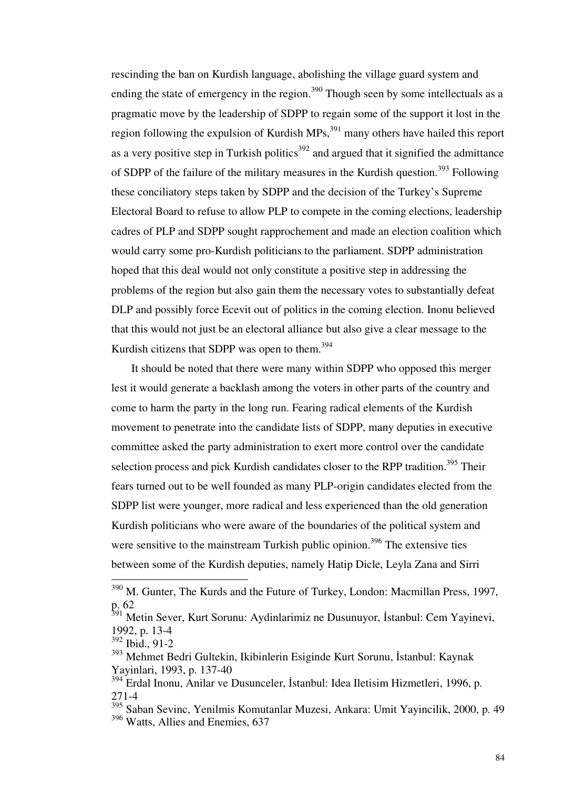rescinding the ban on Kurdish language, abolishing the village guard system and ending the state of emergency in the region.<sup>390</sup> Though seen by some intellectuals as a pragmatic move by the leadership of SDPP to regain some of the support it lost in the region following the expulsion of Kurdish  $MPs$ ,  $391$  many others have hailed this report as a very positive step in Turkish politics<sup>392</sup> and argued that it signified the admittance of SDPP of the failure of the military measures in the Kurdish question.<sup>393</sup> Following these conciliatory steps taken by SDPP and the decision of the Turkey's Supreme Electoral Board to refuse to allow PLP to compete in the coming elections, leadership cadres of PLP and SDPP sought rapprochement and made an election coalition which would carry some pro-Kurdish politicians to the parliament. SDPP administration hoped that this deal would not only constitute a positive step in addressing the problems of the region but also gain them the necessary votes to substantially defeat DLP and possibly force Ecevit out of politics in the coming election. Inonu believed that this would not just be an electoral alliance but also give a clear message to the Kurdish citizens that SDPP was open to them. $394$ 

 It should be noted that there were many within SDPP who opposed this merger lest it would generate a backlash among the voters in other parts of the country and come to harm the party in the long run. Fearing radical elements of the Kurdish movement to penetrate into the candidate lists of SDPP, many deputies in executive committee asked the party administration to exert more control over the candidate selection process and pick Kurdish candidates closer to the RPP tradition.<sup>395</sup> Their fears turned out to be well founded as many PLP-origin candidates elected from the SDPP list were younger, more radical and less experienced than the old generation Kurdish politicians who were aware of the boundaries of the political system and were sensitive to the mainstream Turkish public opinion.<sup>396</sup> The extensive ties between some of the Kurdish deputies, namely Hatip Dicle, Leyla Zana and Sirri

 $390$  M. Gunter, The Kurds and the Future of Turkey, London: Macmillan Press, 1997, p. 62

<sup>&</sup>lt;sup>391</sup> Metin Sever, Kurt Sorunu: Aydinlarimiz ne Dusunuyor, İstanbul: Cem Yayinevi, 1992, p. 13-4

<sup>392</sup> Ibid., 91-2

<sup>393</sup> Mehmet Bedri Gultekin, Ikibinlerin Esiginde Kurt Sorunu, İstanbul: Kaynak Yayinlari, 1993, p. 137-40

<sup>394</sup> Erdal Inonu, Anilar ve Dusunceler, İstanbul: Idea Iletisim Hizmetleri, 1996, p. 271-4

<sup>395</sup> Saban Sevinc, Yenilmis Komutanlar Muzesi, Ankara: Umit Yayincilik, 2000, p. 49 <sup>396</sup> Watts. Allies and Enemies, 637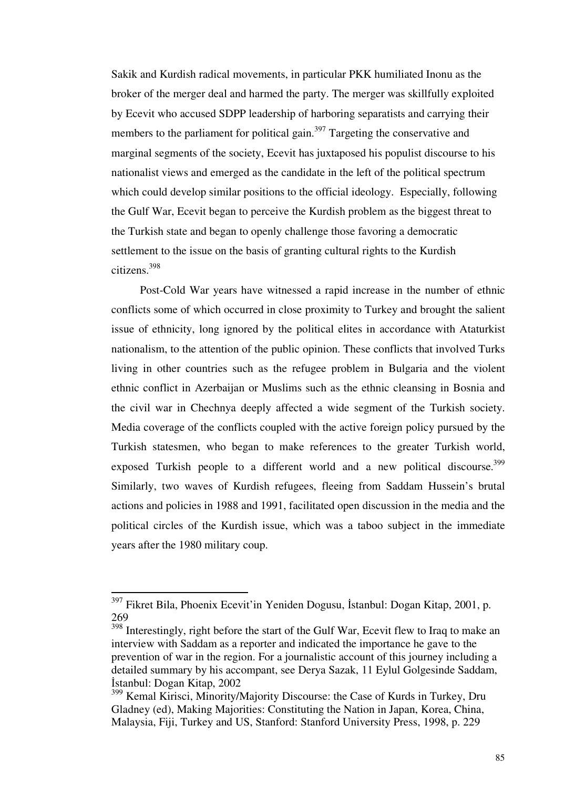Sakik and Kurdish radical movements, in particular PKK humiliated Inonu as the broker of the merger deal and harmed the party. The merger was skillfully exploited by Ecevit who accused SDPP leadership of harboring separatists and carrying their members to the parliament for political gain.<sup>397</sup> Targeting the conservative and marginal segments of the society, Ecevit has juxtaposed his populist discourse to his nationalist views and emerged as the candidate in the left of the political spectrum which could develop similar positions to the official ideology. Especially, following the Gulf War, Ecevit began to perceive the Kurdish problem as the biggest threat to the Turkish state and began to openly challenge those favoring a democratic settlement to the issue on the basis of granting cultural rights to the Kurdish citizens.<sup>398</sup>

 Post-Cold War years have witnessed a rapid increase in the number of ethnic conflicts some of which occurred in close proximity to Turkey and brought the salient issue of ethnicity, long ignored by the political elites in accordance with Ataturkist nationalism, to the attention of the public opinion. These conflicts that involved Turks living in other countries such as the refugee problem in Bulgaria and the violent ethnic conflict in Azerbaijan or Muslims such as the ethnic cleansing in Bosnia and the civil war in Chechnya deeply affected a wide segment of the Turkish society. Media coverage of the conflicts coupled with the active foreign policy pursued by the Turkish statesmen, who began to make references to the greater Turkish world, exposed Turkish people to a different world and a new political discourse.<sup>399</sup> Similarly, two waves of Kurdish refugees, fleeing from Saddam Hussein's brutal actions and policies in 1988 and 1991, facilitated open discussion in the media and the political circles of the Kurdish issue, which was a taboo subject in the immediate years after the 1980 military coup.

<sup>&</sup>lt;sup>397</sup> Fikret Bila, Phoenix Ecevit'in Yeniden Dogusu, İstanbul: Dogan Kitap, 2001, p. 269

 $398$  Interestingly, right before the start of the Gulf War, Ecevit flew to Iraq to make an interview with Saddam as a reporter and indicated the importance he gave to the prevention of war in the region. For a journalistic account of this journey including a detailed summary by his accompant, see Derya Sazak, 11 Eylul Golgesinde Saddam, İstanbul: Dogan Kitap, 2002

<sup>&</sup>lt;sup>399</sup> Kemal Kirisci, Minority/Majority Discourse: the Case of Kurds in Turkey, Dru Gladney (ed), Making Majorities: Constituting the Nation in Japan, Korea, China, Malaysia, Fiji, Turkey and US, Stanford: Stanford University Press, 1998, p. 229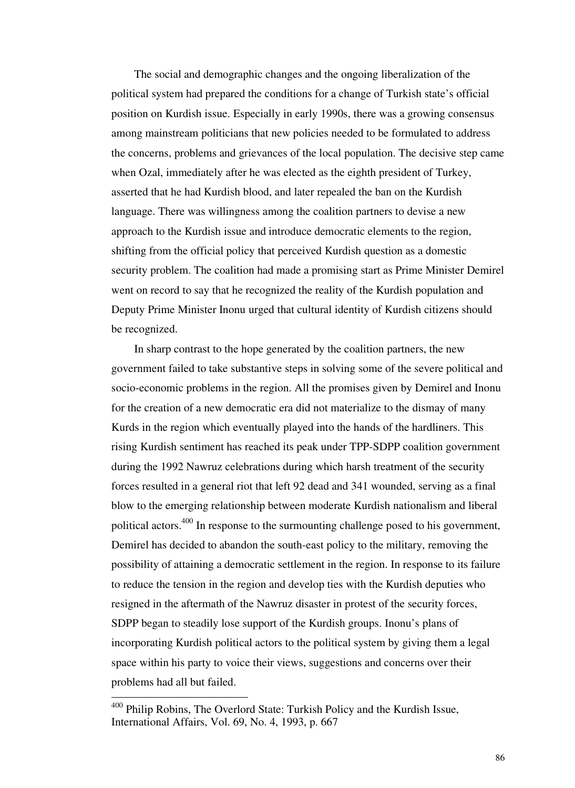The social and demographic changes and the ongoing liberalization of the political system had prepared the conditions for a change of Turkish state's official position on Kurdish issue. Especially in early 1990s, there was a growing consensus among mainstream politicians that new policies needed to be formulated to address the concerns, problems and grievances of the local population. The decisive step came when Ozal, immediately after he was elected as the eighth president of Turkey, asserted that he had Kurdish blood, and later repealed the ban on the Kurdish language. There was willingness among the coalition partners to devise a new approach to the Kurdish issue and introduce democratic elements to the region, shifting from the official policy that perceived Kurdish question as a domestic security problem. The coalition had made a promising start as Prime Minister Demirel went on record to say that he recognized the reality of the Kurdish population and Deputy Prime Minister Inonu urged that cultural identity of Kurdish citizens should be recognized.

 In sharp contrast to the hope generated by the coalition partners, the new government failed to take substantive steps in solving some of the severe political and socio-economic problems in the region. All the promises given by Demirel and Inonu for the creation of a new democratic era did not materialize to the dismay of many Kurds in the region which eventually played into the hands of the hardliners. This rising Kurdish sentiment has reached its peak under TPP-SDPP coalition government during the 1992 Nawruz celebrations during which harsh treatment of the security forces resulted in a general riot that left 92 dead and 341 wounded, serving as a final blow to the emerging relationship between moderate Kurdish nationalism and liberal political actors.<sup>400</sup> In response to the surmounting challenge posed to his government, Demirel has decided to abandon the south-east policy to the military, removing the possibility of attaining a democratic settlement in the region. In response to its failure to reduce the tension in the region and develop ties with the Kurdish deputies who resigned in the aftermath of the Nawruz disaster in protest of the security forces, SDPP began to steadily lose support of the Kurdish groups. Inonu's plans of incorporating Kurdish political actors to the political system by giving them a legal space within his party to voice their views, suggestions and concerns over their problems had all but failed.

<sup>&</sup>lt;sup>400</sup> Philip Robins, The Overlord State: Turkish Policy and the Kurdish Issue, International Affairs, Vol. 69, No. 4, 1993, p. 667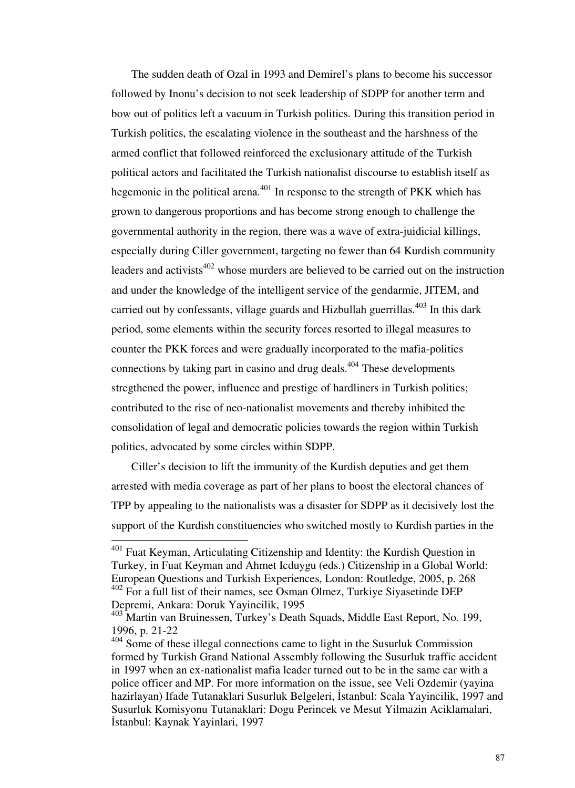The sudden death of Ozal in 1993 and Demirel's plans to become his successor followed by Inonu's decision to not seek leadership of SDPP for another term and bow out of politics left a vacuum in Turkish politics. During this transition period in Turkish politics, the escalating violence in the southeast and the harshness of the armed conflict that followed reinforced the exclusionary attitude of the Turkish political actors and facilitated the Turkish nationalist discourse to establish itself as hegemonic in the political arena. $401$  In response to the strength of PKK which has grown to dangerous proportions and has become strong enough to challenge the governmental authority in the region, there was a wave of extra-juidicial killings, especially during Ciller government, targeting no fewer than 64 Kurdish community leaders and activists<sup>402</sup> whose murders are believed to be carried out on the instruction and under the knowledge of the intelligent service of the gendarmie, JITEM, and carried out by confessants, village guards and Hizbullah guerrillas.<sup>403</sup> In this dark period, some elements within the security forces resorted to illegal measures to counter the PKK forces and were gradually incorporated to the mafia-politics connections by taking part in casino and drug deals. $404$  These developments stregthened the power, influence and prestige of hardliners in Turkish politics; contributed to the rise of neo-nationalist movements and thereby inhibited the consolidation of legal and democratic policies towards the region within Turkish politics, advocated by some circles within SDPP.

 Ciller's decision to lift the immunity of the Kurdish deputies and get them arrested with media coverage as part of her plans to boost the electoral chances of TPP by appealing to the nationalists was a disaster for SDPP as it decisively lost the support of the Kurdish constituencies who switched mostly to Kurdish parties in the

<sup>&</sup>lt;sup>401</sup> Fuat Keyman, Articulating Citizenship and Identity: the Kurdish Question in Turkey, in Fuat Keyman and Ahmet Icduygu (eds.) Citizenship in a Global World: European Questions and Turkish Experiences, London: Routledge, 2005, p. 268  $402$  For a full list of their names, see Osman Olmez, Turkiye Siyasetinde DEP Depremi, Ankara: Doruk Yayincilik, 1995

<sup>&</sup>lt;sup>403</sup> Martin van Bruinessen, Turkey's Death Squads, Middle East Report, No. 199, 1996, p. 21-22

<sup>&</sup>lt;sup>404</sup> Some of these illegal connections came to light in the Susurluk Commission formed by Turkish Grand National Assembly following the Susurluk traffic accident in 1997 when an ex-nationalist mafia leader turned out to be in the same car with a police officer and MP. For more information on the issue, see Veli Ozdemir (yayina hazirlayan) Ifade Tutanaklari Susurluk Belgeleri, İstanbul: Scala Yayincilik, 1997 and Susurluk Komisyonu Tutanaklari: Dogu Perincek ve Mesut Yilmazin Aciklamalari, İstanbul: Kaynak Yayinlari, 1997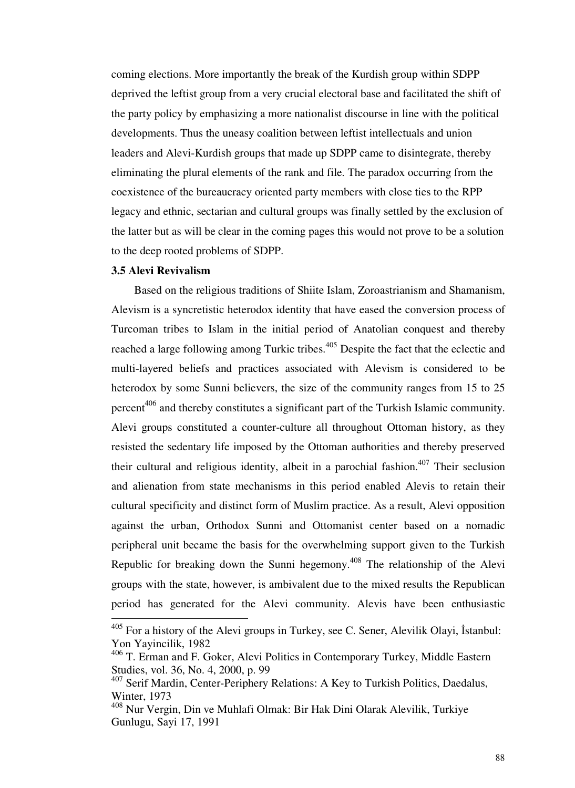coming elections. More importantly the break of the Kurdish group within SDPP deprived the leftist group from a very crucial electoral base and facilitated the shift of the party policy by emphasizing a more nationalist discourse in line with the political developments. Thus the uneasy coalition between leftist intellectuals and union leaders and Alevi-Kurdish groups that made up SDPP came to disintegrate, thereby eliminating the plural elements of the rank and file. The paradox occurring from the coexistence of the bureaucracy oriented party members with close ties to the RPP legacy and ethnic, sectarian and cultural groups was finally settled by the exclusion of the latter but as will be clear in the coming pages this would not prove to be a solution to the deep rooted problems of SDPP.

#### **3.5 Alevi Revivalism**

-

 Based on the religious traditions of Shiite Islam, Zoroastrianism and Shamanism, Alevism is a syncretistic heterodox identity that have eased the conversion process of Turcoman tribes to Islam in the initial period of Anatolian conquest and thereby reached a large following among Turkic tribes.<sup>405</sup> Despite the fact that the eclectic and multi-layered beliefs and practices associated with Alevism is considered to be heterodox by some Sunni believers, the size of the community ranges from 15 to 25 percent<sup>406</sup> and thereby constitutes a significant part of the Turkish Islamic community. Alevi groups constituted a counter-culture all throughout Ottoman history, as they resisted the sedentary life imposed by the Ottoman authorities and thereby preserved their cultural and religious identity, albeit in a parochial fashion.<sup>407</sup> Their seclusion and alienation from state mechanisms in this period enabled Alevis to retain their cultural specificity and distinct form of Muslim practice. As a result, Alevi opposition against the urban, Orthodox Sunni and Ottomanist center based on a nomadic peripheral unit became the basis for the overwhelming support given to the Turkish Republic for breaking down the Sunni hegemony.<sup>408</sup> The relationship of the Alevi groups with the state, however, is ambivalent due to the mixed results the Republican period has generated for the Alevi community. Alevis have been enthusiastic

 $405$  For a history of the Alevi groups in Turkey, see C. Sener, Alevilik Olayi, İstanbul: Yon Yayincilik, 1982

<sup>&</sup>lt;sup>406</sup> T. Erman and F. Goker, Alevi Politics in Contemporary Turkey, Middle Eastern Studies, vol. 36, No. 4, 2000, p. 99

<sup>&</sup>lt;sup>407</sup> Serif Mardin, Center-Periphery Relations: A Key to Turkish Politics, Daedalus, Winter, 1973

<sup>408</sup> Nur Vergin, Din ve Muhlafi Olmak: Bir Hak Dini Olarak Alevilik, Turkiye Gunlugu, Sayi 17, 1991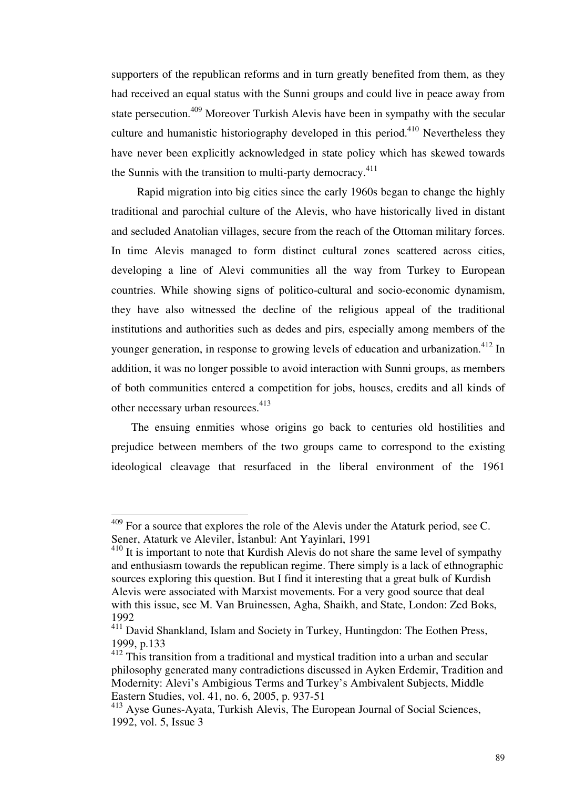supporters of the republican reforms and in turn greatly benefited from them, as they had received an equal status with the Sunni groups and could live in peace away from state persecution.<sup>409</sup> Moreover Turkish Alevis have been in sympathy with the secular culture and humanistic historiography developed in this period.<sup>410</sup> Nevertheless they have never been explicitly acknowledged in state policy which has skewed towards the Sunnis with the transition to multi-party democracy. $411$ 

 Rapid migration into big cities since the early 1960s began to change the highly traditional and parochial culture of the Alevis, who have historically lived in distant and secluded Anatolian villages, secure from the reach of the Ottoman military forces. In time Alevis managed to form distinct cultural zones scattered across cities, developing a line of Alevi communities all the way from Turkey to European countries. While showing signs of politico-cultural and socio-economic dynamism, they have also witnessed the decline of the religious appeal of the traditional institutions and authorities such as dedes and pirs, especially among members of the younger generation, in response to growing levels of education and urbanization.<sup>412</sup> In addition, it was no longer possible to avoid interaction with Sunni groups, as members of both communities entered a competition for jobs, houses, credits and all kinds of other necessary urban resources.<sup>413</sup>

 The ensuing enmities whose origins go back to centuries old hostilities and prejudice between members of the two groups came to correspond to the existing ideological cleavage that resurfaced in the liberal environment of the 1961

 $409$  For a source that explores the role of the Alevis under the Ataturk period, see C. Sener, Ataturk ve Aleviler, İstanbul: Ant Yayinlari, 1991

 $410$  It is important to note that Kurdish Alevis do not share the same level of sympathy and enthusiasm towards the republican regime. There simply is a lack of ethnographic sources exploring this question. But I find it interesting that a great bulk of Kurdish Alevis were associated with Marxist movements. For a very good source that deal with this issue, see M. Van Bruinessen, Agha, Shaikh, and State, London: Zed Boks, 1992

<sup>&</sup>lt;sup>411</sup> David Shankland, Islam and Society in Turkey, Huntingdon: The Eothen Press, 1999, p.133

<sup>&</sup>lt;sup>412</sup> This transition from a traditional and mystical tradition into a urban and secular philosophy generated many contradictions discussed in Ayken Erdemir, Tradition and Modernity: Alevi's Ambigious Terms and Turkey's Ambivalent Subjects, Middle Eastern Studies, vol. 41, no. 6, 2005, p. 937-51

<sup>413</sup> Ayse Gunes-Ayata, Turkish Alevis, The European Journal of Social Sciences, 1992, vol. 5, Issue 3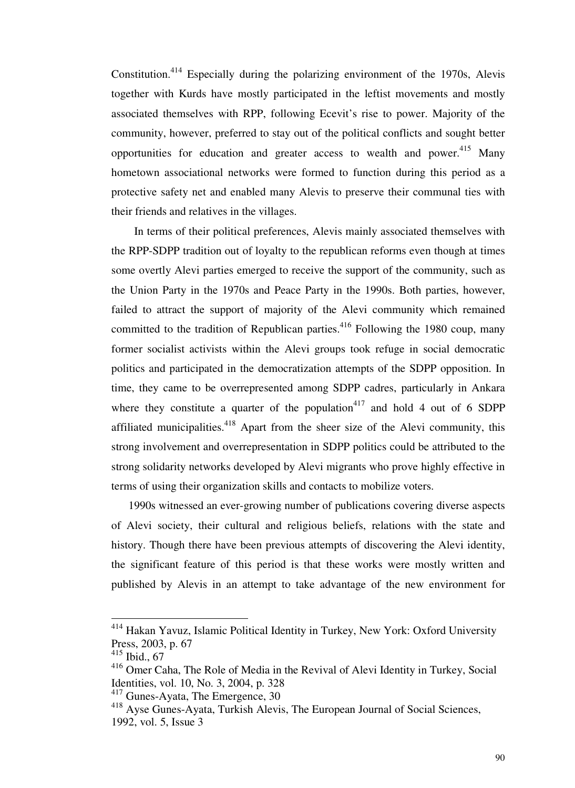Constitution.<sup>414</sup> Especially during the polarizing environment of the 1970s, Alevis together with Kurds have mostly participated in the leftist movements and mostly associated themselves with RPP, following Ecevit's rise to power. Majority of the community, however, preferred to stay out of the political conflicts and sought better opportunities for education and greater access to wealth and power.<sup>415</sup> Many hometown associational networks were formed to function during this period as a protective safety net and enabled many Alevis to preserve their communal ties with their friends and relatives in the villages.

 In terms of their political preferences, Alevis mainly associated themselves with the RPP-SDPP tradition out of loyalty to the republican reforms even though at times some overtly Alevi parties emerged to receive the support of the community, such as the Union Party in the 1970s and Peace Party in the 1990s. Both parties, however, failed to attract the support of majority of the Alevi community which remained committed to the tradition of Republican parties.<sup>416</sup> Following the 1980 coup, many former socialist activists within the Alevi groups took refuge in social democratic politics and participated in the democratization attempts of the SDPP opposition. In time, they came to be overrepresented among SDPP cadres, particularly in Ankara where they constitute a quarter of the population<sup>417</sup> and hold 4 out of 6 SDPP affiliated municipalities.<sup>418</sup> Apart from the sheer size of the Alevi community, this strong involvement and overrepresentation in SDPP politics could be attributed to the strong solidarity networks developed by Alevi migrants who prove highly effective in terms of using their organization skills and contacts to mobilize voters.

 1990s witnessed an ever-growing number of publications covering diverse aspects of Alevi society, their cultural and religious beliefs, relations with the state and history. Though there have been previous attempts of discovering the Alevi identity, the significant feature of this period is that these works were mostly written and published by Alevis in an attempt to take advantage of the new environment for

<sup>&</sup>lt;sup>414</sup> Hakan Yavuz, Islamic Political Identity in Turkey, New York: Oxford University Press, 2003, p. 67

<sup>415</sup> Ibid., 67

<sup>416</sup> Omer Caha, The Role of Media in the Revival of Alevi Identity in Turkey, Social Identities, vol. 10, No. 3, 2004, p. 328

<sup>&</sup>lt;sup>417</sup> Gunes-Ayata, The Emergence, 30

<sup>418</sup> Ayse Gunes-Ayata, Turkish Alevis, The European Journal of Social Sciences, 1992, vol. 5, Issue 3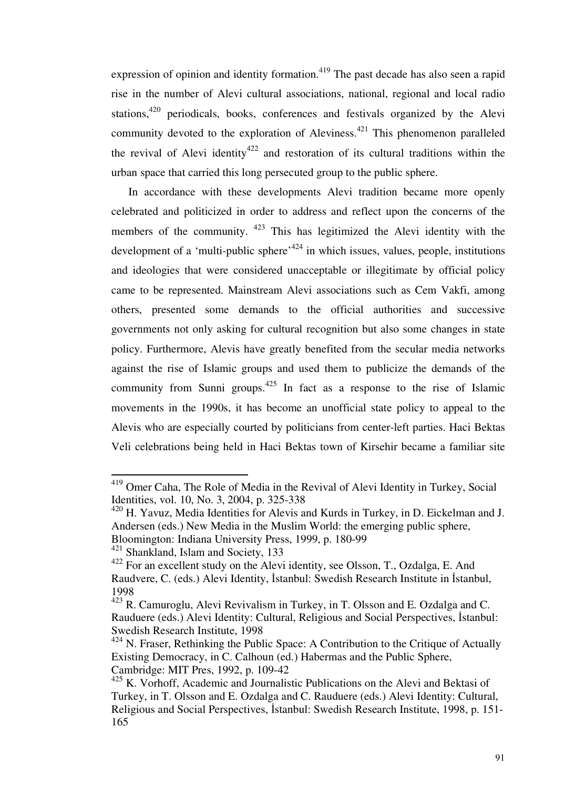expression of opinion and identity formation.<sup> $419$ </sup> The past decade has also seen a rapid rise in the number of Alevi cultural associations, national, regional and local radio stations, $420$  periodicals, books, conferences and festivals organized by the Alevi community devoted to the exploration of Aleviness.<sup>421</sup> This phenomenon paralleled the revival of Alevi identity<sup>422</sup> and restoration of its cultural traditions within the urban space that carried this long persecuted group to the public sphere.

 In accordance with these developments Alevi tradition became more openly celebrated and politicized in order to address and reflect upon the concerns of the members of the community. <sup>423</sup> This has legitimized the Alevi identity with the development of a 'multi-public sphere'<sup>424</sup> in which issues, values, people, institutions and ideologies that were considered unacceptable or illegitimate by official policy came to be represented. Mainstream Alevi associations such as Cem Vakfi, among others, presented some demands to the official authorities and successive governments not only asking for cultural recognition but also some changes in state policy. Furthermore, Alevis have greatly benefited from the secular media networks against the rise of Islamic groups and used them to publicize the demands of the community from Sunni groups.<sup>425</sup> In fact as a response to the rise of Islamic movements in the 1990s, it has become an unofficial state policy to appeal to the Alevis who are especially courted by politicians from center-left parties. Haci Bektas Veli celebrations being held in Haci Bektas town of Kirsehir became a familiar site

<sup>&</sup>lt;sup>419</sup> Omer Caha, The Role of Media in the Revival of Alevi Identity in Turkey, Social Identities, vol. 10, No. 3, 2004, p. 325-338

<sup>420</sup> H. Yavuz, Media Identities for Alevis and Kurds in Turkey, in D. Eickelman and J. Andersen (eds.) New Media in the Muslim World: the emerging public sphere, Bloomington: Indiana University Press, 1999, p. 180-99

<sup>&</sup>lt;sup>421</sup> Shankland, Islam and Society, 133

 $422$  For an excellent study on the Alevi identity, see Olsson, T., Ozdalga, E. And Raudvere, C. (eds.) Alevi Identity, İstanbul: Swedish Research Institute in İstanbul, 1998

 $423$  R. Camuroglu, Alevi Revivalism in Turkey, in T. Olsson and E. Ozdalga and C. Rauduere (eds.) Alevi Identity: Cultural, Religious and Social Perspectives, İstanbul: Swedish Research Institute, 1998

 $424$  N. Fraser, Rethinking the Public Space: A Contribution to the Critique of Actually Existing Democracy, in C. Calhoun (ed.) Habermas and the Public Sphere, Cambridge: MIT Pres, 1992, p. 109-42

 $425$  K. Vorhoff, Academic and Journalistic Publications on the Alevi and Bektasi of Turkey, in T. Olsson and E. Ozdalga and C. Rauduere (eds.) Alevi Identity: Cultural, Religious and Social Perspectives, İstanbul: Swedish Research Institute, 1998, p. 151- 165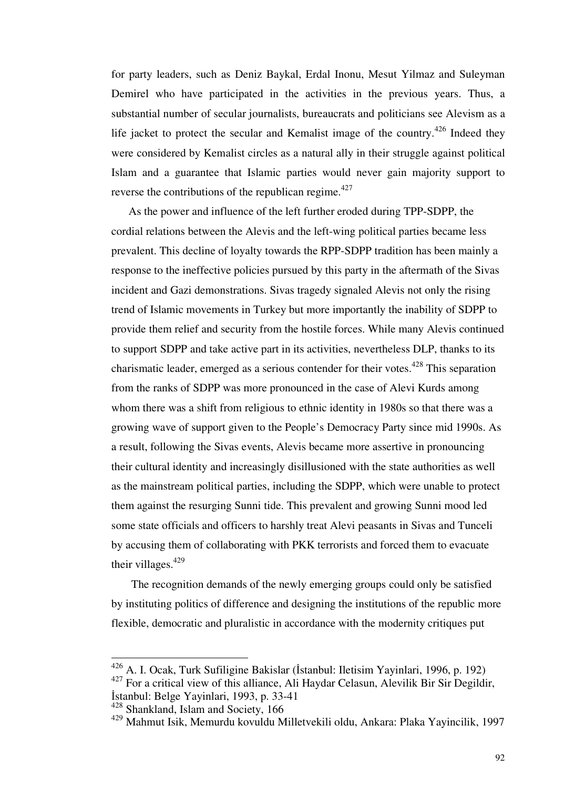for party leaders, such as Deniz Baykal, Erdal Inonu, Mesut Yilmaz and Suleyman Demirel who have participated in the activities in the previous years. Thus, a substantial number of secular journalists, bureaucrats and politicians see Alevism as a life jacket to protect the secular and Kemalist image of the country.<sup>426</sup> Indeed they were considered by Kemalist circles as a natural ally in their struggle against political Islam and a guarantee that Islamic parties would never gain majority support to reverse the contributions of the republican regime.<sup>427</sup>

 As the power and influence of the left further eroded during TPP-SDPP, the cordial relations between the Alevis and the left-wing political parties became less prevalent. This decline of loyalty towards the RPP-SDPP tradition has been mainly a response to the ineffective policies pursued by this party in the aftermath of the Sivas incident and Gazi demonstrations. Sivas tragedy signaled Alevis not only the rising trend of Islamic movements in Turkey but more importantly the inability of SDPP to provide them relief and security from the hostile forces. While many Alevis continued to support SDPP and take active part in its activities, nevertheless DLP, thanks to its charismatic leader, emerged as a serious contender for their votes.<sup>428</sup> This separation from the ranks of SDPP was more pronounced in the case of Alevi Kurds among whom there was a shift from religious to ethnic identity in 1980s so that there was a growing wave of support given to the People's Democracy Party since mid 1990s. As a result, following the Sivas events, Alevis became more assertive in pronouncing their cultural identity and increasingly disillusioned with the state authorities as well as the mainstream political parties, including the SDPP, which were unable to protect them against the resurging Sunni tide. This prevalent and growing Sunni mood led some state officials and officers to harshly treat Alevi peasants in Sivas and Tunceli by accusing them of collaborating with PKK terrorists and forced them to evacuate their villages. $429$ 

 The recognition demands of the newly emerging groups could only be satisfied by instituting politics of difference and designing the institutions of the republic more flexible, democratic and pluralistic in accordance with the modernity critiques put

 $^{426}$  A. I. Ocak, Turk Sufiligine Bakislar (İstanbul: Iletisim Yayinlari, 1996, p. 192)

<sup>&</sup>lt;sup>427</sup> For a critical view of this alliance, Ali Haydar Celasun, Alevilik Bir Sir Degildir, İstanbul: Belge Yayinlari, 1993, p. 33-41

<sup>428</sup> Shankland, Islam and Society, 166

<sup>429</sup> Mahmut Isik, Memurdu kovuldu Milletvekili oldu, Ankara: Plaka Yayincilik, 1997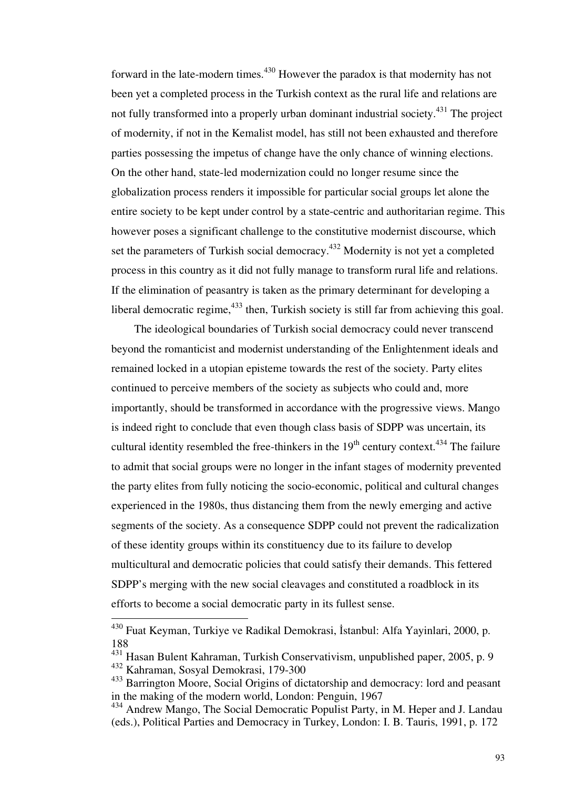forward in the late-modern times.<sup>430</sup> However the paradox is that modernity has not been yet a completed process in the Turkish context as the rural life and relations are not fully transformed into a properly urban dominant industrial society.<sup>431</sup> The project of modernity, if not in the Kemalist model, has still not been exhausted and therefore parties possessing the impetus of change have the only chance of winning elections. On the other hand, state-led modernization could no longer resume since the globalization process renders it impossible for particular social groups let alone the entire society to be kept under control by a state-centric and authoritarian regime. This however poses a significant challenge to the constitutive modernist discourse, which set the parameters of Turkish social democracy.<sup>432</sup> Modernity is not yet a completed process in this country as it did not fully manage to transform rural life and relations. If the elimination of peasantry is taken as the primary determinant for developing a liberal democratic regime,  $433$  then, Turkish society is still far from achieving this goal.

 The ideological boundaries of Turkish social democracy could never transcend beyond the romanticist and modernist understanding of the Enlightenment ideals and remained locked in a utopian episteme towards the rest of the society. Party elites continued to perceive members of the society as subjects who could and, more importantly, should be transformed in accordance with the progressive views. Mango is indeed right to conclude that even though class basis of SDPP was uncertain, its cultural identity resembled the free-thinkers in the  $19<sup>th</sup>$  century context.<sup>434</sup> The failure to admit that social groups were no longer in the infant stages of modernity prevented the party elites from fully noticing the socio-economic, political and cultural changes experienced in the 1980s, thus distancing them from the newly emerging and active segments of the society. As a consequence SDPP could not prevent the radicalization of these identity groups within its constituency due to its failure to develop multicultural and democratic policies that could satisfy their demands. This fettered SDPP's merging with the new social cleavages and constituted a roadblock in its efforts to become a social democratic party in its fullest sense.

<sup>&</sup>lt;sup>430</sup> Fuat Keyman, Turkiye ve Radikal Demokrasi, İstanbul: Alfa Yayinlari, 2000, p. 188

<sup>431</sup> Hasan Bulent Kahraman, Turkish Conservativism, unpublished paper, 2005, p. 9

<sup>432</sup> Kahraman, Sosyal Demokrasi, 179-300

<sup>433</sup> Barrington Moore, Social Origins of dictatorship and democracy: lord and peasant in the making of the modern world, London: Penguin, 1967

<sup>434</sup> Andrew Mango, The Social Democratic Populist Party, in M. Heper and J. Landau (eds.), Political Parties and Democracy in Turkey, London: I. B. Tauris, 1991, p. 172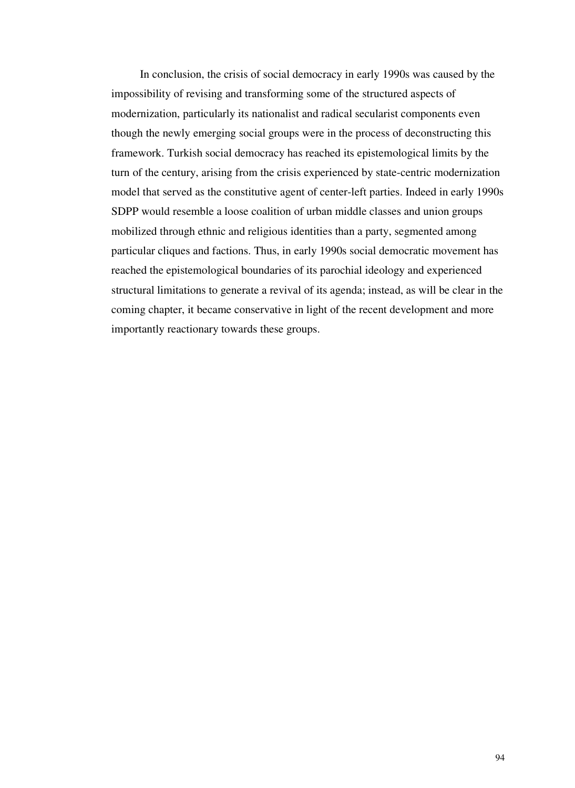In conclusion, the crisis of social democracy in early 1990s was caused by the impossibility of revising and transforming some of the structured aspects of modernization, particularly its nationalist and radical secularist components even though the newly emerging social groups were in the process of deconstructing this framework. Turkish social democracy has reached its epistemological limits by the turn of the century, arising from the crisis experienced by state-centric modernization model that served as the constitutive agent of center-left parties. Indeed in early 1990s SDPP would resemble a loose coalition of urban middle classes and union groups mobilized through ethnic and religious identities than a party, segmented among particular cliques and factions. Thus, in early 1990s social democratic movement has reached the epistemological boundaries of its parochial ideology and experienced structural limitations to generate a revival of its agenda; instead, as will be clear in the coming chapter, it became conservative in light of the recent development and more importantly reactionary towards these groups.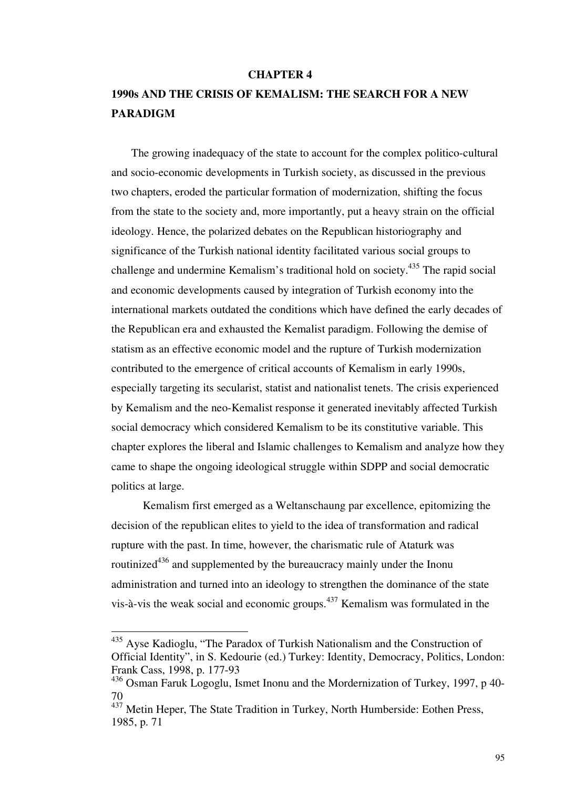#### **CHAPTER 4**

## **1990s AND THE CRISIS OF KEMALISM: THE SEARCH FOR A NEW PARADIGM**

 The growing inadequacy of the state to account for the complex politico-cultural and socio-economic developments in Turkish society, as discussed in the previous two chapters, eroded the particular formation of modernization, shifting the focus from the state to the society and, more importantly, put a heavy strain on the official ideology. Hence, the polarized debates on the Republican historiography and significance of the Turkish national identity facilitated various social groups to challenge and undermine Kemalism's traditional hold on society.<sup>435</sup> The rapid social and economic developments caused by integration of Turkish economy into the international markets outdated the conditions which have defined the early decades of the Republican era and exhausted the Kemalist paradigm. Following the demise of statism as an effective economic model and the rupture of Turkish modernization contributed to the emergence of critical accounts of Kemalism in early 1990s, especially targeting its secularist, statist and nationalist tenets. The crisis experienced by Kemalism and the neo-Kemalist response it generated inevitably affected Turkish social democracy which considered Kemalism to be its constitutive variable. This chapter explores the liberal and Islamic challenges to Kemalism and analyze how they came to shape the ongoing ideological struggle within SDPP and social democratic politics at large.

 Kemalism first emerged as a Weltanschaung par excellence, epitomizing the decision of the republican elites to yield to the idea of transformation and radical rupture with the past. In time, however, the charismatic rule of Ataturk was routinized<sup>436</sup> and supplemented by the bureaucracy mainly under the Inonu administration and turned into an ideology to strengthen the dominance of the state vis-à-vis the weak social and economic groups.<sup> $437$ </sup> Kemalism was formulated in the

<sup>&</sup>lt;sup>435</sup> Ayse Kadioglu, "The Paradox of Turkish Nationalism and the Construction of Official Identity", in S. Kedourie (ed.) Turkey: Identity, Democracy, Politics, London: Frank Cass, 1998, p. 177-93

<sup>436</sup> Osman Faruk Logoglu, Ismet Inonu and the Mordernization of Turkey, 1997, p 40- 70

<sup>&</sup>lt;sup>437</sup> Metin Heper, The State Tradition in Turkey, North Humberside: Eothen Press, 1985, p. 71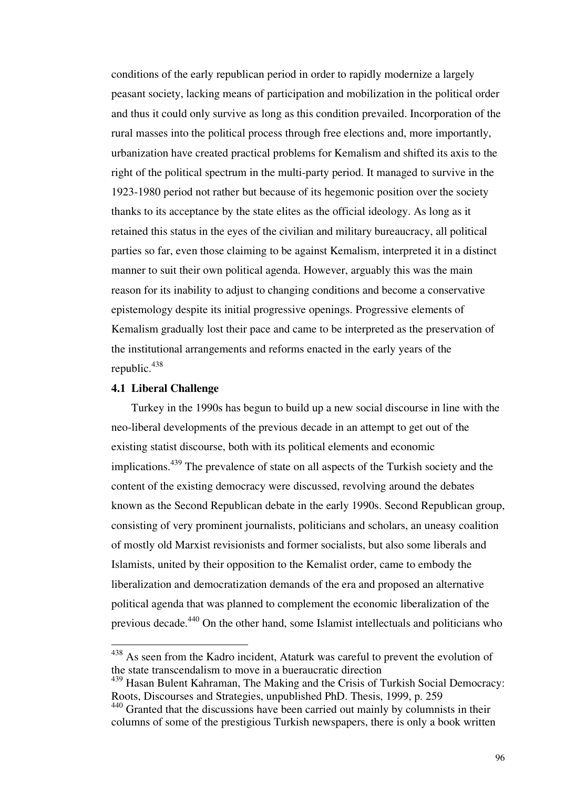conditions of the early republican period in order to rapidly modernize a largely peasant society, lacking means of participation and mobilization in the political order and thus it could only survive as long as this condition prevailed. Incorporation of the rural masses into the political process through free elections and, more importantly, urbanization have created practical problems for Kemalism and shifted its axis to the right of the political spectrum in the multi-party period. It managed to survive in the 1923-1980 period not rather but because of its hegemonic position over the society thanks to its acceptance by the state elites as the official ideology. As long as it retained this status in the eyes of the civilian and military bureaucracy, all political parties so far, even those claiming to be against Kemalism, interpreted it in a distinct manner to suit their own political agenda. However, arguably this was the main reason for its inability to adjust to changing conditions and become a conservative epistemology despite its initial progressive openings. Progressive elements of Kemalism gradually lost their pace and came to be interpreted as the preservation of the institutional arrangements and reforms enacted in the early years of the republic.<sup>438</sup>

## **4.1 Liberal Challenge**

-

 Turkey in the 1990s has begun to build up a new social discourse in line with the neo-liberal developments of the previous decade in an attempt to get out of the existing statist discourse, both with its political elements and economic implications.<sup>439</sup> The prevalence of state on all aspects of the Turkish society and the content of the existing democracy were discussed, revolving around the debates known as the Second Republican debate in the early 1990s. Second Republican group, consisting of very prominent journalists, politicians and scholars, an uneasy coalition of mostly old Marxist revisionists and former socialists, but also some liberals and Islamists, united by their opposition to the Kemalist order, came to embody the liberalization and democratization demands of the era and proposed an alternative political agenda that was planned to complement the economic liberalization of the previous decade.<sup>440</sup> On the other hand, some Islamist intellectuals and politicians who

<sup>&</sup>lt;sup>438</sup> As seen from the Kadro incident, Ataturk was careful to prevent the evolution of the state transcendalism to move in a bueraucratic direction

<sup>439</sup> Hasan Bulent Kahraman, The Making and the Crisis of Turkish Social Democracy: Roots, Discourses and Strategies, unpublished PhD. Thesis, 1999, p. 259

<sup>&</sup>lt;sup>440</sup> Granted that the discussions have been carried out mainly by columnists in their columns of some of the prestigious Turkish newspapers, there is only a book written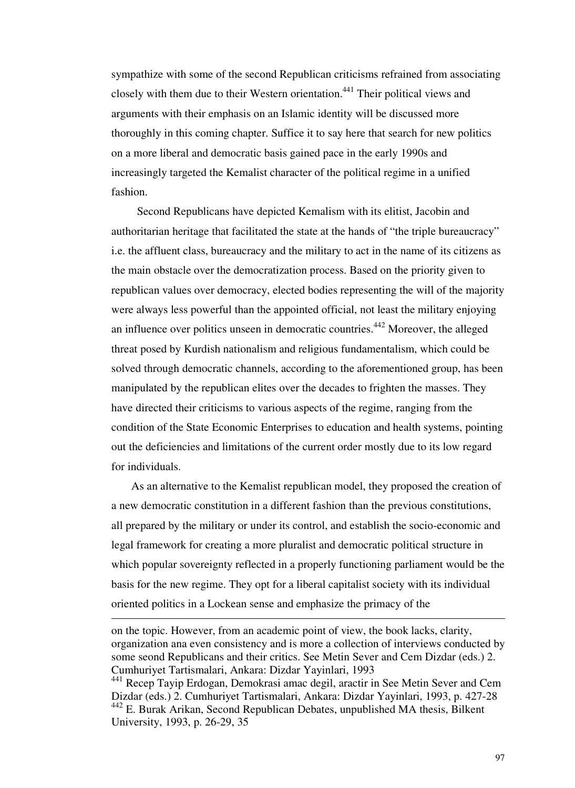sympathize with some of the second Republican criticisms refrained from associating closely with them due to their Western orientation.<sup>441</sup> Their political views and arguments with their emphasis on an Islamic identity will be discussed more thoroughly in this coming chapter. Suffice it to say here that search for new politics on a more liberal and democratic basis gained pace in the early 1990s and increasingly targeted the Kemalist character of the political regime in a unified fashion.

 Second Republicans have depicted Kemalism with its elitist, Jacobin and authoritarian heritage that facilitated the state at the hands of "the triple bureaucracy" i.e. the affluent class, bureaucracy and the military to act in the name of its citizens as the main obstacle over the democratization process. Based on the priority given to republican values over democracy, elected bodies representing the will of the majority were always less powerful than the appointed official, not least the military enjoying an influence over politics unseen in democratic countries.<sup>442</sup> Moreover, the alleged threat posed by Kurdish nationalism and religious fundamentalism, which could be solved through democratic channels, according to the aforementioned group, has been manipulated by the republican elites over the decades to frighten the masses. They have directed their criticisms to various aspects of the regime, ranging from the condition of the State Economic Enterprises to education and health systems, pointing out the deficiencies and limitations of the current order mostly due to its low regard for individuals.

 As an alternative to the Kemalist republican model, they proposed the creation of a new democratic constitution in a different fashion than the previous constitutions, all prepared by the military or under its control, and establish the socio-economic and legal framework for creating a more pluralist and democratic political structure in which popular sovereignty reflected in a properly functioning parliament would be the basis for the new regime. They opt for a liberal capitalist society with its individual oriented politics in a Lockean sense and emphasize the primacy of the

on the topic. However, from an academic point of view, the book lacks, clarity, organization ana even consistency and is more a collection of interviews conducted by some seond Republicans and their critics. See Metin Sever and Cem Dizdar (eds.) 2. Cumhuriyet Tartismalari, Ankara: Dizdar Yayinlari, 1993

<sup>441</sup> Recep Tayip Erdogan, Demokrasi amac degil, aractir in See Metin Sever and Cem Dizdar (eds.) 2. Cumhuriyet Tartismalari, Ankara: Dizdar Yayinlari, 1993, p. 427-28 <sup>442</sup> E. Burak Arikan, Second Republican Debates, unpublished MA thesis, Bilkent University, 1993, p. 26-29, 35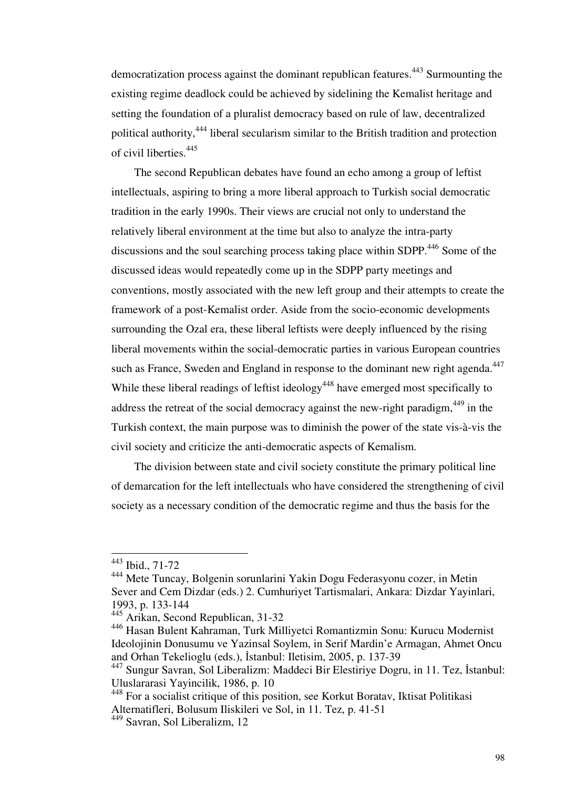democratization process against the dominant republican features. <sup>443</sup> Surmounting the existing regime deadlock could be achieved by sidelining the Kemalist heritage and setting the foundation of a pluralist democracy based on rule of law, decentralized political authority,<sup>444</sup> liberal secularism similar to the British tradition and protection of civil liberties.<sup>445</sup>

 The second Republican debates have found an echo among a group of leftist intellectuals, aspiring to bring a more liberal approach to Turkish social democratic tradition in the early 1990s. Their views are crucial not only to understand the relatively liberal environment at the time but also to analyze the intra-party discussions and the soul searching process taking place within SDPP.<sup>446</sup> Some of the discussed ideas would repeatedly come up in the SDPP party meetings and conventions, mostly associated with the new left group and their attempts to create the framework of a post-Kemalist order. Aside from the socio-economic developments surrounding the Ozal era, these liberal leftists were deeply influenced by the rising liberal movements within the social-democratic parties in various European countries such as France, Sweden and England in response to the dominant new right agenda.<sup>447</sup> While these liberal readings of leftist ideology<sup>448</sup> have emerged most specifically to address the retreat of the social democracy against the new-right paradigm,  $449$  in the Turkish context, the main purpose was to diminish the power of the state vis-à-vis the civil society and criticize the anti-democratic aspects of Kemalism.

 The division between state and civil society constitute the primary political line of demarcation for the left intellectuals who have considered the strengthening of civil society as a necessary condition of the democratic regime and thus the basis for the

<sup>443</sup> Ibid., 71-72

<sup>444</sup> Mete Tuncay, Bolgenin sorunlarini Yakin Dogu Federasyonu cozer, in Metin Sever and Cem Dizdar (eds.) 2. Cumhuriyet Tartismalari, Ankara: Dizdar Yayinlari, 1993, p. 133-144

<sup>445</sup> Arikan, Second Republican, 31-32

<sup>446</sup> Hasan Bulent Kahraman, Turk Milliyetci Romantizmin Sonu: Kurucu Modernist Ideolojinin Donusumu ve Yazinsal Soylem, in Serif Mardin'e Armagan, Ahmet Oncu and Orhan Tekelioglu (eds.), İstanbul: Iletisim, 2005, p. 137-39

<sup>447</sup> Sungur Savran, Sol Liberalizm: Maddeci Bir Elestiriye Dogru, in 11. Tez, İstanbul: Uluslararasi Yayincilik, 1986, p. 10

<sup>448</sup> For a socialist critique of this position, see Korkut Boratav, Iktisat Politikasi Alternatifleri, Bolusum Iliskileri ve Sol, in 11. Tez, p. 41-51

<sup>449</sup> Savran, Sol Liberalizm, 12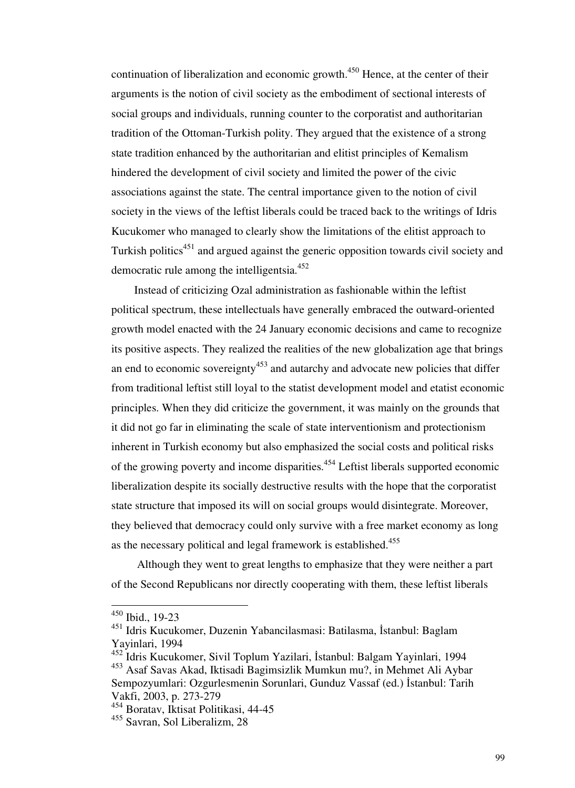continuation of liberalization and economic growth.<sup>450</sup> Hence, at the center of their arguments is the notion of civil society as the embodiment of sectional interests of social groups and individuals, running counter to the corporatist and authoritarian tradition of the Ottoman-Turkish polity. They argued that the existence of a strong state tradition enhanced by the authoritarian and elitist principles of Kemalism hindered the development of civil society and limited the power of the civic associations against the state. The central importance given to the notion of civil society in the views of the leftist liberals could be traced back to the writings of Idris Kucukomer who managed to clearly show the limitations of the elitist approach to Turkish politics<sup>451</sup> and argued against the generic opposition towards civil society and democratic rule among the intelligentsia.<sup>452</sup>

 Instead of criticizing Ozal administration as fashionable within the leftist political spectrum, these intellectuals have generally embraced the outward-oriented growth model enacted with the 24 January economic decisions and came to recognize its positive aspects. They realized the realities of the new globalization age that brings an end to economic sovereignty $453$  and autarchy and advocate new policies that differ from traditional leftist still loyal to the statist development model and etatist economic principles. When they did criticize the government, it was mainly on the grounds that it did not go far in eliminating the scale of state interventionism and protectionism inherent in Turkish economy but also emphasized the social costs and political risks of the growing poverty and income disparities.<sup>454</sup> Leftist liberals supported economic liberalization despite its socially destructive results with the hope that the corporatist state structure that imposed its will on social groups would disintegrate. Moreover, they believed that democracy could only survive with a free market economy as long as the necessary political and legal framework is established.<sup>455</sup>

 Although they went to great lengths to emphasize that they were neither a part of the Second Republicans nor directly cooperating with them, these leftist liberals

<sup>450</sup> Ibid., 19-23

<sup>451</sup> Idris Kucukomer, Duzenin Yabancilasmasi: Batilasma, İstanbul: Baglam Yayinlari, 1994

<sup>452</sup> Idris Kucukomer, Sivil Toplum Yazilari, İstanbul: Balgam Yayinlari, 1994

<sup>453</sup> Asaf Savas Akad, Iktisadi Bagimsizlik Mumkun mu?, in Mehmet Ali Aybar Sempozyumlari: Ozgurlesmenin Sorunlari, Gunduz Vassaf (ed.) İstanbul: Tarih Vakfi, 2003, p. 273-279

<sup>454</sup> Boratav, Iktisat Politikasi, 44-45

<sup>455</sup> Savran, Sol Liberalizm, 28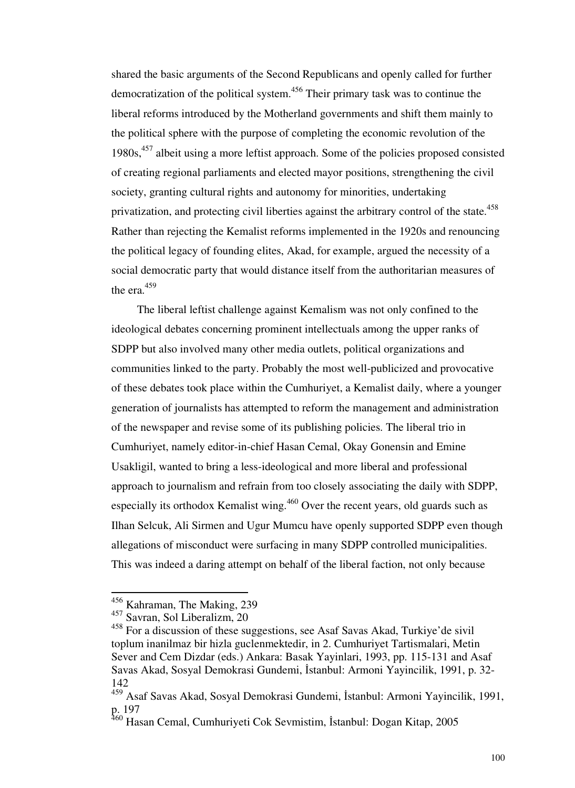shared the basic arguments of the Second Republicans and openly called for further democratization of the political system.<sup>456</sup> Their primary task was to continue the liberal reforms introduced by the Motherland governments and shift them mainly to the political sphere with the purpose of completing the economic revolution of the  $1980s<sup>457</sup>$  albeit using a more leftist approach. Some of the policies proposed consisted of creating regional parliaments and elected mayor positions, strengthening the civil society, granting cultural rights and autonomy for minorities, undertaking privatization, and protecting civil liberties against the arbitrary control of the state.<sup>458</sup> Rather than rejecting the Kemalist reforms implemented in the 1920s and renouncing the political legacy of founding elites, Akad, for example, argued the necessity of a social democratic party that would distance itself from the authoritarian measures of the era.<sup>459</sup>

 The liberal leftist challenge against Kemalism was not only confined to the ideological debates concerning prominent intellectuals among the upper ranks of SDPP but also involved many other media outlets, political organizations and communities linked to the party. Probably the most well-publicized and provocative of these debates took place within the Cumhuriyet, a Kemalist daily, where a younger generation of journalists has attempted to reform the management and administration of the newspaper and revise some of its publishing policies. The liberal trio in Cumhuriyet, namely editor-in-chief Hasan Cemal, Okay Gonensin and Emine Usakligil, wanted to bring a less-ideological and more liberal and professional approach to journalism and refrain from too closely associating the daily with SDPP, especially its orthodox Kemalist wing.<sup>460</sup> Over the recent years, old guards such as Ilhan Selcuk, Ali Sirmen and Ugur Mumcu have openly supported SDPP even though allegations of misconduct were surfacing in many SDPP controlled municipalities. This was indeed a daring attempt on behalf of the liberal faction, not only because

<sup>&</sup>lt;sup>456</sup> Kahraman, The Making, 239

<sup>457</sup> Savran, Sol Liberalizm, 20

<sup>458</sup> For a discussion of these suggestions, see Asaf Savas Akad, Turkiye'de sivil toplum inanilmaz bir hizla guclenmektedir, in 2. Cumhuriyet Tartismalari, Metin Sever and Cem Dizdar (eds.) Ankara: Basak Yayinlari, 1993, pp. 115-131 and Asaf Savas Akad, Sosyal Demokrasi Gundemi, İstanbul: Armoni Yayincilik, 1991, p. 32- 142

<sup>459</sup> Asaf Savas Akad, Sosyal Demokrasi Gundemi, İstanbul: Armoni Yayincilik, 1991, p. 197

<sup>&</sup>lt;sup>460</sup> Hasan Cemal, Cumhuriyeti Cok Sevmistim, İstanbul: Dogan Kitap, 2005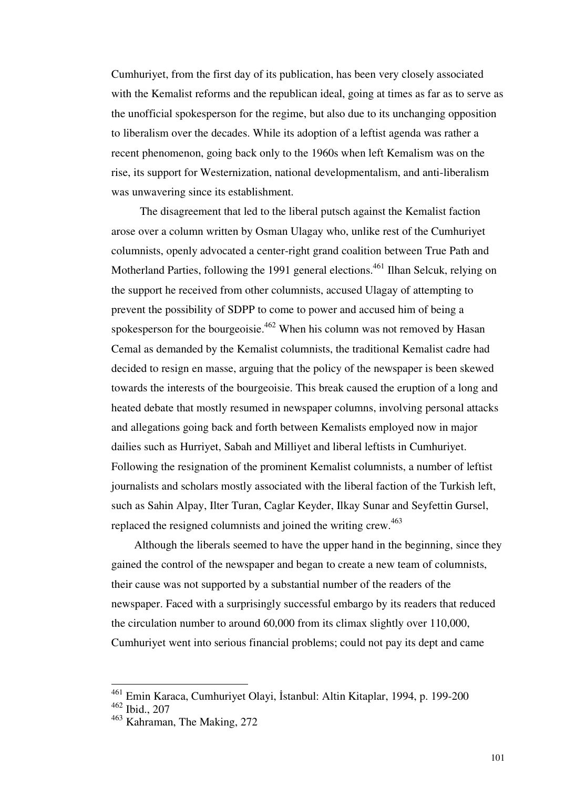Cumhuriyet, from the first day of its publication, has been very closely associated with the Kemalist reforms and the republican ideal, going at times as far as to serve as the unofficial spokesperson for the regime, but also due to its unchanging opposition to liberalism over the decades. While its adoption of a leftist agenda was rather a recent phenomenon, going back only to the 1960s when left Kemalism was on the rise, its support for Westernization, national developmentalism, and anti-liberalism was unwavering since its establishment.

 The disagreement that led to the liberal putsch against the Kemalist faction arose over a column written by Osman Ulagay who, unlike rest of the Cumhuriyet columnists, openly advocated a center-right grand coalition between True Path and Motherland Parties, following the 1991 general elections.<sup>461</sup> Ilhan Selcuk, relying on the support he received from other columnists, accused Ulagay of attempting to prevent the possibility of SDPP to come to power and accused him of being a spokesperson for the bourgeoisie.<sup>462</sup> When his column was not removed by Hasan Cemal as demanded by the Kemalist columnists, the traditional Kemalist cadre had decided to resign en masse, arguing that the policy of the newspaper is been skewed towards the interests of the bourgeoisie. This break caused the eruption of a long and heated debate that mostly resumed in newspaper columns, involving personal attacks and allegations going back and forth between Kemalists employed now in major dailies such as Hurriyet, Sabah and Milliyet and liberal leftists in Cumhuriyet. Following the resignation of the prominent Kemalist columnists, a number of leftist journalists and scholars mostly associated with the liberal faction of the Turkish left, such as Sahin Alpay, Ilter Turan, Caglar Keyder, Ilkay Sunar and Seyfettin Gursel, replaced the resigned columnists and joined the writing crew. $463$ 

 Although the liberals seemed to have the upper hand in the beginning, since they gained the control of the newspaper and began to create a new team of columnists, their cause was not supported by a substantial number of the readers of the newspaper. Faced with a surprisingly successful embargo by its readers that reduced the circulation number to around 60,000 from its climax slightly over 110,000, Cumhuriyet went into serious financial problems; could not pay its dept and came

<sup>461</sup> Emin Karaca, Cumhuriyet Olayi, İstanbul: Altin Kitaplar, 1994, p. 199-200 <sup>462</sup> Ibid., 207

<sup>463</sup> Kahraman, The Making, 272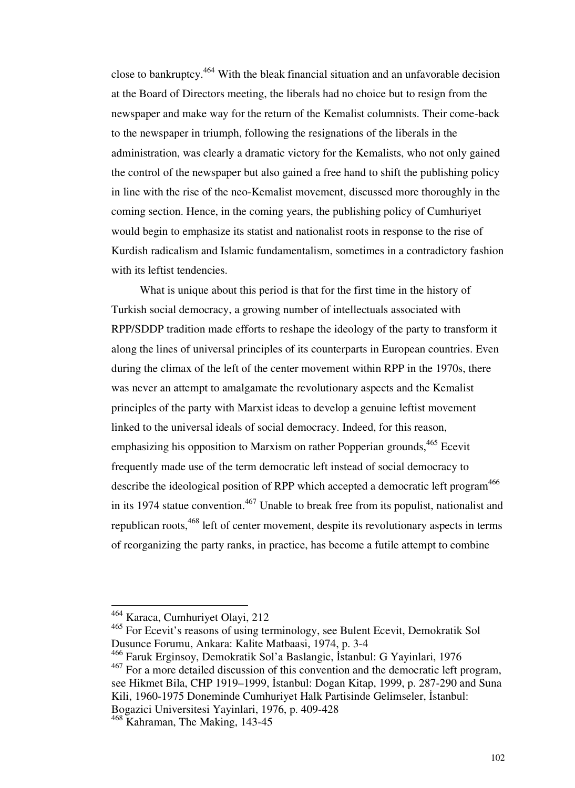close to bankruptcy.<sup>464</sup> With the bleak financial situation and an unfavorable decision at the Board of Directors meeting, the liberals had no choice but to resign from the newspaper and make way for the return of the Kemalist columnists. Their come-back to the newspaper in triumph, following the resignations of the liberals in the administration, was clearly a dramatic victory for the Kemalists, who not only gained the control of the newspaper but also gained a free hand to shift the publishing policy in line with the rise of the neo-Kemalist movement, discussed more thoroughly in the coming section. Hence, in the coming years, the publishing policy of Cumhuriyet would begin to emphasize its statist and nationalist roots in response to the rise of Kurdish radicalism and Islamic fundamentalism, sometimes in a contradictory fashion with its leftist tendencies.

 What is unique about this period is that for the first time in the history of Turkish social democracy, a growing number of intellectuals associated with RPP/SDDP tradition made efforts to reshape the ideology of the party to transform it along the lines of universal principles of its counterparts in European countries. Even during the climax of the left of the center movement within RPP in the 1970s, there was never an attempt to amalgamate the revolutionary aspects and the Kemalist principles of the party with Marxist ideas to develop a genuine leftist movement linked to the universal ideals of social democracy. Indeed, for this reason, emphasizing his opposition to Marxism on rather Popperian grounds.<sup>465</sup> Ecevit frequently made use of the term democratic left instead of social democracy to describe the ideological position of RPP which accepted a democratic left program<sup>466</sup> in its 1974 statue convention.<sup>467</sup> Unable to break free from its populist, nationalist and republican roots,<sup>468</sup> left of center movement, despite its revolutionary aspects in terms of reorganizing the party ranks, in practice, has become a futile attempt to combine

<sup>464</sup> Karaca, Cumhuriyet Olayi, 212

<sup>465</sup> For Ecevit's reasons of using terminology, see Bulent Ecevit, Demokratik Sol Dusunce Forumu, Ankara: Kalite Matbaasi, 1974, p. 3-4

<sup>466</sup> Faruk Erginsoy, Demokratik Sol'a Baslangic, İstanbul: G Yayinlari, 1976

<sup>&</sup>lt;sup>467</sup> For a more detailed discussion of this convention and the democratic left program, see Hikmet Bila, CHP 1919–1999, İstanbul: Dogan Kitap, 1999, p. 287-290 and Suna Kili, 1960-1975 Doneminde Cumhuriyet Halk Partisinde Gelimseler, İstanbul: Bogazici Universitesi Yayinlari, 1976, p. 409-428

<sup>468</sup> Kahraman, The Making, 143-45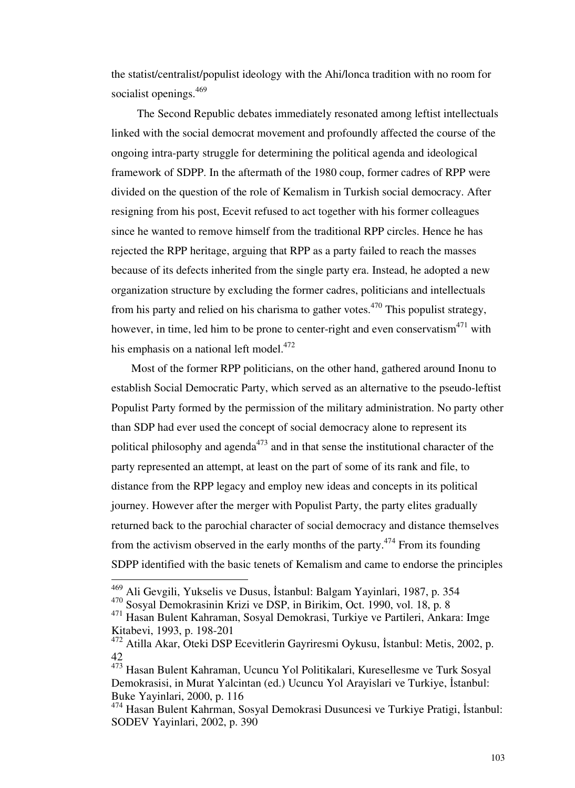the statist/centralist/populist ideology with the Ahi/lonca tradition with no room for socialist openings.<sup>469</sup>

 The Second Republic debates immediately resonated among leftist intellectuals linked with the social democrat movement and profoundly affected the course of the ongoing intra-party struggle for determining the political agenda and ideological framework of SDPP. In the aftermath of the 1980 coup, former cadres of RPP were divided on the question of the role of Kemalism in Turkish social democracy. After resigning from his post, Ecevit refused to act together with his former colleagues since he wanted to remove himself from the traditional RPP circles. Hence he has rejected the RPP heritage, arguing that RPP as a party failed to reach the masses because of its defects inherited from the single party era. Instead, he adopted a new organization structure by excluding the former cadres, politicians and intellectuals from his party and relied on his charisma to gather votes.<sup>470</sup> This populist strategy, however, in time, led him to be prone to center-right and even conservatism $471$  with his emphasis on a national left model. $472$ 

 Most of the former RPP politicians, on the other hand, gathered around Inonu to establish Social Democratic Party, which served as an alternative to the pseudo-leftist Populist Party formed by the permission of the military administration. No party other than SDP had ever used the concept of social democracy alone to represent its political philosophy and agenda<sup> $473$ </sup> and in that sense the institutional character of the party represented an attempt, at least on the part of some of its rank and file, to distance from the RPP legacy and employ new ideas and concepts in its political journey. However after the merger with Populist Party, the party elites gradually returned back to the parochial character of social democracy and distance themselves from the activism observed in the early months of the party.<sup>474</sup> From its founding SDPP identified with the basic tenets of Kemalism and came to endorse the principles

<sup>469</sup> Ali Gevgili, Yukselis ve Dusus, İstanbul: Balgam Yayinlari, 1987, p. 354

<sup>470</sup> Sosyal Demokrasinin Krizi ve DSP, in Birikim, Oct. 1990, vol. 18, p. 8

<sup>471</sup> Hasan Bulent Kahraman, Sosyal Demokrasi, Turkiye ve Partileri, Ankara: Imge Kitabevi, 1993, p. 198-201

<sup>472</sup> Atilla Akar, Oteki DSP Ecevitlerin Gayriresmi Oykusu, İstanbul: Metis, 2002, p. 42

<sup>473</sup> Hasan Bulent Kahraman, Ucuncu Yol Politikalari, Kuresellesme ve Turk Sosyal Demokrasisi, in Murat Yalcintan (ed.) Ucuncu Yol Arayislari ve Turkiye, İstanbul: Buke Yayinlari, 2000, p. 116

<sup>474</sup> Hasan Bulent Kahrman, Sosyal Demokrasi Dusuncesi ve Turkiye Pratigi, İstanbul: SODEV Yayinlari, 2002, p. 390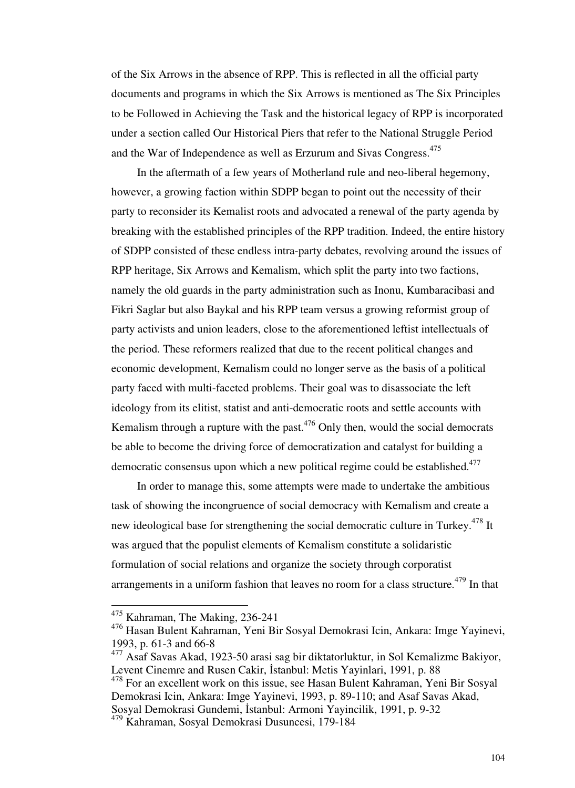of the Six Arrows in the absence of RPP. This is reflected in all the official party documents and programs in which the Six Arrows is mentioned as The Six Principles to be Followed in Achieving the Task and the historical legacy of RPP is incorporated under a section called Our Historical Piers that refer to the National Struggle Period and the War of Independence as well as Erzurum and Sivas Congress.<sup>475</sup>

 In the aftermath of a few years of Motherland rule and neo-liberal hegemony, however, a growing faction within SDPP began to point out the necessity of their party to reconsider its Kemalist roots and advocated a renewal of the party agenda by breaking with the established principles of the RPP tradition. Indeed, the entire history of SDPP consisted of these endless intra-party debates, revolving around the issues of RPP heritage, Six Arrows and Kemalism, which split the party into two factions, namely the old guards in the party administration such as Inonu, Kumbaracibasi and Fikri Saglar but also Baykal and his RPP team versus a growing reformist group of party activists and union leaders, close to the aforementioned leftist intellectuals of the period. These reformers realized that due to the recent political changes and economic development, Kemalism could no longer serve as the basis of a political party faced with multi-faceted problems. Their goal was to disassociate the left ideology from its elitist, statist and anti-democratic roots and settle accounts with Kemalism through a rupture with the past. $476$  Only then, would the social democrats be able to become the driving force of democratization and catalyst for building a democratic consensus upon which a new political regime could be established.<sup>477</sup>

 In order to manage this, some attempts were made to undertake the ambitious task of showing the incongruence of social democracy with Kemalism and create a new ideological base for strengthening the social democratic culture in Turkey.<sup>478</sup> It was argued that the populist elements of Kemalism constitute a solidaristic formulation of social relations and organize the society through corporatist arrangements in a uniform fashion that leaves no room for a class structure.<sup>479</sup> In that

<sup>&</sup>lt;sup>475</sup> Kahraman, The Making, 236-241

<sup>476</sup> Hasan Bulent Kahraman, Yeni Bir Sosyal Demokrasi Icin, Ankara: Imge Yayinevi, 1993, p. 61-3 and 66-8

<sup>477</sup> Asaf Savas Akad, 1923-50 arasi sag bir diktatorluktur, in Sol Kemalizme Bakiyor, Levent Cinemre and Rusen Cakir, İstanbul: Metis Yayinlari, 1991, p. 88

<sup>478</sup> For an excellent work on this issue, see Hasan Bulent Kahraman, Yeni Bir Sosyal Demokrasi Icin, Ankara: Imge Yayinevi, 1993, p. 89-110; and Asaf Savas Akad, Sosyal Demokrasi Gundemi, İstanbul: Armoni Yayincilik, 1991, p. 9-32

<sup>479</sup> Kahraman, Sosyal Demokrasi Dusuncesi, 179-184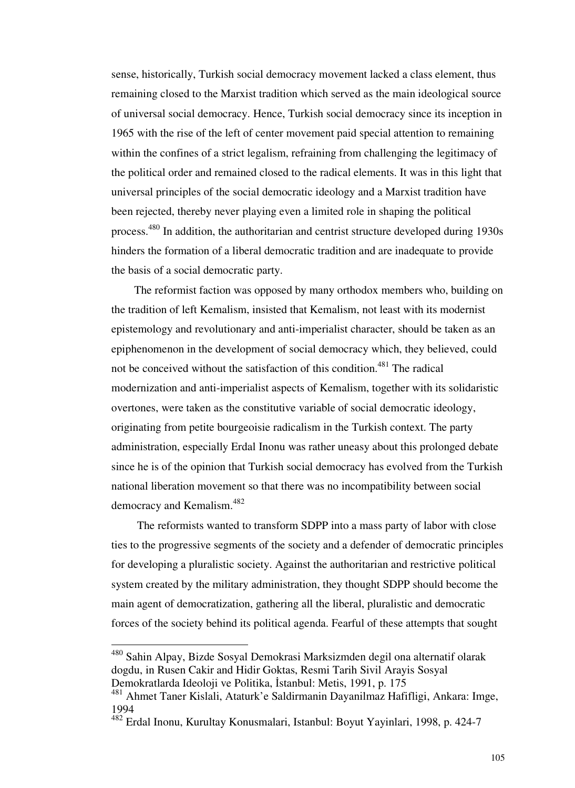sense, historically, Turkish social democracy movement lacked a class element, thus remaining closed to the Marxist tradition which served as the main ideological source of universal social democracy. Hence, Turkish social democracy since its inception in 1965 with the rise of the left of center movement paid special attention to remaining within the confines of a strict legalism, refraining from challenging the legitimacy of the political order and remained closed to the radical elements. It was in this light that universal principles of the social democratic ideology and a Marxist tradition have been rejected, thereby never playing even a limited role in shaping the political process.<sup>480</sup> In addition, the authoritarian and centrist structure developed during 1930s hinders the formation of a liberal democratic tradition and are inadequate to provide the basis of a social democratic party.

 The reformist faction was opposed by many orthodox members who, building on the tradition of left Kemalism, insisted that Kemalism, not least with its modernist epistemology and revolutionary and anti-imperialist character, should be taken as an epiphenomenon in the development of social democracy which, they believed, could not be conceived without the satisfaction of this condition.<sup>481</sup> The radical modernization and anti-imperialist aspects of Kemalism, together with its solidaristic overtones, were taken as the constitutive variable of social democratic ideology, originating from petite bourgeoisie radicalism in the Turkish context. The party administration, especially Erdal Inonu was rather uneasy about this prolonged debate since he is of the opinion that Turkish social democracy has evolved from the Turkish national liberation movement so that there was no incompatibility between social democracy and Kemalism.<sup>482</sup>

 The reformists wanted to transform SDPP into a mass party of labor with close ties to the progressive segments of the society and a defender of democratic principles for developing a pluralistic society. Against the authoritarian and restrictive political system created by the military administration, they thought SDPP should become the main agent of democratization, gathering all the liberal, pluralistic and democratic forces of the society behind its political agenda. Fearful of these attempts that sought

<sup>480</sup> Sahin Alpay, Bizde Sosyal Demokrasi Marksizmden degil ona alternatif olarak dogdu, in Rusen Cakir and Hidir Goktas, Resmi Tarih Sivil Arayis Sosyal Demokratlarda Ideoloji ve Politika, İstanbul: Metis, 1991, p. 175

<sup>481</sup> Ahmet Taner Kislali, Ataturk'e Saldirmanin Dayanilmaz Hafifligi, Ankara: Imge, 1994

<sup>482</sup> Erdal Inonu, Kurultay Konusmalari, Istanbul: Boyut Yayinlari, 1998, p. 424-7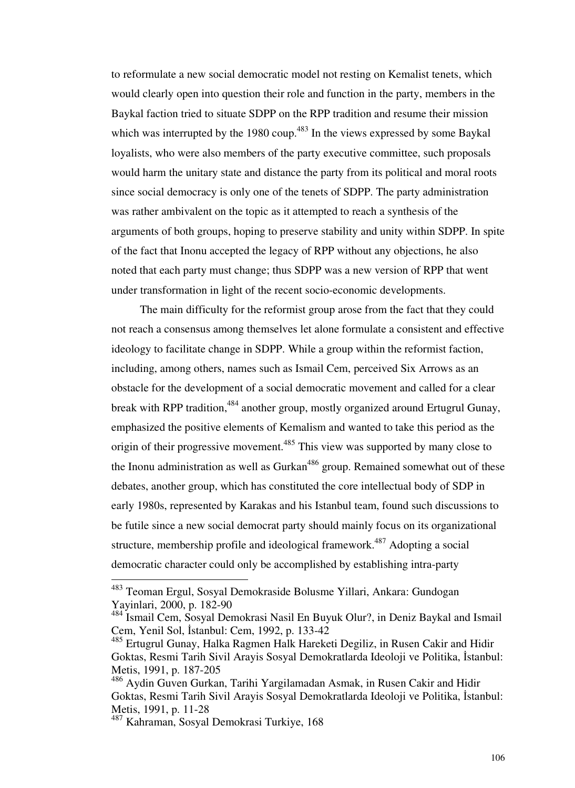to reformulate a new social democratic model not resting on Kemalist tenets, which would clearly open into question their role and function in the party, members in the Baykal faction tried to situate SDPP on the RPP tradition and resume their mission which was interrupted by the 1980 coup.<sup>483</sup> In the views expressed by some Baykal loyalists, who were also members of the party executive committee, such proposals would harm the unitary state and distance the party from its political and moral roots since social democracy is only one of the tenets of SDPP. The party administration was rather ambivalent on the topic as it attempted to reach a synthesis of the arguments of both groups, hoping to preserve stability and unity within SDPP. In spite of the fact that Inonu accepted the legacy of RPP without any objections, he also noted that each party must change; thus SDPP was a new version of RPP that went under transformation in light of the recent socio-economic developments.

 The main difficulty for the reformist group arose from the fact that they could not reach a consensus among themselves let alone formulate a consistent and effective ideology to facilitate change in SDPP. While a group within the reformist faction, including, among others, names such as Ismail Cem, perceived Six Arrows as an obstacle for the development of a social democratic movement and called for a clear break with RPP tradition,<sup>484</sup> another group, mostly organized around Ertugrul Gunay, emphasized the positive elements of Kemalism and wanted to take this period as the origin of their progressive movement.<sup>485</sup> This view was supported by many close to the Inonu administration as well as  $Gurkan<sup>486</sup>$  group. Remained somewhat out of these debates, another group, which has constituted the core intellectual body of SDP in early 1980s, represented by Karakas and his Istanbul team, found such discussions to be futile since a new social democrat party should mainly focus on its organizational structure, membership profile and ideological framework.<sup>487</sup> Adopting a social democratic character could only be accomplished by establishing intra-party

<sup>&</sup>lt;sup>483</sup> Teoman Ergul, Sosyal Demokraside Bolusme Yillari, Ankara: Gundogan Yayinlari, 2000, p. 182-90

<sup>484</sup> Ismail Cem, Sosyal Demokrasi Nasil En Buyuk Olur?, in Deniz Baykal and Ismail Cem, Yenil Sol, İstanbul: Cem, 1992, p. 133-42

<sup>&</sup>lt;sup>485</sup> Ertugrul Gunay, Halka Ragmen Halk Hareketi Degiliz, in Rusen Cakir and Hidir Goktas, Resmi Tarih Sivil Arayis Sosyal Demokratlarda Ideoloji ve Politika, İstanbul: Metis, 1991, p. 187-205

<sup>486</sup> Aydin Guven Gurkan, Tarihi Yargilamadan Asmak, in Rusen Cakir and Hidir Goktas, Resmi Tarih Sivil Arayis Sosyal Demokratlarda Ideoloji ve Politika, İstanbul: Metis, 1991, p. 11-28

<sup>487</sup> Kahraman, Sosyal Demokrasi Turkiye, 168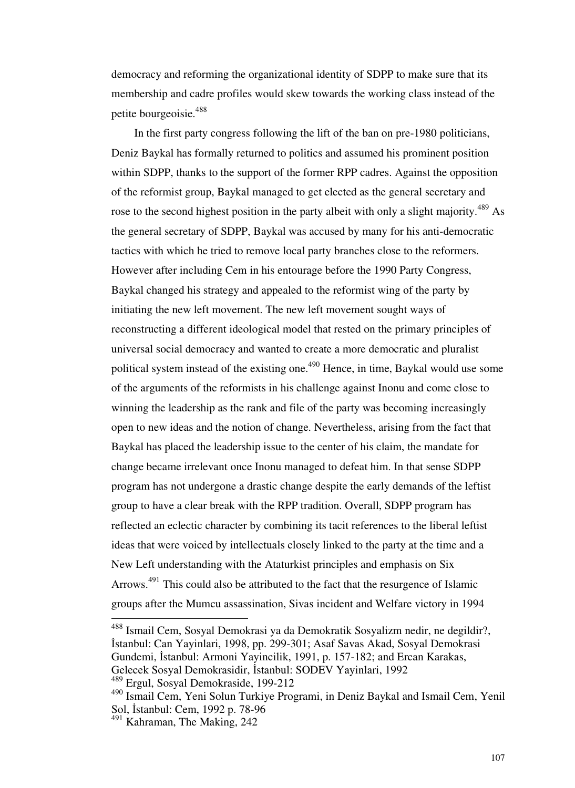democracy and reforming the organizational identity of SDPP to make sure that its membership and cadre profiles would skew towards the working class instead of the petite bourgeoisie.<sup>488</sup>

 In the first party congress following the lift of the ban on pre-1980 politicians, Deniz Baykal has formally returned to politics and assumed his prominent position within SDPP, thanks to the support of the former RPP cadres. Against the opposition of the reformist group, Baykal managed to get elected as the general secretary and rose to the second highest position in the party albeit with only a slight majority.<sup>489</sup> As the general secretary of SDPP, Baykal was accused by many for his anti-democratic tactics with which he tried to remove local party branches close to the reformers. However after including Cem in his entourage before the 1990 Party Congress, Baykal changed his strategy and appealed to the reformist wing of the party by initiating the new left movement. The new left movement sought ways of reconstructing a different ideological model that rested on the primary principles of universal social democracy and wanted to create a more democratic and pluralist political system instead of the existing one.<sup>490</sup> Hence, in time, Baykal would use some of the arguments of the reformists in his challenge against Inonu and come close to winning the leadership as the rank and file of the party was becoming increasingly open to new ideas and the notion of change. Nevertheless, arising from the fact that Baykal has placed the leadership issue to the center of his claim, the mandate for change became irrelevant once Inonu managed to defeat him. In that sense SDPP program has not undergone a drastic change despite the early demands of the leftist group to have a clear break with the RPP tradition. Overall, SDPP program has reflected an eclectic character by combining its tacit references to the liberal leftist ideas that were voiced by intellectuals closely linked to the party at the time and a New Left understanding with the Ataturkist principles and emphasis on Six Arrows.<sup>491</sup> This could also be attributed to the fact that the resurgence of Islamic groups after the Mumcu assassination, Sivas incident and Welfare victory in 1994

<sup>&</sup>lt;sup>488</sup> Ismail Cem, Sosyal Demokrasi ya da Demokratik Sosyalizm nedir, ne degildir?, İstanbul: Can Yayinlari, 1998, pp. 299-301; Asaf Savas Akad, Sosyal Demokrasi Gundemi, İstanbul: Armoni Yayincilik, 1991, p. 157-182; and Ercan Karakas, Gelecek Sosyal Demokrasidir, İstanbul: SODEV Yayinlari, 1992

<sup>489</sup> Ergul, Sosyal Demokraside, 199-212

<sup>490</sup> Ismail Cem, Yeni Solun Turkiye Programi, in Deniz Baykal and Ismail Cem, Yenil Sol, İstanbul: Cem, 1992 p. 78-96

<sup>491</sup> Kahraman, The Making, 242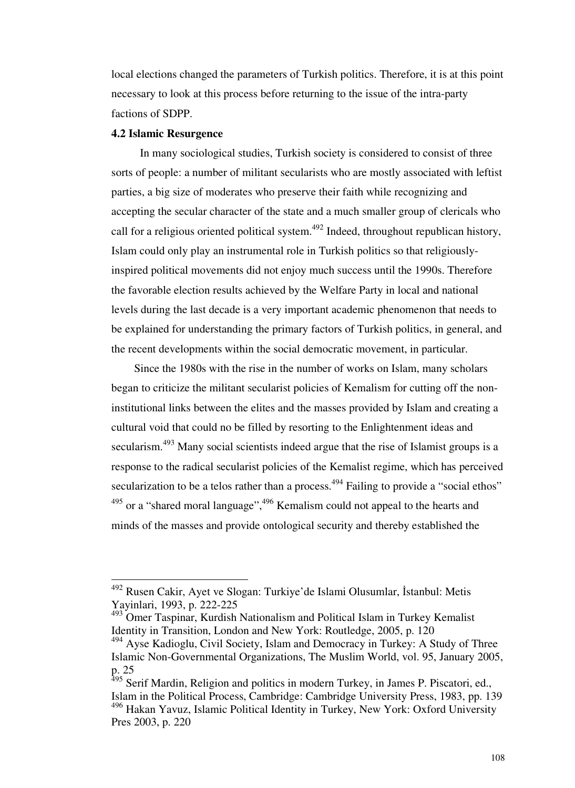local elections changed the parameters of Turkish politics. Therefore, it is at this point necessary to look at this process before returning to the issue of the intra-party factions of SDPP.

#### **4.2 Islamic Resurgence**

-

 In many sociological studies, Turkish society is considered to consist of three sorts of people: a number of militant secularists who are mostly associated with leftist parties, a big size of moderates who preserve their faith while recognizing and accepting the secular character of the state and a much smaller group of clericals who call for a religious oriented political system.<sup>492</sup> Indeed, throughout republican history, Islam could only play an instrumental role in Turkish politics so that religiouslyinspired political movements did not enjoy much success until the 1990s. Therefore the favorable election results achieved by the Welfare Party in local and national levels during the last decade is a very important academic phenomenon that needs to be explained for understanding the primary factors of Turkish politics, in general, and the recent developments within the social democratic movement, in particular.

 Since the 1980s with the rise in the number of works on Islam, many scholars began to criticize the militant secularist policies of Kemalism for cutting off the noninstitutional links between the elites and the masses provided by Islam and creating a cultural void that could no be filled by resorting to the Enlightenment ideas and secularism.<sup>493</sup> Many social scientists indeed argue that the rise of Islamist groups is a response to the radical secularist policies of the Kemalist regime, which has perceived secularization to be a telos rather than a process.<sup>494</sup> Failing to provide a "social ethos"  $495$  or a "shared moral language",  $496$  Kemalism could not appeal to the hearts and minds of the masses and provide ontological security and thereby established the

<sup>&</sup>lt;sup>492</sup> Rusen Cakir, Ayet ve Slogan: Turkiye'de Islami Olusumlar, İstanbul: Metis Yayinlari, 1993, p. 222-225

<sup>&</sup>lt;sup>493</sup> Omer Taspinar, Kurdish Nationalism and Political Islam in Turkey Kemalist Identity in Transition, London and New York: Routledge, 2005, p. 120

 $494$  Ayse Kadioglu, Civil Society, Islam and Democracy in Turkey: A Study of Three Islamic Non-Governmental Organizations, The Muslim World, vol. 95, January 2005, p. 25

<sup>&</sup>lt;sup>495</sup> Serif Mardin, Religion and politics in modern Turkey, in James P. Piscatori, ed., Islam in the Political Process, Cambridge: Cambridge University Press, 1983, pp. 139 <sup>496</sup> Hakan Yavuz, Islamic Political Identity in Turkey, New York: Oxford University Pres 2003, p. 220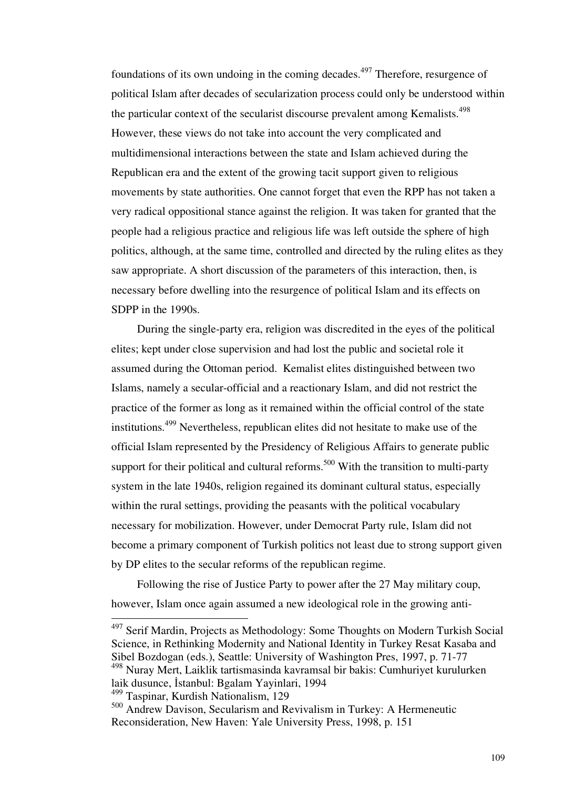foundations of its own undoing in the coming decades.<sup>497</sup> Therefore, resurgence of political Islam after decades of secularization process could only be understood within the particular context of the secularist discourse prevalent among Kemalists.<sup>498</sup> However, these views do not take into account the very complicated and multidimensional interactions between the state and Islam achieved during the Republican era and the extent of the growing tacit support given to religious movements by state authorities. One cannot forget that even the RPP has not taken a very radical oppositional stance against the religion. It was taken for granted that the people had a religious practice and religious life was left outside the sphere of high politics, although, at the same time, controlled and directed by the ruling elites as they saw appropriate. A short discussion of the parameters of this interaction, then, is necessary before dwelling into the resurgence of political Islam and its effects on SDPP in the 1990s.

 During the single-party era, religion was discredited in the eyes of the political elites; kept under close supervision and had lost the public and societal role it assumed during the Ottoman period. Kemalist elites distinguished between two Islams, namely a secular-official and a reactionary Islam, and did not restrict the practice of the former as long as it remained within the official control of the state institutions.<sup>499</sup> Nevertheless, republican elites did not hesitate to make use of the official Islam represented by the Presidency of Religious Affairs to generate public support for their political and cultural reforms.<sup>500</sup> With the transition to multi-party system in the late 1940s, religion regained its dominant cultural status, especially within the rural settings, providing the peasants with the political vocabulary necessary for mobilization. However, under Democrat Party rule, Islam did not become a primary component of Turkish politics not least due to strong support given by DP elites to the secular reforms of the republican regime.

 Following the rise of Justice Party to power after the 27 May military coup, however, Islam once again assumed a new ideological role in the growing anti-

 $497$  Serif Mardin, Projects as Methodology: Some Thoughts on Modern Turkish Social Science, in Rethinking Modernity and National Identity in Turkey Resat Kasaba and Sibel Bozdogan (eds.), Seattle: University of Washington Pres, 1997, p. 71-77 <sup>498</sup> Nuray Mert, Laiklik tartismasinda kavramsal bir bakis: Cumhuriyet kurulurken

laik dusunce, İstanbul: Bgalam Yayinlari, 1994

<sup>499</sup> Taspinar, Kurdish Nationalism, 129

<sup>500</sup> Andrew Davison, Secularism and Revivalism in Turkey: A Hermeneutic Reconsideration, New Haven: Yale University Press, 1998, p. 151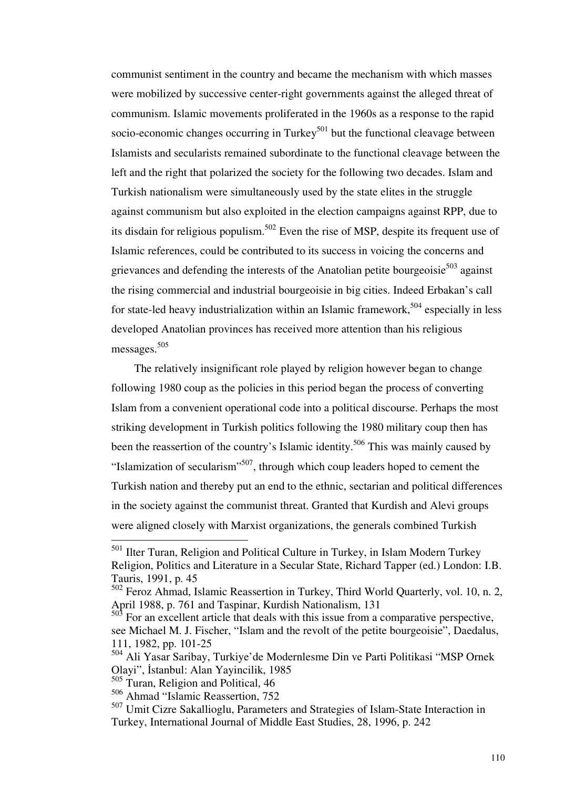communist sentiment in the country and became the mechanism with which masses were mobilized by successive center-right governments against the alleged threat of communism. Islamic movements proliferated in the 1960s as a response to the rapid socio-economic changes occurring in Turkey $501$  but the functional cleavage between Islamists and secularists remained subordinate to the functional cleavage between the left and the right that polarized the society for the following two decades. Islam and Turkish nationalism were simultaneously used by the state elites in the struggle against communism but also exploited in the election campaigns against RPP, due to its disdain for religious populism.<sup>502</sup> Even the rise of MSP, despite its frequent use of Islamic references, could be contributed to its success in voicing the concerns and grievances and defending the interests of the Anatolian petite bourgeoisie $503$  against the rising commercial and industrial bourgeoisie in big cities. Indeed Erbakan's call for state-led heavy industrialization within an Islamic framework,  $504$  especially in less developed Anatolian provinces has received more attention than his religious messages. 505

 The relatively insignificant role played by religion however began to change following 1980 coup as the policies in this period began the process of converting Islam from a convenient operational code into a political discourse. Perhaps the most striking development in Turkish politics following the 1980 military coup then has been the reassertion of the country's Islamic identity.<sup>506</sup> This was mainly caused by "Islamization of secularism"<sup>507</sup>, through which coup leaders hoped to cement the Turkish nation and thereby put an end to the ethnic, sectarian and political differences in the society against the communist threat. Granted that Kurdish and Alevi groups were aligned closely with Marxist organizations, the generals combined Turkish

<sup>&</sup>lt;sup>501</sup> Ilter Turan, Religion and Political Culture in Turkey, in Islam Modern Turkey Religion, Politics and Literature in a Secular State, Richard Tapper (ed.) London: I.B. Tauris, 1991, p. 45

<sup>502</sup> Feroz Ahmad, Islamic Reassertion in Turkey, Third World Quarterly, vol. 10, n. 2, April 1988, p. 761 and Taspinar, Kurdish Nationalism, 131<br>503 Essexuality

<sup>503</sup> For an excellent article that deals with this issue from a comparative perspective, see Michael M. J. Fischer, "Islam and the revolt of the petite bourgeoisie", Daedalus, 111, 1982, pp. 101-25

<sup>504</sup> Ali Yasar Saribay, Turkiye'de Modernlesme Din ve Parti Politikasi "MSP Ornek Olayi", İstanbul: Alan Yayincilik, 1985

<sup>505</sup> Turan, Religion and Political, 46

<sup>506</sup> Ahmad "Islamic Reassertion, 752

<sup>507</sup> Umit Cizre Sakallioglu, Parameters and Strategies of Islam-State Interaction in Turkey, International Journal of Middle East Studies, 28, 1996, p. 242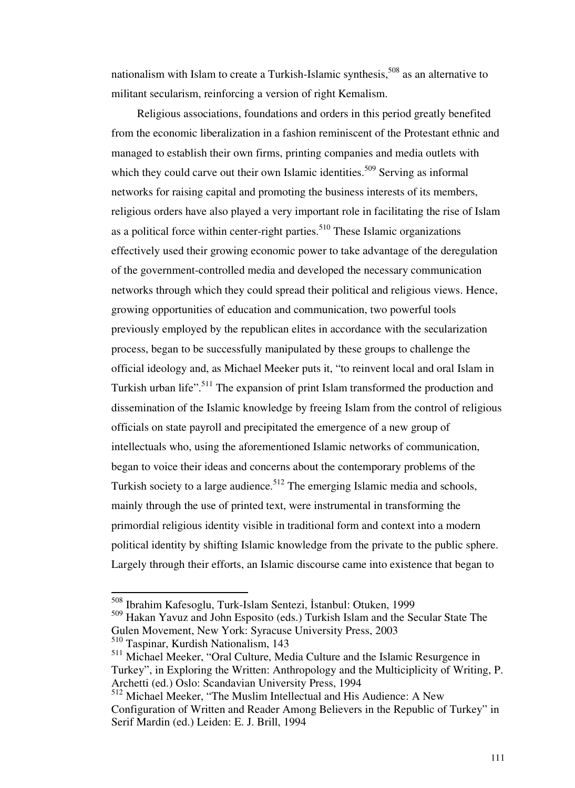nationalism with Islam to create a Turkish-Islamic synthesis,  $508$  as an alternative to militant secularism, reinforcing a version of right Kemalism.

 Religious associations, foundations and orders in this period greatly benefited from the economic liberalization in a fashion reminiscent of the Protestant ethnic and managed to establish their own firms, printing companies and media outlets with which they could carve out their own Islamic identities.<sup>509</sup> Serving as informal networks for raising capital and promoting the business interests of its members, religious orders have also played a very important role in facilitating the rise of Islam as a political force within center-right parties.<sup>510</sup> These Islamic organizations effectively used their growing economic power to take advantage of the deregulation of the government-controlled media and developed the necessary communication networks through which they could spread their political and religious views. Hence, growing opportunities of education and communication, two powerful tools previously employed by the republican elites in accordance with the secularization process, began to be successfully manipulated by these groups to challenge the official ideology and, as Michael Meeker puts it, "to reinvent local and oral Islam in Turkish urban life".<sup>511</sup> The expansion of print Islam transformed the production and dissemination of the Islamic knowledge by freeing Islam from the control of religious officials on state payroll and precipitated the emergence of a new group of intellectuals who, using the aforementioned Islamic networks of communication, began to voice their ideas and concerns about the contemporary problems of the Turkish society to a large audience.<sup>512</sup> The emerging Islamic media and schools, mainly through the use of printed text, were instrumental in transforming the primordial religious identity visible in traditional form and context into a modern political identity by shifting Islamic knowledge from the private to the public sphere. Largely through their efforts, an Islamic discourse came into existence that began to

<sup>508</sup> Ibrahim Kafesoglu, Turk-Islam Sentezi, İstanbul: Otuken, 1999

<sup>509</sup> Hakan Yavuz and John Esposito (eds.) Turkish Islam and the Secular State The Gulen Movement, New York: Syracuse University Press, 2003

<sup>510</sup> Taspinar, Kurdish Nationalism, 143

<sup>511</sup> Michael Meeker, "Oral Culture, Media Culture and the Islamic Resurgence in Turkey", in Exploring the Written: Anthropology and the Multiciplicity of Writing, P. Archetti (ed.) Oslo: Scandavian University Press, 1994

<sup>512</sup> Michael Meeker, "The Muslim Intellectual and His Audience: A New Configuration of Written and Reader Among Believers in the Republic of Turkey" in Serif Mardin (ed.) Leiden: E. J. Brill, 1994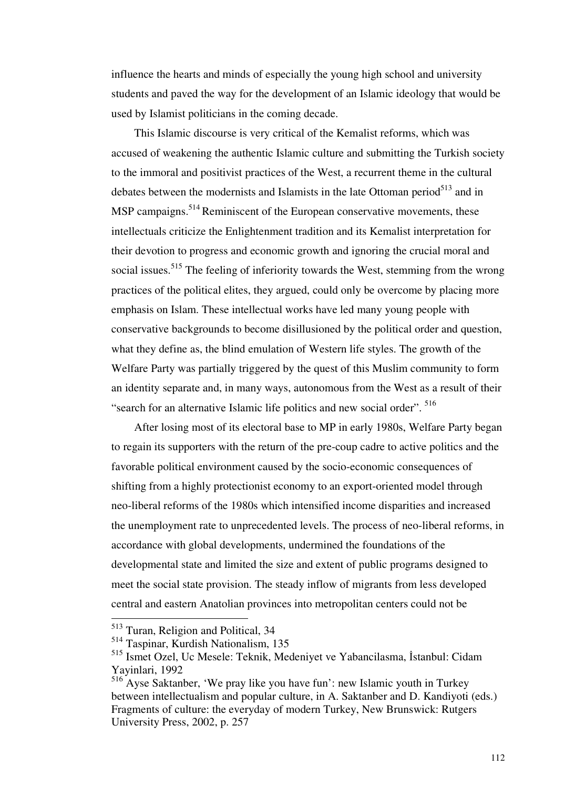influence the hearts and minds of especially the young high school and university students and paved the way for the development of an Islamic ideology that would be used by Islamist politicians in the coming decade.

 This Islamic discourse is very critical of the Kemalist reforms, which was accused of weakening the authentic Islamic culture and submitting the Turkish society to the immoral and positivist practices of the West, a recurrent theme in the cultural debates between the modernists and Islamists in the late Ottoman period $513$  and in MSP campaigns.<sup>514</sup> Reminiscent of the European conservative movements, these intellectuals criticize the Enlightenment tradition and its Kemalist interpretation for their devotion to progress and economic growth and ignoring the crucial moral and social issues.<sup>515</sup> The feeling of inferiority towards the West, stemming from the wrong practices of the political elites, they argued, could only be overcome by placing more emphasis on Islam. These intellectual works have led many young people with conservative backgrounds to become disillusioned by the political order and question, what they define as, the blind emulation of Western life styles. The growth of the Welfare Party was partially triggered by the quest of this Muslim community to form an identity separate and, in many ways, autonomous from the West as a result of their "search for an alternative Islamic life politics and new social order". <sup>516</sup>

 After losing most of its electoral base to MP in early 1980s, Welfare Party began to regain its supporters with the return of the pre-coup cadre to active politics and the favorable political environment caused by the socio-economic consequences of shifting from a highly protectionist economy to an export-oriented model through neo-liberal reforms of the 1980s which intensified income disparities and increased the unemployment rate to unprecedented levels. The process of neo-liberal reforms, in accordance with global developments, undermined the foundations of the developmental state and limited the size and extent of public programs designed to meet the social state provision. The steady inflow of migrants from less developed central and eastern Anatolian provinces into metropolitan centers could not be

<sup>&</sup>lt;sup>513</sup> Turan, Religion and Political, 34

<sup>514</sup> Taspinar, Kurdish Nationalism, 135

<sup>515</sup> Ismet Ozel, Uc Mesele: Teknik, Medeniyet ve Yabancilasma, İstanbul: Cidam Yayinlari, 1992

<sup>516</sup> Ayse Saktanber, 'We pray like you have fun': new Islamic youth in Turkey between intellectualism and popular culture, in A. Saktanber and D. Kandiyoti (eds.) Fragments of culture: the everyday of modern Turkey, New Brunswick: Rutgers University Press, 2002, p. 257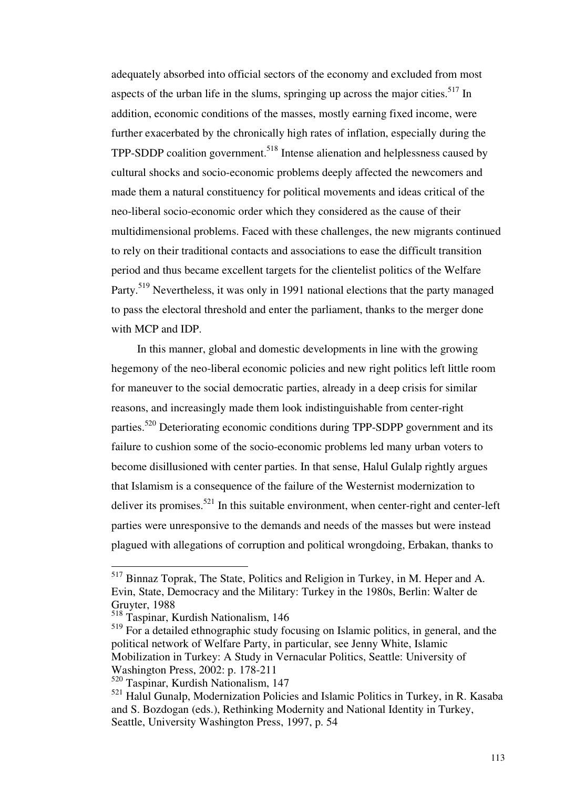adequately absorbed into official sectors of the economy and excluded from most aspects of the urban life in the slums, springing up across the major cities.<sup>517</sup> In addition, economic conditions of the masses, mostly earning fixed income, were further exacerbated by the chronically high rates of inflation, especially during the  $TPP-SDDP$  coalition government.<sup>518</sup> Intense alienation and helplessness caused by cultural shocks and socio-economic problems deeply affected the newcomers and made them a natural constituency for political movements and ideas critical of the neo-liberal socio-economic order which they considered as the cause of their multidimensional problems. Faced with these challenges, the new migrants continued to rely on their traditional contacts and associations to ease the difficult transition period and thus became excellent targets for the clientelist politics of the Welfare Party.<sup>519</sup> Nevertheless, it was only in 1991 national elections that the party managed to pass the electoral threshold and enter the parliament, thanks to the merger done with MCP and IDP.

 In this manner, global and domestic developments in line with the growing hegemony of the neo-liberal economic policies and new right politics left little room for maneuver to the social democratic parties, already in a deep crisis for similar reasons, and increasingly made them look indistinguishable from center-right parties.<sup>520</sup> Deteriorating economic conditions during TPP-SDPP government and its failure to cushion some of the socio-economic problems led many urban voters to become disillusioned with center parties. In that sense, Halul Gulalp rightly argues that Islamism is a consequence of the failure of the Westernist modernization to deliver its promises.<sup>521</sup> In this suitable environment, when center-right and center-left parties were unresponsive to the demands and needs of the masses but were instead plagued with allegations of corruption and political wrongdoing, Erbakan, thanks to

<sup>517</sup> Binnaz Toprak, The State, Politics and Religion in Turkey, in M. Heper and A. Evin, State, Democracy and the Military: Turkey in the 1980s, Berlin: Walter de Gruyter, 1988

<sup>518</sup> Taspinar, Kurdish Nationalism, 146

<sup>&</sup>lt;sup>519</sup> For a detailed ethnographic study focusing on Islamic politics, in general, and the political network of Welfare Party, in particular, see Jenny White, Islamic Mobilization in Turkey: A Study in Vernacular Politics, Seattle: University of Washington Press, 2002: p. 178-211

<sup>520</sup> Taspinar, Kurdish Nationalism, 147

<sup>&</sup>lt;sup>521</sup> Halul Gunalp, Modernization Policies and Islamic Politics in Turkey, in R. Kasaba and S. Bozdogan (eds.), Rethinking Modernity and National Identity in Turkey, Seattle, University Washington Press, 1997, p. 54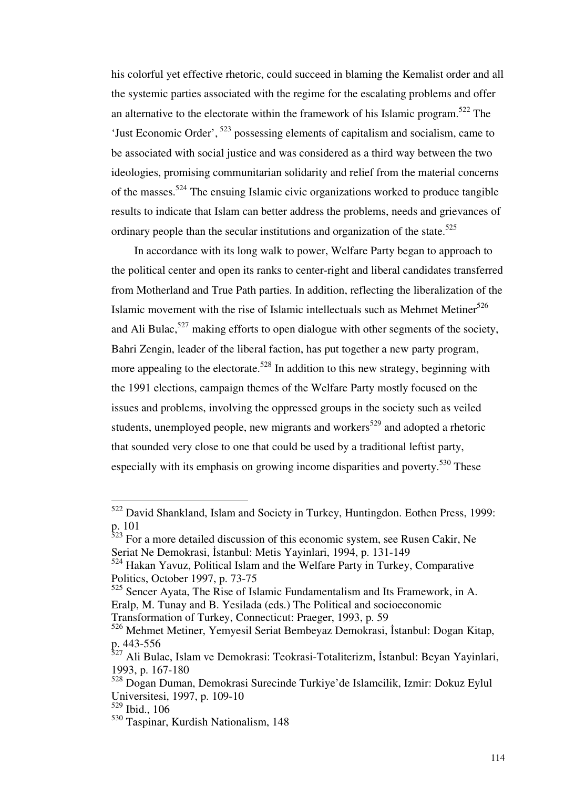his colorful yet effective rhetoric, could succeed in blaming the Kemalist order and all the systemic parties associated with the regime for the escalating problems and offer an alternative to the electorate within the framework of his Islamic program.<sup>522</sup> The 'Just Economic Order',  $523$  possessing elements of capitalism and socialism, came to be associated with social justice and was considered as a third way between the two ideologies, promising communitarian solidarity and relief from the material concerns of the masses.<sup>524</sup> The ensuing Islamic civic organizations worked to produce tangible results to indicate that Islam can better address the problems, needs and grievances of ordinary people than the secular institutions and organization of the state.<sup>525</sup>

 In accordance with its long walk to power, Welfare Party began to approach to the political center and open its ranks to center-right and liberal candidates transferred from Motherland and True Path parties. In addition, reflecting the liberalization of the Islamic movement with the rise of Islamic intellectuals such as Mehmet Metiner $526$ and Ali Bulac,<sup>527</sup> making efforts to open dialogue with other segments of the society, Bahri Zengin, leader of the liberal faction, has put together a new party program, more appealing to the electorate.<sup>528</sup> In addition to this new strategy, beginning with the 1991 elections, campaign themes of the Welfare Party mostly focused on the issues and problems, involving the oppressed groups in the society such as veiled students, unemployed people, new migrants and workers<sup>529</sup> and adopted a rhetoric that sounded very close to one that could be used by a traditional leftist party, especially with its emphasis on growing income disparities and poverty.<sup>530</sup> These

 $522$  David Shankland, Islam and Society in Turkey, Huntingdon. Eothen Press, 1999: p. 101

 $523$  For a more detailed discussion of this economic system, see Rusen Cakir, Ne Seriat Ne Demokrasi, İstanbul: Metis Yayinlari, 1994, p. 131-149

 $524$  Hakan Yavuz, Political Islam and the Welfare Party in Turkey, Comparative Politics, October 1997, p. 73-75

<sup>525</sup> Sencer Ayata, The Rise of Islamic Fundamentalism and Its Framework, in A. Eralp, M. Tunay and B. Yesilada (eds.) The Political and socioeconomic Transformation of Turkey, Connecticut: Praeger, 1993, p. 59

<sup>526</sup> Mehmet Metiner, Yemyesil Seriat Bembeyaz Demokrasi, İstanbul: Dogan Kitap, p. 443-556

<sup>&</sup>lt;sup>527</sup> Ali Bulac, Islam ve Demokrasi: Teokrasi-Totaliterizm, İstanbul: Beyan Yayinlari, 1993, p. 167-180

<sup>528</sup> Dogan Duman, Demokrasi Surecinde Turkiye'de Islamcilik, Izmir: Dokuz Eylul Universitesi, 1997, p. 109-10

<sup>529</sup> Ibid., 106

<sup>530</sup> Taspinar, Kurdish Nationalism, 148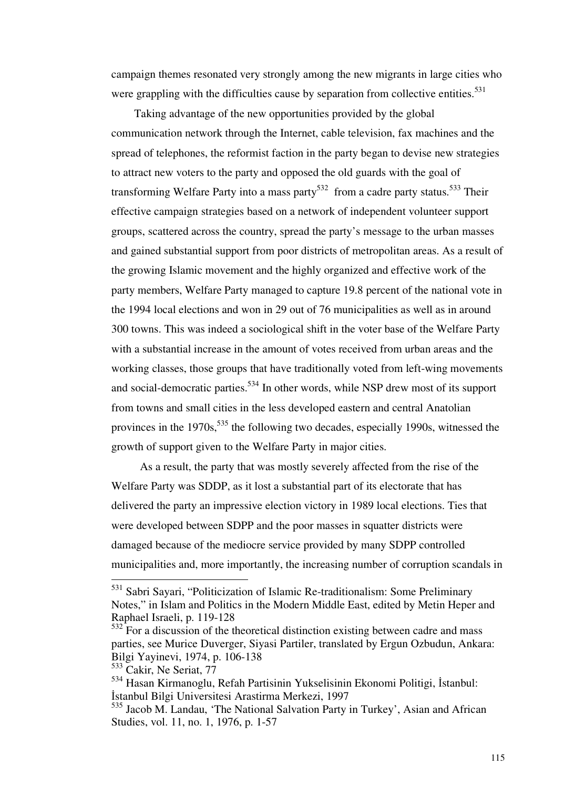campaign themes resonated very strongly among the new migrants in large cities who were grappling with the difficulties cause by separation from collective entities.<sup>531</sup>

 Taking advantage of the new opportunities provided by the global communication network through the Internet, cable television, fax machines and the spread of telephones, the reformist faction in the party began to devise new strategies to attract new voters to the party and opposed the old guards with the goal of transforming Welfare Party into a mass party<sup>532</sup> from a cadre party status.<sup>533</sup> Their effective campaign strategies based on a network of independent volunteer support groups, scattered across the country, spread the party's message to the urban masses and gained substantial support from poor districts of metropolitan areas. As a result of the growing Islamic movement and the highly organized and effective work of the party members, Welfare Party managed to capture 19.8 percent of the national vote in the 1994 local elections and won in 29 out of 76 municipalities as well as in around 300 towns. This was indeed a sociological shift in the voter base of the Welfare Party with a substantial increase in the amount of votes received from urban areas and the working classes, those groups that have traditionally voted from left-wing movements and social-democratic parties.<sup>534</sup> In other words, while NSP drew most of its support from towns and small cities in the less developed eastern and central Anatolian provinces in the  $1970s$ ,  $535$  the following two decades, especially 1990s, witnessed the growth of support given to the Welfare Party in major cities.

 As a result, the party that was mostly severely affected from the rise of the Welfare Party was SDDP, as it lost a substantial part of its electorate that has delivered the party an impressive election victory in 1989 local elections. Ties that were developed between SDPP and the poor masses in squatter districts were damaged because of the mediocre service provided by many SDPP controlled municipalities and, more importantly, the increasing number of corruption scandals in

<sup>&</sup>lt;sup>531</sup> Sabri Sayari, "Politicization of Islamic Re-traditionalism: Some Preliminary Notes," in Islam and Politics in the Modern Middle East, edited by Metin Heper and Raphael Israeli, p. 119-128

 $532<sup>2</sup>$  For a discussion of the theoretical distinction existing between cadre and mass parties, see Murice Duverger, Siyasi Partiler, translated by Ergun Ozbudun, Ankara: Bilgi Yayinevi, 1974, p. 106-138

<sup>&</sup>lt;sup>533</sup> Cakir, Ne Seriat, 77

<sup>534</sup> Hasan Kirmanoglu, Refah Partisinin Yukselisinin Ekonomi Politigi, İstanbul: İstanbul Bilgi Universitesi Arastirma Merkezi, 1997

<sup>535</sup> Jacob M. Landau, 'The National Salvation Party in Turkey', Asian and African Studies, vol. 11, no. 1, 1976, p. 1-57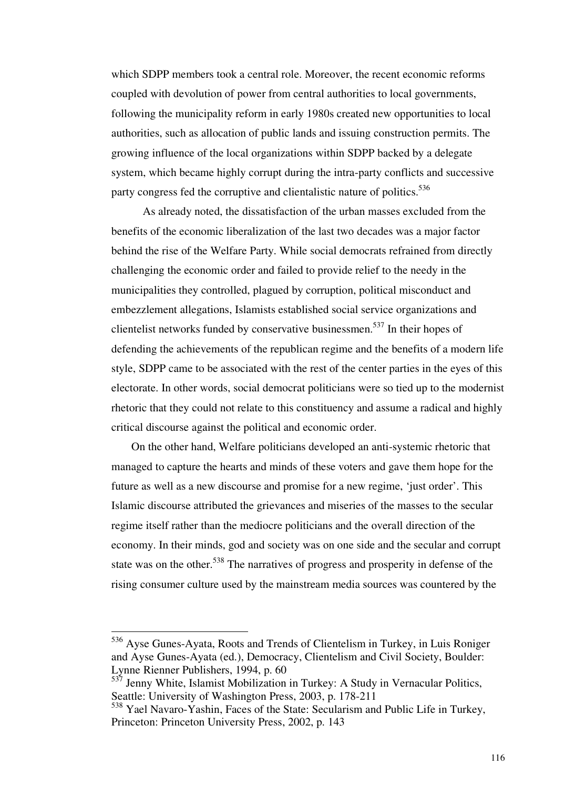which SDPP members took a central role. Moreover, the recent economic reforms coupled with devolution of power from central authorities to local governments, following the municipality reform in early 1980s created new opportunities to local authorities, such as allocation of public lands and issuing construction permits. The growing influence of the local organizations within SDPP backed by a delegate system, which became highly corrupt during the intra-party conflicts and successive party congress fed the corruptive and clientalistic nature of politics.<sup>536</sup>

 As already noted, the dissatisfaction of the urban masses excluded from the benefits of the economic liberalization of the last two decades was a major factor behind the rise of the Welfare Party. While social democrats refrained from directly challenging the economic order and failed to provide relief to the needy in the municipalities they controlled, plagued by corruption, political misconduct and embezzlement allegations, Islamists established social service organizations and clientelist networks funded by conservative businessmen.<sup>537</sup> In their hopes of defending the achievements of the republican regime and the benefits of a modern life style, SDPP came to be associated with the rest of the center parties in the eyes of this electorate. In other words, social democrat politicians were so tied up to the modernist rhetoric that they could not relate to this constituency and assume a radical and highly critical discourse against the political and economic order.

 On the other hand, Welfare politicians developed an anti-systemic rhetoric that managed to capture the hearts and minds of these voters and gave them hope for the future as well as a new discourse and promise for a new regime, 'just order'. This Islamic discourse attributed the grievances and miseries of the masses to the secular regime itself rather than the mediocre politicians and the overall direction of the economy. In their minds, god and society was on one side and the secular and corrupt state was on the other.<sup>538</sup> The narratives of progress and prosperity in defense of the rising consumer culture used by the mainstream media sources was countered by the

<sup>&</sup>lt;sup>536</sup> Ayse Gunes-Ayata, Roots and Trends of Clientelism in Turkey, in Luis Roniger and Ayse Gunes-Ayata (ed.), Democracy, Clientelism and Civil Society, Boulder: Lynne Rienner Publishers, 1994, p. 60

 $537$  Jenny White, Islamist Mobilization in Turkey: A Study in Vernacular Politics, Seattle: University of Washington Press, 2003, p. 178-211

<sup>538</sup> Yael Navaro-Yashin, Faces of the State: Secularism and Public Life in Turkey, Princeton: Princeton University Press, 2002, p. 143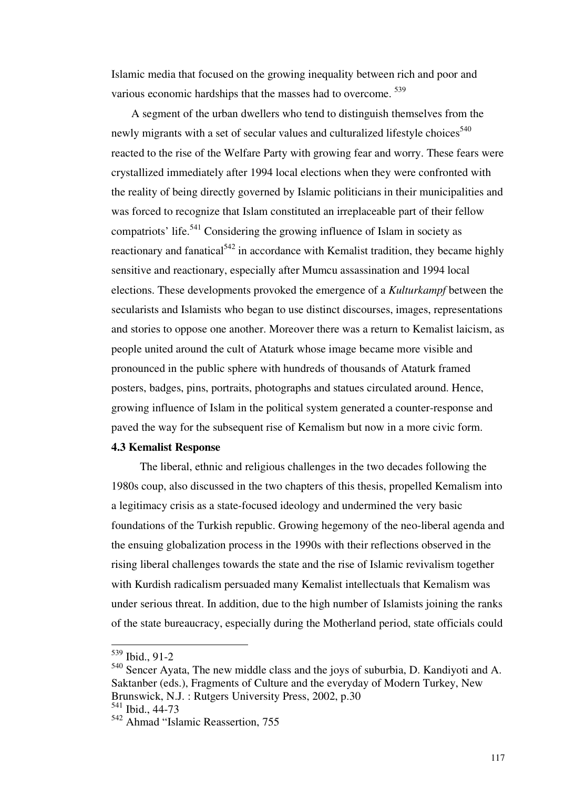Islamic media that focused on the growing inequality between rich and poor and various economic hardships that the masses had to overcome. <sup>539</sup>

 A segment of the urban dwellers who tend to distinguish themselves from the newly migrants with a set of secular values and culturalized lifestyle choices<sup>540</sup> reacted to the rise of the Welfare Party with growing fear and worry. These fears were crystallized immediately after 1994 local elections when they were confronted with the reality of being directly governed by Islamic politicians in their municipalities and was forced to recognize that Islam constituted an irreplaceable part of their fellow compatriots' life.<sup>541</sup> Considering the growing influence of Islam in society as reactionary and fanatical<sup> $542$ </sup> in accordance with Kemalist tradition, they became highly sensitive and reactionary, especially after Mumcu assassination and 1994 local elections. These developments provoked the emergence of a *Kulturkampf* between the secularists and Islamists who began to use distinct discourses, images, representations and stories to oppose one another. Moreover there was a return to Kemalist laicism, as people united around the cult of Ataturk whose image became more visible and pronounced in the public sphere with hundreds of thousands of Ataturk framed posters, badges, pins, portraits, photographs and statues circulated around. Hence, growing influence of Islam in the political system generated a counter-response and paved the way for the subsequent rise of Kemalism but now in a more civic form.

# **4.3 Kemalist Response**

 The liberal, ethnic and religious challenges in the two decades following the 1980s coup, also discussed in the two chapters of this thesis, propelled Kemalism into a legitimacy crisis as a state-focused ideology and undermined the very basic foundations of the Turkish republic. Growing hegemony of the neo-liberal agenda and the ensuing globalization process in the 1990s with their reflections observed in the rising liberal challenges towards the state and the rise of Islamic revivalism together with Kurdish radicalism persuaded many Kemalist intellectuals that Kemalism was under serious threat. In addition, due to the high number of Islamists joining the ranks of the state bureaucracy, especially during the Motherland period, state officials could

<sup>539</sup> Ibid., 91-2

<sup>540</sup> Sencer Ayata, The new middle class and the joys of suburbia, D. Kandiyoti and A. Saktanber (eds.), Fragments of Culture and the everyday of Modern Turkey, New Brunswick, N.J. : Rutgers University Press, 2002, p.30

<sup>541</sup> Ibid., 44-73

<sup>542</sup> Ahmad "Islamic Reassertion, 755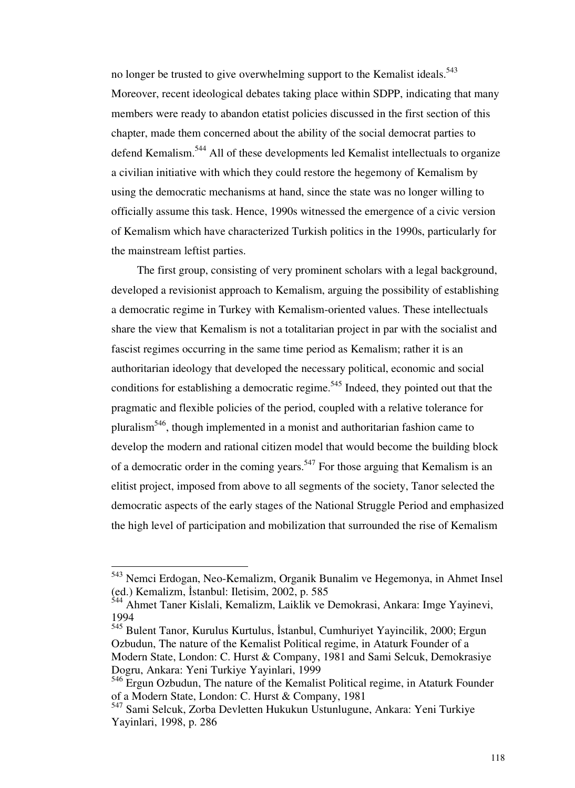no longer be trusted to give overwhelming support to the Kemalist ideals.<sup>543</sup> Moreover, recent ideological debates taking place within SDPP, indicating that many members were ready to abandon etatist policies discussed in the first section of this chapter, made them concerned about the ability of the social democrat parties to defend Kemalism.<sup>544</sup> All of these developments led Kemalist intellectuals to organize a civilian initiative with which they could restore the hegemony of Kemalism by using the democratic mechanisms at hand, since the state was no longer willing to officially assume this task. Hence, 1990s witnessed the emergence of a civic version of Kemalism which have characterized Turkish politics in the 1990s, particularly for the mainstream leftist parties.

 The first group, consisting of very prominent scholars with a legal background, developed a revisionist approach to Kemalism, arguing the possibility of establishing a democratic regime in Turkey with Kemalism-oriented values. These intellectuals share the view that Kemalism is not a totalitarian project in par with the socialist and fascist regimes occurring in the same time period as Kemalism; rather it is an authoritarian ideology that developed the necessary political, economic and social conditions for establishing a democratic regime.<sup>545</sup> Indeed, they pointed out that the pragmatic and flexible policies of the period, coupled with a relative tolerance for pluralism<sup>546</sup>, though implemented in a monist and authoritarian fashion came to develop the modern and rational citizen model that would become the building block of a democratic order in the coming years.<sup>547</sup> For those arguing that Kemalism is an elitist project, imposed from above to all segments of the society, Tanor selected the democratic aspects of the early stages of the National Struggle Period and emphasized the high level of participation and mobilization that surrounded the rise of Kemalism

<sup>543</sup> Nemci Erdogan, Neo-Kemalizm, Organik Bunalim ve Hegemonya, in Ahmet Insel (ed.) Kemalizm, İstanbul: Iletisim, 2002, p. 585

<sup>544</sup> Ahmet Taner Kislali, Kemalizm, Laiklik ve Demokrasi, Ankara: Imge Yayinevi, 1994

<sup>545</sup> Bulent Tanor, Kurulus Kurtulus, İstanbul, Cumhuriyet Yayincilik, 2000; Ergun Ozbudun, The nature of the Kemalist Political regime, in Ataturk Founder of a Modern State, London: C. Hurst & Company, 1981 and Sami Selcuk, Demokrasiye Dogru, Ankara: Yeni Turkiye Yayinlari, 1999

<sup>546</sup> Ergun Ozbudun, The nature of the Kemalist Political regime, in Ataturk Founder of a Modern State, London: C. Hurst & Company, 1981

<sup>&</sup>lt;sup>547</sup> Sami Selcuk, Zorba Devletten Hukukun Ustunlugune, Ankara: Yeni Turkiye Yayinlari, 1998, p. 286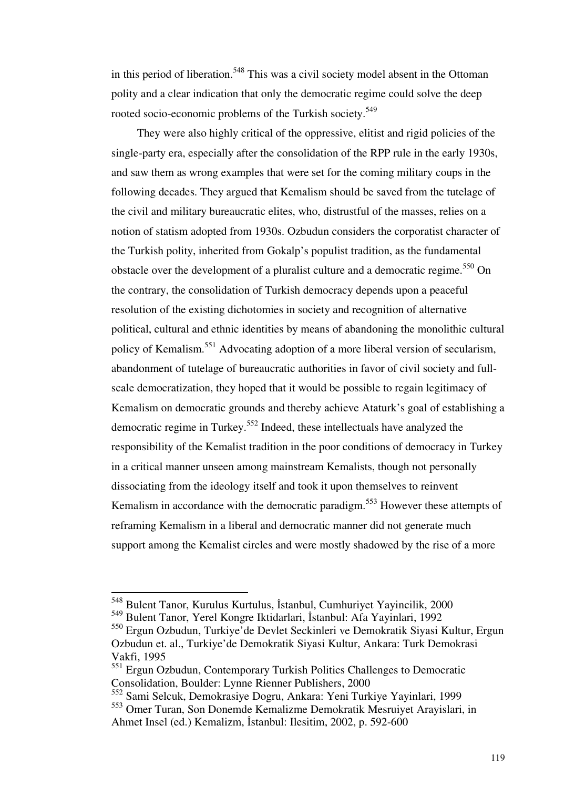in this period of liberation.<sup>548</sup> This was a civil society model absent in the Ottoman polity and a clear indication that only the democratic regime could solve the deep rooted socio-economic problems of the Turkish society.<sup>549</sup>

 They were also highly critical of the oppressive, elitist and rigid policies of the single-party era, especially after the consolidation of the RPP rule in the early 1930s, and saw them as wrong examples that were set for the coming military coups in the following decades. They argued that Kemalism should be saved from the tutelage of the civil and military bureaucratic elites, who, distrustful of the masses, relies on a notion of statism adopted from 1930s. Ozbudun considers the corporatist character of the Turkish polity, inherited from Gokalp's populist tradition, as the fundamental obstacle over the development of a pluralist culture and a democratic regime.<sup>550</sup> On the contrary, the consolidation of Turkish democracy depends upon a peaceful resolution of the existing dichotomies in society and recognition of alternative political, cultural and ethnic identities by means of abandoning the monolithic cultural policy of Kemalism.<sup>551</sup> Advocating adoption of a more liberal version of secularism, abandonment of tutelage of bureaucratic authorities in favor of civil society and fullscale democratization, they hoped that it would be possible to regain legitimacy of Kemalism on democratic grounds and thereby achieve Ataturk's goal of establishing a democratic regime in Turkey.<sup>552</sup> Indeed, these intellectuals have analyzed the responsibility of the Kemalist tradition in the poor conditions of democracy in Turkey in a critical manner unseen among mainstream Kemalists, though not personally dissociating from the ideology itself and took it upon themselves to reinvent Kemalism in accordance with the democratic paradigm.<sup>553</sup> However these attempts of reframing Kemalism in a liberal and democratic manner did not generate much support among the Kemalist circles and were mostly shadowed by the rise of a more

<sup>548</sup> Bulent Tanor, Kurulus Kurtulus, İstanbul, Cumhuriyet Yayincilik, 2000

<sup>549</sup> Bulent Tanor, Yerel Kongre Iktidarlari, İstanbul: Afa Yayinlari, 1992

<sup>550</sup> Ergun Ozbudun, Turkiye'de Devlet Seckinleri ve Demokratik Siyasi Kultur, Ergun Ozbudun et. al., Turkiye'de Demokratik Siyasi Kultur, Ankara: Turk Demokrasi Vakfi, 1995

<sup>&</sup>lt;sup>551</sup> Ergun Ozbudun, Contemporary Turkish Politics Challenges to Democratic Consolidation, Boulder: Lynne Rienner Publishers, 2000

<sup>552</sup> Sami Selcuk, Demokrasiye Dogru, Ankara: Yeni Turkiye Yayinlari, 1999

<sup>553</sup> Omer Turan, Son Donemde Kemalizme Demokratik Mesruiyet Arayislari, in Ahmet Insel (ed.) Kemalizm, İstanbul: Ilesitim, 2002, p. 592-600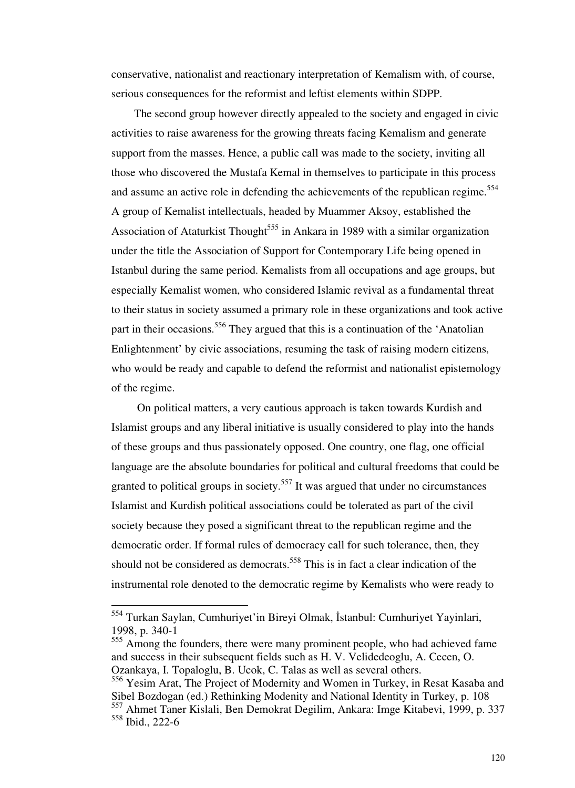conservative, nationalist and reactionary interpretation of Kemalism with, of course, serious consequences for the reformist and leftist elements within SDPP.

 The second group however directly appealed to the society and engaged in civic activities to raise awareness for the growing threats facing Kemalism and generate support from the masses. Hence, a public call was made to the society, inviting all those who discovered the Mustafa Kemal in themselves to participate in this process and assume an active role in defending the achievements of the republican regime.<sup>554</sup> A group of Kemalist intellectuals, headed by Muammer Aksoy, established the Association of Ataturkist Thought<sup>555</sup> in Ankara in 1989 with a similar organization under the title the Association of Support for Contemporary Life being opened in Istanbul during the same period. Kemalists from all occupations and age groups, but especially Kemalist women, who considered Islamic revival as a fundamental threat to their status in society assumed a primary role in these organizations and took active part in their occasions.<sup>556</sup> They argued that this is a continuation of the 'Anatolian Enlightenment' by civic associations, resuming the task of raising modern citizens, who would be ready and capable to defend the reformist and nationalist epistemology of the regime.

 On political matters, a very cautious approach is taken towards Kurdish and Islamist groups and any liberal initiative is usually considered to play into the hands of these groups and thus passionately opposed. One country, one flag, one official language are the absolute boundaries for political and cultural freedoms that could be granted to political groups in society.<sup>557</sup> It was argued that under no circumstances Islamist and Kurdish political associations could be tolerated as part of the civil society because they posed a significant threat to the republican regime and the democratic order. If formal rules of democracy call for such tolerance, then, they should not be considered as democrats.<sup>558</sup> This is in fact a clear indication of the instrumental role denoted to the democratic regime by Kemalists who were ready to

<sup>554</sup> Turkan Saylan, Cumhuriyet'in Bireyi Olmak, İstanbul: Cumhuriyet Yayinlari, 1998, p. 340-1

 $555$  Among the founders, there were many prominent people, who had achieved fame and success in their subsequent fields such as H. V. Velidedeoglu, A. Cecen, O. Ozankaya, I. Topaloglu, B. Ucok, C. Talas as well as several others.

<sup>556</sup> Yesim Arat, The Project of Modernity and Women in Turkey, in Resat Kasaba and Sibel Bozdogan (ed.) Rethinking Modenity and National Identity in Turkey, p. 108

<sup>557</sup> Ahmet Taner Kislali, Ben Demokrat Degilim, Ankara: Imge Kitabevi, 1999, p. 337 <sup>558</sup> Ibid., 222-6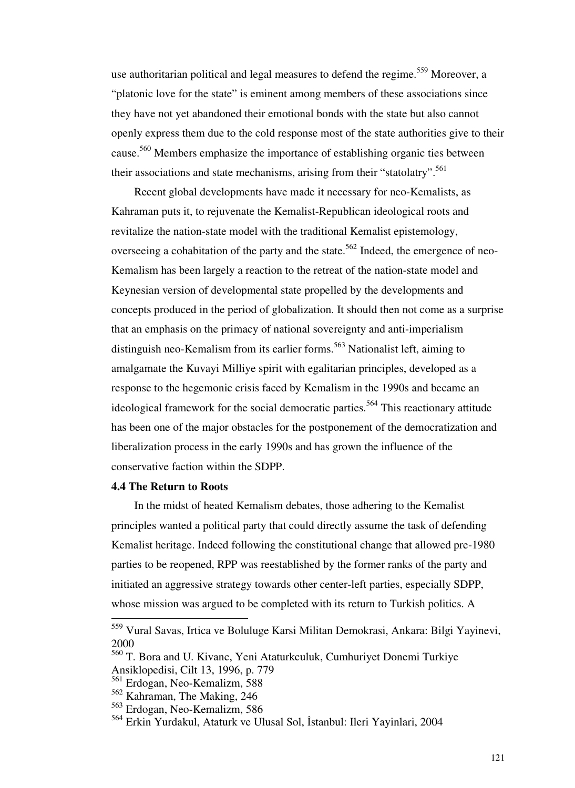use authoritarian political and legal measures to defend the regime.<sup>559</sup> Moreover, a "platonic love for the state" is eminent among members of these associations since they have not yet abandoned their emotional bonds with the state but also cannot openly express them due to the cold response most of the state authorities give to their cause.<sup>560</sup> Members emphasize the importance of establishing organic ties between their associations and state mechanisms, arising from their "statolatry".<sup>561</sup>

 Recent global developments have made it necessary for neo-Kemalists, as Kahraman puts it, to rejuvenate the Kemalist-Republican ideological roots and revitalize the nation-state model with the traditional Kemalist epistemology, overseeing a cohabitation of the party and the state.<sup>562</sup> Indeed, the emergence of neo-Kemalism has been largely a reaction to the retreat of the nation-state model and Keynesian version of developmental state propelled by the developments and concepts produced in the period of globalization. It should then not come as a surprise that an emphasis on the primacy of national sovereignty and anti-imperialism distinguish neo-Kemalism from its earlier forms.<sup>563</sup> Nationalist left, aiming to amalgamate the Kuvayi Milliye spirit with egalitarian principles, developed as a response to the hegemonic crisis faced by Kemalism in the 1990s and became an ideological framework for the social democratic parties.<sup>564</sup> This reactionary attitude has been one of the major obstacles for the postponement of the democratization and liberalization process in the early 1990s and has grown the influence of the conservative faction within the SDPP.

## **4.4 The Return to Roots**

-

 In the midst of heated Kemalism debates, those adhering to the Kemalist principles wanted a political party that could directly assume the task of defending Kemalist heritage. Indeed following the constitutional change that allowed pre-1980 parties to be reopened, RPP was reestablished by the former ranks of the party and initiated an aggressive strategy towards other center-left parties, especially SDPP, whose mission was argued to be completed with its return to Turkish politics. A

<sup>559</sup> Vural Savas, Irtica ve Boluluge Karsi Militan Demokrasi, Ankara: Bilgi Yayinevi, 2000

<sup>560</sup> T. Bora and U. Kivanc, Yeni Ataturkculuk, Cumhuriyet Donemi Turkiye Ansiklopedisi, Cilt 13, 1996, p. 779

<sup>561</sup> Erdogan, Neo-Kemalizm, 588

<sup>562</sup> Kahraman, The Making, 246

<sup>563</sup> Erdogan, Neo-Kemalizm, 586

<sup>564</sup> Erkin Yurdakul, Ataturk ve Ulusal Sol, İstanbul: Ileri Yayinlari, 2004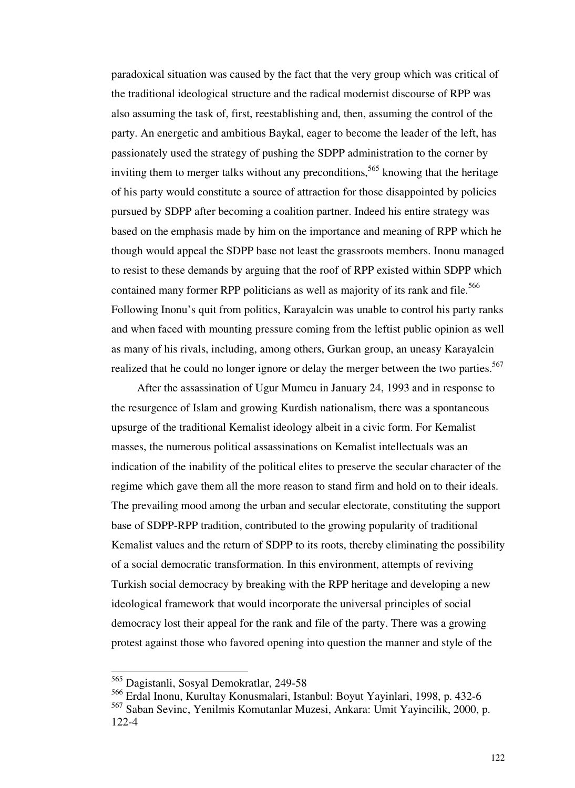paradoxical situation was caused by the fact that the very group which was critical of the traditional ideological structure and the radical modernist discourse of RPP was also assuming the task of, first, reestablishing and, then, assuming the control of the party. An energetic and ambitious Baykal, eager to become the leader of the left, has passionately used the strategy of pushing the SDPP administration to the corner by inviting them to merger talks without any preconditions,<sup>565</sup> knowing that the heritage of his party would constitute a source of attraction for those disappointed by policies pursued by SDPP after becoming a coalition partner. Indeed his entire strategy was based on the emphasis made by him on the importance and meaning of RPP which he though would appeal the SDPP base not least the grassroots members. Inonu managed to resist to these demands by arguing that the roof of RPP existed within SDPP which contained many former RPP politicians as well as majority of its rank and file.<sup>566</sup> Following Inonu's quit from politics, Karayalcin was unable to control his party ranks and when faced with mounting pressure coming from the leftist public opinion as well as many of his rivals, including, among others, Gurkan group, an uneasy Karayalcin realized that he could no longer ignore or delay the merger between the two parties.<sup>567</sup>

 After the assassination of Ugur Mumcu in January 24, 1993 and in response to the resurgence of Islam and growing Kurdish nationalism, there was a spontaneous upsurge of the traditional Kemalist ideology albeit in a civic form. For Kemalist masses, the numerous political assassinations on Kemalist intellectuals was an indication of the inability of the political elites to preserve the secular character of the regime which gave them all the more reason to stand firm and hold on to their ideals. The prevailing mood among the urban and secular electorate, constituting the support base of SDPP-RPP tradition, contributed to the growing popularity of traditional Kemalist values and the return of SDPP to its roots, thereby eliminating the possibility of a social democratic transformation. In this environment, attempts of reviving Turkish social democracy by breaking with the RPP heritage and developing a new ideological framework that would incorporate the universal principles of social democracy lost their appeal for the rank and file of the party. There was a growing protest against those who favored opening into question the manner and style of the

<sup>565</sup> Dagistanli, Sosyal Demokratlar, 249-58

<sup>566</sup> Erdal Inonu, Kurultay Konusmalari, Istanbul: Boyut Yayinlari, 1998, p. 432-6

<sup>567</sup> Saban Sevinc, Yenilmis Komutanlar Muzesi, Ankara: Umit Yayincilik, 2000, p. 122-4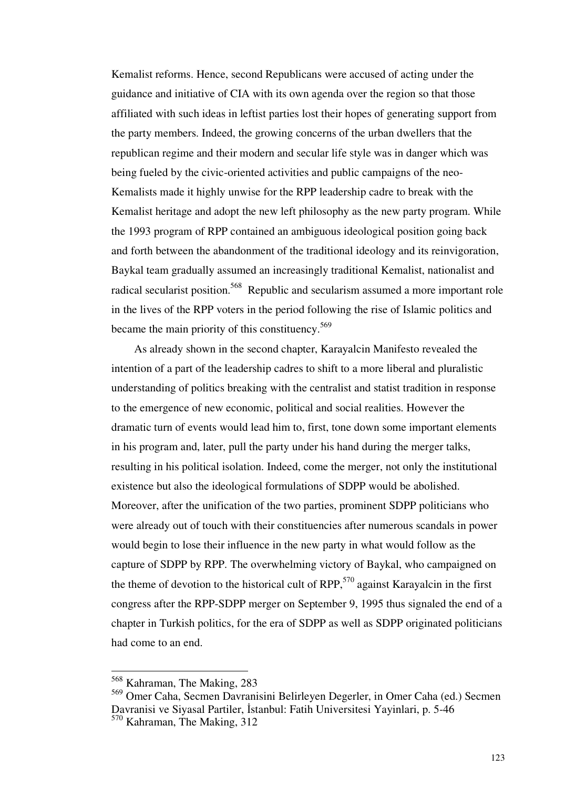Kemalist reforms. Hence, second Republicans were accused of acting under the guidance and initiative of CIA with its own agenda over the region so that those affiliated with such ideas in leftist parties lost their hopes of generating support from the party members. Indeed, the growing concerns of the urban dwellers that the republican regime and their modern and secular life style was in danger which was being fueled by the civic-oriented activities and public campaigns of the neo-Kemalists made it highly unwise for the RPP leadership cadre to break with the Kemalist heritage and adopt the new left philosophy as the new party program. While the 1993 program of RPP contained an ambiguous ideological position going back and forth between the abandonment of the traditional ideology and its reinvigoration, Baykal team gradually assumed an increasingly traditional Kemalist, nationalist and radical secularist position.<sup>568</sup> Republic and secularism assumed a more important role in the lives of the RPP voters in the period following the rise of Islamic politics and became the main priority of this constituency.<sup>569</sup>

 As already shown in the second chapter, Karayalcin Manifesto revealed the intention of a part of the leadership cadres to shift to a more liberal and pluralistic understanding of politics breaking with the centralist and statist tradition in response to the emergence of new economic, political and social realities. However the dramatic turn of events would lead him to, first, tone down some important elements in his program and, later, pull the party under his hand during the merger talks, resulting in his political isolation. Indeed, come the merger, not only the institutional existence but also the ideological formulations of SDPP would be abolished. Moreover, after the unification of the two parties, prominent SDPP politicians who were already out of touch with their constituencies after numerous scandals in power would begin to lose their influence in the new party in what would follow as the capture of SDPP by RPP. The overwhelming victory of Baykal, who campaigned on the theme of devotion to the historical cult of RPP,<sup>570</sup> against Karayalcin in the first congress after the RPP-SDPP merger on September 9, 1995 thus signaled the end of a chapter in Turkish politics, for the era of SDPP as well as SDPP originated politicians had come to an end.

<sup>568</sup> Kahraman, The Making, 283

<sup>569</sup> Omer Caha, Secmen Davranisini Belirleyen Degerler, in Omer Caha (ed.) Secmen Davranisi ve Siyasal Partiler, İstanbul: Fatih Universitesi Yayinlari, p. 5-46 <sup>570</sup> Kahraman, The Making, 312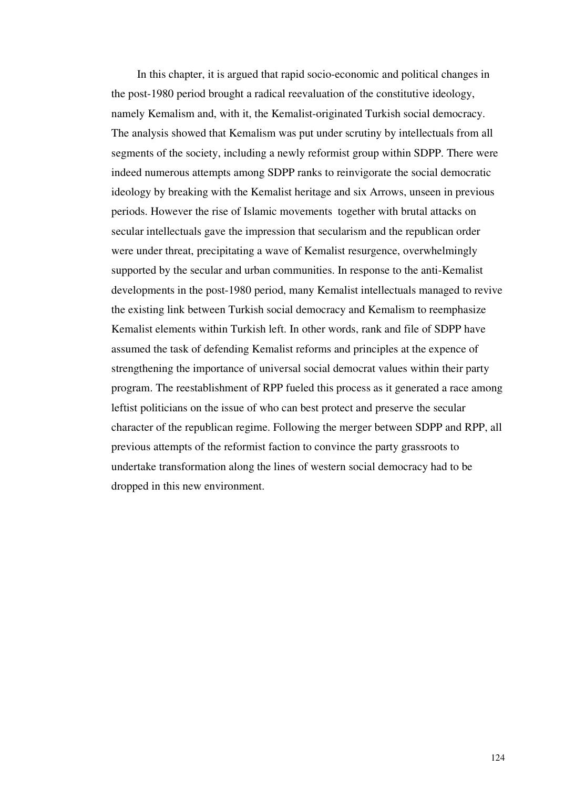In this chapter, it is argued that rapid socio-economic and political changes in the post-1980 period brought a radical reevaluation of the constitutive ideology, namely Kemalism and, with it, the Kemalist-originated Turkish social democracy. The analysis showed that Kemalism was put under scrutiny by intellectuals from all segments of the society, including a newly reformist group within SDPP. There were indeed numerous attempts among SDPP ranks to reinvigorate the social democratic ideology by breaking with the Kemalist heritage and six Arrows, unseen in previous periods. However the rise of Islamic movements together with brutal attacks on secular intellectuals gave the impression that secularism and the republican order were under threat, precipitating a wave of Kemalist resurgence, overwhelmingly supported by the secular and urban communities. In response to the anti-Kemalist developments in the post-1980 period, many Kemalist intellectuals managed to revive the existing link between Turkish social democracy and Kemalism to reemphasize Kemalist elements within Turkish left. In other words, rank and file of SDPP have assumed the task of defending Kemalist reforms and principles at the expence of strengthening the importance of universal social democrat values within their party program. The reestablishment of RPP fueled this process as it generated a race among leftist politicians on the issue of who can best protect and preserve the secular character of the republican regime. Following the merger between SDPP and RPP, all previous attempts of the reformist faction to convince the party grassroots to undertake transformation along the lines of western social democracy had to be dropped in this new environment.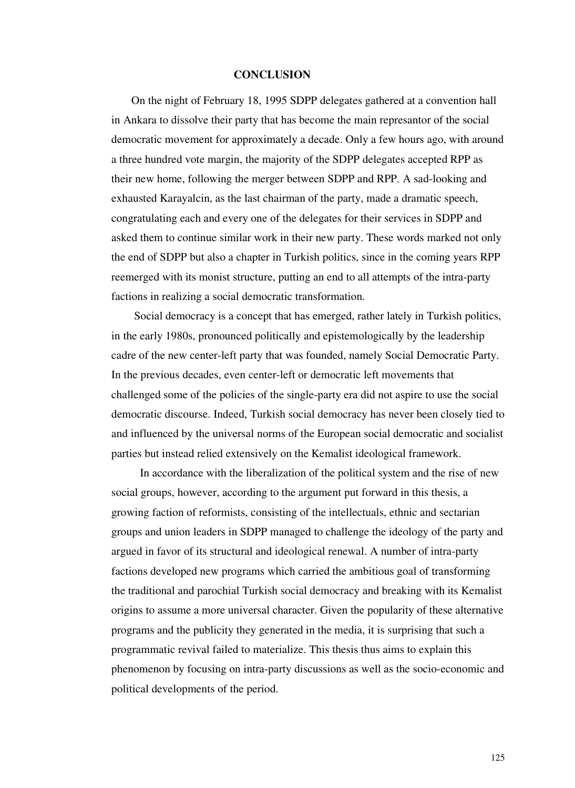#### **CONCLUSION**

 On the night of February 18, 1995 SDPP delegates gathered at a convention hall in Ankara to dissolve their party that has become the main represantor of the social democratic movement for approximately a decade. Only a few hours ago, with around a three hundred vote margin, the majority of the SDPP delegates accepted RPP as their new home, following the merger between SDPP and RPP. A sad-looking and exhausted Karayalcin, as the last chairman of the party, made a dramatic speech, congratulating each and every one of the delegates for their services in SDPP and asked them to continue similar work in their new party. These words marked not only the end of SDPP but also a chapter in Turkish politics, since in the coming years RPP reemerged with its monist structure, putting an end to all attempts of the intra-party factions in realizing a social democratic transformation.

 Social democracy is a concept that has emerged, rather lately in Turkish politics, in the early 1980s, pronounced politically and epistemologically by the leadership cadre of the new center-left party that was founded, namely Social Democratic Party. In the previous decades, even center-left or democratic left movements that challenged some of the policies of the single-party era did not aspire to use the social democratic discourse. Indeed, Turkish social democracy has never been closely tied to and influenced by the universal norms of the European social democratic and socialist parties but instead relied extensively on the Kemalist ideological framework.

 In accordance with the liberalization of the political system and the rise of new social groups, however, according to the argument put forward in this thesis, a growing faction of reformists, consisting of the intellectuals, ethnic and sectarian groups and union leaders in SDPP managed to challenge the ideology of the party and argued in favor of its structural and ideological renewal. A number of intra-party factions developed new programs which carried the ambitious goal of transforming the traditional and parochial Turkish social democracy and breaking with its Kemalist origins to assume a more universal character. Given the popularity of these alternative programs and the publicity they generated in the media, it is surprising that such a programmatic revival failed to materialize. This thesis thus aims to explain this phenomenon by focusing on intra-party discussions as well as the socio-economic and political developments of the period.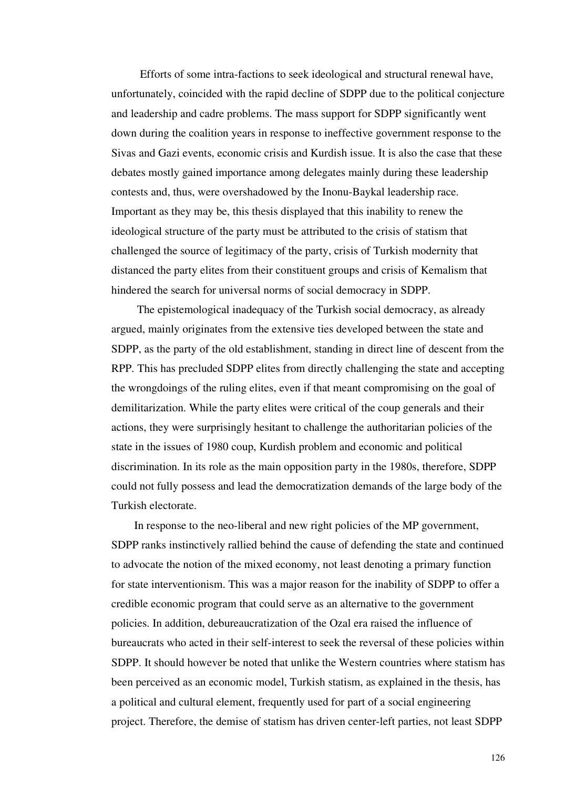Efforts of some intra-factions to seek ideological and structural renewal have, unfortunately, coincided with the rapid decline of SDPP due to the political conjecture and leadership and cadre problems. The mass support for SDPP significantly went down during the coalition years in response to ineffective government response to the Sivas and Gazi events, economic crisis and Kurdish issue. It is also the case that these debates mostly gained importance among delegates mainly during these leadership contests and, thus, were overshadowed by the Inonu-Baykal leadership race. Important as they may be, this thesis displayed that this inability to renew the ideological structure of the party must be attributed to the crisis of statism that challenged the source of legitimacy of the party, crisis of Turkish modernity that distanced the party elites from their constituent groups and crisis of Kemalism that hindered the search for universal norms of social democracy in SDPP.

 The epistemological inadequacy of the Turkish social democracy, as already argued, mainly originates from the extensive ties developed between the state and SDPP, as the party of the old establishment, standing in direct line of descent from the RPP. This has precluded SDPP elites from directly challenging the state and accepting the wrongdoings of the ruling elites, even if that meant compromising on the goal of demilitarization. While the party elites were critical of the coup generals and their actions, they were surprisingly hesitant to challenge the authoritarian policies of the state in the issues of 1980 coup, Kurdish problem and economic and political discrimination. In its role as the main opposition party in the 1980s, therefore, SDPP could not fully possess and lead the democratization demands of the large body of the Turkish electorate.

 In response to the neo-liberal and new right policies of the MP government, SDPP ranks instinctively rallied behind the cause of defending the state and continued to advocate the notion of the mixed economy, not least denoting a primary function for state interventionism. This was a major reason for the inability of SDPP to offer a credible economic program that could serve as an alternative to the government policies. In addition, debureaucratization of the Ozal era raised the influence of bureaucrats who acted in their self-interest to seek the reversal of these policies within SDPP. It should however be noted that unlike the Western countries where statism has been perceived as an economic model, Turkish statism, as explained in the thesis, has a political and cultural element, frequently used for part of a social engineering project. Therefore, the demise of statism has driven center-left parties, not least SDPP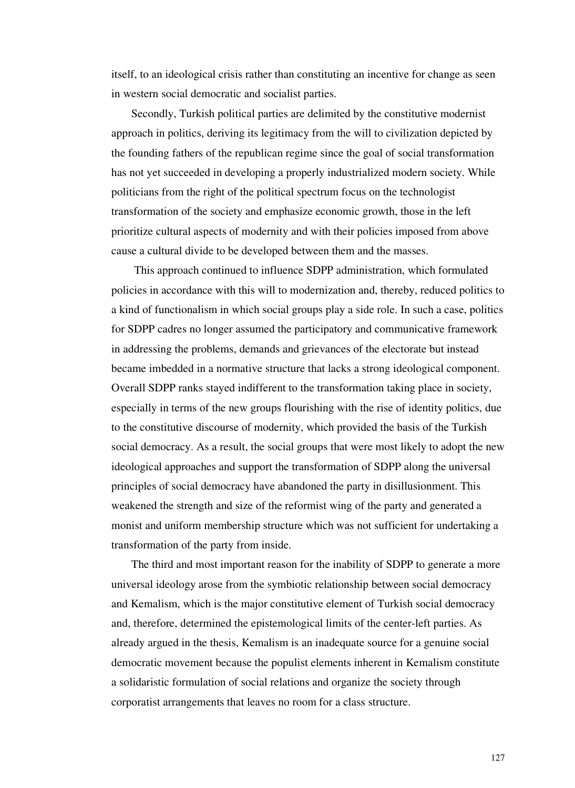itself, to an ideological crisis rather than constituting an incentive for change as seen in western social democratic and socialist parties.

 Secondly, Turkish political parties are delimited by the constitutive modernist approach in politics, deriving its legitimacy from the will to civilization depicted by the founding fathers of the republican regime since the goal of social transformation has not yet succeeded in developing a properly industrialized modern society. While politicians from the right of the political spectrum focus on the technologist transformation of the society and emphasize economic growth, those in the left prioritize cultural aspects of modernity and with their policies imposed from above cause a cultural divide to be developed between them and the masses.

 This approach continued to influence SDPP administration, which formulated policies in accordance with this will to modernization and, thereby, reduced politics to a kind of functionalism in which social groups play a side role. In such a case, politics for SDPP cadres no longer assumed the participatory and communicative framework in addressing the problems, demands and grievances of the electorate but instead became imbedded in a normative structure that lacks a strong ideological component. Overall SDPP ranks stayed indifferent to the transformation taking place in society, especially in terms of the new groups flourishing with the rise of identity politics, due to the constitutive discourse of modernity, which provided the basis of the Turkish social democracy. As a result, the social groups that were most likely to adopt the new ideological approaches and support the transformation of SDPP along the universal principles of social democracy have abandoned the party in disillusionment. This weakened the strength and size of the reformist wing of the party and generated a monist and uniform membership structure which was not sufficient for undertaking a transformation of the party from inside.

 The third and most important reason for the inability of SDPP to generate a more universal ideology arose from the symbiotic relationship between social democracy and Kemalism, which is the major constitutive element of Turkish social democracy and, therefore, determined the epistemological limits of the center-left parties. As already argued in the thesis, Kemalism is an inadequate source for a genuine social democratic movement because the populist elements inherent in Kemalism constitute a solidaristic formulation of social relations and organize the society through corporatist arrangements that leaves no room for a class structure.

127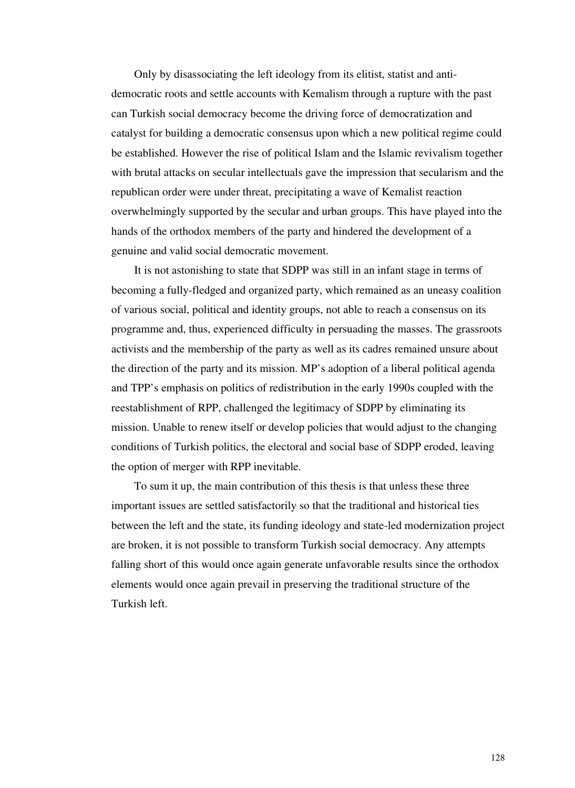Only by disassociating the left ideology from its elitist, statist and antidemocratic roots and settle accounts with Kemalism through a rupture with the past can Turkish social democracy become the driving force of democratization and catalyst for building a democratic consensus upon which a new political regime could be established. However the rise of political Islam and the Islamic revivalism together with brutal attacks on secular intellectuals gave the impression that secularism and the republican order were under threat, precipitating a wave of Kemalist reaction overwhelmingly supported by the secular and urban groups. This have played into the hands of the orthodox members of the party and hindered the development of a genuine and valid social democratic movement.

 It is not astonishing to state that SDPP was still in an infant stage in terms of becoming a fully-fledged and organized party, which remained as an uneasy coalition of various social, political and identity groups, not able to reach a consensus on its programme and, thus, experienced difficulty in persuading the masses. The grassroots activists and the membership of the party as well as its cadres remained unsure about the direction of the party and its mission. MP's adoption of a liberal political agenda and TPP's emphasis on politics of redistribution in the early 1990s coupled with the reestablishment of RPP, challenged the legitimacy of SDPP by eliminating its mission. Unable to renew itself or develop policies that would adjust to the changing conditions of Turkish politics, the electoral and social base of SDPP eroded, leaving the option of merger with RPP inevitable.

 To sum it up, the main contribution of this thesis is that unless these three important issues are settled satisfactorily so that the traditional and historical ties between the left and the state, its funding ideology and state-led modernization project are broken, it is not possible to transform Turkish social democracy. Any attempts falling short of this would once again generate unfavorable results since the orthodox elements would once again prevail in preserving the traditional structure of the Turkish left.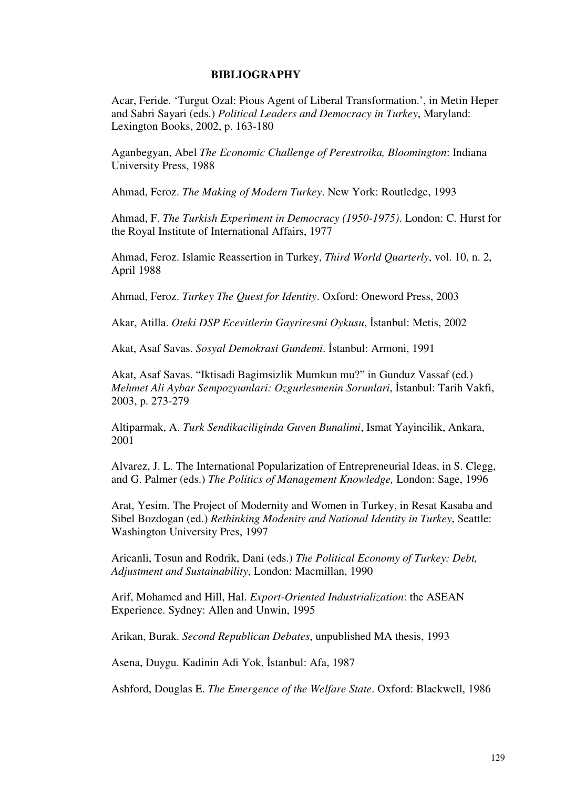### **BIBLIOGRAPHY**

Acar, Feride. 'Turgut Ozal: Pious Agent of Liberal Transformation.', in Metin Heper and Sabri Sayari (eds.) *Political Leaders and Democracy in Turkey*, Maryland: Lexington Books, 2002, p. 163-180

Aganbegyan, Abel *The Economic Challenge of Perestroika, Bloomington*: Indiana University Press, 1988

Ahmad, Feroz. *The Making of Modern Turkey*. New York: Routledge, 1993

Ahmad, F. *The Turkish Experiment in Democracy (1950-1975)*. London: C. Hurst for the Royal Institute of International Affairs, 1977

Ahmad, Feroz. Islamic Reassertion in Turkey, *Third World Quarterly*, vol. 10, n. 2, April 1988

Ahmad, Feroz. *Turkey The Quest for Identity*. Oxford: Oneword Press, 2003

Akar, Atilla. *Oteki DSP Ecevitlerin Gayriresmi Oykusu*, İstanbul: Metis, 2002

Akat, Asaf Savas. *Sosyal Demokrasi Gundemi*. İstanbul: Armoni, 1991

Akat, Asaf Savas. "Iktisadi Bagimsizlik Mumkun mu?" in Gunduz Vassaf (ed.) *Mehmet Ali Aybar Sempozyumlari: Ozgurlesmenin Sorunlari*, İstanbul: Tarih Vakfi, 2003, p. 273-279

Altiparmak, A. *Turk Sendikaciliginda Guven Bunalimi*, Ismat Yayincilik, Ankara, 2001

Alvarez, J. L. The International Popularization of Entrepreneurial Ideas, in S. Clegg, and G. Palmer (eds.) *The Politics of Management Knowledge,* London: Sage, 1996

Arat, Yesim. The Project of Modernity and Women in Turkey, in Resat Kasaba and Sibel Bozdogan (ed.) *Rethinking Modenity and National Identity in Turkey*, Seattle: Washington University Pres, 1997

Aricanli, Tosun and Rodrik, Dani (eds.) *The Political Economy of Turkey: Debt, Adjustment and Sustainability*, London: Macmillan, 1990

Arif, Mohamed and Hill, Hal. *Export-Oriented Industrialization*: the ASEAN Experience. Sydney: Allen and Unwin, 1995

Arikan, Burak. *Second Republican Debates*, unpublished MA thesis, 1993

Asena, Duygu. Kadinin Adi Yok, İstanbul: Afa, 1987

Ashford, Douglas E. *The Emergence of the Welfare State*. Oxford: Blackwell, 1986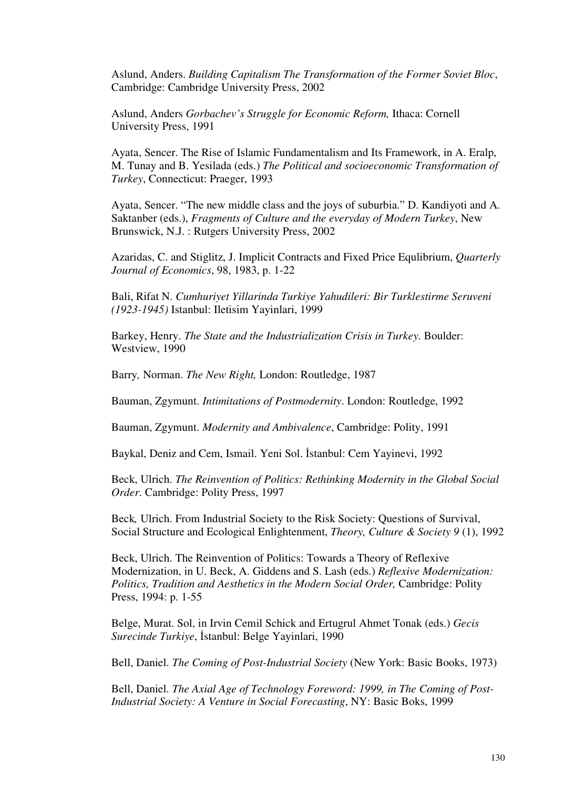Aslund, Anders. *Building Capitalism The Transformation of the Former Soviet Bloc*, Cambridge: Cambridge University Press, 2002

Aslund, Anders *Gorbachev's Struggle for Economic Reform,* Ithaca: Cornell University Press, 1991

Ayata, Sencer. The Rise of Islamic Fundamentalism and Its Framework, in A. Eralp, M. Tunay and B. Yesilada (eds.) *The Political and socioeconomic Transformation of Turkey*, Connecticut: Praeger, 1993

Ayata, Sencer. "The new middle class and the joys of suburbia." D. Kandiyoti and A. Saktanber (eds.), *Fragments of Culture and the everyday of Modern Turkey*, New Brunswick, N.J. : Rutgers University Press, 2002

Azaridas, C. and Stiglitz, J. Implicit Contracts and Fixed Price Equlibrium, *Quarterly Journal of Economics*, 98, 1983, p. 1-22

Bali, Rifat N. *Cumhuriyet Yillarinda Turkiye Yahudileri: Bir Turklestirme Seruveni (1923-1945)* Istanbul: Iletisim Yayinlari, 1999

Barkey, Henry. *The State and the Industrialization Crisis in Turkey*. Boulder: Westview, 1990

Barry*,* Norman. *The New Right,* London: Routledge, 1987

Bauman, Zgymunt. *Intimitations of Postmodernity*. London: Routledge, 1992

Bauman, Zgymunt. *Modernity and Ambivalence*, Cambridge: Polity, 1991

Baykal, Deniz and Cem, Ismail. Yeni Sol. İstanbul: Cem Yayinevi, 1992

Beck, Ulrich. *The Reinvention of Politics: Rethinking Modernity in the Global Social Order*. Cambridge: Polity Press, 1997

Beck*,* Ulrich. From Industrial Society to the Risk Society: Questions of Survival, Social Structure and Ecological Enlightenment, *Theory, Culture & Society 9* (1), 1992

Beck, Ulrich. The Reinvention of Politics: Towards a Theory of Reflexive Modernization, in U. Beck, A. Giddens and S. Lash (eds.) *Reflexive Modernization: Politics, Tradition and Aesthetics in the Modern Social Order,* Cambridge: Polity Press, 1994: p. 1-55

Belge, Murat. Sol, in Irvin Cemil Schick and Ertugrul Ahmet Tonak (eds.) *Gecis Surecinde Turkiye*, İstanbul: Belge Yayinlari, 1990

Bell, Daniel. *The Coming of Post-Industrial Society* (New York: Basic Books, 1973)

Bell, Daniel. *The Axial Age of Technology Foreword: 1999, in The Coming of Post-Industrial Society: A Venture in Social Forecasting*, NY: Basic Boks, 1999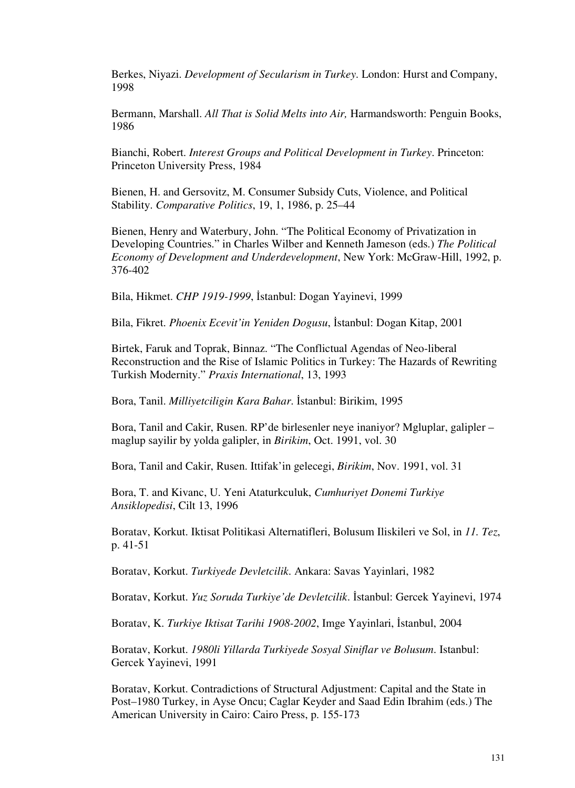Berkes, Niyazi. *Development of Secularism in Turkey*. London: Hurst and Company, 1998

Bermann, Marshall. *All That is Solid Melts into Air,* Harmandsworth: Penguin Books, 1986

Bianchi, Robert. *Interest Groups and Political Development in Turkey*. Princeton: Princeton University Press, 1984

Bienen, H. and Gersovitz, M. Consumer Subsidy Cuts, Violence, and Political Stability. *Comparative Politics*, 19, 1, 1986, p. 25–44

Bienen, Henry and Waterbury, John. "The Political Economy of Privatization in Developing Countries." in Charles Wilber and Kenneth Jameson (eds.) *The Political Economy of Development and Underdevelopment*, New York: McGraw-Hill, 1992, p. 376-402

Bila, Hikmet. *CHP 1919-1999*, İstanbul: Dogan Yayinevi, 1999

Bila, Fikret. *Phoenix Ecevit'in Yeniden Dogusu*, İstanbul: Dogan Kitap, 2001

Birtek, Faruk and Toprak, Binnaz. "The Conflictual Agendas of Neo-liberal Reconstruction and the Rise of Islamic Politics in Turkey: The Hazards of Rewriting Turkish Modernity." *Praxis International*, 13, 1993

Bora, Tanil. *Milliyetciligin Kara Bahar*. İstanbul: Birikim, 1995

Bora, Tanil and Cakir, Rusen. RP'de birlesenler neye inaniyor? Mgluplar, galipler – maglup sayilir by yolda galipler, in *Birikim*, Oct. 1991, vol. 30

Bora, Tanil and Cakir, Rusen. Ittifak'in gelecegi, *Birikim*, Nov. 1991, vol. 31

Bora, T. and Kivanc, U. Yeni Ataturkculuk, *Cumhuriyet Donemi Turkiye Ansiklopedisi*, Cilt 13, 1996

Boratav, Korkut. Iktisat Politikasi Alternatifleri, Bolusum Iliskileri ve Sol, in *11. Tez*, p. 41-51

Boratav, Korkut. *Turkiyede Devletcilik*. Ankara: Savas Yayinlari, 1982

Boratav, Korkut. *Yuz Soruda Turkiye'de Devletcilik*. İstanbul: Gercek Yayinevi, 1974

Boratav, K. *Turkiye Iktisat Tarihi 1908-2002*, Imge Yayinlari, İstanbul, 2004

Boratav, Korkut. *1980li Yillarda Turkiyede Sosyal Siniflar ve Bolusum*. Istanbul: Gercek Yayinevi, 1991

Boratav, Korkut. Contradictions of Structural Adjustment: Capital and the State in Post–1980 Turkey, in Ayse Oncu; Caglar Keyder and Saad Edin Ibrahim (eds.) The American University in Cairo: Cairo Press, p. 155-173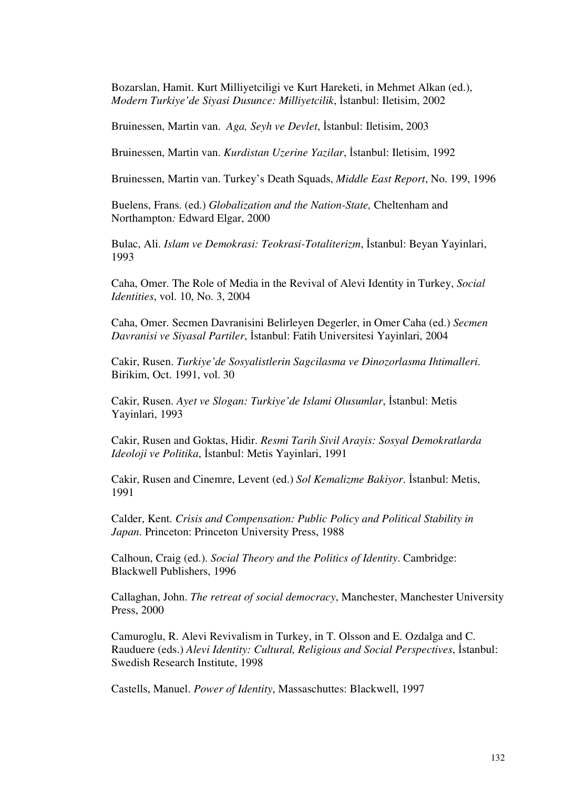Bozarslan, Hamit. Kurt Milliyetciligi ve Kurt Hareketi, in Mehmet Alkan (ed.), *Modern Turkiye'de Siyasi Dusunce: Milliyetcilik*, İstanbul: Iletisim, 2002

Bruinessen, Martin van. *Aga, Seyh ve Devlet*, İstanbul: Iletisim, 2003

Bruinessen, Martin van. *Kurdistan Uzerine Yazilar*, İstanbul: Iletisim, 1992

Bruinessen, Martin van. Turkey's Death Squads, *Middle East Report*, No. 199, 1996

Buelens, Frans. (ed.) *Globalization and the Nation-State,* Cheltenham and Northampton*:* Edward Elgar, 2000

Bulac, Ali. *Islam ve Demokrasi: Teokrasi-Totaliterizm*, İstanbul: Beyan Yayinlari, 1993

Caha, Omer. The Role of Media in the Revival of Alevi Identity in Turkey, *Social Identities*, vol. 10, No. 3, 2004

Caha, Omer. Secmen Davranisini Belirleyen Degerler, in Omer Caha (ed.) *Secmen Davranisi ve Siyasal Partiler*, İstanbul: Fatih Universitesi Yayinlari, 2004

Cakir, Rusen. *Turkiye'de Sosyalistlerin Sagcilasma ve Dinozorlasma Ihtimalleri*. Birikim, Oct. 1991, vol. 30

Cakir, Rusen. *Ayet ve Slogan: Turkiye'de Islami Olusumlar*, İstanbul: Metis Yayinlari, 1993

Cakir, Rusen and Goktas, Hidir. *Resmi Tarih Sivil Arayis: Sosyal Demokratlarda Ideoloji ve Politika*, İstanbul: Metis Yayinlari, 1991

Cakir, Rusen and Cinemre, Levent (ed.) *Sol Kemalizme Bakiyor*. İstanbul: Metis, 1991

Calder, Kent. *Crisis and Compensation: Public Policy and Political Stability in Japan*. Princeton: Princeton University Press, 1988

Calhoun, Craig (ed.). *Social Theory and the Politics of Identity*. Cambridge: Blackwell Publishers, 1996

Callaghan, John. *The retreat of social democracy*, Manchester, Manchester University Press, 2000

Camuroglu, R. Alevi Revivalism in Turkey, in T. Olsson and E. Ozdalga and C. Rauduere (eds.) *Alevi Identity: Cultural, Religious and Social Perspectives*, İstanbul: Swedish Research Institute, 1998

Castells, Manuel. *Power of Identity*, Massaschuttes: Blackwell, 1997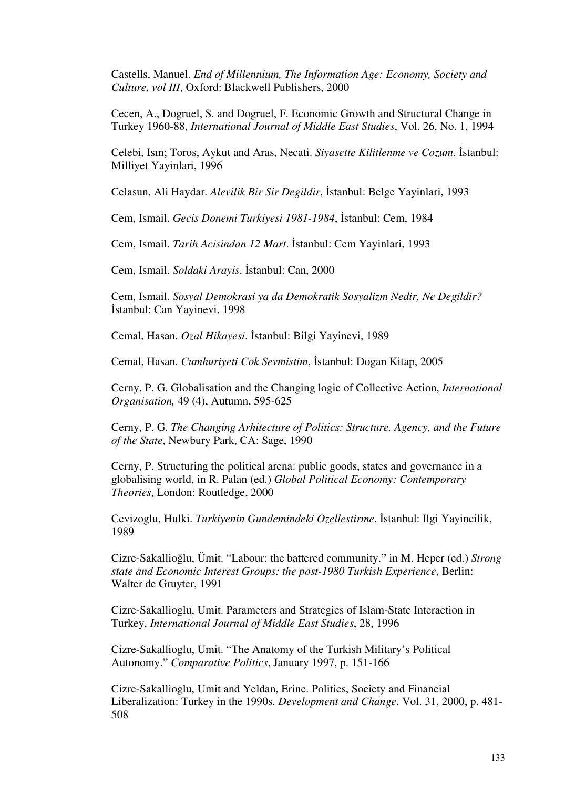Castells, Manuel. *End of Millennium, The Information Age: Economy, Society and Culture, vol III*, Oxford: Blackwell Publishers, 2000

Cecen, A., Dogruel, S. and Dogruel, F. Economic Growth and Structural Change in Turkey 1960-88, *International Journal of Middle East Studies*, Vol. 26, No. 1, 1994

Celebi, Isın; Toros, Aykut and Aras, Necati. *Siyasette Kilitlenme ve Cozum*. İstanbul: Milliyet Yayinlari, 1996

Celasun, Ali Haydar. *Alevilik Bir Sir Degildir*, İstanbul: Belge Yayinlari, 1993

Cem, Ismail. *Gecis Donemi Turkiyesi 1981-1984*, İstanbul: Cem, 1984

Cem, Ismail. *Tarih Acisindan 12 Mart*. İstanbul: Cem Yayinlari, 1993

Cem, Ismail. *Soldaki Arayis*. İstanbul: Can, 2000

Cem, Ismail. *Sosyal Demokrasi ya da Demokratik Sosyalizm Nedir, Ne Degildir?* İstanbul: Can Yayinevi, 1998

Cemal, Hasan. *Ozal Hikayesi*. İstanbul: Bilgi Yayinevi, 1989

Cemal, Hasan. *Cumhuriyeti Cok Sevmistim*, İstanbul: Dogan Kitap, 2005

Cerny, P. G. Globalisation and the Changing logic of Collective Action, *International Organisation,* 49 (4), Autumn, 595-625

Cerny, P. G. *The Changing Arhitecture of Politics: Structure, Agency, and the Future of the State*, Newbury Park, CA: Sage, 1990

Cerny, P. Structuring the political arena: public goods, states and governance in a globalising world, in R. Palan (ed.) *Global Political Economy: Contemporary Theories*, London: Routledge, 2000

Cevizoglu, Hulki. *Turkiyenin Gundemindeki Ozellestirme*. İstanbul: Ilgi Yayincilik, 1989

Cizre-Sakallioğlu, Ümit. "Labour: the battered community." in M. Heper (ed.) *Strong state and Economic Interest Groups: the post-1980 Turkish Experience*, Berlin: Walter de Gruyter, 1991

Cizre-Sakallioglu, Umit. Parameters and Strategies of Islam-State Interaction in Turkey, *International Journal of Middle East Studies*, 28, 1996

Cizre-Sakallioglu, Umit. "The Anatomy of the Turkish Military's Political Autonomy." *Comparative Politics*, January 1997, p. 151-166

Cizre-Sakallioglu, Umit and Yeldan, Erinc. Politics, Society and Financial Liberalization: Turkey in the 1990s. *Development and Change*. Vol. 31, 2000, p. 481- 508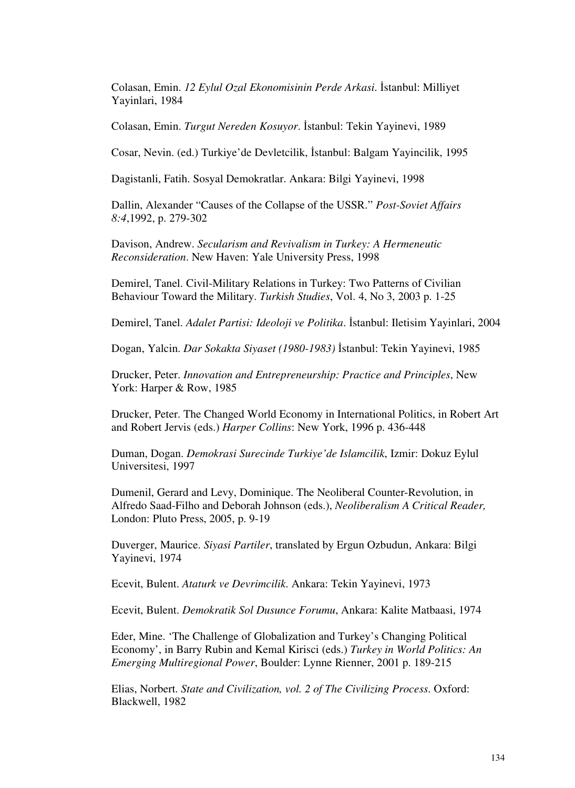Colasan, Emin. *12 Eylul Ozal Ekonomisinin Perde Arkasi*. İstanbul: Milliyet Yayinlari, 1984

Colasan, Emin. *Turgut Nereden Kosuyor*. İstanbul: Tekin Yayinevi, 1989

Cosar, Nevin. (ed.) Turkiye'de Devletcilik, İstanbul: Balgam Yayincilik, 1995

Dagistanli, Fatih. Sosyal Demokratlar. Ankara: Bilgi Yayinevi, 1998

Dallin, Alexander "Causes of the Collapse of the USSR." *Post-Soviet Affairs 8:4*,1992, p. 279-302

Davison, Andrew. *Secularism and Revivalism in Turkey: A Hermeneutic Reconsideration*. New Haven: Yale University Press, 1998

Demirel, Tanel. Civil-Military Relations in Turkey: Two Patterns of Civilian Behaviour Toward the Military. *Turkish Studies*, Vol. 4, No 3, 2003 p. 1-25

Demirel, Tanel. *Adalet Partisi: Ideoloji ve Politika*. İstanbul: Iletisim Yayinlari, 2004

Dogan, Yalcin. *Dar Sokakta Siyaset (1980-1983)* İstanbul: Tekin Yayinevi, 1985

Drucker, Peter. *Innovation and Entrepreneurship: Practice and Principles*, New York: Harper & Row, 1985

Drucker, Peter. The Changed World Economy in International Politics, in Robert Art and Robert Jervis (eds.) *Harper Collins*: New York, 1996 p. 436-448

Duman, Dogan. *Demokrasi Surecinde Turkiye'de Islamcilik*, Izmir: Dokuz Eylul Universitesi, 1997

Dumenil, Gerard and Levy, Dominique. The Neoliberal Counter-Revolution, in Alfredo Saad-Filho and Deborah Johnson (eds.), *Neoliberalism A Critical Reader,*  London: Pluto Press, 2005, p. 9-19

Duverger, Maurice. *Siyasi Partiler*, translated by Ergun Ozbudun, Ankara: Bilgi Yayinevi, 1974

Ecevit, Bulent. *Ataturk ve Devrimcilik*. Ankara: Tekin Yayinevi, 1973

Ecevit, Bulent. *Demokratik Sol Dusunce Forumu*, Ankara: Kalite Matbaasi, 1974

Eder, Mine. 'The Challenge of Globalization and Turkey's Changing Political Economy', in Barry Rubin and Kemal Kirisci (eds.) *Turkey in World Politics: An Emerging Multiregional Power*, Boulder: Lynne Rienner, 2001 p. 189-215

Elias, Norbert. *State and Civilization, vol. 2 of The Civilizing Process*. Oxford: Blackwell, 1982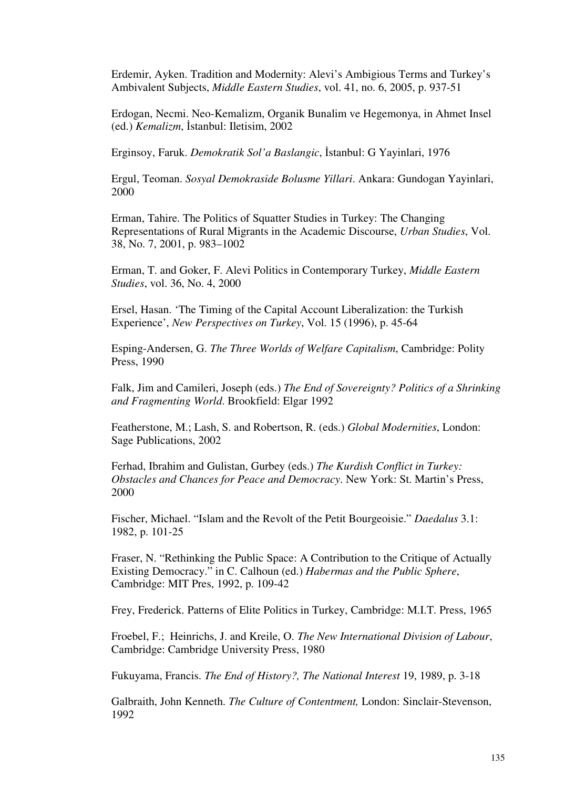Erdemir, Ayken. Tradition and Modernity: Alevi's Ambigious Terms and Turkey's Ambivalent Subjects, *Middle Eastern Studies*, vol. 41, no. 6, 2005, p. 937-51

Erdogan, Necmi. Neo-Kemalizm, Organik Bunalim ve Hegemonya, in Ahmet Insel (ed.) *Kemalizm*, İstanbul: Iletisim, 2002

Erginsoy, Faruk. *Demokratik Sol'a Baslangic*, İstanbul: G Yayinlari, 1976

Ergul, Teoman. *Sosyal Demokraside Bolusme Yillari*. Ankara: Gundogan Yayinlari, 2000

Erman, Tahire. The Politics of Squatter Studies in Turkey: The Changing Representations of Rural Migrants in the Academic Discourse, *Urban Studies*, Vol. 38, No. 7, 2001, p. 983–1002

Erman, T. and Goker, F. Alevi Politics in Contemporary Turkey, *Middle Eastern Studies*, vol. 36, No. 4, 2000

Ersel, Hasan. 'The Timing of the Capital Account Liberalization: the Turkish Experience', *New Perspectives on Turkey*, Vol. 15 (1996), p. 45-64

Esping-Andersen, G. *The Three Worlds of Welfare Capitalism*, Cambridge: Polity Press, 1990

Falk, Jim and Camileri, Joseph (eds.) *The End of Sovereignty? Politics of a Shrinking and Fragmenting World*. Brookfield: Elgar 1992

Featherstone, M.; Lash, S. and Robertson, R. (eds.) *Global Modernities*, London: Sage Publications, 2002

Ferhad, Ibrahim and Gulistan, Gurbey (eds.) *The Kurdish Conflict in Turkey: Obstacles and Chances for Peace and Democracy*. New York: St. Martin's Press, 2000

Fischer, Michael. "Islam and the Revolt of the Petit Bourgeoisie." *Daedalus* 3.1: 1982, p. 101-25

Fraser, N. "Rethinking the Public Space: A Contribution to the Critique of Actually Existing Democracy." in C. Calhoun (ed.) *Habermas and the Public Sphere*, Cambridge: MIT Pres, 1992, p. 109-42

Frey, Frederick. Patterns of Elite Politics in Turkey, Cambridge: M.I.T. Press, 1965

Froebel, F.; Heinrichs, J. and Kreile, O. *The New International Division of Labour*, Cambridge: Cambridge University Press, 1980

Fukuyama, Francis. *The End of History?, The National Interest* 19, 1989, p. 3-18

Galbraith, John Kenneth. *The Culture of Contentment,* London: Sinclair-Stevenson, 1992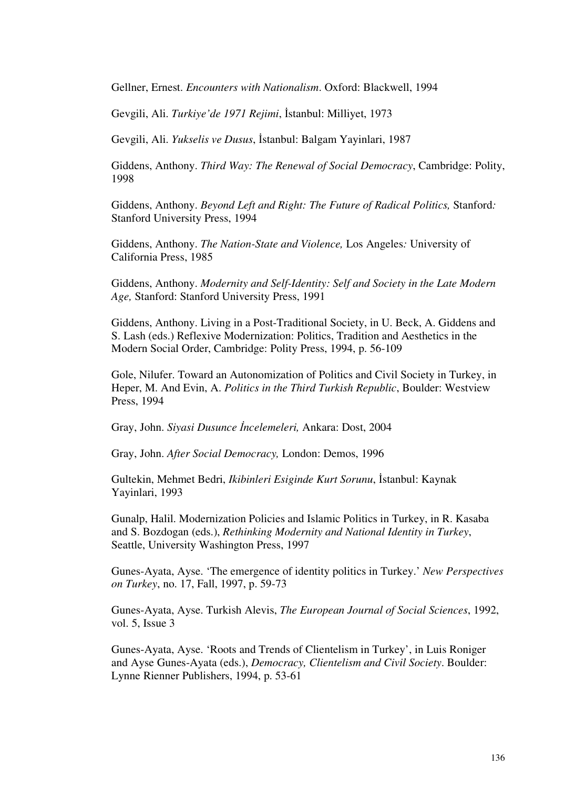Gellner, Ernest. *Encounters with Nationalism*. Oxford: Blackwell, 1994

Gevgili, Ali. *Turkiye'de 1971 Rejimi*, İstanbul: Milliyet, 1973

Gevgili, Ali. *Yukselis ve Dusus*, İstanbul: Balgam Yayinlari, 1987

Giddens, Anthony. *Third Way: The Renewal of Social Democracy*, Cambridge: Polity, 1998

Giddens, Anthony. *Beyond Left and Right: The Future of Radical Politics,* Stanford*:* Stanford University Press, 1994

Giddens, Anthony. *The Nation-State and Violence,* Los Angeles*:* University of California Press, 1985

Giddens, Anthony. *Modernity and Self-Identity: Self and Society in the Late Modern Age,* Stanford: Stanford University Press, 1991

Giddens, Anthony. Living in a Post-Traditional Society, in U. Beck, A. Giddens and S. Lash (eds.) Reflexive Modernization: Politics, Tradition and Aesthetics in the Modern Social Order, Cambridge: Polity Press, 1994, p. 56-109

Gole, Nilufer. Toward an Autonomization of Politics and Civil Society in Turkey, in Heper, M. And Evin, A. *Politics in the Third Turkish Republic*, Boulder: Westview Press, 1994

Gray, John. *Siyasi Dusunce* İ*ncelemeleri,* Ankara: Dost, 2004

Gray, John. *After Social Democracy,* London: Demos, 1996

Gultekin, Mehmet Bedri, *Ikibinleri Esiginde Kurt Sorunu*, İstanbul: Kaynak Yayinlari, 1993

Gunalp, Halil. Modernization Policies and Islamic Politics in Turkey, in R. Kasaba and S. Bozdogan (eds.), *Rethinking Modernity and National Identity in Turkey*, Seattle, University Washington Press, 1997

Gunes-Ayata, Ayse. 'The emergence of identity politics in Turkey.' *New Perspectives on Turkey*, no. 17, Fall, 1997, p. 59-73

Gunes-Ayata, Ayse. Turkish Alevis, *The European Journal of Social Sciences*, 1992, vol. 5, Issue 3

Gunes-Ayata, Ayse. 'Roots and Trends of Clientelism in Turkey', in Luis Roniger and Ayse Gunes-Ayata (eds.), *Democracy, Clientelism and Civil Society*. Boulder: Lynne Rienner Publishers, 1994, p. 53-61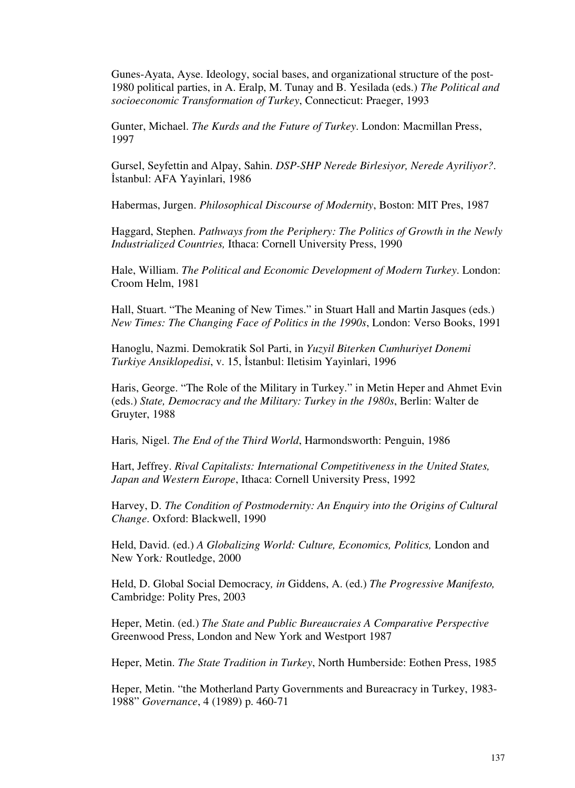Gunes-Ayata, Ayse. Ideology, social bases, and organizational structure of the post-1980 political parties, in A. Eralp, M. Tunay and B. Yesilada (eds.) *The Political and socioeconomic Transformation of Turkey*, Connecticut: Praeger, 1993

Gunter, Michael. *The Kurds and the Future of Turkey*. London: Macmillan Press, 1997

Gursel, Seyfettin and Alpay, Sahin. *DSP-SHP Nerede Birlesiyor, Nerede Ayriliyor?*. İstanbul: AFA Yayinlari, 1986

Habermas, Jurgen. *Philosophical Discourse of Modernity*, Boston: MIT Pres, 1987

Haggard, Stephen. *Pathways from the Periphery: The Politics of Growth in the Newly Industrialized Countries,* Ithaca: Cornell University Press, 1990

Hale, William. *The Political and Economic Development of Modern Turkey*. London: Croom Helm, 1981

Hall, Stuart. "The Meaning of New Times." in Stuart Hall and Martin Jasques (eds.) *New Times: The Changing Face of Politics in the 1990s*, London: Verso Books, 1991

Hanoglu, Nazmi. Demokratik Sol Parti, in *Yuzyil Biterken Cumhuriyet Donemi Turkiye Ansiklopedisi*, v. 15, İstanbul: Iletisim Yayinlari, 1996

Haris, George. "The Role of the Military in Turkey." in Metin Heper and Ahmet Evin (eds.) *State, Democracy and the Military: Turkey in the 1980s*, Berlin: Walter de Gruyter, 1988

Haris*,* Nigel. *The End of the Third World*, Harmondsworth: Penguin, 1986

Hart, Jeffrey. *Rival Capitalists: International Competitiveness in the United States, Japan and Western Europe*, Ithaca: Cornell University Press, 1992

Harvey, D. *The Condition of Postmodernity: An Enquiry into the Origins of Cultural Change*. Oxford: Blackwell, 1990

Held, David. (ed.) *A Globalizing World: Culture, Economics, Politics,* London and New York*:* Routledge, 2000

Held, D. Global Social Democracy*, in* Giddens, A. (ed.) *The Progressive Manifesto,*  Cambridge: Polity Pres, 2003

Heper, Metin. (ed.) *The State and Public Bureaucraies A Comparative Perspective* Greenwood Press, London and New York and Westport 1987

Heper, Metin. *The State Tradition in Turkey*, North Humberside: Eothen Press, 1985

Heper, Metin. "the Motherland Party Governments and Bureacracy in Turkey, 1983- 1988" *Governance*, 4 (1989) p. 460-71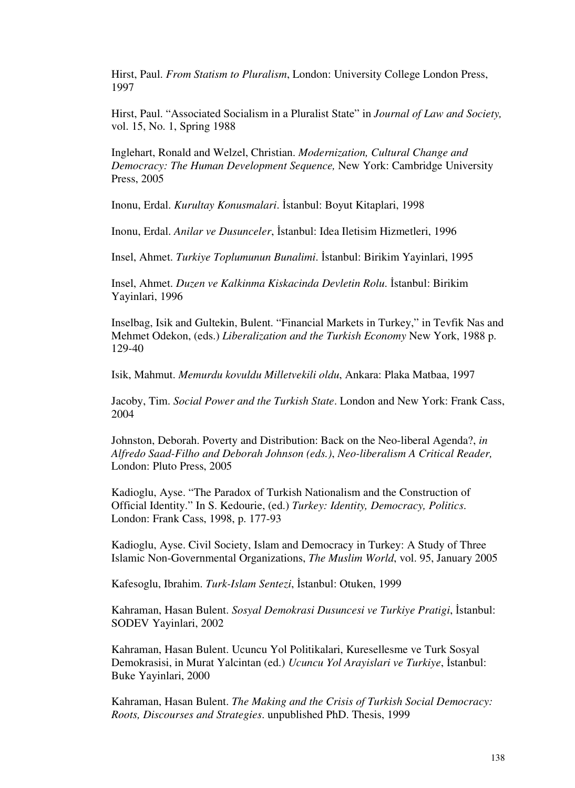Hirst, Paul. *From Statism to Pluralism*, London: University College London Press, 1997

Hirst, Paul. "Associated Socialism in a Pluralist State" in *Journal of Law and Society,* vol. 15, No. 1, Spring 1988

Inglehart, Ronald and Welzel, Christian. *Modernization, Cultural Change and Democracy: The Human Development Sequence,* New York: Cambridge University Press, 2005

Inonu, Erdal. *Kurultay Konusmalari*. İstanbul: Boyut Kitaplari, 1998

Inonu, Erdal. *Anilar ve Dusunceler*, İstanbul: Idea Iletisim Hizmetleri, 1996

Insel, Ahmet. *Turkiye Toplumunun Bunalimi*. İstanbul: Birikim Yayinlari, 1995

Insel, Ahmet. *Duzen ve Kalkinma Kiskacinda Devletin Rolu*. İstanbul: Birikim Yayinlari, 1996

Inselbag, Isik and Gultekin, Bulent. "Financial Markets in Turkey," in Tevfik Nas and Mehmet Odekon, (eds.) *Liberalization and the Turkish Economy* New York, 1988 p. 129-40

Isik, Mahmut. *Memurdu kovuldu Milletvekili oldu*, Ankara: Plaka Matbaa, 1997

Jacoby, Tim. *Social Power and the Turkish State*. London and New York: Frank Cass, 2004

Johnston, Deborah. Poverty and Distribution: Back on the Neo-liberal Agenda?, *in Alfredo Saad-Filho and Deborah Johnson (eds.)*, *Neo-liberalism A Critical Reader,*  London: Pluto Press, 2005

Kadioglu, Ayse. "The Paradox of Turkish Nationalism and the Construction of Official Identity." In S. Kedourie, (ed.) *Turkey: Identity, Democracy, Politics*. London: Frank Cass, 1998, p. 177-93

Kadioglu, Ayse. Civil Society, Islam and Democracy in Turkey: A Study of Three Islamic Non-Governmental Organizations, *The Muslim World*, vol. 95, January 2005

Kafesoglu, Ibrahim. *Turk-Islam Sentezi*, İstanbul: Otuken, 1999

Kahraman, Hasan Bulent. *Sosyal Demokrasi Dusuncesi ve Turkiye Pratigi*, İstanbul: SODEV Yayinlari, 2002

Kahraman, Hasan Bulent. Ucuncu Yol Politikalari, Kuresellesme ve Turk Sosyal Demokrasisi, in Murat Yalcintan (ed.) *Ucuncu Yol Arayislari ve Turkiye*, İstanbul: Buke Yayinlari, 2000

Kahraman, Hasan Bulent. *The Making and the Crisis of Turkish Social Democracy: Roots, Discourses and Strategies*. unpublished PhD. Thesis, 1999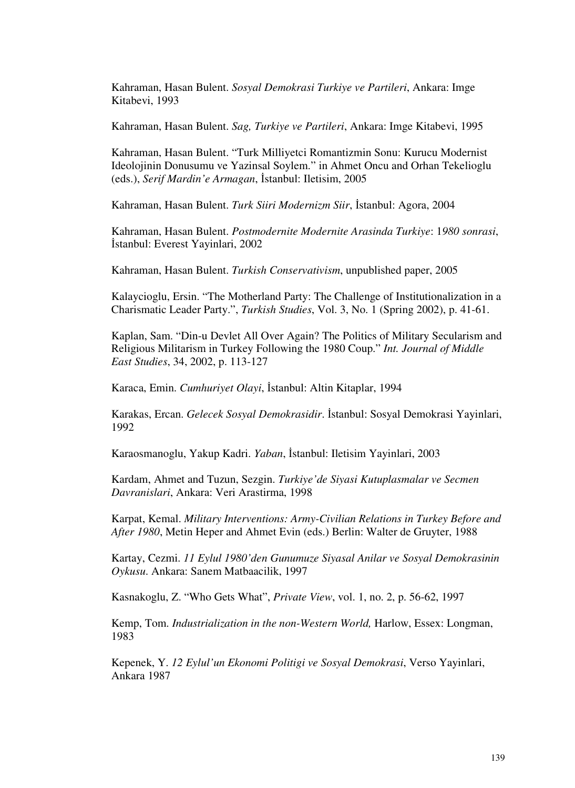Kahraman, Hasan Bulent. *Sosyal Demokrasi Turkiye ve Partileri*, Ankara: Imge Kitabevi, 1993

Kahraman, Hasan Bulent. *Sag, Turkiye ve Partileri*, Ankara: Imge Kitabevi, 1995

Kahraman, Hasan Bulent. "Turk Milliyetci Romantizmin Sonu: Kurucu Modernist Ideolojinin Donusumu ve Yazinsal Soylem." in Ahmet Oncu and Orhan Tekelioglu (eds.), *Serif Mardin'e Armagan*, İstanbul: Iletisim, 2005

Kahraman, Hasan Bulent. *Turk Siiri Modernizm Siir*, İstanbul: Agora, 2004

Kahraman, Hasan Bulent. *Postmodernite Modernite Arasinda Turkiye*: 1*980 sonrasi*, İstanbul: Everest Yayinlari, 2002

Kahraman, Hasan Bulent. *Turkish Conservativism*, unpublished paper, 2005

Kalaycioglu, Ersin. "The Motherland Party: The Challenge of Institutionalization in a Charismatic Leader Party.", *Turkish Studies*, Vol. 3, No. 1 (Spring 2002), p. 41-61.

Kaplan, Sam. "Din-u Devlet All Over Again? The Politics of Military Secularism and Religious Militarism in Turkey Following the 1980 Coup." *Int. Journal of Middle East Studies*, 34, 2002, p. 113-127

Karaca, Emin. *Cumhuriyet Olayi*, İstanbul: Altin Kitaplar, 1994

Karakas, Ercan. *Gelecek Sosyal Demokrasidir*. İstanbul: Sosyal Demokrasi Yayinlari, 1992

Karaosmanoglu, Yakup Kadri. *Yaban*, İstanbul: Iletisim Yayinlari, 2003

Kardam, Ahmet and Tuzun, Sezgin. *Turkiye'de Siyasi Kutuplasmalar ve Secmen Davranislari*, Ankara: Veri Arastirma, 1998

Karpat, Kemal. *Military Interventions: Army-Civilian Relations in Turkey Before and After 1980*, Metin Heper and Ahmet Evin (eds.) Berlin: Walter de Gruyter, 1988

Kartay, Cezmi. *11 Eylul 1980'den Gunumuze Siyasal Anilar ve Sosyal Demokrasinin Oykusu*. Ankara: Sanem Matbaacilik, 1997

Kasnakoglu, Z. "Who Gets What", *Private View*, vol. 1, no. 2, p. 56-62, 1997

Kemp, Tom. *Industrialization in the non-Western World,* Harlow, Essex: Longman, 1983

Kepenek, Y. *12 Eylul'un Ekonomi Politigi ve Sosyal Demokrasi*, Verso Yayinlari, Ankara 1987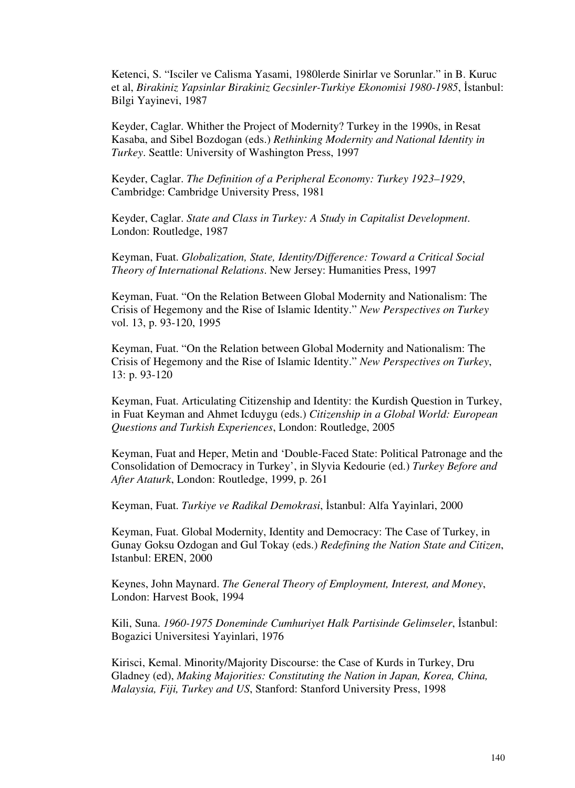Ketenci, S. "Isciler ve Calisma Yasami, 1980lerde Sinirlar ve Sorunlar." in B. Kuruc et al, *Birakiniz Yapsinlar Birakiniz Gecsinler-Turkiye Ekonomisi 1980-1985*, İstanbul: Bilgi Yayinevi, 1987

Keyder, Caglar. Whither the Project of Modernity? Turkey in the 1990s, in Resat Kasaba, and Sibel Bozdogan (eds.) *Rethinking Modernity and National Identity in Turkey*. Seattle: University of Washington Press, 1997

Keyder, Caglar. *The Definition of a Peripheral Economy: Turkey 1923–1929*, Cambridge: Cambridge University Press, 1981

Keyder, Caglar. *State and Class in Turkey: A Study in Capitalist Development*. London: Routledge, 1987

Keyman, Fuat. *Globalization, State, Identity/Difference: Toward a Critical Social Theory of International Relations*. New Jersey: Humanities Press, 1997

Keyman, Fuat. "On the Relation Between Global Modernity and Nationalism: The Crisis of Hegemony and the Rise of Islamic Identity." *New Perspectives on Turkey* vol. 13, p. 93-120, 1995

Keyman, Fuat. "On the Relation between Global Modernity and Nationalism: The Crisis of Hegemony and the Rise of Islamic Identity." *New Perspectives on Turkey*, 13: p. 93-120

Keyman, Fuat. Articulating Citizenship and Identity: the Kurdish Question in Turkey, in Fuat Keyman and Ahmet Icduygu (eds.) *Citizenship in a Global World: European Questions and Turkish Experiences*, London: Routledge, 2005

Keyman, Fuat and Heper, Metin and 'Double-Faced State: Political Patronage and the Consolidation of Democracy in Turkey', in Slyvia Kedourie (ed.) *Turkey Before and After Ataturk*, London: Routledge, 1999, p. 261

Keyman, Fuat. *Turkiye ve Radikal Demokrasi*, İstanbul: Alfa Yayinlari, 2000

Keyman, Fuat. Global Modernity, Identity and Democracy: The Case of Turkey, in Gunay Goksu Ozdogan and Gul Tokay (eds.) *Redefining the Nation State and Citizen*, Istanbul: EREN, 2000

Keynes, John Maynard. *The General Theory of Employment, Interest, and Money*, London: Harvest Book, 1994

Kili, Suna. *1960-1975 Doneminde Cumhuriyet Halk Partisinde Gelimseler*, İstanbul: Bogazici Universitesi Yayinlari, 1976

Kirisci, Kemal. Minority/Majority Discourse: the Case of Kurds in Turkey, Dru Gladney (ed), *Making Majorities: Constituting the Nation in Japan, Korea, China, Malaysia, Fiji, Turkey and US*, Stanford: Stanford University Press, 1998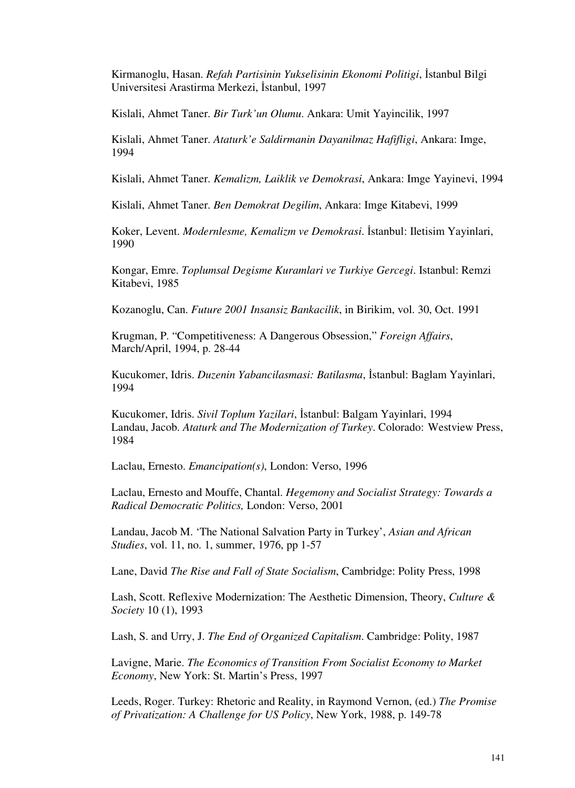Kirmanoglu, Hasan. *Refah Partisinin Yukselisinin Ekonomi Politigi*, İstanbul Bilgi Universitesi Arastirma Merkezi, İstanbul, 1997

Kislali, Ahmet Taner. *Bir Turk'un Olumu*. Ankara: Umit Yayincilik, 1997

Kislali, Ahmet Taner. *Ataturk'e Saldirmanin Dayanilmaz Hafifligi*, Ankara: Imge, 1994

Kislali, Ahmet Taner. *Kemalizm, Laiklik ve Demokrasi*, Ankara: Imge Yayinevi, 1994

Kislali, Ahmet Taner. *Ben Demokrat Degilim*, Ankara: Imge Kitabevi, 1999

Koker, Levent. *Modernlesme, Kemalizm ve Demokrasi*. İstanbul: Iletisim Yayinlari, 1990

Kongar, Emre. *Toplumsal Degisme Kuramlari ve Turkiye Gercegi*. Istanbul: Remzi Kitabevi, 1985

Kozanoglu, Can. *Future 2001 Insansiz Bankacilik*, in Birikim, vol. 30, Oct. 1991

Krugman, P. "Competitiveness: A Dangerous Obsession," *Foreign Affairs*, March/April, 1994, p. 28-44

Kucukomer, Idris. *Duzenin Yabancilasmasi: Batilasma*, İstanbul: Baglam Yayinlari, 1994

Kucukomer, Idris. *Sivil Toplum Yazilari*, İstanbul: Balgam Yayinlari, 1994 Landau, Jacob. *Ataturk and The Modernization of Turkey*. Colorado: Westview Press, 1984

Laclau, Ernesto. *Emancipation(s)*, London: Verso, 1996

Laclau, Ernesto and Mouffe, Chantal. *Hegemony and Socialist Strategy: Towards a Radical Democratic Politics,* London: Verso, 2001

Landau, Jacob M. 'The National Salvation Party in Turkey', *Asian and African Studies*, vol. 11, no. 1, summer, 1976, pp 1-57

Lane, David *The Rise and Fall of State Socialism*, Cambridge: Polity Press, 1998

Lash, Scott. Reflexive Modernization: The Aesthetic Dimension, Theory, *Culture & Society* 10 (1), 1993

Lash, S. and Urry, J. *The End of Organized Capitalism*. Cambridge: Polity, 1987

Lavigne, Marie. *The Economics of Transition From Socialist Economy to Market Economy*, New York: St. Martin's Press, 1997

Leeds, Roger. Turkey: Rhetoric and Reality, in Raymond Vernon, (ed.) *The Promise of Privatization: A Challenge for US Policy*, New York, 1988, p. 149-78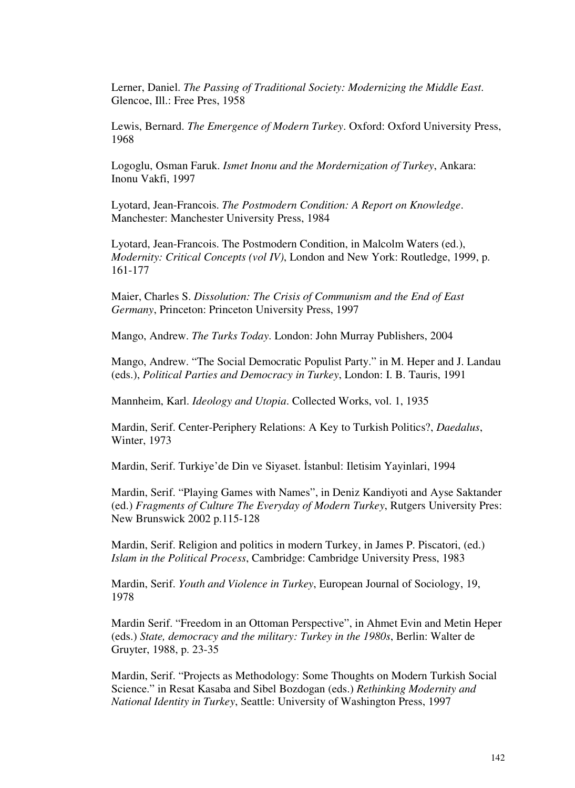Lerner, Daniel. *The Passing of Traditional Society: Modernizing the Middle East*. Glencoe, Ill.: Free Pres, 1958

Lewis, Bernard. *The Emergence of Modern Turkey*. Oxford: Oxford University Press, 1968

Logoglu, Osman Faruk. *Ismet Inonu and the Mordernization of Turkey*, Ankara: Inonu Vakfi, 1997

Lyotard, Jean-Francois. *The Postmodern Condition: A Report on Knowledge*. Manchester: Manchester University Press, 1984

Lyotard, Jean-Francois. The Postmodern Condition, in Malcolm Waters (ed.), *Modernity: Critical Concepts (vol IV)*, London and New York: Routledge, 1999, p. 161-177

Maier, Charles S. *Dissolution: The Crisis of Communism and the End of East Germany*, Princeton: Princeton University Press, 1997

Mango, Andrew. *The Turks Today*. London: John Murray Publishers, 2004

Mango, Andrew. "The Social Democratic Populist Party." in M. Heper and J. Landau (eds.), *Political Parties and Democracy in Turkey*, London: I. B. Tauris, 1991

Mannheim, Karl. *Ideology and Utopia*. Collected Works, vol. 1, 1935

Mardin, Serif. Center-Periphery Relations: A Key to Turkish Politics?, *Daedalus*, Winter, 1973

Mardin, Serif. Turkiye'de Din ve Siyaset. İstanbul: Iletisim Yayinlari, 1994

Mardin, Serif. "Playing Games with Names", in Deniz Kandiyoti and Ayse Saktander (ed.) *Fragments of Culture The Everyday of Modern Turkey*, Rutgers University Pres: New Brunswick 2002 p.115-128

Mardin, Serif. Religion and politics in modern Turkey, in James P. Piscatori, (ed.) *Islam in the Political Process*, Cambridge: Cambridge University Press, 1983

Mardin, Serif. *Youth and Violence in Turkey*, European Journal of Sociology, 19, 1978

Mardin Serif. "Freedom in an Ottoman Perspective", in Ahmet Evin and Metin Heper (eds.) *State, democracy and the military: Turkey in the 1980s*, Berlin: Walter de Gruyter, 1988, p. 23-35

Mardin, Serif. "Projects as Methodology: Some Thoughts on Modern Turkish Social Science." in Resat Kasaba and Sibel Bozdogan (eds.) *Rethinking Modernity and National Identity in Turkey*, Seattle: University of Washington Press, 1997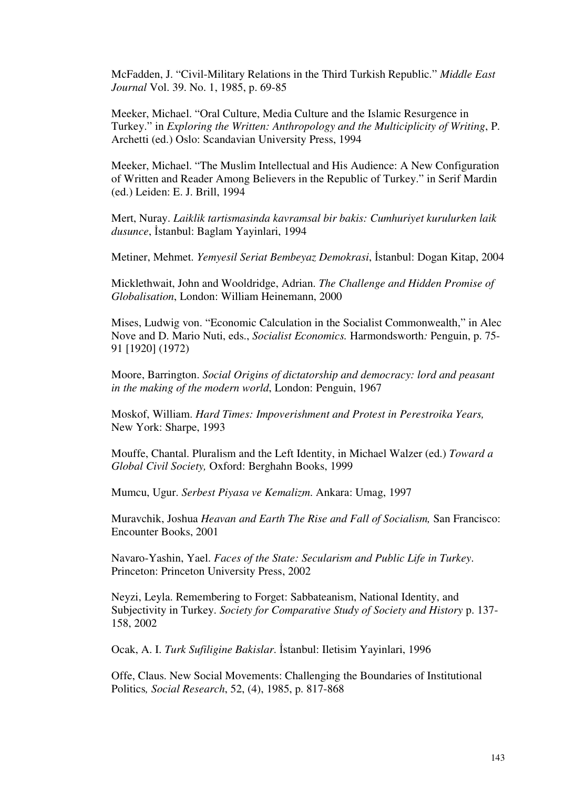McFadden, J. "Civil-Military Relations in the Third Turkish Republic." *Middle East Journal* Vol. 39. No. 1, 1985, p. 69-85

Meeker, Michael. "Oral Culture, Media Culture and the Islamic Resurgence in Turkey." in *Exploring the Written: Anthropology and the Multiciplicity of Writing*, P. Archetti (ed.) Oslo: Scandavian University Press, 1994

Meeker, Michael. "The Muslim Intellectual and His Audience: A New Configuration of Written and Reader Among Believers in the Republic of Turkey." in Serif Mardin (ed.) Leiden: E. J. Brill, 1994

Mert, Nuray. *Laiklik tartismasinda kavramsal bir bakis: Cumhuriyet kurulurken laik dusunce*, İstanbul: Baglam Yayinlari, 1994

Metiner, Mehmet. *Yemyesil Seriat Bembeyaz Demokrasi*, İstanbul: Dogan Kitap, 2004

Micklethwait, John and Wooldridge, Adrian. *The Challenge and Hidden Promise of Globalisation*, London: William Heinemann, 2000

Mises, Ludwig von. "Economic Calculation in the Socialist Commonwealth," in Alec Nove and D. Mario Nuti, eds., *Socialist Economics.* Harmondsworth*:* Penguin, p. 75- 91 [1920] (1972)

Moore, Barrington. *Social Origins of dictatorship and democracy: lord and peasant in the making of the modern world*, London: Penguin, 1967

Moskof, William. *Hard Times: Impoverishment and Protest in Perestroika Years,* New York: Sharpe, 1993

Mouffe, Chantal. Pluralism and the Left Identity, in Michael Walzer (ed.) *Toward a Global Civil Society,* Oxford: Berghahn Books, 1999

Mumcu, Ugur. *Serbest Piyasa ve Kemalizm*. Ankara: Umag, 1997

Muravchik, Joshua *Heavan and Earth The Rise and Fall of Socialism,* San Francisco: Encounter Books, 2001

Navaro-Yashin, Yael. *Faces of the State: Secularism and Public Life in Turkey*. Princeton: Princeton University Press, 2002

Neyzi, Leyla. Remembering to Forget: Sabbateanism, National Identity, and Subjectivity in Turkey. *Society for Comparative Study of Society and History* p. 137- 158, 2002

Ocak, A. I. *Turk Sufiligine Bakislar*. İstanbul: Iletisim Yayinlari, 1996

Offe, Claus. New Social Movements: Challenging the Boundaries of Institutional Politics*, Social Research*, 52, (4), 1985, p. 817-868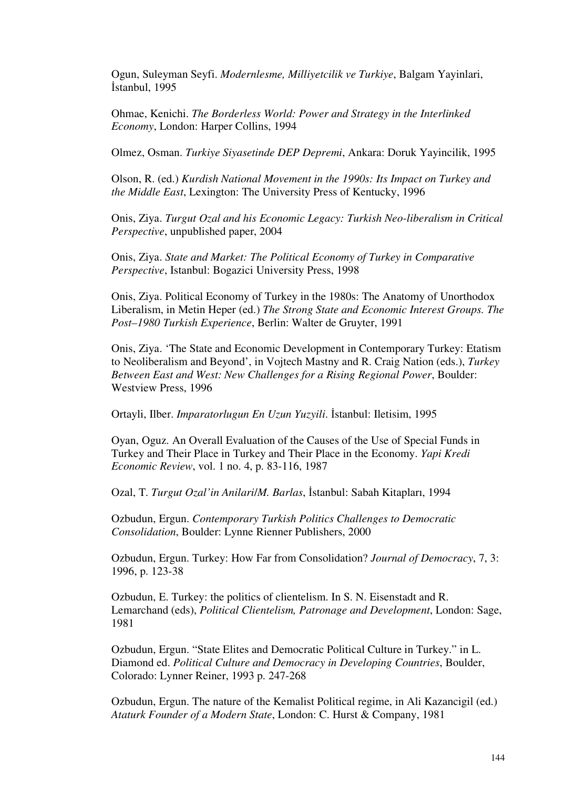Ogun, Suleyman Seyfi. *Modernlesme, Milliyetcilik ve Turkiye*, Balgam Yayinlari, İstanbul, 1995

Ohmae, Kenichi. *The Borderless World: Power and Strategy in the Interlinked Economy*, London: Harper Collins, 1994

Olmez, Osman. *Turkiye Siyasetinde DEP Depremi*, Ankara: Doruk Yayincilik, 1995

Olson, R. (ed.) *Kurdish National Movement in the 1990s: Its Impact on Turkey and the Middle East*, Lexington: The University Press of Kentucky, 1996

Onis, Ziya. *Turgut Ozal and his Economic Legacy: Turkish Neo-liberalism in Critical Perspective*, unpublished paper, 2004

Onis, Ziya. *State and Market: The Political Economy of Turkey in Comparative Perspective*, Istanbul: Bogazici University Press, 1998

Onis, Ziya. Political Economy of Turkey in the 1980s: The Anatomy of Unorthodox Liberalism, in Metin Heper (ed.) *The Strong State and Economic Interest Groups. The Post–1980 Turkish Experience*, Berlin: Walter de Gruyter, 1991

Onis, Ziya. 'The State and Economic Development in Contemporary Turkey: Etatism to Neoliberalism and Beyond', in Vojtech Mastny and R. Craig Nation (eds.), *Turkey Between East and West: New Challenges for a Rising Regional Power*, Boulder: Westview Press, 1996

Ortayli, Ilber. *Imparatorlugun En Uzun Yuzyili*. İstanbul: Iletisim, 1995

Oyan, Oguz. An Overall Evaluation of the Causes of the Use of Special Funds in Turkey and Their Place in Turkey and Their Place in the Economy. *Yapi Kredi Economic Review*, vol. 1 no. 4, p. 83-116, 1987

Ozal, T. *Turgut Ozal'in Anilari*/*M. Barlas*, İstanbul: Sabah Kitapları, 1994

Ozbudun, Ergun. *Contemporary Turkish Politics Challenges to Democratic Consolidation*, Boulder: Lynne Rienner Publishers, 2000

Ozbudun, Ergun. Turkey: How Far from Consolidation? *Journal of Democracy*, 7, 3: 1996, p. 123-38

Ozbudun, E. Turkey: the politics of clientelism. In S. N. Eisenstadt and R. Lemarchand (eds), *Political Clientelism, Patronage and Development*, London: Sage, 1981

Ozbudun, Ergun. "State Elites and Democratic Political Culture in Turkey." in L. Diamond ed. *Political Culture and Democracy in Developing Countries*, Boulder, Colorado: Lynner Reiner, 1993 p. 247-268

Ozbudun, Ergun. The nature of the Kemalist Political regime, in Ali Kazancigil (ed.) *Ataturk Founder of a Modern State*, London: C. Hurst & Company, 1981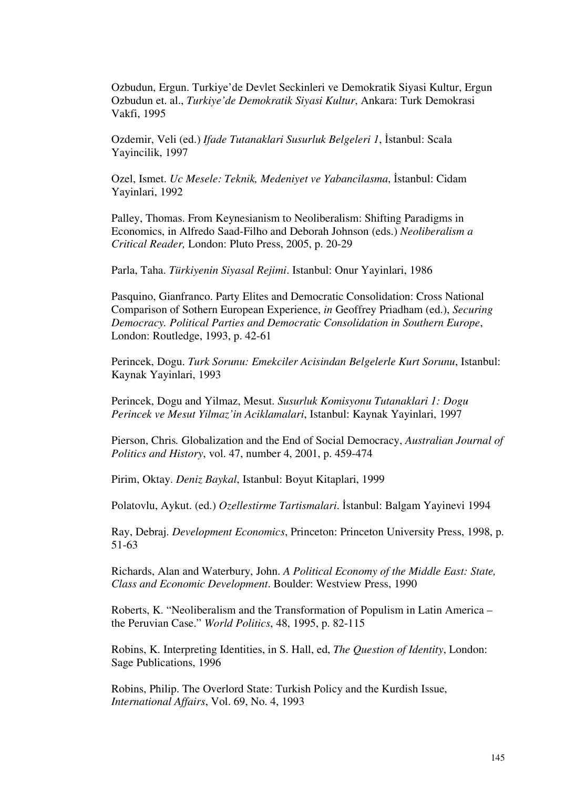Ozbudun, Ergun. Turkiye'de Devlet Seckinleri ve Demokratik Siyasi Kultur, Ergun Ozbudun et. al., *Turkiye'de Demokratik Siyasi Kultur*, Ankara: Turk Demokrasi Vakfi, 1995

Ozdemir, Veli (ed.) *Ifade Tutanaklari Susurluk Belgeleri 1*, İstanbul: Scala Yayincilik, 1997

Ozel, Ismet. *Uc Mesele: Teknik, Medeniyet ve Yabancilasma*, İstanbul: Cidam Yayinlari, 1992

Palley, Thomas. From Keynesianism to Neoliberalism: Shifting Paradigms in Economics, in Alfredo Saad-Filho and Deborah Johnson (eds.) *Neoliberalism a Critical Reader,* London: Pluto Press, 2005, p. 20-29

Parla, Taha. *Türkiyenin Siyasal Rejimi*. Istanbul: Onur Yayinlari, 1986

Pasquino, Gianfranco. Party Elites and Democratic Consolidation: Cross National Comparison of Sothern European Experience, *in* Geoffrey Priadham (ed.), *Securing Democracy. Political Parties and Democratic Consolidation in Southern Europe*, London: Routledge, 1993, p. 42-61

Perincek, Dogu. *Turk Sorunu: Emekciler Acisindan Belgelerle Kurt Sorunu*, Istanbul: Kaynak Yayinlari, 1993

Perincek, Dogu and Yilmaz, Mesut. *Susurluk Komisyonu Tutanaklari 1: Dogu Perincek ve Mesut Yilmaz'in Aciklamalari*, Istanbul: Kaynak Yayinlari, 1997

Pierson, Chris*.* Globalization and the End of Social Democracy, *Australian Journal of Politics and History*, vol. 47, number 4, 2001, p. 459-474

Pirim, Oktay. *Deniz Baykal*, Istanbul: Boyut Kitaplari, 1999

Polatovlu, Aykut. (ed.) *Ozellestirme Tartismalari*. İstanbul: Balgam Yayinevi 1994

Ray, Debraj. *Development Economics*, Princeton: Princeton University Press, 1998, p. 51-63

Richards, Alan and Waterbury, John. *A Political Economy of the Middle East: State, Class and Economic Development*. Boulder: Westview Press, 1990

Roberts, K. "Neoliberalism and the Transformation of Populism in Latin America – the Peruvian Case." *World Politics*, 48, 1995, p. 82-115

Robins, K. Interpreting Identities, in S. Hall, ed, *The Question of Identity*, London: Sage Publications, 1996

Robins, Philip. The Overlord State: Turkish Policy and the Kurdish Issue, *International Affairs*, Vol. 69, No. 4, 1993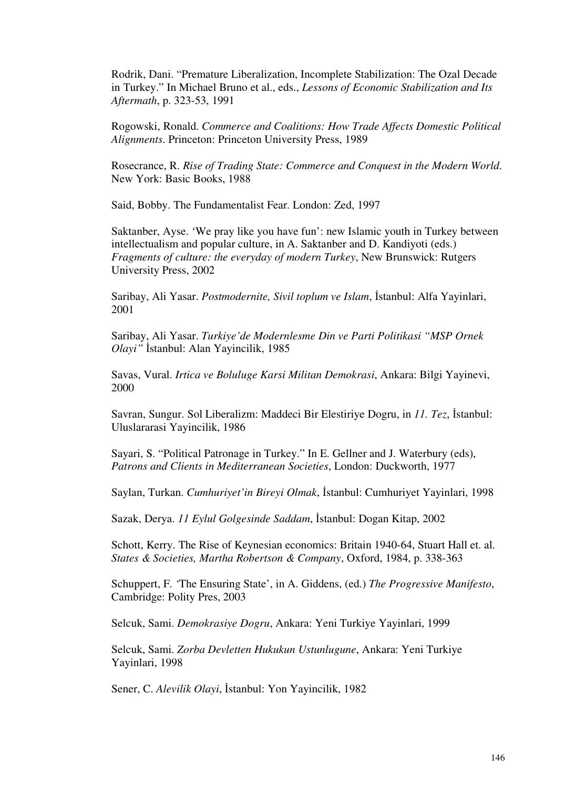Rodrik, Dani. "Premature Liberalization, Incomplete Stabilization: The Ozal Decade in Turkey." In Michael Bruno et al., eds., *Lessons of Economic Stabilization and Its Aftermath*, p. 323-53, 1991

Rogowski, Ronald. *Commerce and Coalitions: How Trade Affects Domestic Political Alignments*. Princeton: Princeton University Press, 1989

Rosecrance, R. *Rise of Trading State: Commerce and Conquest in the Modern World*. New York: Basic Books, 1988

Said, Bobby. The Fundamentalist Fear. London: Zed, 1997

Saktanber, Ayse. 'We pray like you have fun': new Islamic youth in Turkey between intellectualism and popular culture, in A. Saktanber and D. Kandiyoti (eds.) *Fragments of culture: the everyday of modern Turkey*, New Brunswick: Rutgers University Press, 2002

Saribay, Ali Yasar. *Postmodernite, Sivil toplum ve Islam*, İstanbul: Alfa Yayinlari, 2001

Saribay, Ali Yasar. *Turkiye'de Modernlesme Din ve Parti Politikasi "MSP Ornek Olayi"* İstanbul: Alan Yayincilik, 1985

Savas, Vural. *Irtica ve Boluluge Karsi Militan Demokrasi*, Ankara: Bilgi Yayinevi, 2000

Savran, Sungur. Sol Liberalizm: Maddeci Bir Elestiriye Dogru, in *11. Tez*, İstanbul: Uluslararasi Yayincilik, 1986

Sayari, S. "Political Patronage in Turkey." In E. Gellner and J. Waterbury (eds), *Patrons and Clients in Mediterranean Societies*, London: Duckworth, 1977

Saylan, Turkan. *Cumhuriyet'in Bireyi Olmak*, İstanbul: Cumhuriyet Yayinlari, 1998

Sazak, Derya. *11 Eylul Golgesinde Saddam*, İstanbul: Dogan Kitap, 2002

Schott, Kerry. The Rise of Keynesian economics: Britain 1940-64, Stuart Hall et. al. *States & Societies, Martha Robertson & Company*, Oxford, 1984, p. 338-363

Schuppert, F. *'*The Ensuring State', in A. Giddens, (ed.) *The Progressive Manifesto*, Cambridge: Polity Pres, 2003

Selcuk, Sami. *Demokrasiye Dogru*, Ankara: Yeni Turkiye Yayinlari, 1999

Selcuk, Sami. *Zorba Devletten Hukukun Ustunlugune*, Ankara: Yeni Turkiye Yayinlari, 1998

Sener, C. *Alevilik Olayi*, İstanbul: Yon Yayincilik, 1982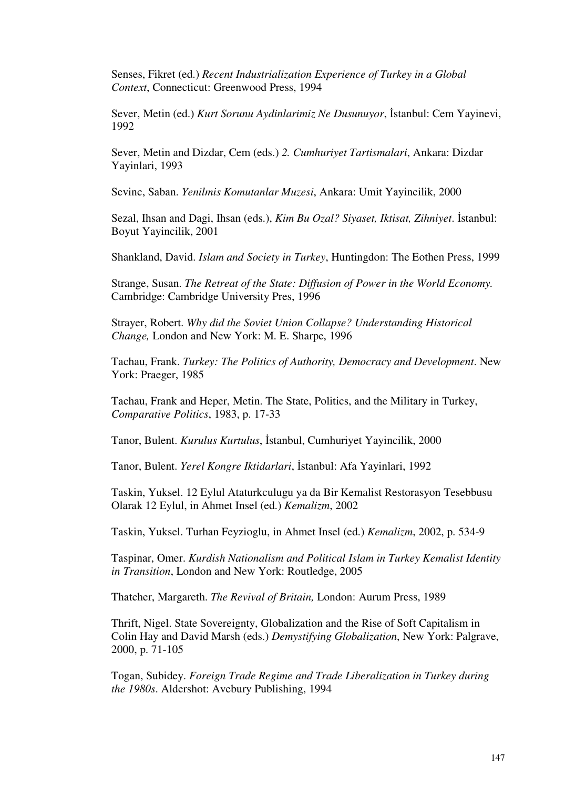Senses, Fikret (ed.) *Recent Industrialization Experience of Turkey in a Global Context*, Connecticut: Greenwood Press, 1994

Sever, Metin (ed.) *Kurt Sorunu Aydinlarimiz Ne Dusunuyor*, İstanbul: Cem Yayinevi, 1992

Sever, Metin and Dizdar, Cem (eds.) *2. Cumhuriyet Tartismalari*, Ankara: Dizdar Yayinlari, 1993

Sevinc, Saban. *Yenilmis Komutanlar Muzesi*, Ankara: Umit Yayincilik, 2000

Sezal, Ihsan and Dagi, Ihsan (eds.), *Kim Bu Ozal? Siyaset, Iktisat, Zihniyet*. İstanbul: Boyut Yayincilik, 2001

Shankland, David. *Islam and Society in Turkey*, Huntingdon: The Eothen Press, 1999

Strange, Susan. *The Retreat of the State: Diffusion of Power in the World Economy.*  Cambridge: Cambridge University Pres, 1996

Strayer, Robert. *Why did the Soviet Union Collapse? Understanding Historical Change,* London and New York: M. E. Sharpe, 1996

Tachau, Frank. *Turkey: The Politics of Authority, Democracy and Development*. New York: Praeger, 1985

Tachau, Frank and Heper, Metin. The State, Politics, and the Military in Turkey, *Comparative Politics*, 1983, p. 17-33

Tanor, Bulent. *Kurulus Kurtulus*, İstanbul, Cumhuriyet Yayincilik, 2000

Tanor, Bulent. *Yerel Kongre Iktidarlari*, İstanbul: Afa Yayinlari, 1992

Taskin, Yuksel. 12 Eylul Ataturkculugu ya da Bir Kemalist Restorasyon Tesebbusu Olarak 12 Eylul, in Ahmet Insel (ed.) *Kemalizm*, 2002

Taskin, Yuksel. Turhan Feyzioglu, in Ahmet Insel (ed.) *Kemalizm*, 2002, p. 534-9

Taspinar, Omer. *Kurdish Nationalism and Political Islam in Turkey Kemalist Identity in Transition*, London and New York: Routledge, 2005

Thatcher, Margareth. *The Revival of Britain,* London: Aurum Press, 1989

Thrift, Nigel. State Sovereignty, Globalization and the Rise of Soft Capitalism in Colin Hay and David Marsh (eds.) *Demystifying Globalization*, New York: Palgrave, 2000, p. 71-105

Togan, Subidey. *Foreign Trade Regime and Trade Liberalization in Turkey during the 1980s*. Aldershot: Avebury Publishing, 1994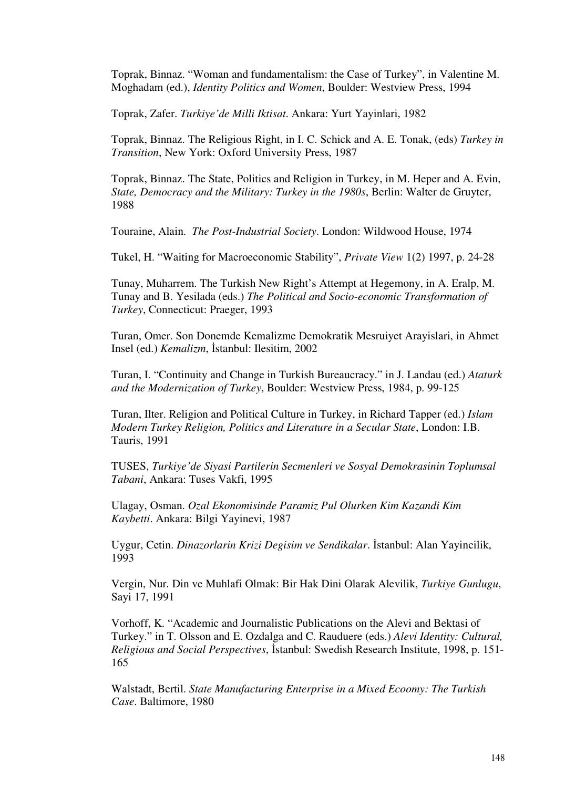Toprak, Binnaz. "Woman and fundamentalism: the Case of Turkey", in Valentine M. Moghadam (ed.), *Identity Politics and Women*, Boulder: Westview Press, 1994

Toprak, Zafer. *Turkiye'de Milli Iktisat*. Ankara: Yurt Yayinlari, 1982

Toprak, Binnaz. The Religious Right, in I. C. Schick and A. E. Tonak, (eds) *Turkey in Transition*, New York: Oxford University Press, 1987

Toprak, Binnaz. The State, Politics and Religion in Turkey, in M. Heper and A. Evin, *State, Democracy and the Military: Turkey in the 1980s*, Berlin: Walter de Gruyter, 1988

Touraine, Alain. *The Post-Industrial Society*. London: Wildwood House, 1974

Tukel, H. "Waiting for Macroeconomic Stability", *Private View* 1(2) 1997, p. 24-28

Tunay, Muharrem. The Turkish New Right's Attempt at Hegemony, in A. Eralp, M. Tunay and B. Yesilada (eds.) *The Political and Socio-economic Transformation of Turkey*, Connecticut: Praeger, 1993

Turan, Omer. Son Donemde Kemalizme Demokratik Mesruiyet Arayislari, in Ahmet Insel (ed.) *Kemalizm*, İstanbul: Ilesitim, 2002

Turan, I. "Continuity and Change in Turkish Bureaucracy." in J. Landau (ed.) *Ataturk and the Modernization of Turkey*, Boulder: Westview Press, 1984, p. 99-125

Turan, Ilter. Religion and Political Culture in Turkey, in Richard Tapper (ed.) *Islam Modern Turkey Religion, Politics and Literature in a Secular State*, London: I.B. Tauris, 1991

TUSES, *Turkiye'de Siyasi Partilerin Secmenleri ve Sosyal Demokrasinin Toplumsal Tabani*, Ankara: Tuses Vakfi, 1995

Ulagay, Osman. *Ozal Ekonomisinde Paramiz Pul Olurken Kim Kazandi Kim Kaybetti*. Ankara: Bilgi Yayinevi, 1987

Uygur, Cetin. *Dinazorlarin Krizi Degisim ve Sendikalar*. İstanbul: Alan Yayincilik, 1993

Vergin, Nur. Din ve Muhlafi Olmak: Bir Hak Dini Olarak Alevilik, *Turkiye Gunlugu*, Sayi 17, 1991

Vorhoff, K. "Academic and Journalistic Publications on the Alevi and Bektasi of Turkey." in T. Olsson and E. Ozdalga and C. Rauduere (eds.) *Alevi Identity: Cultural, Religious and Social Perspectives*, İstanbul: Swedish Research Institute, 1998, p. 151- 165

Walstadt, Bertil. *State Manufacturing Enterprise in a Mixed Ecoomy: The Turkish Case*. Baltimore, 1980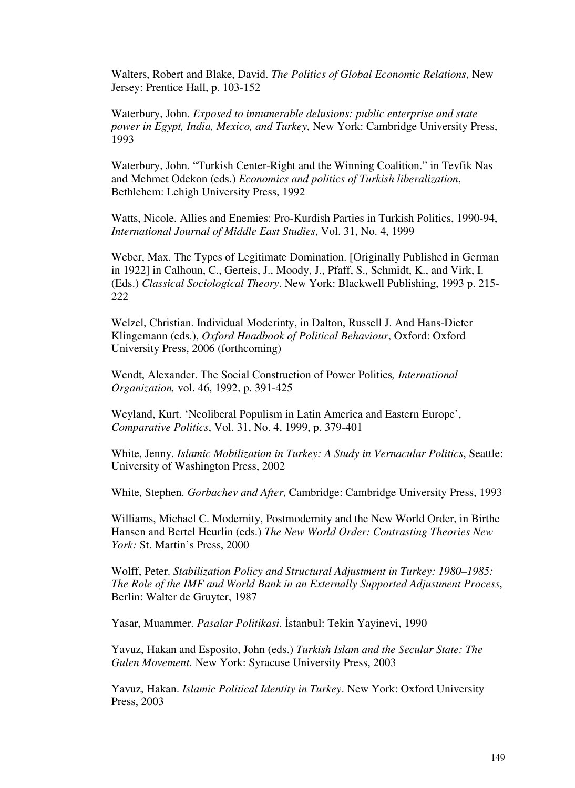Walters, Robert and Blake, David. *The Politics of Global Economic Relations*, New Jersey: Prentice Hall, p. 103-152

Waterbury, John. *Exposed to innumerable delusions: public enterprise and state power in Egypt, India, Mexico, and Turkey*, New York: Cambridge University Press, 1993

Waterbury, John. "Turkish Center-Right and the Winning Coalition." in Tevfik Nas and Mehmet Odekon (eds.) *Economics and politics of Turkish liberalization*, Bethlehem: Lehigh University Press, 1992

Watts, Nicole. Allies and Enemies: Pro-Kurdish Parties in Turkish Politics, 1990-94, *International Journal of Middle East Studies*, Vol. 31, No. 4, 1999

Weber, Max. The Types of Legitimate Domination. [Originally Published in German in 1922] in Calhoun, C., Gerteis, J., Moody, J., Pfaff, S., Schmidt, K., and Virk, I. (Eds.) *Classical Sociological Theory*. New York: Blackwell Publishing, 1993 p. 215- 222

Welzel, Christian. Individual Moderinty, in Dalton, Russell J. And Hans-Dieter Klingemann (eds.), *Oxford Hnadbook of Political Behaviour*, Oxford: Oxford University Press, 2006 (forthcoming)

Wendt, Alexander. The Social Construction of Power Politics*, International Organization,* vol. 46, 1992, p. 391-425

Weyland, Kurt. 'Neoliberal Populism in Latin America and Eastern Europe', *Comparative Politics*, Vol. 31, No. 4, 1999, p. 379-401

White, Jenny. *Islamic Mobilization in Turkey: A Study in Vernacular Politics*, Seattle: University of Washington Press, 2002

White, Stephen. *Gorbachev and After*, Cambridge: Cambridge University Press, 1993

Williams, Michael C. Modernity, Postmodernity and the New World Order, in Birthe Hansen and Bertel Heurlin (eds.) *The New World Order: Contrasting Theories New York:* St. Martin's Press, 2000

Wolff, Peter. *Stabilization Policy and Structural Adjustment in Turkey: 1980–1985: The Role of the IMF and World Bank in an Externally Supported Adjustment Process*, Berlin: Walter de Gruyter, 1987

Yasar, Muammer. *Pasalar Politikasi*. İstanbul: Tekin Yayinevi, 1990

Yavuz, Hakan and Esposito, John (eds.) *Turkish Islam and the Secular State: The Gulen Movement*. New York: Syracuse University Press, 2003

Yavuz, Hakan. *Islamic Political Identity in Turkey*. New York: Oxford University Press, 2003